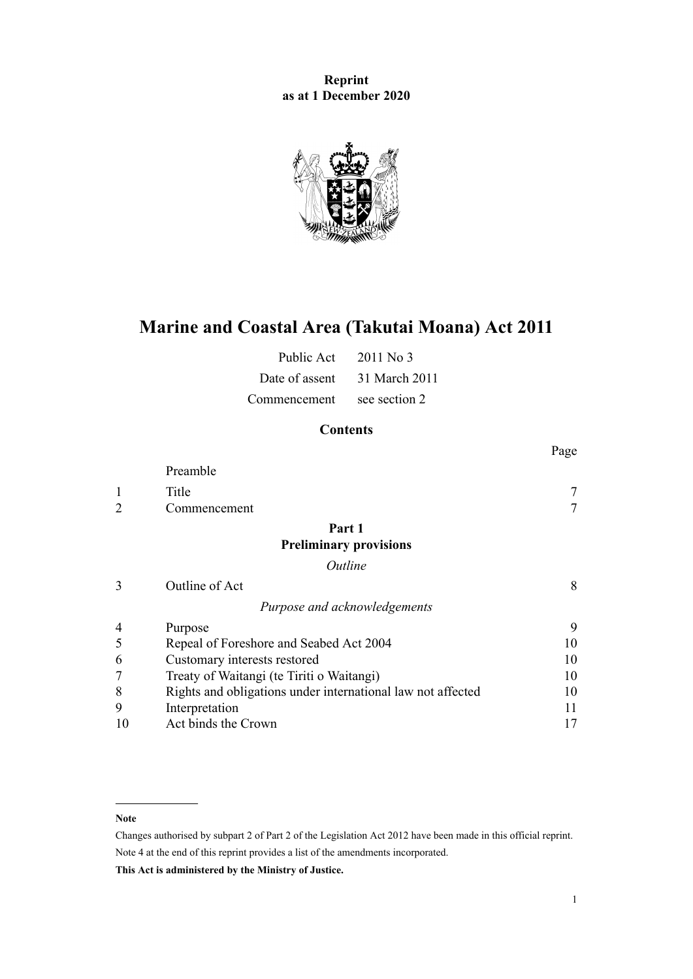**Reprint as at 1 December 2020**



# **Marine and Coastal Area (Takutai Moana) Act 2011**

| Public Act     | $2011$ No 3   |
|----------------|---------------|
| Date of assent | 31 March 2011 |
| Commencement   | see section 2 |

# **Contents**

|                |                                                             | Page   |
|----------------|-------------------------------------------------------------|--------|
|                | Preamble                                                    |        |
| 1              | Title                                                       |        |
| $\overline{2}$ | Commencement                                                | $\tau$ |
|                | Part 1                                                      |        |
|                | <b>Preliminary provisions</b>                               |        |
|                | Outline                                                     |        |
| 3              | Outline of Act                                              | 8      |
|                | Purpose and acknowledgements                                |        |
| 4              | Purpose                                                     | 9      |
| 5              | Repeal of Foreshore and Seabed Act 2004                     | 10     |
| 6              | Customary interests restored                                | 10     |
|                | Treaty of Waitangi (te Tiriti o Waitangi)                   | 10     |
| 8              | Rights and obligations under international law not affected | 10     |
| 9              | Interpretation                                              | 11     |
| 10             | Act binds the Crown                                         | 17     |

#### **Note**

Changes authorised by [subpart 2](http://legislation.govt.nz/pdflink.aspx?id=DLM2998524) of Part 2 of the Legislation Act 2012 have been made in this official reprint. Note 4 at the end of this reprint provides a list of the amendments incorporated.

**This Act is administered by the Ministry of Justice.**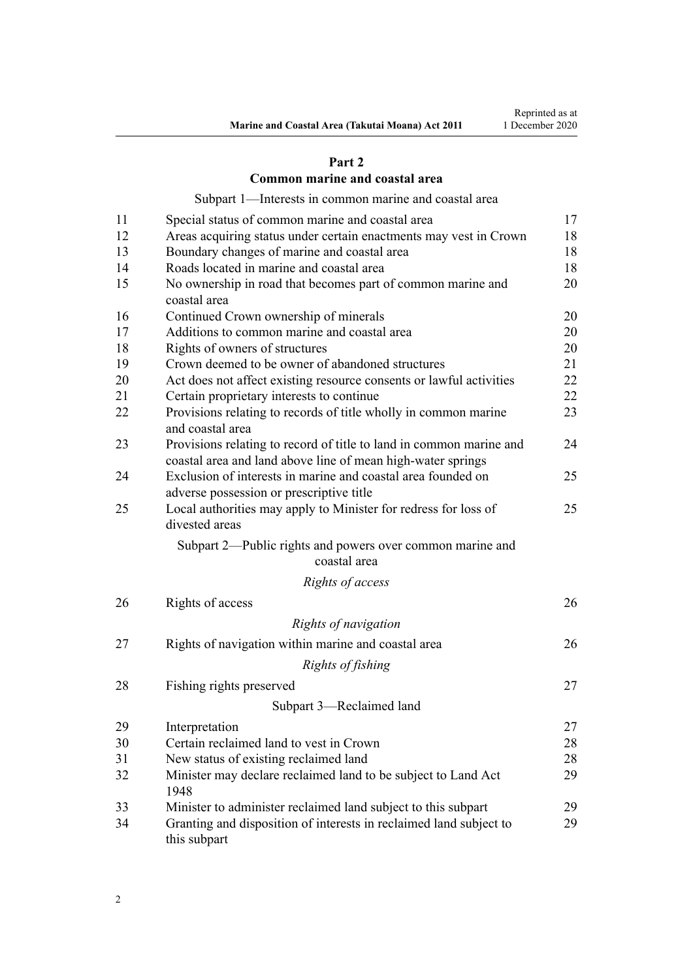### **[Part 2](#page-16-0)**

### **[Common marine and coastal area](#page-16-0)**

[Subpart 1—Interests in common marine and coastal area](#page-16-0)

| 11 | Special status of common marine and coastal area                                                                                   | 17 |
|----|------------------------------------------------------------------------------------------------------------------------------------|----|
| 12 | Areas acquiring status under certain enactments may vest in Crown                                                                  | 18 |
| 13 | Boundary changes of marine and coastal area                                                                                        | 18 |
| 14 | Roads located in marine and coastal area                                                                                           | 18 |
| 15 | No ownership in road that becomes part of common marine and<br>coastal area                                                        | 20 |
| 16 | Continued Crown ownership of minerals                                                                                              | 20 |
| 17 | Additions to common marine and coastal area                                                                                        | 20 |
| 18 | Rights of owners of structures                                                                                                     | 20 |
| 19 | Crown deemed to be owner of abandoned structures                                                                                   | 21 |
| 20 | Act does not affect existing resource consents or lawful activities                                                                | 22 |
| 21 | Certain proprietary interests to continue                                                                                          | 22 |
| 22 | Provisions relating to records of title wholly in common marine<br>and coastal area                                                | 23 |
| 23 | Provisions relating to record of title to land in common marine and<br>coastal area and land above line of mean high-water springs | 24 |
| 24 | Exclusion of interests in marine and coastal area founded on<br>adverse possession or prescriptive title                           | 25 |
| 25 | Local authorities may apply to Minister for redress for loss of<br>divested areas                                                  | 25 |
|    | Subpart 2—Public rights and powers over common marine and<br>coastal area                                                          |    |
|    | Rights of access                                                                                                                   |    |
| 26 | Rights of access                                                                                                                   | 26 |
|    | Rights of navigation                                                                                                               |    |
| 27 | Rights of navigation within marine and coastal area                                                                                | 26 |
|    | Rights of fishing                                                                                                                  |    |
| 28 | Fishing rights preserved                                                                                                           | 27 |
|    | Subpart 3-Reclaimed land                                                                                                           |    |
| 29 | Interpretation                                                                                                                     | 27 |
| 30 | Certain reclaimed land to vest in Crown                                                                                            | 28 |
| 31 | New status of existing reclaimed land                                                                                              | 28 |
| 32 | Minister may declare reclaimed land to be subject to Land Act<br>1948                                                              | 29 |
| 33 | Minister to administer reclaimed land subject to this subpart                                                                      | 29 |
| 34 | Granting and disposition of interests in reclaimed land subject to<br>this subpart                                                 | 29 |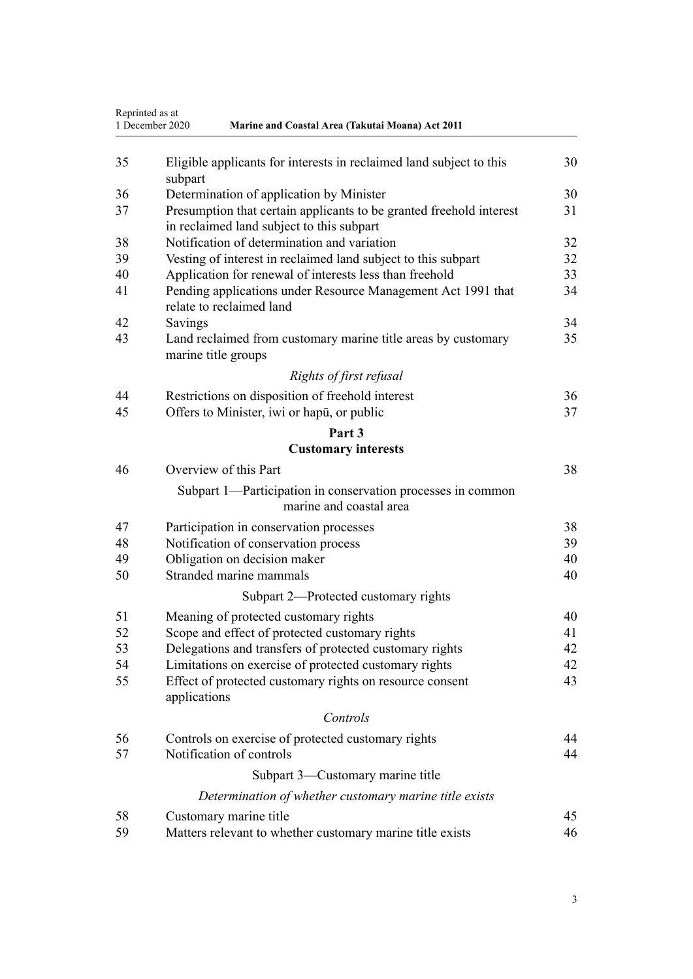|    | Reprinted as at<br>1 December 2020<br>Marine and Coastal Area (Takutai Moana) Act 2011                           |    |
|----|------------------------------------------------------------------------------------------------------------------|----|
| 35 | Eligible applicants for interests in reclaimed land subject to this<br>subpart                                   | 30 |
| 36 | Determination of application by Minister                                                                         | 30 |
| 37 | Presumption that certain applicants to be granted freehold interest<br>in reclaimed land subject to this subpart | 31 |
| 38 | Notification of determination and variation                                                                      | 32 |
| 39 | Vesting of interest in reclaimed land subject to this subpart                                                    | 32 |
| 40 | Application for renewal of interests less than freehold                                                          | 33 |
| 41 | Pending applications under Resource Management Act 1991 that<br>relate to reclaimed land                         | 34 |
| 42 | Savings                                                                                                          | 34 |
| 43 | Land reclaimed from customary marine title areas by customary<br>marine title groups                             | 35 |
|    | Rights of first refusal                                                                                          |    |
| 44 | Restrictions on disposition of freehold interest                                                                 | 36 |
| 45 | Offers to Minister, iwi or hapu, or public                                                                       | 37 |
|    | Part 3                                                                                                           |    |
|    | <b>Customary interests</b>                                                                                       |    |
| 46 | Overview of this Part                                                                                            | 38 |
|    | Subpart 1—Participation in conservation processes in common<br>marine and coastal area                           |    |
| 47 | Participation in conservation processes                                                                          | 38 |
| 48 | Notification of conservation process                                                                             | 39 |
| 49 | Obligation on decision maker                                                                                     | 40 |
| 50 | Stranded marine mammals                                                                                          | 40 |
|    | Subpart 2—Protected customary rights                                                                             |    |
| 51 | Meaning of protected customary rights                                                                            | 40 |
| 52 | Scope and effect of protected customary rights                                                                   | 41 |
| 53 | Delegations and transfers of protected customary rights                                                          | 42 |
| 54 | Limitations on exercise of protected customary rights                                                            | 42 |
| 55 | Effect of protected customary rights on resource consent<br>applications                                         | 43 |
|    | Controls                                                                                                         |    |
| 56 | Controls on exercise of protected customary rights                                                               | 44 |
| 57 | Notification of controls                                                                                         | 44 |
|    | Subpart 3—Customary marine title                                                                                 |    |
|    | Determination of whether customary marine title exists                                                           |    |
| 58 | Customary marine title                                                                                           | 45 |
| 59 | Matters relevant to whether customary marine title exists                                                        | 46 |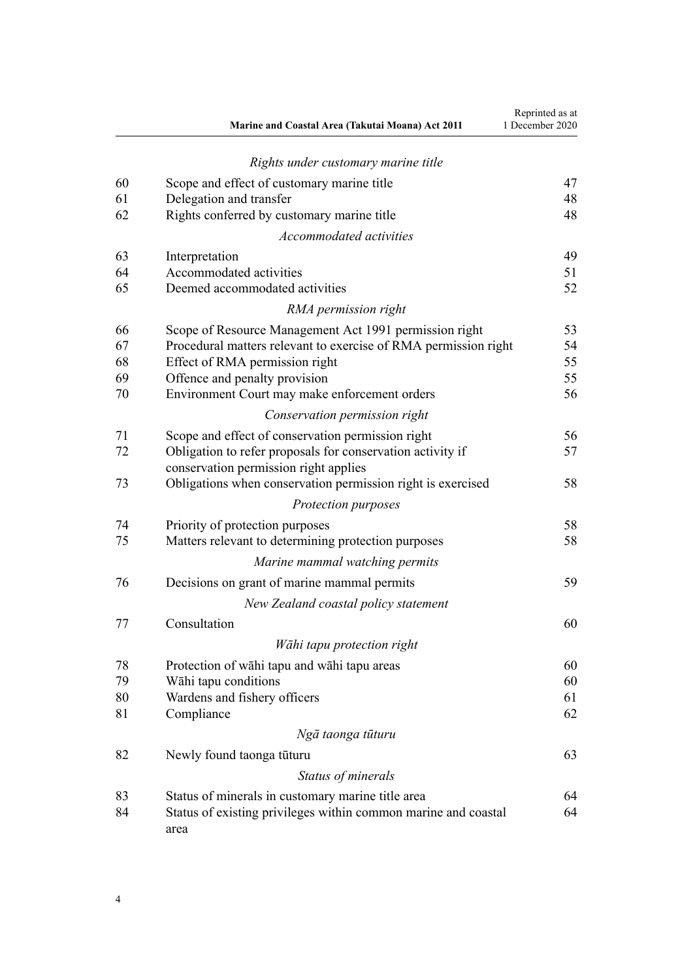|    | Marine and Coastal Area (Takutai Moana) Act 2011                                                    | Reprinted as at<br>1 December 2020 |
|----|-----------------------------------------------------------------------------------------------------|------------------------------------|
|    | Rights under customary marine title                                                                 |                                    |
| 60 | Scope and effect of customary marine title                                                          | 47                                 |
| 61 | Delegation and transfer                                                                             | 48                                 |
| 62 | Rights conferred by customary marine title                                                          | 48                                 |
|    | Accommodated activities                                                                             |                                    |
| 63 | Interpretation                                                                                      | 49                                 |
| 64 | Accommodated activities                                                                             | 51                                 |
| 65 | Deemed accommodated activities                                                                      | 52                                 |
|    | RMA permission right                                                                                |                                    |
| 66 | Scope of Resource Management Act 1991 permission right                                              | 53                                 |
| 67 | Procedural matters relevant to exercise of RMA permission right                                     | 54                                 |
| 68 | Effect of RMA permission right                                                                      | 55                                 |
| 69 | Offence and penalty provision                                                                       | 55                                 |
| 70 | Environment Court may make enforcement orders                                                       | 56                                 |
|    | Conservation permission right                                                                       |                                    |
| 71 | Scope and effect of conservation permission right                                                   | 56                                 |
| 72 | Obligation to refer proposals for conservation activity if<br>conservation permission right applies | 57                                 |
| 73 | Obligations when conservation permission right is exercised                                         | 58                                 |
|    | Protection purposes                                                                                 |                                    |
| 74 | Priority of protection purposes                                                                     | 58                                 |
| 75 | Matters relevant to determining protection purposes                                                 | 58                                 |
|    | Marine mammal watching permits                                                                      |                                    |
| 76 | Decisions on grant of marine mammal permits                                                         | 59                                 |
|    | New Zealand coastal policy statement                                                                |                                    |
| 77 | Consultation                                                                                        | 60                                 |
|    | Wāhi tapu protection right                                                                          |                                    |
| 78 | Protection of wahi tapu and wahi tapu areas                                                         | 60                                 |
| 79 | Wāhi tapu conditions                                                                                | 60                                 |
| 80 | Wardens and fishery officers                                                                        | 61                                 |
| 81 | Compliance                                                                                          | 62                                 |
|    | Ngā taonga tūturu                                                                                   |                                    |
| 82 | Newly found taonga tūturu                                                                           | 63                                 |
|    | Status of minerals                                                                                  |                                    |
| 83 | Status of minerals in customary marine title area                                                   | 64                                 |
| 84 | Status of existing privileges within common marine and coastal<br>area                              | 64                                 |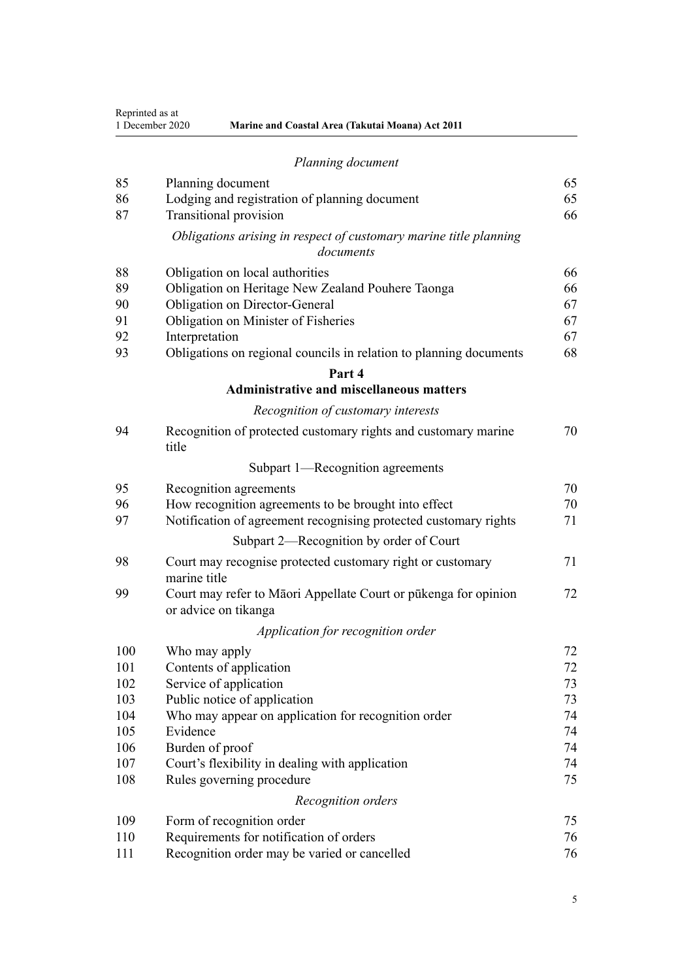Reprinted as at

| 1 December 2020 | <b>Marine and Coastal Area (Takutai Moana) Act 2011</b> |  |
|-----------------|---------------------------------------------------------|--|

| 85  | Planning document                                                                       | 65 |
|-----|-----------------------------------------------------------------------------------------|----|
| 86  | Lodging and registration of planning document                                           | 65 |
| 87  | <b>Transitional provision</b>                                                           | 66 |
|     | Obligations arising in respect of customary marine title planning<br>documents          |    |
| 88  | Obligation on local authorities                                                         | 66 |
| 89  | Obligation on Heritage New Zealand Pouhere Taonga                                       | 66 |
| 90  | Obligation on Director-General                                                          | 67 |
| 91  | Obligation on Minister of Fisheries                                                     | 67 |
| 92  | Interpretation                                                                          | 67 |
| 93  | Obligations on regional councils in relation to planning documents                      | 68 |
|     | Part 4                                                                                  |    |
|     | <b>Administrative and miscellaneous matters</b>                                         |    |
|     | Recognition of customary interests                                                      |    |
| 94  | Recognition of protected customary rights and customary marine<br>title                 | 70 |
|     | Subpart 1—Recognition agreements                                                        |    |
| 95  | Recognition agreements                                                                  | 70 |
| 96  | How recognition agreements to be brought into effect                                    | 70 |
| 97  | Notification of agreement recognising protected customary rights                        | 71 |
|     | Subpart 2—Recognition by order of Court                                                 |    |
| 98  | Court may recognise protected customary right or customary                              | 71 |
|     | marine title                                                                            |    |
| 99  | Court may refer to Māori Appellate Court or pūkenga for opinion<br>or advice on tikanga | 72 |
|     | Application for recognition order                                                       |    |
| 100 | Who may apply                                                                           | 72 |
| 101 | Contents of application                                                                 | 72 |
| 102 | Service of application                                                                  | 73 |
| 103 | Public notice of application                                                            | 73 |
| 104 | Who may appear on application for recognition order                                     | 74 |
| 105 | Evidence                                                                                | 74 |
| 106 | Burden of proof                                                                         | 74 |
| 107 | Court's flexibility in dealing with application                                         | 74 |
| 108 | Rules governing procedure                                                               | 75 |
|     | Recognition orders                                                                      |    |
| 109 | Form of recognition order                                                               | 75 |
| 110 | Requirements for notification of orders                                                 | 76 |
| 111 | Recognition order may be varied or cancelled                                            | 76 |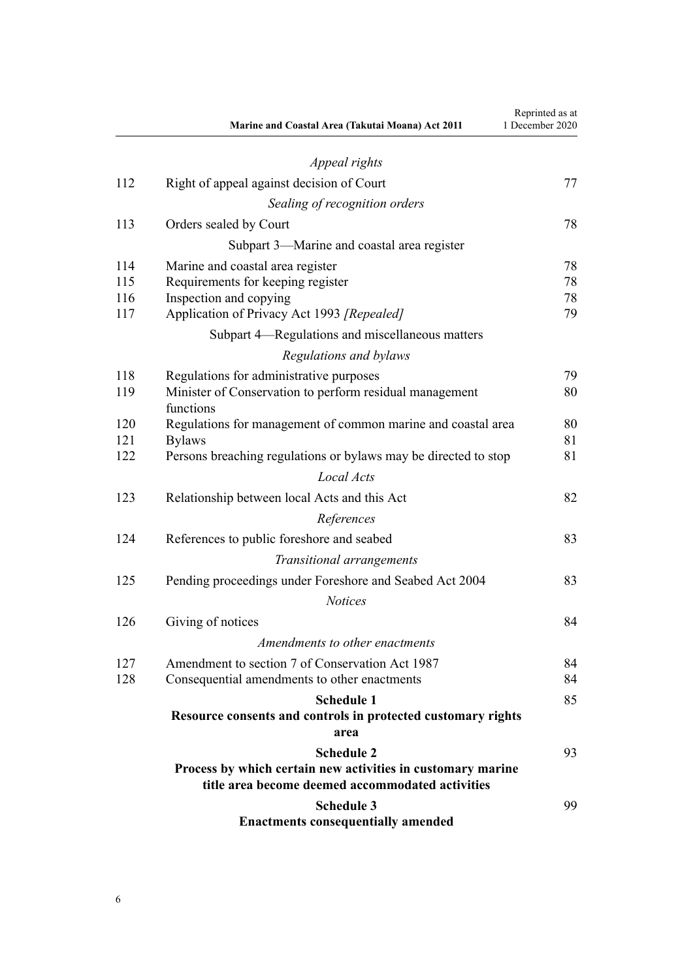|     | Marine and Coastal Area (Takutai Moana) Act 2011                                                                | Reprinted as at<br>1 December 2020 |
|-----|-----------------------------------------------------------------------------------------------------------------|------------------------------------|
|     | Appeal rights                                                                                                   |                                    |
| 112 | Right of appeal against decision of Court                                                                       | 77                                 |
|     | Sealing of recognition orders                                                                                   |                                    |
| 113 | Orders sealed by Court                                                                                          | 78                                 |
|     | Subpart 3—Marine and coastal area register                                                                      |                                    |
| 114 | Marine and coastal area register                                                                                | 78                                 |
| 115 | Requirements for keeping register                                                                               | 78                                 |
| 116 | Inspection and copying                                                                                          | 78                                 |
| 117 | Application of Privacy Act 1993 [Repealed]                                                                      | 79                                 |
|     | Subpart 4—Regulations and miscellaneous matters                                                                 |                                    |
|     | Regulations and bylaws                                                                                          |                                    |
| 118 | Regulations for administrative purposes                                                                         | 79                                 |
| 119 | Minister of Conservation to perform residual management<br>functions                                            | 80                                 |
| 120 | Regulations for management of common marine and coastal area                                                    | 80                                 |
| 121 | <b>Bylaws</b>                                                                                                   | 81                                 |
| 122 | Persons breaching regulations or bylaws may be directed to stop                                                 | 81                                 |
|     | Local Acts                                                                                                      |                                    |
| 123 | Relationship between local Acts and this Act                                                                    | 82                                 |
|     | References                                                                                                      |                                    |
| 124 | References to public foreshore and seabed                                                                       | 83                                 |
|     | Transitional arrangements                                                                                       |                                    |
| 125 | Pending proceedings under Foreshore and Seabed Act 2004                                                         | 83                                 |
|     | <b>Notices</b>                                                                                                  |                                    |
| 126 | Giving of notices                                                                                               | 84                                 |
|     | Amendments to other enactments                                                                                  |                                    |
| 127 | Amendment to section 7 of Conservation Act 1987                                                                 | 84                                 |
| 128 | Consequential amendments to other enactments                                                                    | 84                                 |
|     | <b>Schedule 1</b>                                                                                               | 85                                 |
|     | Resource consents and controls in protected customary rights                                                    |                                    |
|     | area                                                                                                            |                                    |
|     | <b>Schedule 2</b>                                                                                               | 93                                 |
|     | Process by which certain new activities in customary marine<br>title area become deemed accommodated activities |                                    |
|     |                                                                                                                 |                                    |
|     | <b>Schedule 3</b><br><b>Enactments consequentially amended</b>                                                  | 99                                 |
|     |                                                                                                                 |                                    |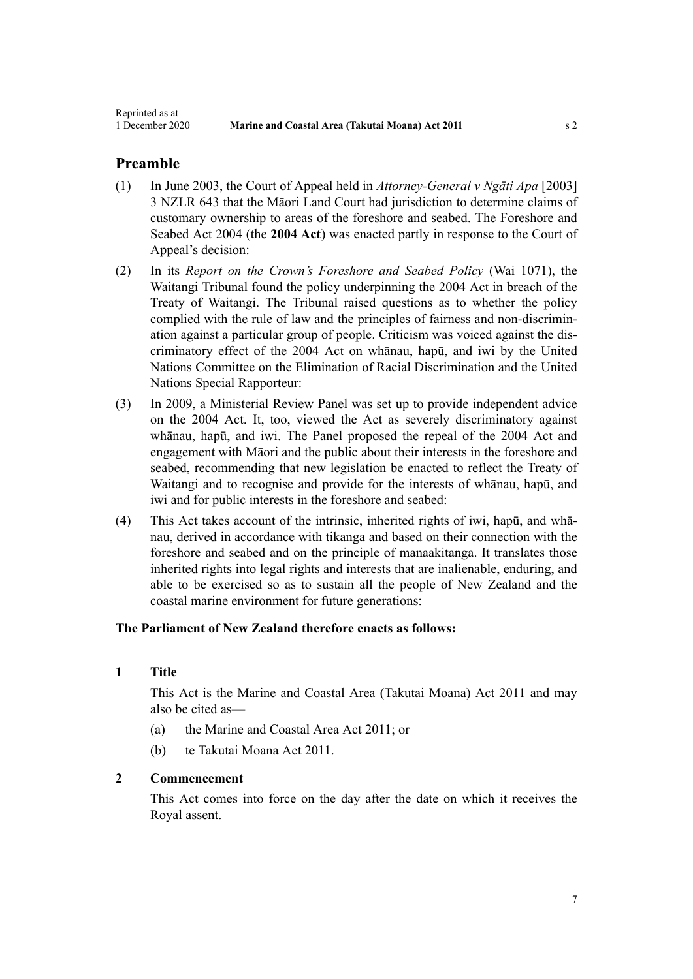# <span id="page-6-0"></span>**Preamble**

- (1) In June 2003, the Court of Appeal held in *Attorney-General v Ngāti Apa* [2003] 3 NZLR 643 that the Māori Land Court had jurisdiction to determine claims of customary ownership to areas of the foreshore and seabed. The [Foreshore and](http://legislation.govt.nz/pdflink.aspx?id=DLM319838) [Seabed Act 2004](http://legislation.govt.nz/pdflink.aspx?id=DLM319838) (the **2004 Act**) was enacted partly in response to the Court of Appeal's decision:
- (2) In its *Report on the Crown's Foreshore and Seabed Policy* (Wai 1071), the Waitangi Tribunal found the policy underpinning the 2004 Act in breach of the Treaty of Waitangi. The Tribunal raised questions as to whether the policy complied with the rule of law and the principles of fairness and non-discrimination against a particular group of people. Criticism was voiced against the discriminatory effect of the 2004 Act on whānau, hapū, and iwi by the United Nations Committee on the Elimination of Racial Discrimination and the United Nations Special Rapporteur:
- (3) In 2009, a Ministerial Review Panel was set up to provide independent advice on the 2004 Act. It, too, viewed the Act as severely discriminatory against whānau, hapū, and iwi. The Panel proposed the repeal of the 2004 Act and engagement with Māori and the public about their interests in the foreshore and seabed, recommending that new legislation be enacted to reflect the Treaty of Waitangi and to recognise and provide for the interests of whānau, hapū, and iwi and for public interests in the foreshore and seabed:
- (4) This Act takes account of the intrinsic, inherited rights of iwi, hapū, and whānau, derived in accordance with tikanga and based on their connection with the foreshore and seabed and on the principle of manaakitanga. It translates those inherited rights into legal rights and interests that are inalienable, enduring, and able to be exercised so as to sustain all the people of New Zealand and the coastal marine environment for future generations:

# **The Parliament of New Zealand therefore enacts as follows:**

# **1 Title**

This Act is the Marine and Coastal Area (Takutai Moana) Act 2011 and may also be cited as—

- (a) the Marine and Coastal Area Act 2011; or
- (b) te Takutai Moana Act 2011.

### **2 Commencement**

This Act comes into force on the day after the date on which it receives the Royal assent.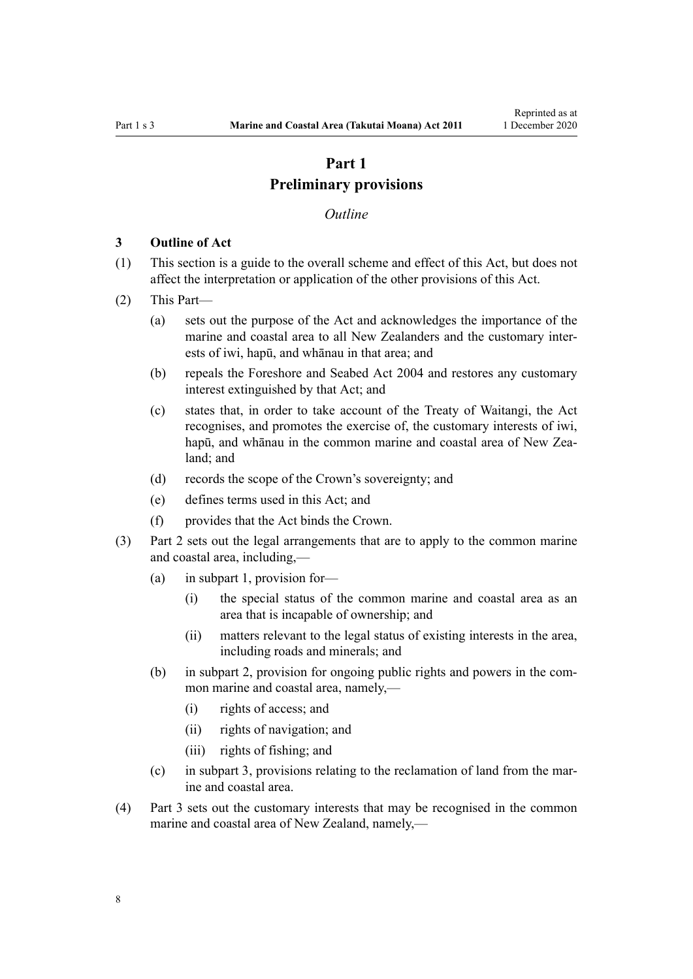# **Part 1 Preliminary provisions**

#### *Outline*

#### <span id="page-7-0"></span>**3 Outline of Act**

- (1) This section is a guide to the overall scheme and effect of this Act, but does not affect the interpretation or application of the other provisions of this Act.
- (2) This Part—
	- (a) sets out the purpose of the Act and acknowledges the importance of the marine and coastal area to all New Zealanders and the customary interests of iwi, hapū, and whānau in that area; and
	- (b) repeals the [Foreshore and Seabed Act 2004](http://legislation.govt.nz/pdflink.aspx?id=DLM319838) and restores any customary interest extinguished by that Act; and
	- (c) states that, in order to take account of the Treaty of Waitangi, the Act recognises, and promotes the exercise of, the customary interests of iwi, hapū, and whānau in the common marine and coastal area of New Zealand; and
	- (d) records the scope of the Crown's sovereignty; and
	- (e) defines terms used in this Act; and
	- (f) provides that the Act binds the Crown.
- (3) [Part 2](#page-16-0) sets out the legal arrangements that are to apply to the common marine and coastal area, including,—
	- (a) in [subpart 1,](#page-16-0) provision for—
		- (i) the special status of the common marine and coastal area as an area that is incapable of ownership; and
		- (ii) matters relevant to the legal status of existing interests in the area, including roads and minerals; and
	- (b) in [subpart 2](#page-25-0), provision for ongoing public rights and powers in the common marine and coastal area, namely,—
		- (i) rights of access; and
		- (ii) rights of navigation; and
		- (iii) rights of fishing; and
	- (c) in [subpart 3](#page-26-0), provisions relating to the reclamation of land from the marine and coastal area.
- (4) [Part 3](#page-37-0) sets out the customary interests that may be recognised in the common marine and coastal area of New Zealand, namely,—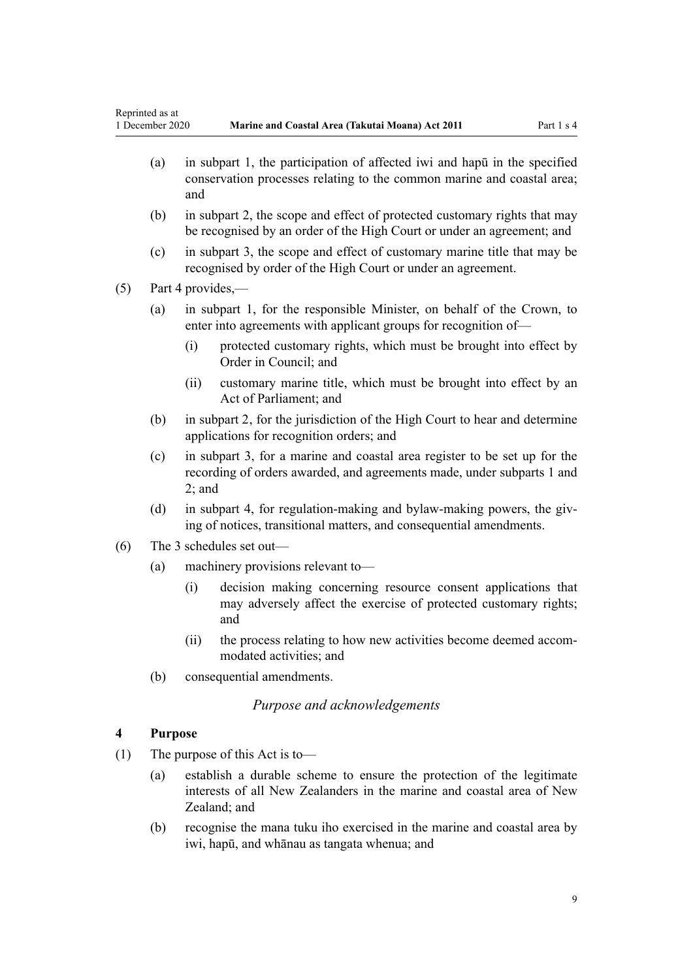- <span id="page-8-0"></span>(a) in [subpart 1,](#page-37-0) the participation of affected iwi and hapū in the specified conservation processes relating to the common marine and coastal area; and
- (b) in [subpart 2](#page-39-0), the scope and effect of protected customary rights that may be recognised by an order of the High Court or under an agreement; and
- (c) in [subpart 3](#page-44-0), the scope and effect of customary marine title that may be recognised by order of the High Court or under an agreement.

(5) [Part 4](#page-69-0) provides,—

- (a) in [subpart 1](#page-69-0), for the responsible Minister, on behalf of the Crown, to enter into agreements with applicant groups for recognition of-
	- (i) protected customary rights, which must be brought into effect by Order in Council; and
	- (ii) customary marine title, which must be brought into effect by an Act of Parliament; and
- (b) in [subpart 2](#page-70-0), for the jurisdiction of the High Court to hear and determine applications for recognition orders; and
- (c) in [subpart 3,](#page-77-0) for a marine and coastal area register to be set up for the recording of orders awarded, and agreements made, under [subparts 1](#page-69-0) and [2;](#page-70-0) and
- (d) in [subpart 4,](#page-78-0) for regulation-making and bylaw-making powers, the giving of notices, transitional matters, and consequential amendments.
- (6) The 3 schedules set out—
	- (a) machinery provisions relevant to—
		- (i) decision making concerning resource consent applications that may adversely affect the exercise of protected customary rights; and
		- (ii) the process relating to how new activities become deemed accommodated activities; and
	- (b) consequential amendments.

# *Purpose and acknowledgements*

### **4 Purpose**

- (1) The purpose of this Act is to—
	- (a) establish a durable scheme to ensure the protection of the legitimate interests of all New Zealanders in the marine and coastal area of New Zealand; and
	- (b) recognise the mana tuku iho exercised in the marine and coastal area by iwi, hapū, and whānau as tangata whenua; and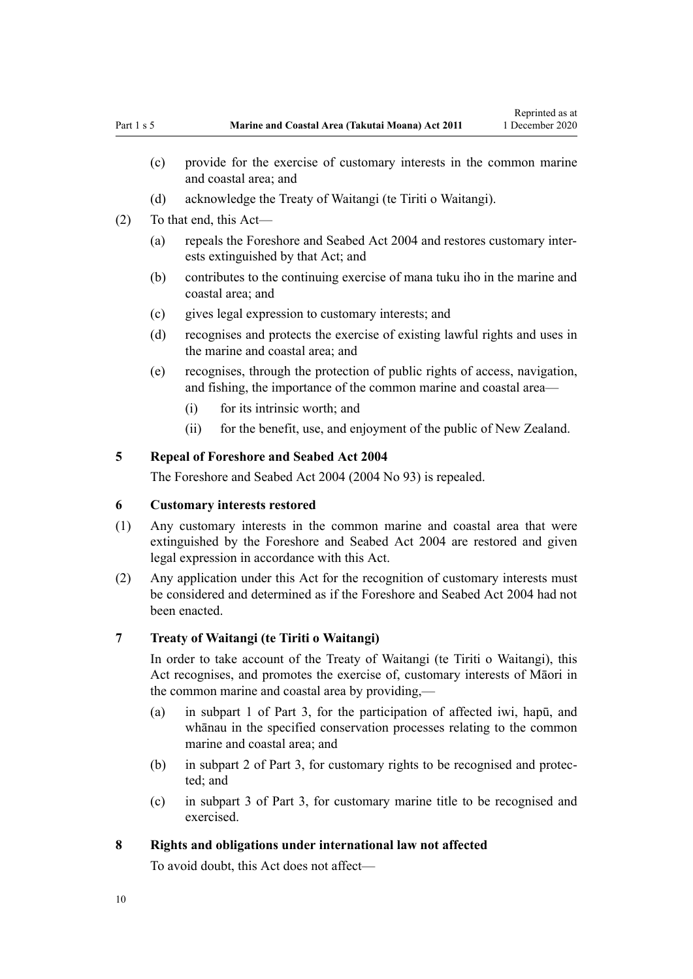- <span id="page-9-0"></span>(c) provide for the exercise of customary interests in the common marine and coastal area; and
- (d) acknowledge the Treaty of Waitangi (te Tiriti o Waitangi).
- (2) To that end, this Act—
	- (a) repeals the [Foreshore and Seabed Act 2004](http://legislation.govt.nz/pdflink.aspx?id=DLM319838) and restores customary interests extinguished by that Act; and
	- (b) contributes to the continuing exercise of mana tuku iho in the marine and coastal area; and
	- (c) gives legal expression to customary interests; and
	- (d) recognises and protects the exercise of existing lawful rights and uses in the marine and coastal area; and
	- (e) recognises, through the protection of public rights of access, navigation, and fishing, the importance of the common marine and coastal area—
		- (i) for its intrinsic worth; and
		- (ii) for the benefit, use, and enjoyment of the public of New Zealand.

# **5 Repeal of Foreshore and Seabed Act 2004**

The [Foreshore and Seabed Act 2004](http://legislation.govt.nz/pdflink.aspx?id=DLM319838) (2004 No 93) is repealed.

### **6 Customary interests restored**

- (1) Any customary interests in the common marine and coastal area that were extinguished by the [Foreshore and Seabed Act 2004](http://legislation.govt.nz/pdflink.aspx?id=DLM319838) are restored and given legal expression in accordance with this Act.
- (2) Any application under this Act for the recognition of customary interests must be considered and determined as if the [Foreshore and Seabed Act 2004](http://legislation.govt.nz/pdflink.aspx?id=DLM319838) had not been enacted.

#### **7 Treaty of Waitangi (te Tiriti o Waitangi)**

In order to take account of the Treaty of Waitangi (te Tiriti o Waitangi), this Act recognises, and promotes the exercise of, customary interests of Māori in the common marine and coastal area by providing,—

- (a) in [subpart 1 of Part 3,](#page-37-0) for the participation of affected iwi, hapū, and whānau in the specified conservation processes relating to the common marine and coastal area; and
- (b) in [subpart 2 of Part 3](#page-39-0), for customary rights to be recognised and protected; and
- (c) in [subpart 3 of Part 3](#page-44-0), for customary marine title to be recognised and exercised.

### **8 Rights and obligations under international law not affected**

To avoid doubt, this Act does not affect—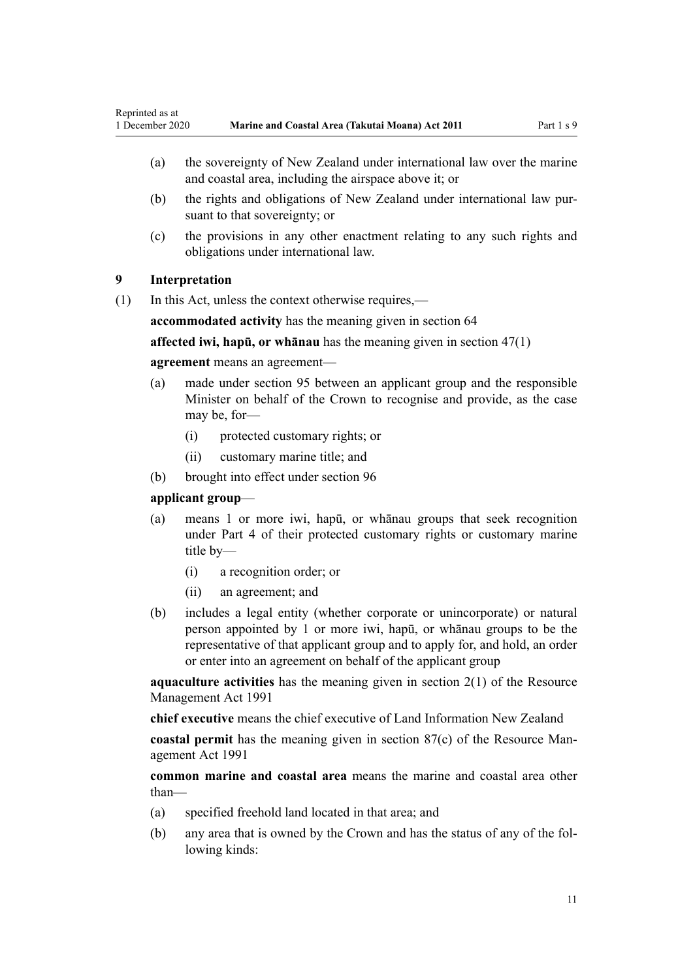- <span id="page-10-0"></span>(a) the sovereignty of New Zealand under international law over the marine and coastal area, including the airspace above it; or
- (b) the rights and obligations of New Zealand under international law pursuant to that sovereignty; or
- (c) the provisions in any other enactment relating to any such rights and obligations under international law.

# **9 Interpretation**

(1) In this Act, unless the context otherwise requires,—

**accommodated activity** has the meaning given in [section 64](#page-50-0)

**affected iwi, hapū, or whānau** has the meaning given in [section 47\(1\)](#page-37-0)

### **agreement** means an agreement—

- (a) made under [section 95](#page-69-0) between an applicant group and the responsible Minister on behalf of the Crown to recognise and provide, as the case may be, for-
	- (i) protected customary rights; or
	- (ii) customary marine title; and
- (b) brought into effect under [section 96](#page-69-0)

### **applicant group**—

- (a) means 1 or more iwi, hapū, or whānau groups that seek recognition under [Part 4](#page-69-0) of their protected customary rights or customary marine title by—
	- (i) a recognition order; or
	- (ii) an agreement; and
- (b) includes a legal entity (whether corporate or unincorporate) or natural person appointed by 1 or more iwi, hapū, or whānau groups to be the representative of that applicant group and to apply for, and hold, an order or enter into an agreement on behalf of the applicant group

**aquaculture activities** has the meaning given in [section 2\(1\)](http://legislation.govt.nz/pdflink.aspx?id=DLM230272) of the Resource Management Act 1991

**chief executive** means the chief executive of Land Information New Zealand

**coastal permit** has the meaning given in [section 87\(c\)](http://legislation.govt.nz/pdflink.aspx?id=DLM233848) of the Resource Management Act 1991

**common marine and coastal area** means the marine and coastal area other than—

- (a) specified freehold land located in that area; and
- (b) any area that is owned by the Crown and has the status of any of the following kinds: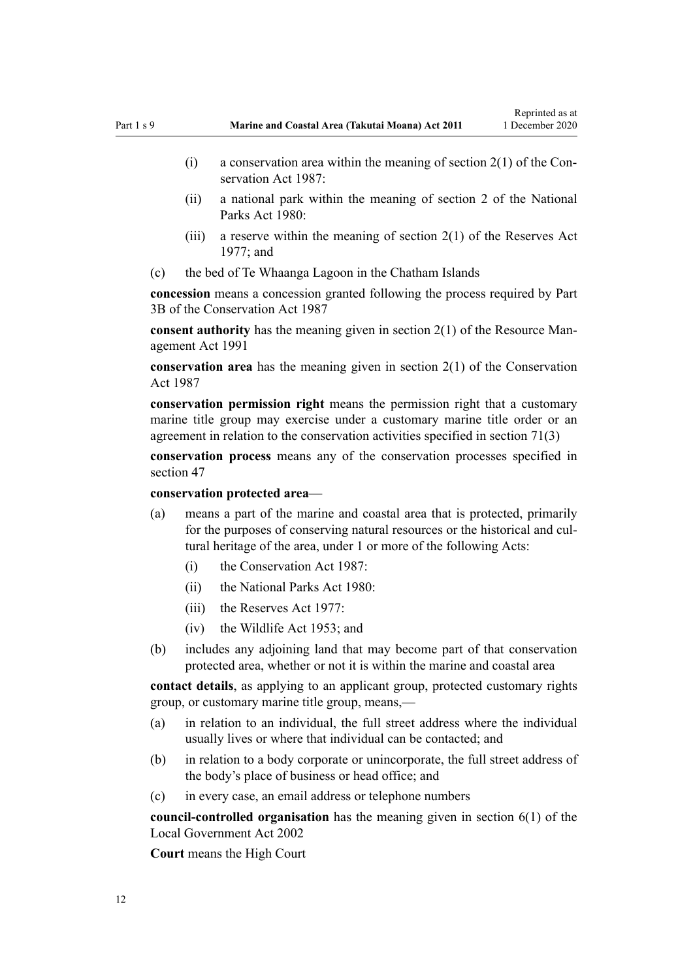- (i) a conservation area within the meaning of section  $2(1)$  of the Conservation Act 1987:
- (ii) a national park within the meaning of [section 2](http://legislation.govt.nz/pdflink.aspx?id=DLM36968) of the National Parks Act 1980:
- (iii) a reserve within the meaning of section  $2(1)$  of the Reserves Act 1977; and
- (c) the bed of Te Whaanga Lagoon in the Chatham Islands

**concession** means a concession granted following the process required by [Part](http://legislation.govt.nz/pdflink.aspx?id=DLM104633) [3B](http://legislation.govt.nz/pdflink.aspx?id=DLM104633) of the Conservation Act 1987

**consent authority** has the meaning given in [section 2\(1\)](http://legislation.govt.nz/pdflink.aspx?id=DLM230272) of the Resource Management Act 1991

**conservation area** has the meaning given in [section 2\(1\)](http://legislation.govt.nz/pdflink.aspx?id=DLM103616) of the Conservation Act 1987

**conservation permission right** means the permission right that a customary marine title group may exercise under a customary marine title order or an agreement in relation to the conservation activities specified in [section 71\(3\)](#page-55-0)

**conservation process** means any of the conservation processes specified in [section 47](#page-37-0)

**conservation protected area**—

- (a) means a part of the marine and coastal area that is protected, primarily for the purposes of conserving natural resources or the historical and cultural heritage of the area, under 1 or more of the following Acts:
	- (i) the [Conservation Act 1987:](http://legislation.govt.nz/pdflink.aspx?id=DLM103609)
	- (ii) the [National Parks Act 1980:](http://legislation.govt.nz/pdflink.aspx?id=DLM36962)
	- $(iii)$  the [Reserves Act 1977](http://legislation.govt.nz/pdflink.aspx?id=DLM444304).
	- (iv) the [Wildlife Act 1953](http://legislation.govt.nz/pdflink.aspx?id=DLM276813); and
- (b) includes any adjoining land that may become part of that conservation protected area, whether or not it is within the marine and coastal area

**contact details**, as applying to an applicant group, protected customary rights group, or customary marine title group, means,—

- (a) in relation to an individual, the full street address where the individual usually lives or where that individual can be contacted; and
- (b) in relation to a body corporate or unincorporate, the full street address of the body's place of business or head office; and
- (c) in every case, an email address or telephone numbers

**council-controlled organisation** has the meaning given in [section 6\(1\)](http://legislation.govt.nz/pdflink.aspx?id=DLM171482) of the Local Government Act 2002

**Court** means the High Court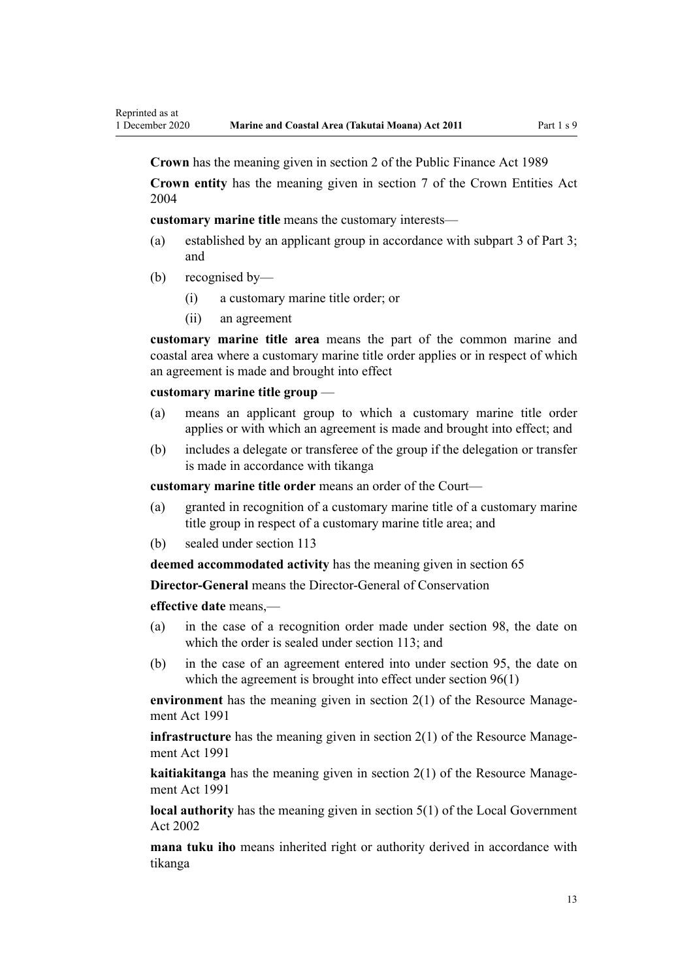**Crown** has the meaning given in [section 2](http://legislation.govt.nz/pdflink.aspx?id=DLM160819) of the Public Finance Act 1989

**Crown entity** has the meaning given in [section 7](http://legislation.govt.nz/pdflink.aspx?id=DLM329641) of the Crown Entities Act 2004

**customary marine title** means the customary interests—

- (a) established by an applicant group in accordance with [subpart 3 of Part 3;](#page-44-0) and
- (b) recognised by—

Reprinted as at

- (i) a customary marine title order; or
- (ii) an agreement

**customary marine title area** means the part of the common marine and coastal area where a customary marine title order applies or in respect of which an agreement is made and brought into effect

#### **customary marine title group** —

- (a) means an applicant group to which a customary marine title order applies or with which an agreement is made and brought into effect; and
- (b) includes a delegate or transferee of the group if the delegation or transfer is made in accordance with tikanga

**customary marine title order** means an order of the Court—

- (a) granted in recognition of a customary marine title of a customary marine title group in respect of a customary marine title area; and
- (b) sealed under [section 113](#page-77-0)

**deemed accommodated activity** has the meaning given in [section 65](#page-51-0)

**Director-General** means the Director-General of Conservation

**effective date** means,—

- (a) in the case of a recognition order made under [section 98,](#page-70-0) the date on which the order is sealed under [section 113;](#page-77-0) and
- (b) in the case of an agreement entered into under [section 95,](#page-69-0) the date on which the agreement is brought into effect under [section 96\(1\)](#page-69-0)

**environment** has the meaning given in [section 2\(1\)](http://legislation.govt.nz/pdflink.aspx?id=DLM230272) of the Resource Management Act 1991

**infrastructure** has the meaning given in [section 2\(1\)](http://legislation.govt.nz/pdflink.aspx?id=DLM230272) of the Resource Management Act 1991

**kaitiakitanga** has the meaning given in [section 2\(1\)](http://legislation.govt.nz/pdflink.aspx?id=DLM230272) of the Resource Management Act 1991

**local authority** has the meaning given in [section 5\(1\)](http://legislation.govt.nz/pdflink.aspx?id=DLM170881) of the Local Government Act 2002

**mana tuku iho** means inherited right or authority derived in accordance with tikanga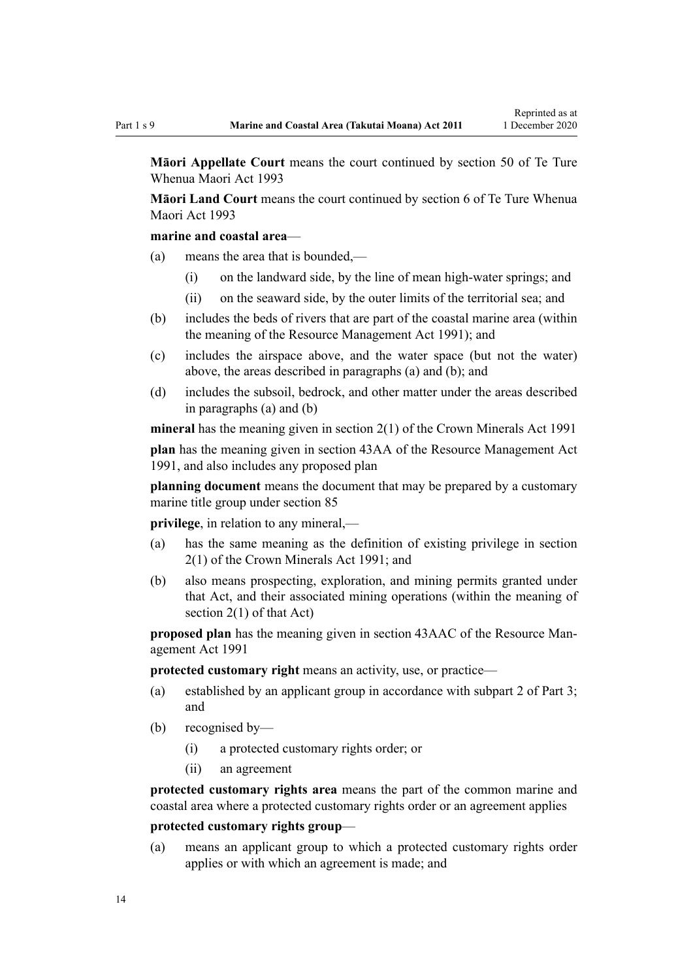**Māori Appellate Court** means the court continued by [section 50](http://legislation.govt.nz/pdflink.aspx?id=DLM290929) of Te Ture Whenua Maori Act 1993

**Māori Land Court** means the court continued by [section 6](http://legislation.govt.nz/pdflink.aspx?id=DLM290517) of Te Ture Whenua Maori Act 1993

### **marine and coastal area**—

- (a) means the area that is bounded,—
	- (i) on the landward side, by the line of mean high-water springs; and
	- (ii) on the seaward side, by the outer limits of the territorial sea; and
- (b) includes the beds of rivers that are part of the coastal marine area (within the meaning of the [Resource Management Act 1991](http://legislation.govt.nz/pdflink.aspx?id=DLM230264)); and
- (c) includes the airspace above, and the water space (but not the water) above, the areas described in paragraphs (a) and (b); and
- (d) includes the subsoil, bedrock, and other matter under the areas described in paragraphs (a) and (b)

**mineral** has the meaning given in [section 2\(1\)](http://legislation.govt.nz/pdflink.aspx?id=DLM242543) of the Crown Minerals Act 1991

**plan** has the meaning given in [section 43AA](http://legislation.govt.nz/pdflink.aspx?id=DLM2412743) of the Resource Management Act 1991, and also includes any proposed plan

**planning document** means the document that may be prepared by a customary marine title group under [section 85](#page-64-0)

**privilege**, in relation to any mineral,—

- (a) has the same meaning as the definition of existing privilege in [section](http://legislation.govt.nz/pdflink.aspx?id=DLM242543) [2\(1\)](http://legislation.govt.nz/pdflink.aspx?id=DLM242543) of the Crown Minerals Act 1991; and
- (b) also means prospecting, exploration, and mining permits granted under that Act, and their associated mining operations (within the meaning of [section 2\(1\)](http://legislation.govt.nz/pdflink.aspx?id=DLM242543) of that Act)

**proposed plan** has the meaning given in [section 43AAC](http://legislation.govt.nz/pdflink.aspx?id=DLM2412769) of the Resource Management Act 1991

**protected customary right** means an activity, use, or practice—

- (a) established by an applicant group in accordance with [subpart 2 of Part 3;](#page-39-0) and
- (b) recognised by—
	- (i) a protected customary rights order; or
	- (ii) an agreement

**protected customary rights area** means the part of the common marine and coastal area where a protected customary rights order or an agreement applies

#### **protected customary rights group**—

(a) means an applicant group to which a protected customary rights order applies or with which an agreement is made; and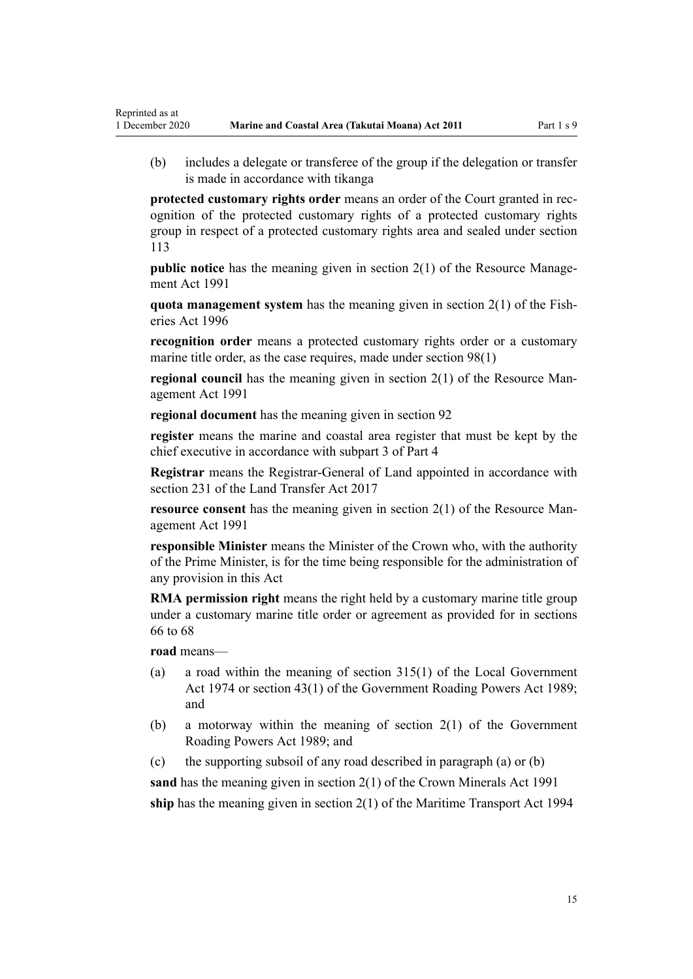(b) includes a delegate or transferee of the group if the delegation or transfer is made in accordance with tikanga

**protected customary rights order** means an order of the Court granted in recognition of the protected customary rights of a protected customary rights group in respect of a protected customary rights area and sealed under [section](#page-77-0) [113](#page-77-0)

**public notice** has the meaning given in [section 2\(1\)](http://legislation.govt.nz/pdflink.aspx?id=DLM230272) of the Resource Management Act 1991

**quota management system** has the meaning given in [section 2\(1\)](http://legislation.govt.nz/pdflink.aspx?id=DLM394199) of the Fisheries Act 1996

**recognition order** means a protected customary rights order or a customary marine title order, as the case requires, made under [section 98\(1\)](#page-70-0)

**regional council** has the meaning given in [section 2\(1\)](http://legislation.govt.nz/pdflink.aspx?id=DLM230272) of the Resource Management Act 1991

**regional document** has the meaning given in [section 92](#page-66-0)

**register** means the marine and coastal area register that must be kept by the chief executive in accordance with [subpart 3 of Part 4](#page-77-0)

**Registrar** means the Registrar-General of Land appointed in accordance with [section 231](http://legislation.govt.nz/pdflink.aspx?id=DLM6731451) of the Land Transfer Act 2017

**resource consent** has the meaning given in [section 2\(1\)](http://legislation.govt.nz/pdflink.aspx?id=DLM230272) of the Resource Management Act 1991

**responsible Minister** means the Minister of the Crown who, with the authority of the Prime Minister, is for the time being responsible for the administration of any provision in this Act

**RMA permission right** means the right held by a customary marine title group under a customary marine title order or agreement as provided for in [sections](#page-52-0) [66 to 68](#page-52-0)

**road** means—

Reprinted as at

- (a) a road within the meaning of [section 315\(1\)](http://legislation.govt.nz/pdflink.aspx?id=DLM420326) of the Local Government Act 1974 or [section 43\(1\)](http://legislation.govt.nz/pdflink.aspx?id=DLM175232) of the Government Roading Powers Act 1989; and
- (b) a motorway within the meaning of [section 2\(1\)](http://legislation.govt.nz/pdflink.aspx?id=DLM173374) of the Government Roading Powers Act 1989; and
- (c) the supporting subsoil of any road described in paragraph (a) or (b)

**sand** has the meaning given in [section 2\(1\)](http://legislation.govt.nz/pdflink.aspx?id=DLM242543) of the Crown Minerals Act 1991 **ship** has the meaning given in [section 2\(1\)](http://legislation.govt.nz/pdflink.aspx?id=DLM334667) of the Maritime Transport Act 1994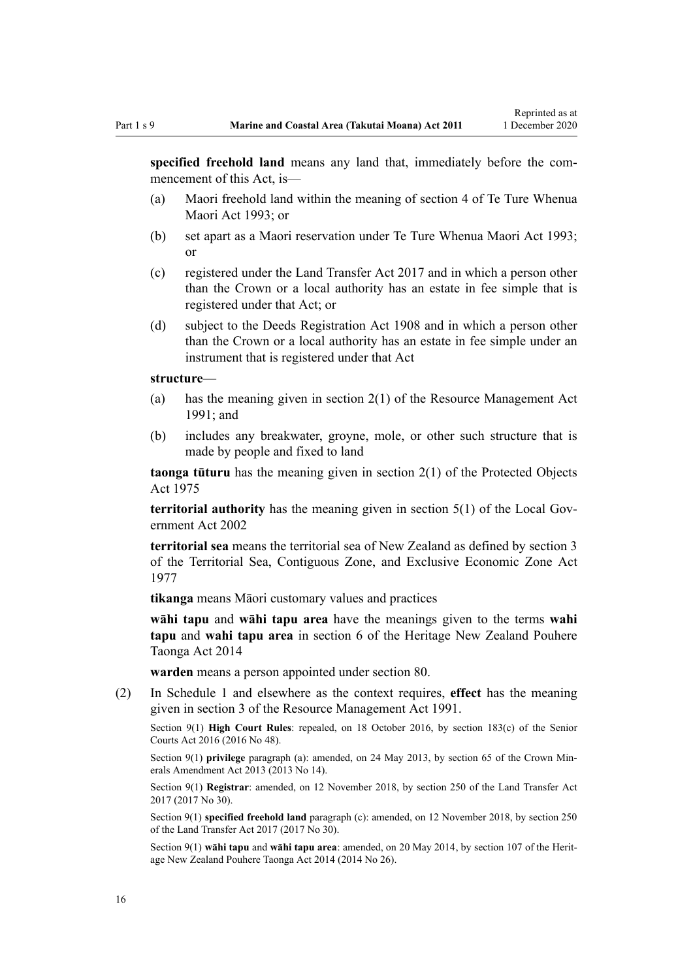**specified freehold land** means any land that, immediately before the commencement of this Act, is—

- (a) Maori freehold land within the meaning of [section 4](http://legislation.govt.nz/pdflink.aspx?id=DLM289897) of Te Ture Whenua Maori Act 1993; or
- (b) set apart as a Maori reservation under [Te Ture Whenua Maori Act 1993;](http://legislation.govt.nz/pdflink.aspx?id=DLM289881) or
- (c) registered under the [Land Transfer Act 2017](http://legislation.govt.nz/pdflink.aspx?id=DLM6731002) and in which a person other than the Crown or a local authority has an estate in fee simple that is registered under that Act; or
- (d) subject to the [Deeds Registration Act 1908](http://legislation.govt.nz/pdflink.aspx?id=DLM141134) and in which a person other than the Crown or a local authority has an estate in fee simple under an instrument that is registered under that Act

#### **structure**—

- (a) has the meaning given in [section 2\(1\)](http://legislation.govt.nz/pdflink.aspx?id=DLM230272) of the Resource Management Act 1991; and
- (b) includes any breakwater, groyne, mole, or other such structure that is made by people and fixed to land

**taonga tūturu** has the meaning given in [section 2\(1\)](http://legislation.govt.nz/pdflink.aspx?id=DLM432125) of the Protected Objects Act 1975

**territorial authority** has the meaning given in [section 5\(1\)](http://legislation.govt.nz/pdflink.aspx?id=DLM170881) of the Local Government Act 2002

**territorial sea** means the territorial sea of New Zealand as defined by [section 3](http://legislation.govt.nz/pdflink.aspx?id=DLM442665) of the Territorial Sea, Contiguous Zone, and Exclusive Economic Zone Act 1977

**tikanga** means Māori customary values and practices

**wāhi tapu** and **wāhi tapu area** have the meanings given to the terms **wahi tapu** and **wahi tapu area** in [section 6](http://legislation.govt.nz/pdflink.aspx?id=DLM4005423) of the Heritage New Zealand Pouhere Taonga Act 2014

**warden** means a person appointed under [section 80](#page-60-0).

(2) In [Schedule 1](#page-84-0) and elsewhere as the context requires, **effect** has the meaning given in [section 3](http://legislation.govt.nz/pdflink.aspx?id=DLM231795) of the Resource Management Act 1991.

Section 9(1) **High Court Rules**: repealed, on 18 October 2016, by [section 183\(c\)](http://legislation.govt.nz/pdflink.aspx?id=DLM5759564) of the Senior Courts Act 2016 (2016 No 48).

Section 9(1) **privilege** paragraph (a): amended, on 24 May 2013, by [section 65](http://legislation.govt.nz/pdflink.aspx?id=DLM5081570) of the Crown Minerals Amendment Act 2013 (2013 No 14).

Section 9(1) **Registrar**: amended, on 12 November 2018, by [section 250](http://legislation.govt.nz/pdflink.aspx?id=DLM6731493) of the Land Transfer Act 2017 (2017 No 30).

Section 9(1) **specified freehold land** paragraph (c): amended, on 12 November 2018, by [section 250](http://legislation.govt.nz/pdflink.aspx?id=DLM6731493) of the Land Transfer Act 2017 (2017 No 30).

Section 9(1) **wāhi tapu** and **wāhi tapu area**: amended, on 20 May 2014, by [section 107](http://legislation.govt.nz/pdflink.aspx?id=DLM4005646) of the Heritage New Zealand Pouhere Taonga Act 2014 (2014 No 26).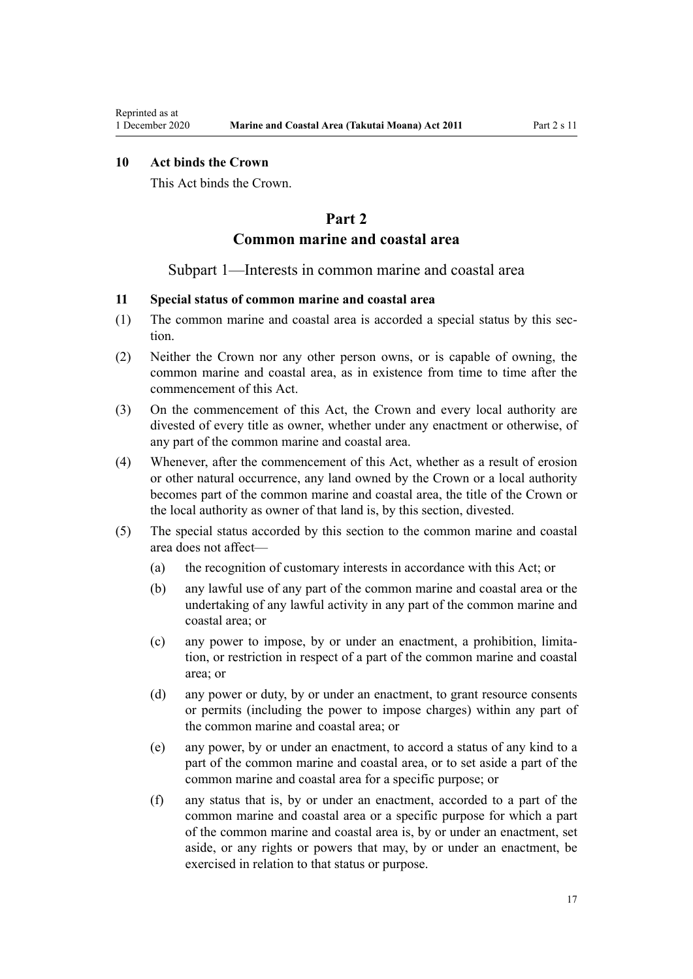# <span id="page-16-0"></span>**10 Act binds the Crown**

This Act binds the Crown.

# **Part 2**

# **Common marine and coastal area**

### Subpart 1—Interests in common marine and coastal area

# **11 Special status of common marine and coastal area**

- (1) The common marine and coastal area is accorded a special status by this section.
- (2) Neither the Crown nor any other person owns, or is capable of owning, the common marine and coastal area, as in existence from time to time after the commencement of this Act.
- (3) On the commencement of this Act, the Crown and every local authority are divested of every title as owner, whether under any enactment or otherwise, of any part of the common marine and coastal area.
- (4) Whenever, after the commencement of this Act, whether as a result of erosion or other natural occurrence, any land owned by the Crown or a local authority becomes part of the common marine and coastal area, the title of the Crown or the local authority as owner of that land is, by this section, divested.
- (5) The special status accorded by this section to the common marine and coastal area does not affect—
	- (a) the recognition of customary interests in accordance with this Act; or
	- (b) any lawful use of any part of the common marine and coastal area or the undertaking of any lawful activity in any part of the common marine and coastal area; or
	- (c) any power to impose, by or under an enactment, a prohibition, limitation, or restriction in respect of a part of the common marine and coastal area; or
	- (d) any power or duty, by or under an enactment, to grant resource consents or permits (including the power to impose charges) within any part of the common marine and coastal area; or
	- (e) any power, by or under an enactment, to accord a status of any kind to a part of the common marine and coastal area, or to set aside a part of the common marine and coastal area for a specific purpose; or
	- (f) any status that is, by or under an enactment, accorded to a part of the common marine and coastal area or a specific purpose for which a part of the common marine and coastal area is, by or under an enactment, set aside, or any rights or powers that may, by or under an enactment, be exercised in relation to that status or purpose.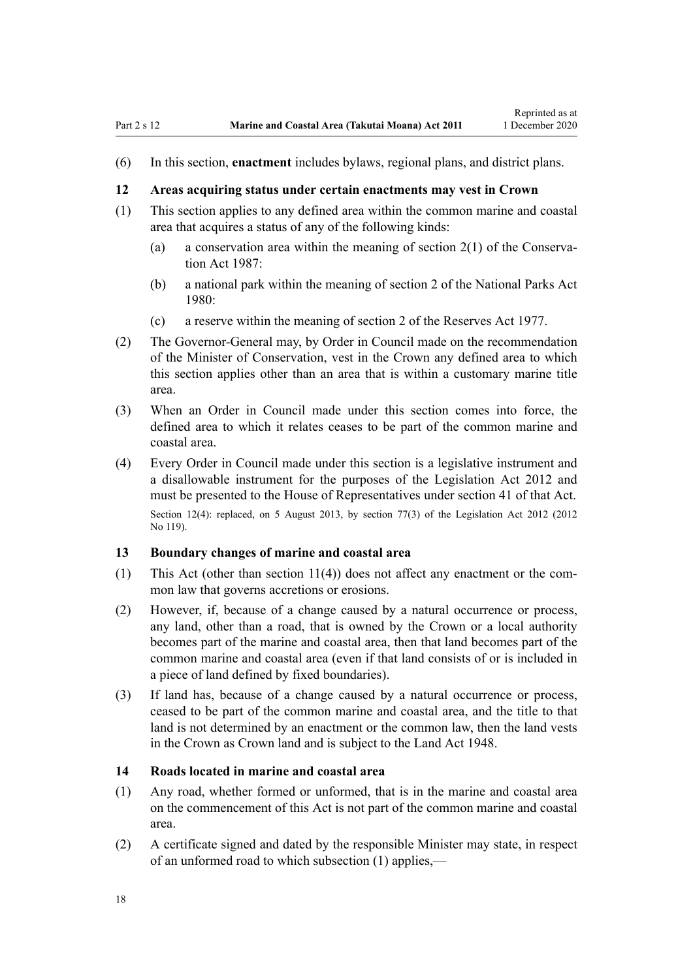Reprinted as at

<span id="page-17-0"></span>(6) In this section, **enactment** includes bylaws, regional plans, and district plans.

#### **12 Areas acquiring status under certain enactments may vest in Crown**

- (1) This section applies to any defined area within the common marine and coastal area that acquires a status of any of the following kinds:
	- (a) a conservation area within the meaning of [section 2\(1\)](http://legislation.govt.nz/pdflink.aspx?id=DLM103616) of the Conservation Act 1987:
	- (b) a national park within the meaning of [section 2](http://legislation.govt.nz/pdflink.aspx?id=DLM36968) of the National Parks Act 1980:
	- (c) a reserve within the meaning of [section 2](http://legislation.govt.nz/pdflink.aspx?id=DLM444310) of the Reserves Act 1977.
- (2) The Governor-General may, by Order in Council made on the recommendation of the Minister of Conservation, vest in the Crown any defined area to which this section applies other than an area that is within a customary marine title area.
- (3) When an Order in Council made under this section comes into force, the defined area to which it relates ceases to be part of the common marine and coastal area.
- (4) Every Order in Council made under this section is a legislative instrument and a disallowable instrument for the purposes of the [Legislation Act 2012](http://legislation.govt.nz/pdflink.aspx?id=DLM2997643) and must be presented to the House of Representatives under [section 41](http://legislation.govt.nz/pdflink.aspx?id=DLM2998573) of that Act. Section 12(4): replaced, on 5 August 2013, by [section 77\(3\)](http://legislation.govt.nz/pdflink.aspx?id=DLM2998633) of the Legislation Act 2012 (2012) No 119).

### **13 Boundary changes of marine and coastal area**

- (1) This Act (other than [section 11\(4\)](#page-16-0)) does not affect any enactment or the common law that governs accretions or erosions.
- (2) However, if, because of a change caused by a natural occurrence or process, any land, other than a road, that is owned by the Crown or a local authority becomes part of the marine and coastal area, then that land becomes part of the common marine and coastal area (even if that land consists of or is included in a piece of land defined by fixed boundaries).
- (3) If land has, because of a change caused by a natural occurrence or process, ceased to be part of the common marine and coastal area, and the title to that land is not determined by an enactment or the common law, then the land vests in the Crown as Crown land and is subject to the [Land Act 1948.](http://legislation.govt.nz/pdflink.aspx?id=DLM250585)

#### **14 Roads located in marine and coastal area**

- (1) Any road, whether formed or unformed, that is in the marine and coastal area on the commencement of this Act is not part of the common marine and coastal area.
- (2) A certificate signed and dated by the responsible Minister may state, in respect of an unformed road to which subsection (1) applies,—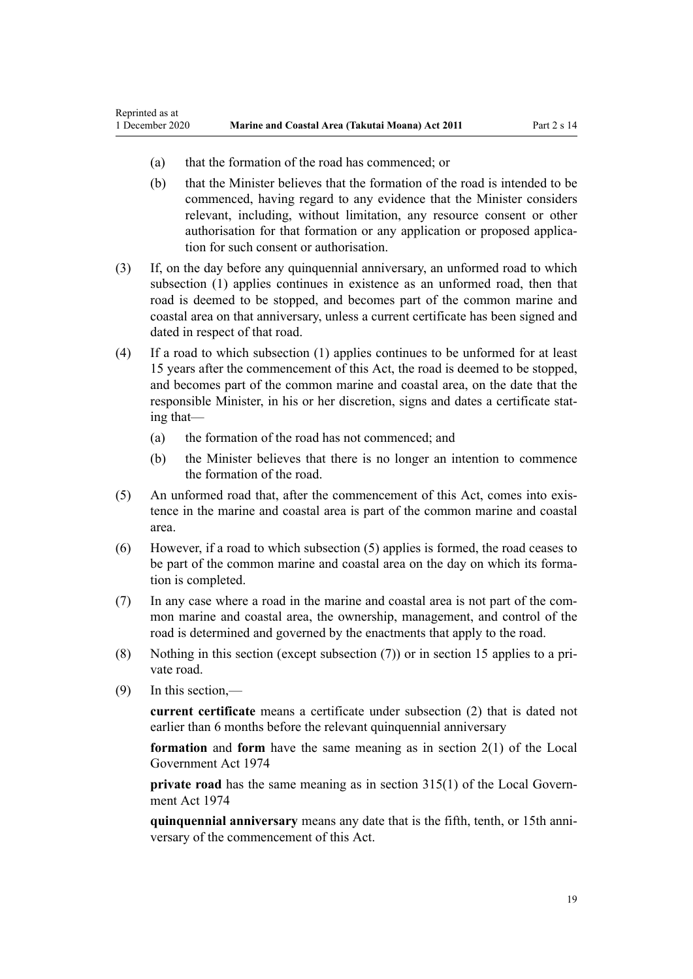- (a) that the formation of the road has commenced; or
- (b) that the Minister believes that the formation of the road is intended to be commenced, having regard to any evidence that the Minister considers relevant, including, without limitation, any resource consent or other authorisation for that formation or any application or proposed application for such consent or authorisation.
- (3) If, on the day before any quinquennial anniversary, an unformed road to which subsection (1) applies continues in existence as an unformed road, then that road is deemed to be stopped, and becomes part of the common marine and coastal area on that anniversary, unless a current certificate has been signed and dated in respect of that road.
- (4) If a road to which subsection (1) applies continues to be unformed for at least 15 years after the commencement of this Act, the road is deemed to be stopped, and becomes part of the common marine and coastal area, on the date that the responsible Minister, in his or her discretion, signs and dates a certificate stating that—
	- (a) the formation of the road has not commenced; and
	- (b) the Minister believes that there is no longer an intention to commence the formation of the road.
- (5) An unformed road that, after the commencement of this Act, comes into existence in the marine and coastal area is part of the common marine and coastal area.
- (6) However, if a road to which subsection (5) applies is formed, the road ceases to be part of the common marine and coastal area on the day on which its formation is completed.
- (7) In any case where a road in the marine and coastal area is not part of the common marine and coastal area, the ownership, management, and control of the road is determined and governed by the enactments that apply to the road.
- (8) Nothing in this section (except subsection (7)) or in [section 15](#page-19-0) applies to a private road.
- (9) In this section,—

**current certificate** means a certificate under subsection (2) that is dated not earlier than 6 months before the relevant quinquennial anniversary

**formation** and **form** have the same meaning as in [section 2\(1\)](http://legislation.govt.nz/pdflink.aspx?id=DLM415539) of the Local Government Act 1974

**private road** has the same meaning as in [section 315\(1\)](http://legislation.govt.nz/pdflink.aspx?id=DLM420326) of the Local Government Act 1974

**quinquennial anniversary** means any date that is the fifth, tenth, or 15th anniversary of the commencement of this Act.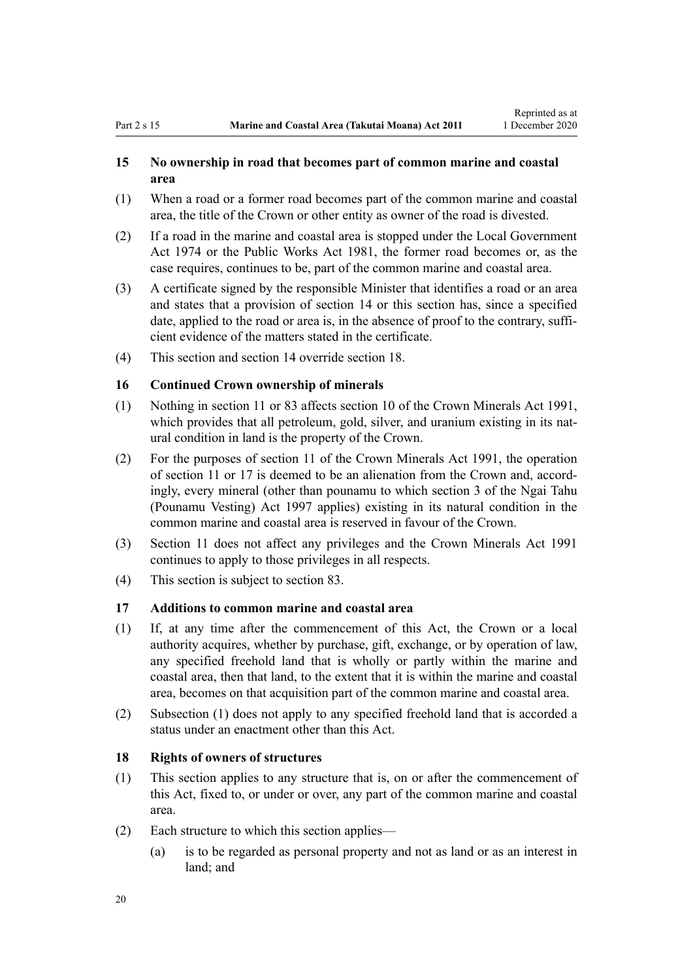### <span id="page-19-0"></span>**15 No ownership in road that becomes part of common marine and coastal area**

- (1) When a road or a former road becomes part of the common marine and coastal area, the title of the Crown or other entity as owner of the road is divested.
- (2) If a road in the marine and coastal area is stopped under the [Local Government](http://legislation.govt.nz/pdflink.aspx?id=DLM415531) [Act 1974](http://legislation.govt.nz/pdflink.aspx?id=DLM415531) or the [Public Works Act 1981](http://legislation.govt.nz/pdflink.aspx?id=DLM45426), the former road becomes or, as the case requires, continues to be, part of the common marine and coastal area.
- (3) A certificate signed by the responsible Minister that identifies a road or an area and states that a provision of [section 14](#page-17-0) or this section has, since a specified date, applied to the road or area is, in the absence of proof to the contrary, sufficient evidence of the matters stated in the certificate.
- (4) This section and [section 14](#page-17-0) override section 18.

### **16 Continued Crown ownership of minerals**

- (1) Nothing in [section 11](#page-16-0) or [83](#page-63-0) affects [section 10](http://legislation.govt.nz/pdflink.aspx?id=DLM246310) of the Crown Minerals Act 1991, which provides that all petroleum, gold, silver, and uranium existing in its natural condition in land is the property of the Crown.
- (2) For the purposes of [section 11](http://legislation.govt.nz/pdflink.aspx?id=DLM246311) of the Crown Minerals Act 1991, the operation of [section 11](#page-16-0) or 17 is deemed to be an alienation from the Crown and, accordingly, every mineral (other than pounamu to which [section 3](http://legislation.govt.nz/pdflink.aspx?id=DLM413605) of the Ngai Tahu (Pounamu Vesting) Act 1997 applies) existing in its natural condition in the common marine and coastal area is reserved in favour of the Crown.
- (3) [Section 11](#page-16-0) does not affect any privileges and the [Crown Minerals Act 1991](http://legislation.govt.nz/pdflink.aspx?id=DLM242535) continues to apply to those privileges in all respects.
- (4) This section is subject to [section 83.](#page-63-0)

### **17 Additions to common marine and coastal area**

- (1) If, at any time after the commencement of this Act, the Crown or a local authority acquires, whether by purchase, gift, exchange, or by operation of law, any specified freehold land that is wholly or partly within the marine and coastal area, then that land, to the extent that it is within the marine and coastal area, becomes on that acquisition part of the common marine and coastal area.
- (2) Subsection (1) does not apply to any specified freehold land that is accorded a status under an enactment other than this Act.

# **18 Rights of owners of structures**

- (1) This section applies to any structure that is, on or after the commencement of this Act, fixed to, or under or over, any part of the common marine and coastal area.
- (2) Each structure to which this section applies—
	- (a) is to be regarded as personal property and not as land or as an interest in land; and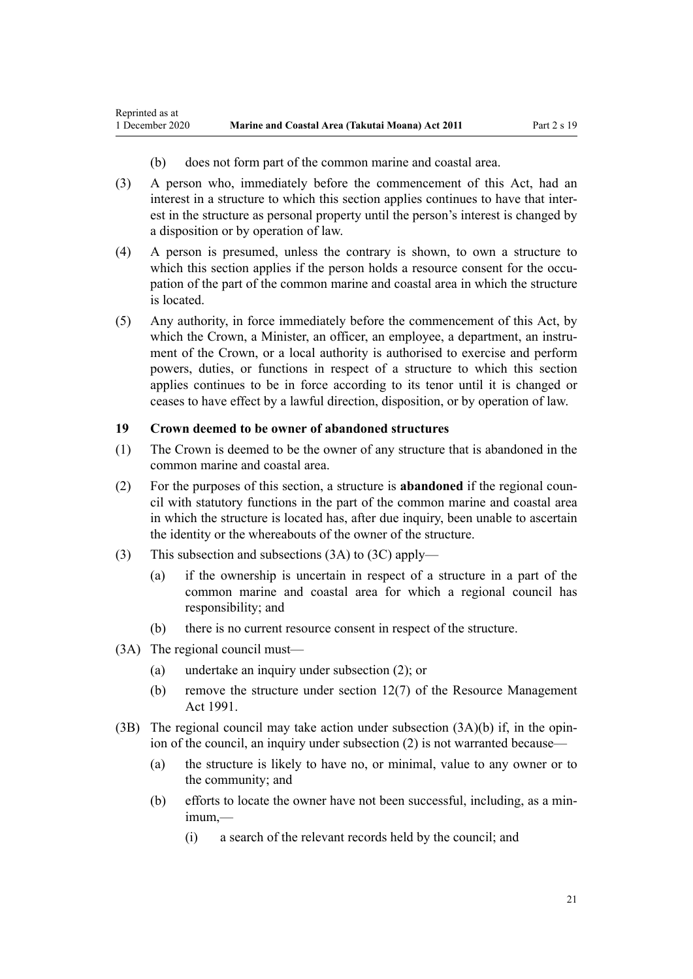- (b) does not form part of the common marine and coastal area.
- <span id="page-20-0"></span>(3) A person who, immediately before the commencement of this Act, had an interest in a structure to which this section applies continues to have that interest in the structure as personal property until the person's interest is changed by a disposition or by operation of law.
- (4) A person is presumed, unless the contrary is shown, to own a structure to which this section applies if the person holds a resource consent for the occupation of the part of the common marine and coastal area in which the structure is located.
- (5) Any authority, in force immediately before the commencement of this Act, by which the Crown, a Minister, an officer, an employee, a department, an instrument of the Crown, or a local authority is authorised to exercise and perform powers, duties, or functions in respect of a structure to which this section applies continues to be in force according to its tenor until it is changed or ceases to have effect by a lawful direction, disposition, or by operation of law.

### **19 Crown deemed to be owner of abandoned structures**

- (1) The Crown is deemed to be the owner of any structure that is abandoned in the common marine and coastal area.
- (2) For the purposes of this section, a structure is **abandoned** if the regional council with statutory functions in the part of the common marine and coastal area in which the structure is located has, after due inquiry, been unable to ascertain the identity or the whereabouts of the owner of the structure.
- (3) This subsection and subsections (3A) to (3C) apply—
	- (a) if the ownership is uncertain in respect of a structure in a part of the common marine and coastal area for which a regional council has responsibility; and
	- (b) there is no current resource consent in respect of the structure.
- (3A) The regional council must—
	- (a) undertake an inquiry under subsection (2); or
	- (b) remove the structure under [section 12\(7\)](http://legislation.govt.nz/pdflink.aspx?id=DLM231949) of the Resource Management Act 1991.
- (3B) The regional council may take action under subsection  $(3A)(b)$  if, in the opinion of the council, an inquiry under subsection (2) is not warranted because—
	- (a) the structure is likely to have no, or minimal, value to any owner or to the community; and
	- (b) efforts to locate the owner have not been successful, including, as a minimum,—
		- (i) a search of the relevant records held by the council; and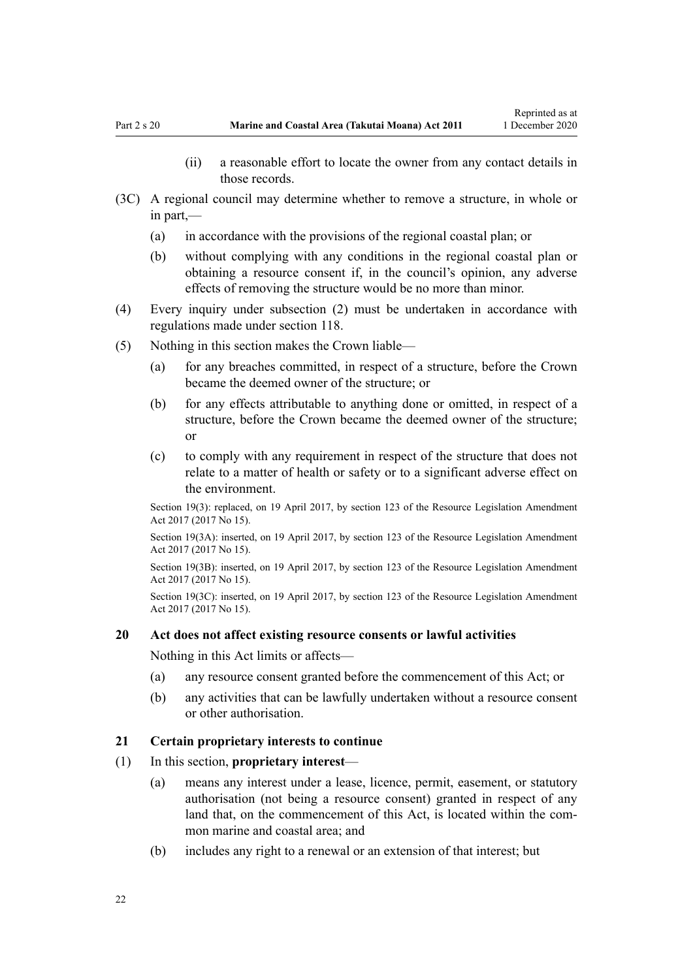- (ii) a reasonable effort to locate the owner from any contact details in those records.
- <span id="page-21-0"></span>(3C) A regional council may determine whether to remove a structure, in whole or in part,—
	- (a) in accordance with the provisions of the regional coastal plan; or
	- (b) without complying with any conditions in the regional coastal plan or obtaining a resource consent if, in the council's opinion, any adverse effects of removing the structure would be no more than minor.
- (4) Every inquiry under subsection (2) must be undertaken in accordance with regulations made under [section 118](#page-78-0).
- (5) Nothing in this section makes the Crown liable—
	- (a) for any breaches committed, in respect of a structure, before the Crown became the deemed owner of the structure; or
	- (b) for any effects attributable to anything done or omitted, in respect of a structure, before the Crown became the deemed owner of the structure; or
	- (c) to comply with any requirement in respect of the structure that does not relate to a matter of health or safety or to a significant adverse effect on the environment.

Section 19(3): replaced, on 19 April 2017, by [section 123](http://legislation.govt.nz/pdflink.aspx?id=DLM6669356) of the Resource Legislation Amendment Act 2017 (2017 No 15).

Section 19(3A): inserted, on 19 April 2017, by [section 123](http://legislation.govt.nz/pdflink.aspx?id=DLM6669356) of the Resource Legislation Amendment Act 2017 (2017 No 15).

Section 19(3B): inserted, on 19 April 2017, by [section 123](http://legislation.govt.nz/pdflink.aspx?id=DLM6669356) of the Resource Legislation Amendment Act 2017 (2017 No 15).

Section 19(3C): inserted, on 19 April 2017, by [section 123](http://legislation.govt.nz/pdflink.aspx?id=DLM6669356) of the Resource Legislation Amendment Act 2017 (2017 No 15).

#### **20 Act does not affect existing resource consents or lawful activities**

Nothing in this Act limits or affects—

- (a) any resource consent granted before the commencement of this Act; or
- (b) any activities that can be lawfully undertaken without a resource consent or other authorisation.

#### **21 Certain proprietary interests to continue**

- (1) In this section, **proprietary interest**
	- (a) means any interest under a lease, licence, permit, easement, or statutory authorisation (not being a resource consent) granted in respect of any land that, on the commencement of this Act, is located within the common marine and coastal area; and
	- (b) includes any right to a renewal or an extension of that interest; but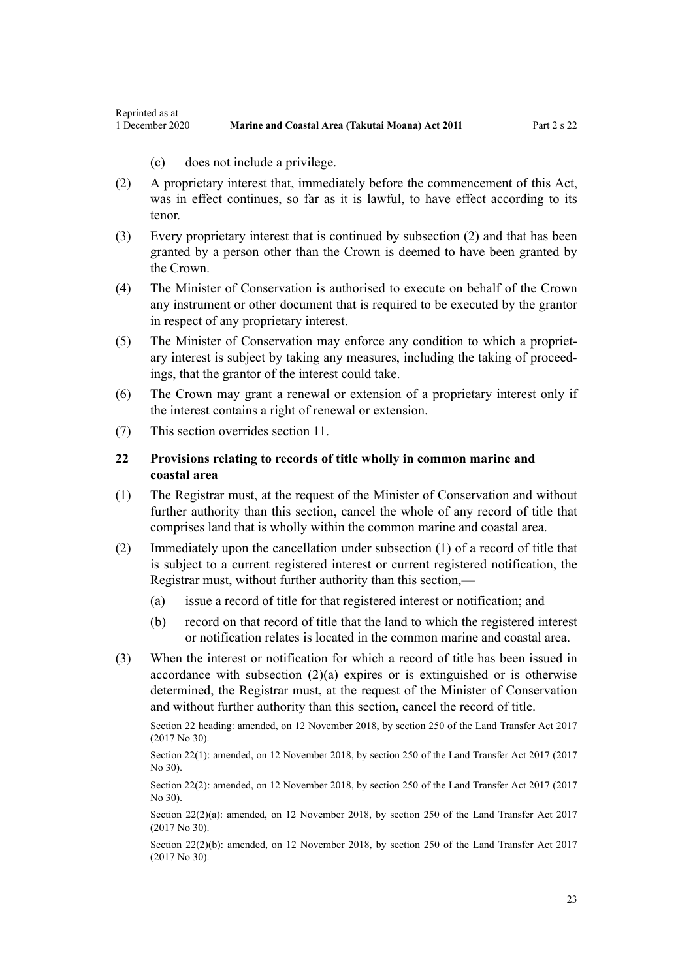(c) does not include a privilege.

- <span id="page-22-0"></span>(2) A proprietary interest that, immediately before the commencement of this Act, was in effect continues, so far as it is lawful, to have effect according to its tenor.
- (3) Every proprietary interest that is continued by subsection (2) and that has been granted by a person other than the Crown is deemed to have been granted by the Crown.
- (4) The Minister of Conservation is authorised to execute on behalf of the Crown any instrument or other document that is required to be executed by the grantor in respect of any proprietary interest.
- (5) The Minister of Conservation may enforce any condition to which a proprietary interest is subject by taking any measures, including the taking of proceedings, that the grantor of the interest could take.
- (6) The Crown may grant a renewal or extension of a proprietary interest only if the interest contains a right of renewal or extension.
- (7) This section overrides [section 11](#page-16-0).

### **22 Provisions relating to records of title wholly in common marine and coastal area**

- (1) The Registrar must, at the request of the Minister of Conservation and without further authority than this section, cancel the whole of any record of title that comprises land that is wholly within the common marine and coastal area.
- (2) Immediately upon the cancellation under subsection (1) of a record of title that is subject to a current registered interest or current registered notification, the Registrar must, without further authority than this section,—
	- (a) issue a record of title for that registered interest or notification; and
	- (b) record on that record of title that the land to which the registered interest or notification relates is located in the common marine and coastal area.
- (3) When the interest or notification for which a record of title has been issued in accordance with subsection  $(2)(a)$  expires or is extinguished or is otherwise determined, the Registrar must, at the request of the Minister of Conservation and without further authority than this section, cancel the record of title.

Section 22 heading: amended, on 12 November 2018, by [section 250](http://legislation.govt.nz/pdflink.aspx?id=DLM6731493) of the Land Transfer Act 2017 (2017 No 30).

Section 22(1): amended, on 12 November 2018, by [section 250](http://legislation.govt.nz/pdflink.aspx?id=DLM6731493) of the Land Transfer Act 2017 (2017 No 30).

Section 22(2): amended, on 12 November 2018, by [section 250](http://legislation.govt.nz/pdflink.aspx?id=DLM6731493) of the Land Transfer Act 2017 (2017) No 30).

Section 22(2)(a): amended, on 12 November 2018, by [section 250](http://legislation.govt.nz/pdflink.aspx?id=DLM6731493) of the Land Transfer Act 2017 (2017 No 30).

Section 22(2)(b): amended, on 12 November 2018, by [section 250](http://legislation.govt.nz/pdflink.aspx?id=DLM6731493) of the Land Transfer Act 2017 (2017 No 30).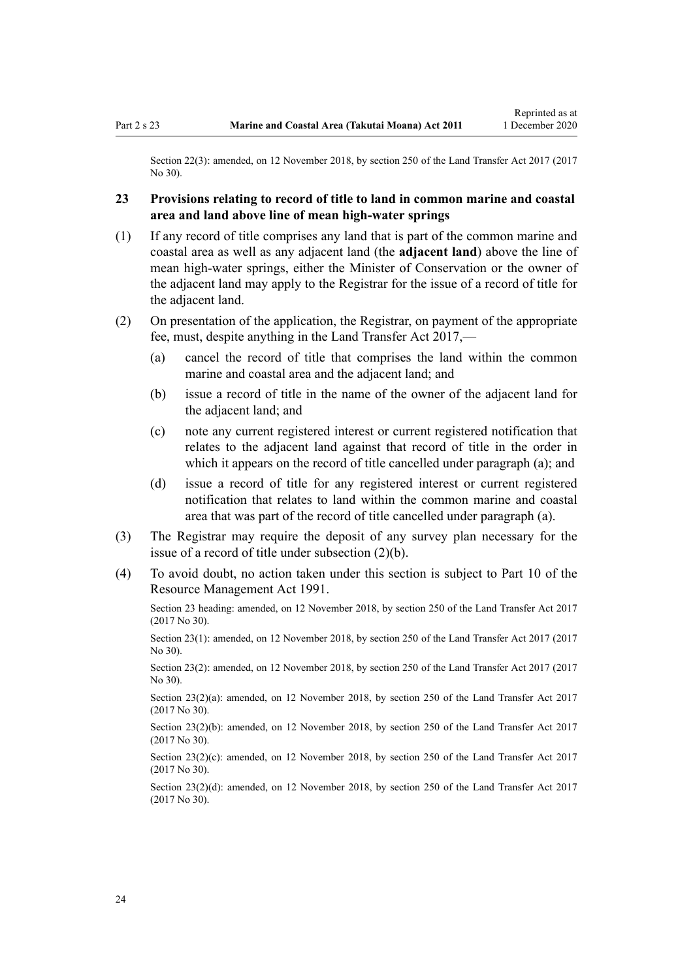<span id="page-23-0"></span>Section 22(3): amended, on 12 November 2018, by [section 250](http://legislation.govt.nz/pdflink.aspx?id=DLM6731493) of the Land Transfer Act 2017 (2017) No 30).

# **23 Provisions relating to record of title to land in common marine and coastal area and land above line of mean high-water springs**

- (1) If any record of title comprises any land that is part of the common marine and coastal area as well as any adjacent land (the **adjacent land**) above the line of mean high-water springs, either the Minister of Conservation or the owner of the adjacent land may apply to the Registrar for the issue of a record of title for the adjacent land.
- (2) On presentation of the application, the Registrar, on payment of the appropriate fee, must, despite anything in the [Land Transfer Act 2017,](http://legislation.govt.nz/pdflink.aspx?id=DLM6731002)—
	- (a) cancel the record of title that comprises the land within the common marine and coastal area and the adjacent land; and
	- (b) issue a record of title in the name of the owner of the adjacent land for the adjacent land; and
	- (c) note any current registered interest or current registered notification that relates to the adjacent land against that record of title in the order in which it appears on the record of title cancelled under paragraph (a); and
	- (d) issue a record of title for any registered interest or current registered notification that relates to land within the common marine and coastal area that was part of the record of title cancelled under paragraph (a).
- (3) The Registrar may require the deposit of any survey plan necessary for the issue of a record of title under subsection (2)(b).
- (4) To avoid doubt, no action taken under this section is subject to [Part 10](http://legislation.govt.nz/pdflink.aspx?id=DLM236786) of the Resource Management Act 1991.

Section 23 heading: amended, on 12 November 2018, by [section 250](http://legislation.govt.nz/pdflink.aspx?id=DLM6731493) of the Land Transfer Act 2017 (2017 No 30).

Section 23(1): amended, on 12 November 2018, by [section 250](http://legislation.govt.nz/pdflink.aspx?id=DLM6731493) of the Land Transfer Act 2017 (2017 No 30).

Section 23(2): amended, on 12 November 2018, by [section 250](http://legislation.govt.nz/pdflink.aspx?id=DLM6731493) of the Land Transfer Act 2017 (2017 No 30).

Section 23(2)(a): amended, on 12 November 2018, by [section 250](http://legislation.govt.nz/pdflink.aspx?id=DLM6731493) of the Land Transfer Act 2017 (2017 No 30).

Section 23(2)(b): amended, on 12 November 2018, by [section 250](http://legislation.govt.nz/pdflink.aspx?id=DLM6731493) of the Land Transfer Act 2017 (2017 No 30).

Section 23(2)(c): amended, on 12 November 2018, by [section 250](http://legislation.govt.nz/pdflink.aspx?id=DLM6731493) of the Land Transfer Act 2017 (2017 No 30).

Section 23(2)(d): amended, on 12 November 2018, by [section 250](http://legislation.govt.nz/pdflink.aspx?id=DLM6731493) of the Land Transfer Act 2017 (2017 No 30).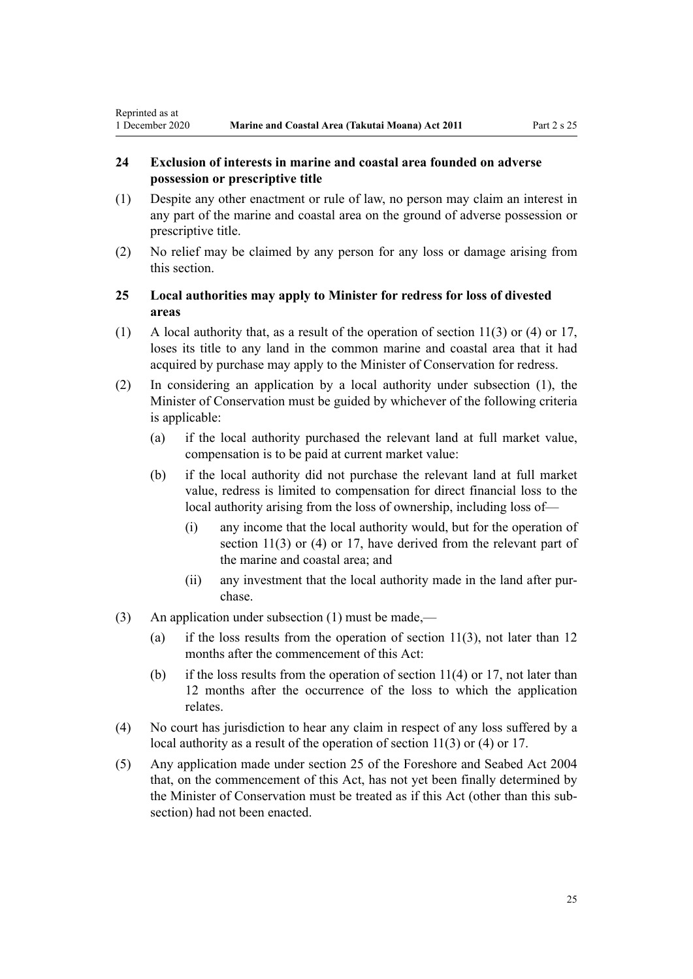# <span id="page-24-0"></span>**24 Exclusion of interests in marine and coastal area founded on adverse possession or prescriptive title**

- (1) Despite any other enactment or rule of law, no person may claim an interest in any part of the marine and coastal area on the ground of adverse possession or prescriptive title.
- (2) No relief may be claimed by any person for any loss or damage arising from this section.

# **25 Local authorities may apply to Minister for redress for loss of divested areas**

- (1) A local authority that, as a result of the operation of [section 11\(3\) or \(4\)](#page-16-0) or [17](#page-19-0), loses its title to any land in the common marine and coastal area that it had acquired by purchase may apply to the Minister of Conservation for redress.
- (2) In considering an application by a local authority under subsection (1), the Minister of Conservation must be guided by whichever of the following criteria is applicable:
	- (a) if the local authority purchased the relevant land at full market value, compensation is to be paid at current market value:
	- (b) if the local authority did not purchase the relevant land at full market value, redress is limited to compensation for direct financial loss to the local authority arising from the loss of ownership, including loss of—
		- (i) any income that the local authority would, but for the operation of [section 11\(3\) or \(4\)](#page-16-0) or [17](#page-19-0), have derived from the relevant part of the marine and coastal area; and
		- (ii) any investment that the local authority made in the land after purchase.
- (3) An application under subsection (1) must be made,—
	- (a) if the loss results from the operation of section  $11(3)$ , not later than 12 months after the commencement of this Act:
	- (b) if the loss results from the operation of section  $11(4)$  or [17](#page-19-0), not later than 12 months after the occurrence of the loss to which the application relates.
- (4) No court has jurisdiction to hear any claim in respect of any loss suffered by a local authority as a result of the operation of [section 11\(3\) or \(4\)](#page-16-0) or [17](#page-19-0).
- (5) Any application made under [section 25](http://legislation.govt.nz/pdflink.aspx?id=DLM320246) of the Foreshore and Seabed Act 2004 that, on the commencement of this Act, has not yet been finally determined by the Minister of Conservation must be treated as if this Act (other than this subsection) had not been enacted.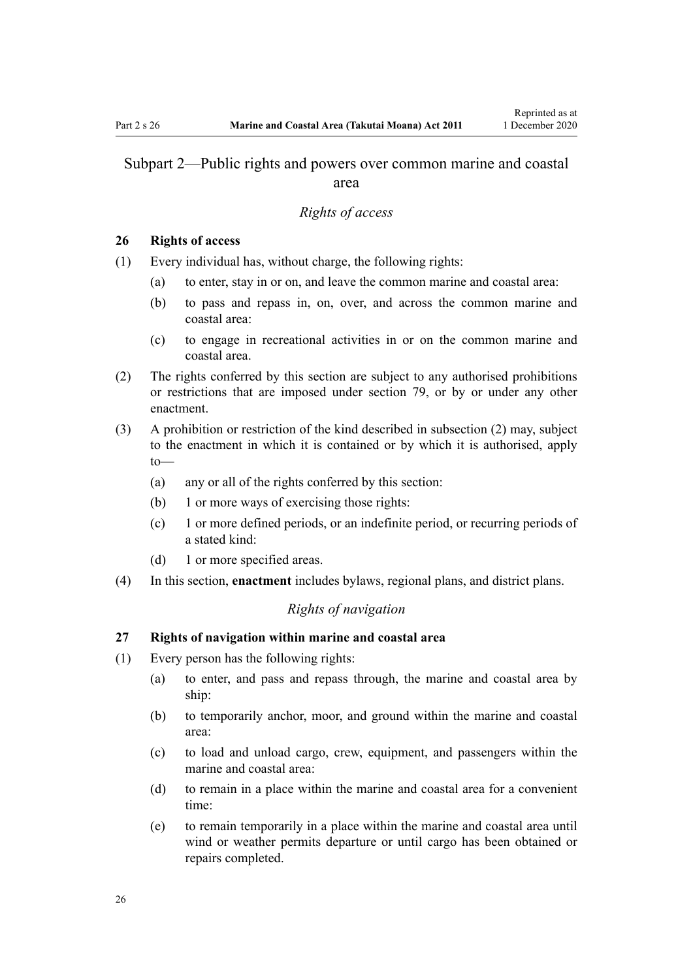# <span id="page-25-0"></span>Subpart 2—Public rights and powers over common marine and coastal area

#### *Rights of access*

### **26 Rights of access**

- (1) Every individual has, without charge, the following rights:
	- (a) to enter, stay in or on, and leave the common marine and coastal area:
	- (b) to pass and repass in, on, over, and across the common marine and coastal area:
	- (c) to engage in recreational activities in or on the common marine and coastal area.
- (2) The rights conferred by this section are subject to any authorised prohibitions or restrictions that are imposed under [section 79,](#page-59-0) or by or under any other enactment.
- (3) A prohibition or restriction of the kind described in subsection (2) may, subject to the enactment in which it is contained or by which it is authorised, apply to—
	- (a) any or all of the rights conferred by this section:
	- (b) 1 or more ways of exercising those rights:
	- (c) 1 or more defined periods, or an indefinite period, or recurring periods of a stated kind:
	- (d) 1 or more specified areas.
- (4) In this section, **enactment** includes bylaws, regional plans, and district plans.

# *Rights of navigation*

### **27 Rights of navigation within marine and coastal area**

- (1) Every person has the following rights:
	- (a) to enter, and pass and repass through, the marine and coastal area by ship:
	- (b) to temporarily anchor, moor, and ground within the marine and coastal area:
	- (c) to load and unload cargo, crew, equipment, and passengers within the marine and coastal area:
	- (d) to remain in a place within the marine and coastal area for a convenient time:
	- (e) to remain temporarily in a place within the marine and coastal area until wind or weather permits departure or until cargo has been obtained or repairs completed.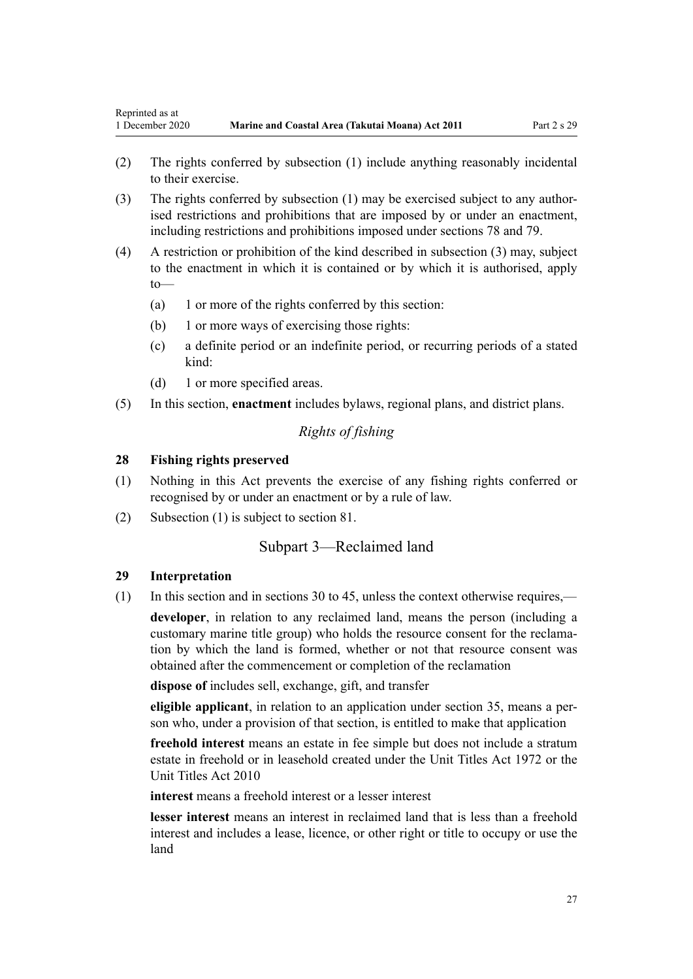- <span id="page-26-0"></span>(2) The rights conferred by subsection (1) include anything reasonably incidental to their exercise.
- (3) The rights conferred by subsection (1) may be exercised subject to any authorised restrictions and prohibitions that are imposed by or under an enactment, including restrictions and prohibitions imposed under [sections 78](#page-59-0) and [79.](#page-59-0)
- (4) A restriction or prohibition of the kind described in subsection (3) may, subject to the enactment in which it is contained or by which it is authorised, apply to—
	- (a) 1 or more of the rights conferred by this section:
	- (b) 1 or more ways of exercising those rights:
	- (c) a definite period or an indefinite period, or recurring periods of a stated kind:
	- (d) 1 or more specified areas.
- (5) In this section, **enactment** includes bylaws, regional plans, and district plans.

# *Rights of fishing*

### **28 Fishing rights preserved**

- (1) Nothing in this Act prevents the exercise of any fishing rights conferred or recognised by or under an enactment or by a rule of law.
- (2) Subsection (1) is subject to [section 81.](#page-61-0)

# Subpart 3—Reclaimed land

### **29 Interpretation**

(1) In this section and in [sections 30 to 45,](#page-27-0) unless the context otherwise requires,—

**developer**, in relation to any reclaimed land, means the person (including a customary marine title group) who holds the resource consent for the reclamation by which the land is formed, whether or not that resource consent was obtained after the commencement or completion of the reclamation

**dispose of** includes sell, exchange, gift, and transfer

**eligible applicant**, in relation to an application under [section 35,](#page-29-0) means a person who, under a provision of that section, is entitled to make that application

**freehold interest** means an estate in fee simple but does not include a stratum estate in freehold or in leasehold created under the [Unit Titles Act 1972](http://legislation.govt.nz/pdflink.aspx?id=DLM405590) or the [Unit Titles Act 2010](http://legislation.govt.nz/pdflink.aspx?id=DLM1160400)

**interest** means a freehold interest or a lesser interest

**lesser interest** means an interest in reclaimed land that is less than a freehold interest and includes a lease, licence, or other right or title to occupy or use the land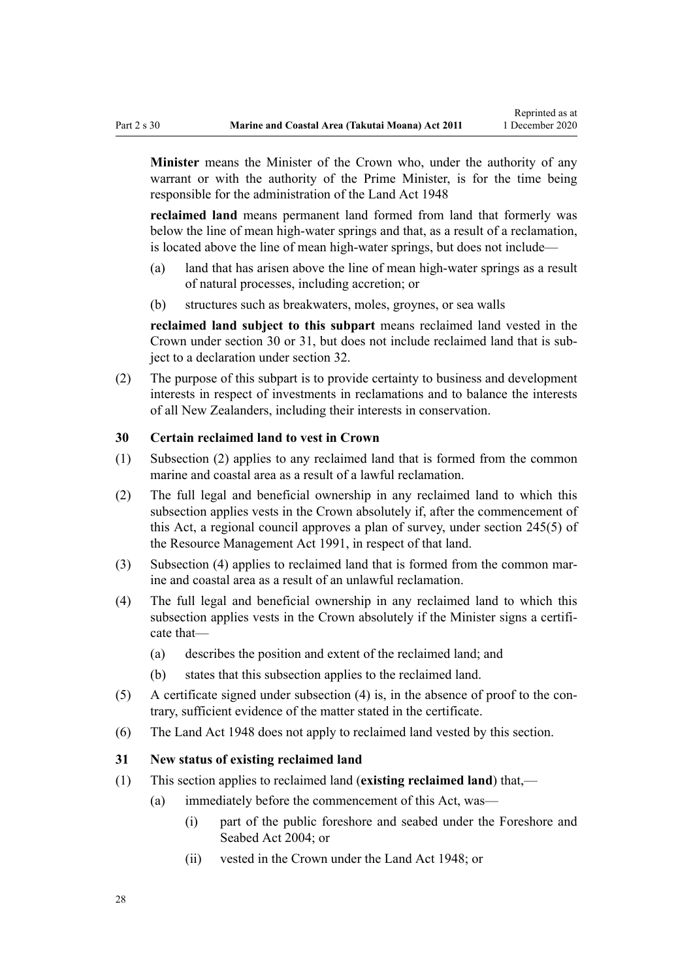<span id="page-27-0"></span>**Minister** means the Minister of the Crown who, under the authority of any warrant or with the authority of the Prime Minister, is for the time being responsible for the administration of the [Land Act 1948](http://legislation.govt.nz/pdflink.aspx?id=DLM250585)

**reclaimed land** means permanent land formed from land that formerly was below the line of mean high-water springs and that, as a result of a reclamation, is located above the line of mean high-water springs, but does not include—

- (a) land that has arisen above the line of mean high-water springs as a result of natural processes, including accretion; or
- (b) structures such as breakwaters, moles, groynes, or sea walls

**reclaimed land subject to this subpart** means reclaimed land vested in the Crown under section 30 or 31, but does not include reclaimed land that is subject to a declaration under [section 32](#page-28-0).

(2) The purpose of this subpart is to provide certainty to business and development interests in respect of investments in reclamations and to balance the interests of all New Zealanders, including their interests in conservation.

### **30 Certain reclaimed land to vest in Crown**

- (1) Subsection (2) applies to any reclaimed land that is formed from the common marine and coastal area as a result of a lawful reclamation.
- (2) The full legal and beneficial ownership in any reclaimed land to which this subsection applies vests in the Crown absolutely if, after the commencement of this Act, a regional council approves a plan of survey, under [section 245\(5\)](http://legislation.govt.nz/pdflink.aspx?id=DLM237630) of the Resource Management Act 1991, in respect of that land.
- (3) Subsection (4) applies to reclaimed land that is formed from the common marine and coastal area as a result of an unlawful reclamation.
- (4) The full legal and beneficial ownership in any reclaimed land to which this subsection applies vests in the Crown absolutely if the Minister signs a certificate that—
	- (a) describes the position and extent of the reclaimed land; and
	- (b) states that this subsection applies to the reclaimed land.
- (5) A certificate signed under subsection (4) is, in the absence of proof to the contrary, sufficient evidence of the matter stated in the certificate.
- (6) The [Land Act 1948](http://legislation.govt.nz/pdflink.aspx?id=DLM250585) does not apply to reclaimed land vested by this section.

#### **31 New status of existing reclaimed land**

- (1) This section applies to reclaimed land (**existing reclaimed land**) that,—
	- (a) immediately before the commencement of this Act, was—
		- (i) part of the public foreshore and seabed under the [Foreshore and](http://legislation.govt.nz/pdflink.aspx?id=DLM319838) [Seabed Act 2004;](http://legislation.govt.nz/pdflink.aspx?id=DLM319838) or
		- (ii) vested in the Crown under the [Land Act 1948](http://legislation.govt.nz/pdflink.aspx?id=DLM250585); or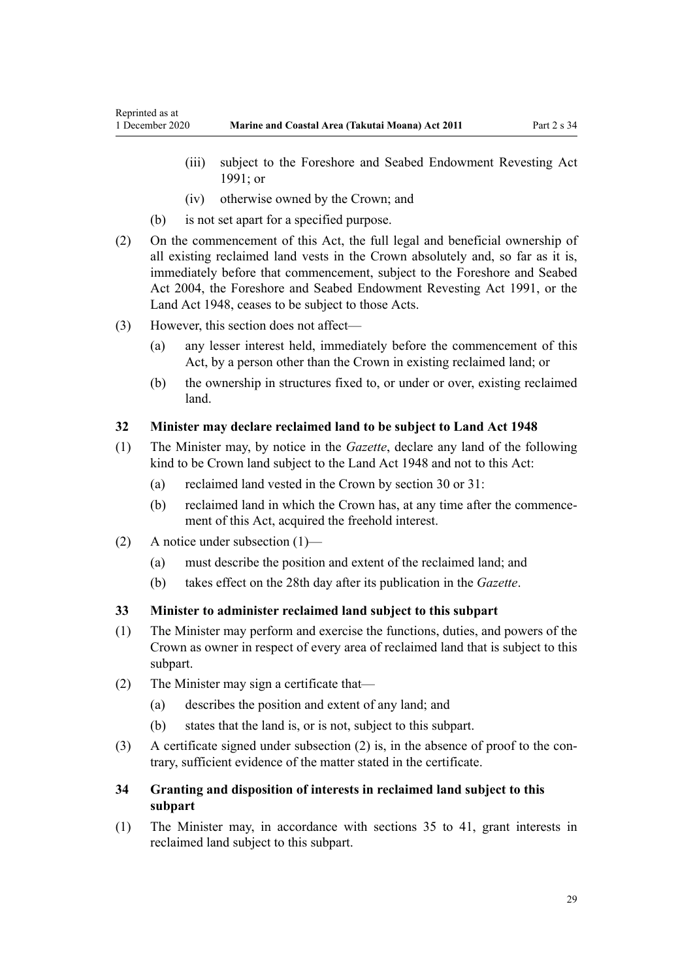- <span id="page-28-0"></span>(iii) subject to the Foreshore and Seabed Endowment Revesting Act 1991; or
- (iv) otherwise owned by the Crown; and
- (b) is not set apart for a specified purpose.
- (2) On the commencement of this Act, the full legal and beneficial ownership of all existing reclaimed land vests in the Crown absolutely and, so far as it is, immediately before that commencement, subject to the [Foreshore and Seabed](http://legislation.govt.nz/pdflink.aspx?id=DLM319838) [Act 2004](http://legislation.govt.nz/pdflink.aspx?id=DLM319838), the Foreshore and Seabed Endowment Revesting Act 1991, or the [Land Act 1948](http://legislation.govt.nz/pdflink.aspx?id=DLM250585), ceases to be subject to those Acts.
- (3) However, this section does not affect—
	- (a) any lesser interest held, immediately before the commencement of this Act, by a person other than the Crown in existing reclaimed land; or
	- (b) the ownership in structures fixed to, or under or over, existing reclaimed land.

# **32 Minister may declare reclaimed land to be subject to Land Act 1948**

- (1) The Minister may, by notice in the *Gazette*, declare any land of the following kind to be Crown land subject to the [Land Act 1948](http://legislation.govt.nz/pdflink.aspx?id=DLM250585) and not to this Act:
	- (a) reclaimed land vested in the Crown by [section 30](#page-27-0) or [31](#page-27-0):
	- (b) reclaimed land in which the Crown has, at any time after the commencement of this Act, acquired the freehold interest.
- (2) A notice under subsection (1)—
	- (a) must describe the position and extent of the reclaimed land; and
	- (b) takes effect on the 28th day after its publication in the *Gazette*.

# **33 Minister to administer reclaimed land subject to this subpart**

- (1) The Minister may perform and exercise the functions, duties, and powers of the Crown as owner in respect of every area of reclaimed land that is subject to this subpart.
- (2) The Minister may sign a certificate that—
	- (a) describes the position and extent of any land; and
	- (b) states that the land is, or is not, subject to this subpart.
- (3) A certificate signed under subsection (2) is, in the absence of proof to the contrary, sufficient evidence of the matter stated in the certificate.

# **34 Granting and disposition of interests in reclaimed land subject to this subpart**

(1) The Minister may, in accordance with [sections 35 to 41](#page-29-0), grant interests in reclaimed land subject to this subpart.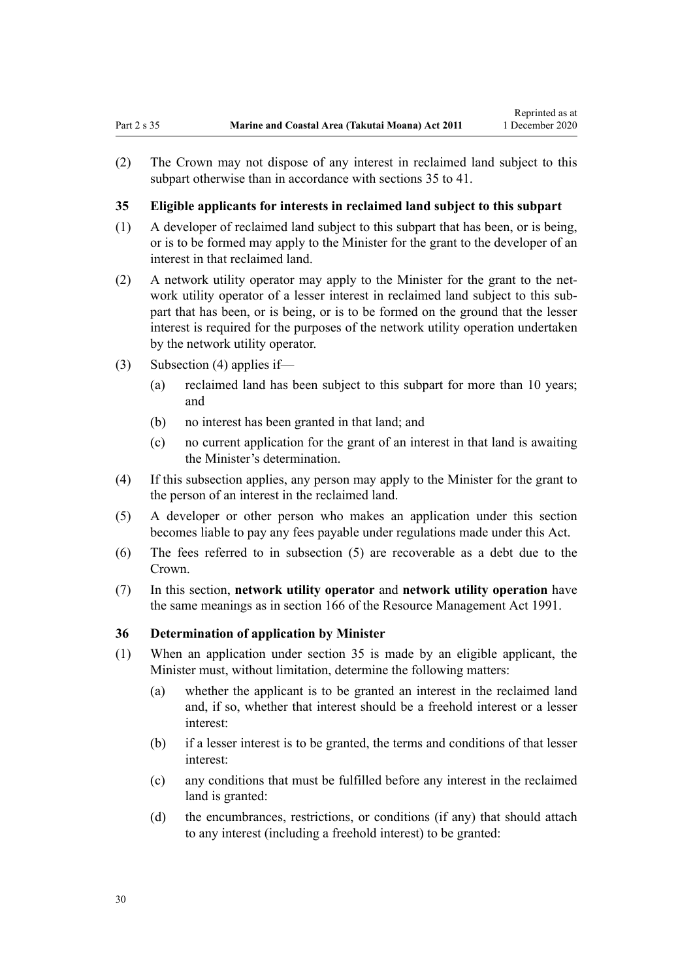<span id="page-29-0"></span>(2) The Crown may not dispose of any interest in reclaimed land subject to this subpart otherwise than in accordance with sections 35 to 41.

Reprinted as at

### **35 Eligible applicants for interests in reclaimed land subject to this subpart**

- (1) A developer of reclaimed land subject to this subpart that has been, or is being, or is to be formed may apply to the Minister for the grant to the developer of an interest in that reclaimed land.
- (2) A network utility operator may apply to the Minister for the grant to the network utility operator of a lesser interest in reclaimed land subject to this subpart that has been, or is being, or is to be formed on the ground that the lesser interest is required for the purposes of the network utility operation undertaken by the network utility operator.
- (3) Subsection (4) applies if—
	- (a) reclaimed land has been subject to this subpart for more than 10 years; and
	- (b) no interest has been granted in that land; and
	- (c) no current application for the grant of an interest in that land is awaiting the Minister's determination.
- (4) If this subsection applies, any person may apply to the Minister for the grant to the person of an interest in the reclaimed land.
- (5) A developer or other person who makes an application under this section becomes liable to pay any fees payable under regulations made under this Act.
- (6) The fees referred to in subsection (5) are recoverable as a debt due to the Crown.
- (7) In this section, **network utility operator** and **network utility operation** have the same meanings as in [section 166](http://legislation.govt.nz/pdflink.aspx?id=DLM236206) of the Resource Management Act 1991.

### **36 Determination of application by Minister**

- (1) When an application under section 35 is made by an eligible applicant, the Minister must, without limitation, determine the following matters:
	- (a) whether the applicant is to be granted an interest in the reclaimed land and, if so, whether that interest should be a freehold interest or a lesser interest:
	- (b) if a lesser interest is to be granted, the terms and conditions of that lesser interest:
	- (c) any conditions that must be fulfilled before any interest in the reclaimed land is granted:
	- (d) the encumbrances, restrictions, or conditions (if any) that should attach to any interest (including a freehold interest) to be granted: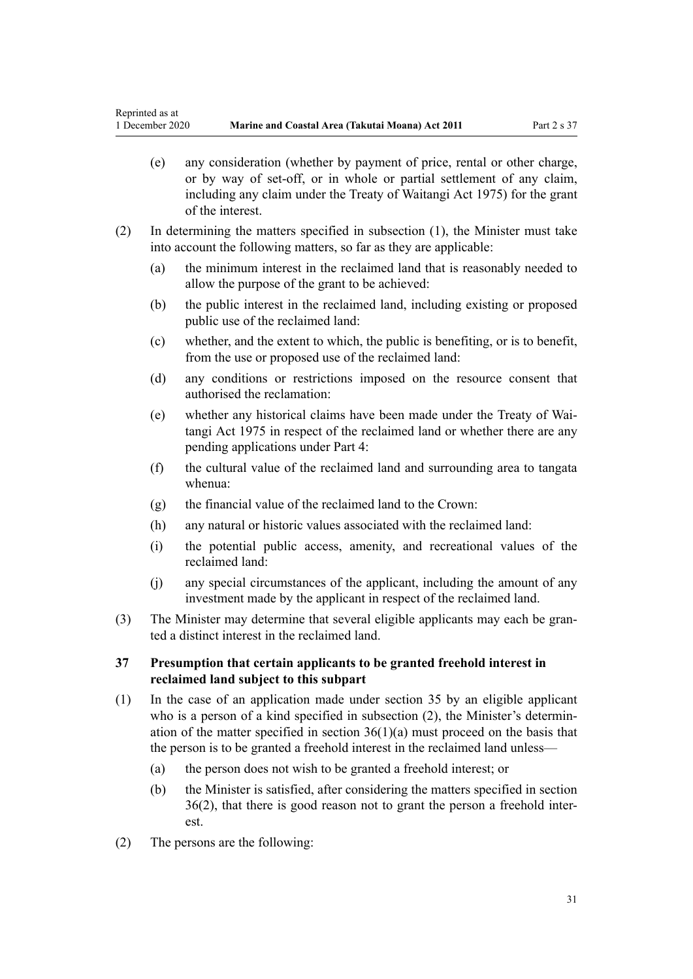- <span id="page-30-0"></span>(e) any consideration (whether by payment of price, rental or other charge, or by way of set-off, or in whole or partial settlement of any claim, including any claim under the [Treaty of Waitangi Act 1975](http://legislation.govt.nz/pdflink.aspx?id=DLM435367)) for the grant of the interest.
- (2) In determining the matters specified in subsection (1), the Minister must take into account the following matters, so far as they are applicable:
	- (a) the minimum interest in the reclaimed land that is reasonably needed to allow the purpose of the grant to be achieved:
	- (b) the public interest in the reclaimed land, including existing or proposed public use of the reclaimed land:
	- (c) whether, and the extent to which, the public is benefiting, or is to benefit, from the use or proposed use of the reclaimed land:
	- (d) any conditions or restrictions imposed on the resource consent that authorised the reclamation:
	- (e) whether any historical claims have been made under the [Treaty of Wai](http://legislation.govt.nz/pdflink.aspx?id=DLM435367)[tangi Act 1975](http://legislation.govt.nz/pdflink.aspx?id=DLM435367) in respect of the reclaimed land or whether there are any pending applications under [Part 4:](#page-69-0)
	- (f) the cultural value of the reclaimed land and surrounding area to tangata whenua:
	- (g) the financial value of the reclaimed land to the Crown:
	- (h) any natural or historic values associated with the reclaimed land:
	- (i) the potential public access, amenity, and recreational values of the reclaimed land:
	- (j) any special circumstances of the applicant, including the amount of any investment made by the applicant in respect of the reclaimed land.
- (3) The Minister may determine that several eligible applicants may each be granted a distinct interest in the reclaimed land.

# **37 Presumption that certain applicants to be granted freehold interest in reclaimed land subject to this subpart**

- (1) In the case of an application made under [section 35](#page-29-0) by an eligible applicant who is a person of a kind specified in subsection (2), the Minister's determination of the matter specified in section  $36(1)(a)$  must proceed on the basis that the person is to be granted a freehold interest in the reclaimed land unless—
	- (a) the person does not wish to be granted a freehold interest; or
	- (b) the Minister is satisfied, after considering the matters specified in [section](#page-29-0) [36\(2\)](#page-29-0), that there is good reason not to grant the person a freehold interest.
- (2) The persons are the following: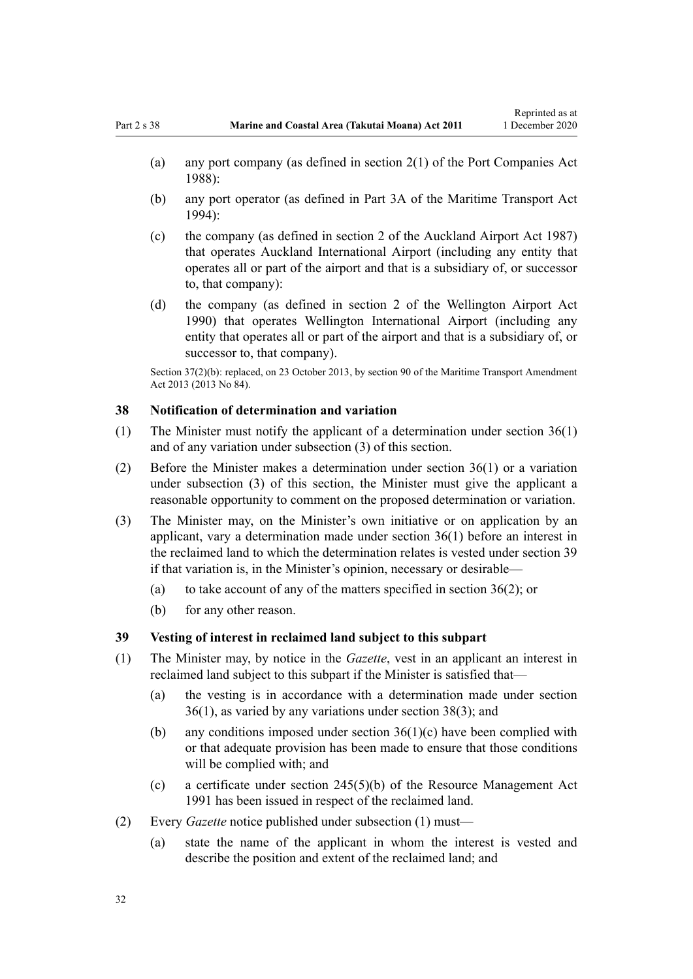- <span id="page-31-0"></span>(a) any port company (as defined in [section 2\(1\)](http://legislation.govt.nz/pdflink.aspx?id=DLM131688) of the Port Companies Act 1988):
- (b) any port operator (as defined in [Part 3A](http://legislation.govt.nz/pdflink.aspx?id=DLM5689750) of the Maritime Transport Act 1994):
- (c) the company (as defined in [section 2](http://legislation.govt.nz/pdflink.aspx?id=DLM125376) of the Auckland Airport Act 1987) that operates Auckland International Airport (including any entity that operates all or part of the airport and that is a subsidiary of, or successor to, that company):
- (d) the company (as defined in [section 2](http://legislation.govt.nz/pdflink.aspx?id=DLM211896) of the Wellington Airport Act 1990) that operates Wellington International Airport (including any entity that operates all or part of the airport and that is a subsidiary of, or successor to, that company).

Section 37(2)(b): replaced, on 23 October 2013, by [section 90](http://legislation.govt.nz/pdflink.aspx?id=DLM4698973) of the Maritime Transport Amendment Act 2013 (2013 No 84).

#### **38 Notification of determination and variation**

- (1) The Minister must notify the applicant of a determination under [section 36\(1\)](#page-29-0) and of any variation under subsection (3) of this section.
- (2) Before the Minister makes a determination under [section 36\(1\)](#page-29-0) or a variation under subsection (3) of this section, the Minister must give the applicant a reasonable opportunity to comment on the proposed determination or variation.
- (3) The Minister may, on the Minister's own initiative or on application by an applicant, vary a determination made under [section 36\(1\)](#page-29-0) before an interest in the reclaimed land to which the determination relates is vested under section 39 if that variation is, in the Minister's opinion, necessary or desirable—
	- (a) to take account of any of the matters specified in [section 36\(2\)](#page-29-0); or
	- (b) for any other reason.

#### **39 Vesting of interest in reclaimed land subject to this subpart**

- (1) The Minister may, by notice in the *Gazette*, vest in an applicant an interest in reclaimed land subject to this subpart if the Minister is satisfied that—
	- (a) the vesting is in accordance with a determination made under [section](#page-29-0) [36\(1\)](#page-29-0), as varied by any variations under section 38(3); and
	- (b) any conditions imposed under [section 36\(1\)\(c\)](#page-29-0) have been complied with or that adequate provision has been made to ensure that those conditions will be complied with; and
	- (c) a certificate under [section 245\(5\)\(b\)](http://legislation.govt.nz/pdflink.aspx?id=DLM237630) of the Resource Management Act 1991 has been issued in respect of the reclaimed land.
- (2) Every *Gazette* notice published under subsection (1) must—
	- (a) state the name of the applicant in whom the interest is vested and describe the position and extent of the reclaimed land; and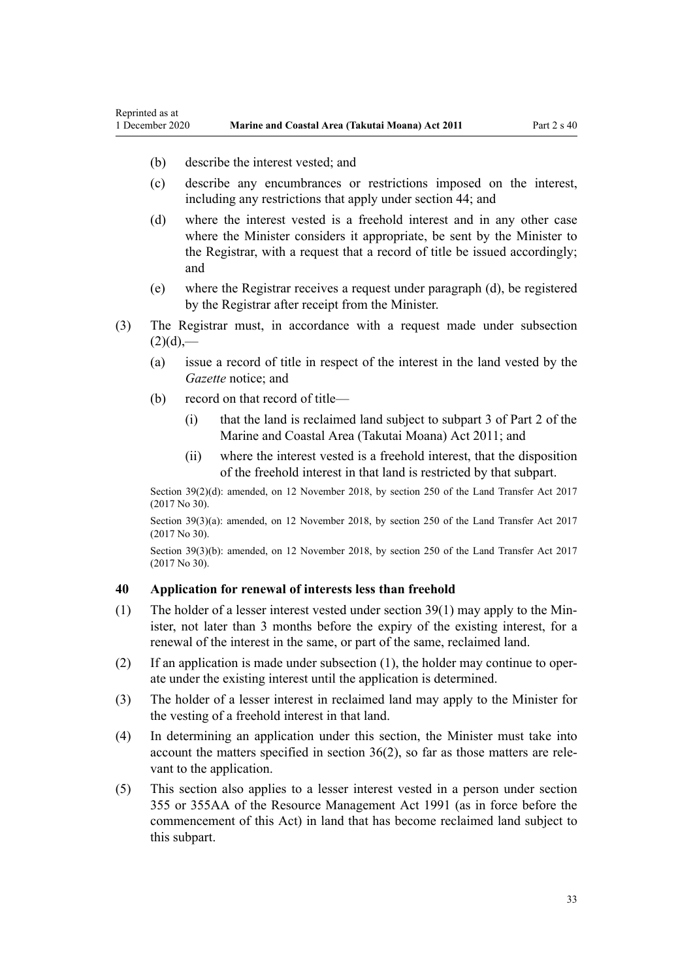(b) describe the interest vested; and

<span id="page-32-0"></span>Reprinted as at

- (c) describe any encumbrances or restrictions imposed on the interest, including any restrictions that apply under [section 44;](#page-35-0) and
- (d) where the interest vested is a freehold interest and in any other case where the Minister considers it appropriate, be sent by the Minister to the Registrar, with a request that a record of title be issued accordingly; and
- (e) where the Registrar receives a request under paragraph (d), be registered by the Registrar after receipt from the Minister.
- (3) The Registrar must, in accordance with a request made under subsection  $(2)(d)$ ,—
	- (a) issue a record of title in respect of the interest in the land vested by the *Gazette* notice; and
	- (b) record on that record of title—
		- (i) that the land is reclaimed land subject to [subpart 3 of Part 2](#page-26-0) of the Marine and Coastal Area (Takutai Moana) Act 2011; and
		- (ii) where the interest vested is a freehold interest, that the disposition of the freehold interest in that land is restricted by that subpart.

Section 39(2)(d): amended, on 12 November 2018, by [section 250](http://legislation.govt.nz/pdflink.aspx?id=DLM6731493) of the Land Transfer Act 2017 (2017 No 30).

Section 39(3)(a): amended, on 12 November 2018, by [section 250](http://legislation.govt.nz/pdflink.aspx?id=DLM6731493) of the Land Transfer Act 2017 (2017 No 30).

Section 39(3)(b): amended, on 12 November 2018, by [section 250](http://legislation.govt.nz/pdflink.aspx?id=DLM6731493) of the Land Transfer Act 2017 (2017 No 30).

#### **40 Application for renewal of interests less than freehold**

- (1) The holder of a lesser interest vested under [section 39\(1\)](#page-31-0) may apply to the Minister, not later than 3 months before the expiry of the existing interest, for a renewal of the interest in the same, or part of the same, reclaimed land.
- (2) If an application is made under subsection (1), the holder may continue to operate under the existing interest until the application is determined.
- (3) The holder of a lesser interest in reclaimed land may apply to the Minister for the vesting of a freehold interest in that land.
- (4) In determining an application under this section, the Minister must take into account the matters specified in [section 36\(2\)](#page-29-0), so far as those matters are relevant to the application.
- (5) This section also applies to a lesser interest vested in a person under [section](http://legislation.govt.nz/pdflink.aspx?id=DLM239322) [355](http://legislation.govt.nz/pdflink.aspx?id=DLM239322) or [355AA](http://legislation.govt.nz/pdflink.aspx?id=DLM239326) of the Resource Management Act 1991 (as in force before the commencement of this Act) in land that has become reclaimed land subject to this subpart.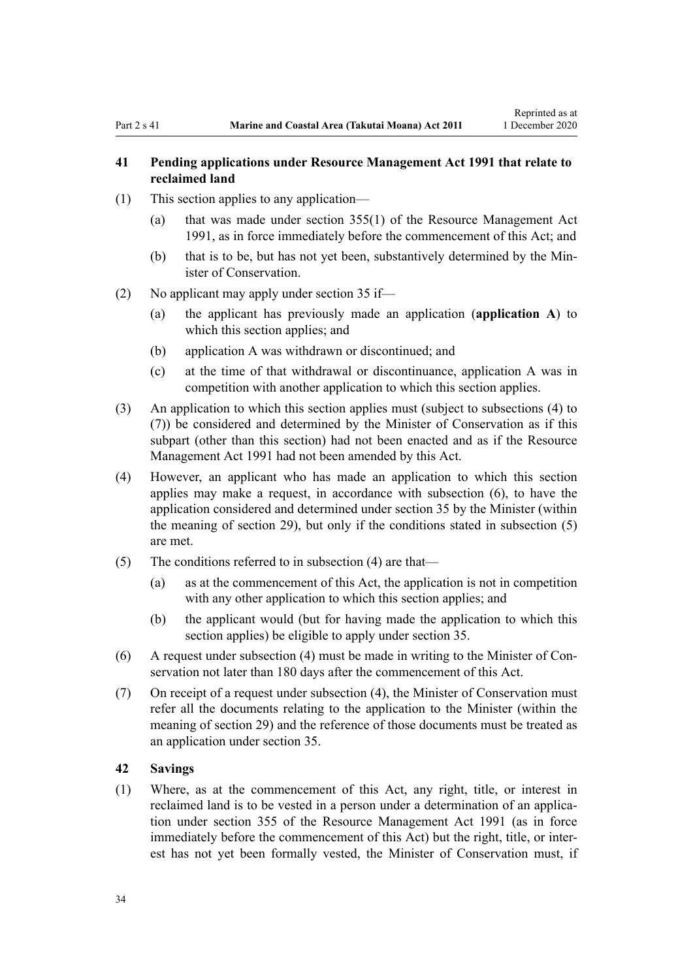# <span id="page-33-0"></span>**41 Pending applications under Resource Management Act 1991 that relate to reclaimed land**

- (1) This section applies to any application—
	- (a) that was made under [section 355\(1\)](http://legislation.govt.nz/pdflink.aspx?id=DLM239322) of the Resource Management Act 1991, as in force immediately before the commencement of this Act; and
	- (b) that is to be, but has not yet been, substantively determined by the Minister of Conservation.
- (2) No applicant may apply under [section 35](#page-29-0) if—
	- (a) the applicant has previously made an application (**application A**) to which this section applies; and
	- (b) application A was withdrawn or discontinued; and
	- (c) at the time of that withdrawal or discontinuance, application A was in competition with another application to which this section applies.
- (3) An application to which this section applies must (subject to subsections (4) to (7)) be considered and determined by the Minister of Conservation as if this subpart (other than this section) had not been enacted and as if the [Resource](http://legislation.govt.nz/pdflink.aspx?id=DLM230264) [Management Act 1991](http://legislation.govt.nz/pdflink.aspx?id=DLM230264) had not been amended by this Act.
- (4) However, an applicant who has made an application to which this section applies may make a request, in accordance with subsection (6), to have the application considered and determined under [section 35](#page-29-0) by the Minister (within the meaning of [section 29](#page-26-0)), but only if the conditions stated in subsection (5) are met.
- (5) The conditions referred to in subsection (4) are that—
	- (a) as at the commencement of this Act, the application is not in competition with any other application to which this section applies; and
	- (b) the applicant would (but for having made the application to which this section applies) be eligible to apply under [section 35](#page-29-0).
- (6) A request under subsection (4) must be made in writing to the Minister of Conservation not later than 180 days after the commencement of this Act.
- (7) On receipt of a request under subsection (4), the Minister of Conservation must refer all the documents relating to the application to the Minister (within the meaning of [section 29](#page-26-0)) and the reference of those documents must be treated as an application under [section 35.](#page-29-0)

### **42 Savings**

(1) Where, as at the commencement of this Act, any right, title, or interest in reclaimed land is to be vested in a person under a determination of an application under [section 355](http://legislation.govt.nz/pdflink.aspx?id=DLM239322) of the Resource Management Act 1991 (as in force immediately before the commencement of this Act) but the right, title, or interest has not yet been formally vested, the Minister of Conservation must, if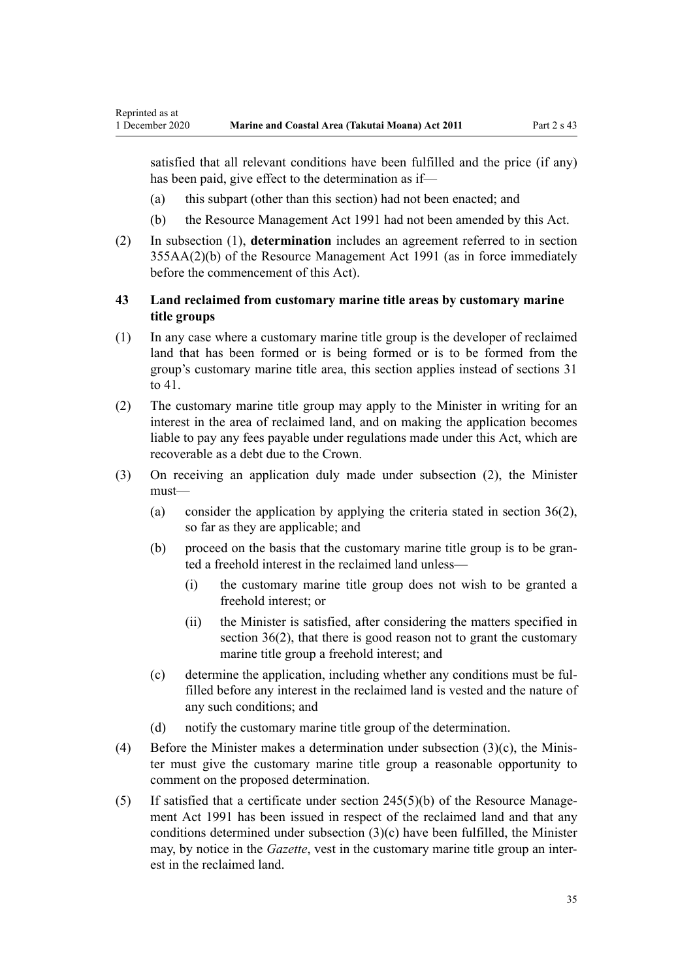<span id="page-34-0"></span>satisfied that all relevant conditions have been fulfilled and the price (if any) has been paid, give effect to the determination as if—

- (a) this subpart (other than this section) had not been enacted; and
- (b) the [Resource Management Act 1991](http://legislation.govt.nz/pdflink.aspx?id=DLM230264) had not been amended by this Act.
- (2) In subsection (1), **determination** includes an agreement referred to in [section](http://legislation.govt.nz/pdflink.aspx?id=DLM239326) [355AA\(2\)\(b\)](http://legislation.govt.nz/pdflink.aspx?id=DLM239326) of the Resource Management Act 1991 (as in force immediately before the commencement of this Act).

# **43 Land reclaimed from customary marine title areas by customary marine title groups**

- (1) In any case where a customary marine title group is the developer of reclaimed land that has been formed or is being formed or is to be formed from the group's customary marine title area, this section applies instead of [sections 31](#page-27-0) [to 41.](#page-27-0)
- (2) The customary marine title group may apply to the Minister in writing for an interest in the area of reclaimed land, and on making the application becomes liable to pay any fees payable under regulations made under this Act, which are recoverable as a debt due to the Crown.
- (3) On receiving an application duly made under subsection (2), the Minister must—
	- (a) consider the application by applying the criteria stated in section  $36(2)$ , so far as they are applicable; and
	- (b) proceed on the basis that the customary marine title group is to be granted a freehold interest in the reclaimed land unless—
		- (i) the customary marine title group does not wish to be granted a freehold interest; or
		- (ii) the Minister is satisfied, after considering the matters specified in [section 36\(2\),](#page-29-0) that there is good reason not to grant the customary marine title group a freehold interest; and
	- (c) determine the application, including whether any conditions must be fulfilled before any interest in the reclaimed land is vested and the nature of any such conditions; and
	- (d) notify the customary marine title group of the determination.
- (4) Before the Minister makes a determination under subsection (3)(c), the Minister must give the customary marine title group a reasonable opportunity to comment on the proposed determination.
- (5) If satisfied that a certificate under [section 245\(5\)\(b\)](http://legislation.govt.nz/pdflink.aspx?id=DLM237630) of the Resource Management Act 1991 has been issued in respect of the reclaimed land and that any conditions determined under subsection (3)(c) have been fulfilled, the Minister may, by notice in the *Gazette*, vest in the customary marine title group an interest in the reclaimed land.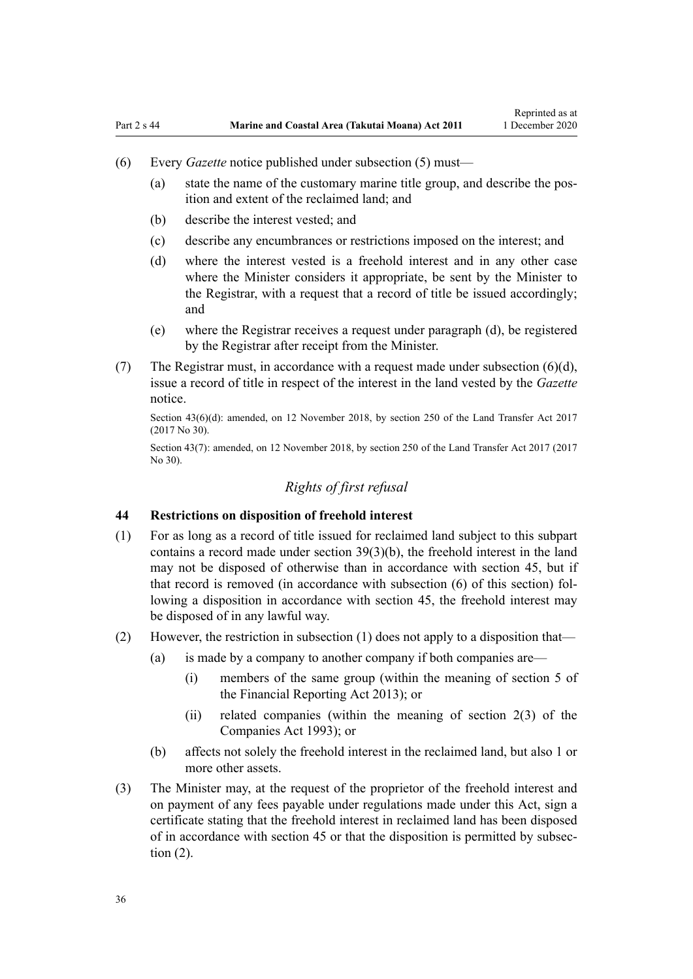- <span id="page-35-0"></span>(6) Every *Gazette* notice published under subsection (5) must—
	- (a) state the name of the customary marine title group, and describe the position and extent of the reclaimed land; and
	- (b) describe the interest vested; and
	- (c) describe any encumbrances or restrictions imposed on the interest; and
	- (d) where the interest vested is a freehold interest and in any other case where the Minister considers it appropriate, be sent by the Minister to the Registrar, with a request that a record of title be issued accordingly; and
	- (e) where the Registrar receives a request under paragraph (d), be registered by the Registrar after receipt from the Minister.
- (7) The Registrar must, in accordance with a request made under subsection  $(6)(d)$ , issue a record of title in respect of the interest in the land vested by the *Gazette* notice.

Section 43(6)(d): amended, on 12 November 2018, by [section 250](http://legislation.govt.nz/pdflink.aspx?id=DLM6731493) of the Land Transfer Act 2017 (2017 No 30).

Section 43(7): amended, on 12 November 2018, by [section 250](http://legislation.govt.nz/pdflink.aspx?id=DLM6731493) of the Land Transfer Act 2017 (2017 No 30).

# *Rights of first refusal*

#### **44 Restrictions on disposition of freehold interest**

- (1) For as long as a record of title issued for reclaimed land subject to this subpart contains a record made under [section 39\(3\)\(b\)](#page-31-0), the freehold interest in the land may not be disposed of otherwise than in accordance with [section 45,](#page-36-0) but if that record is removed (in accordance with subsection (6) of this section) following a disposition in accordance with section 45, the freehold interest may be disposed of in any lawful way.
- (2) However, the restriction in subsection (1) does not apply to a disposition that—
	- (a) is made by a company to another company if both companies are—
		- (i) members of the same group (within the meaning of [section 5](http://legislation.govt.nz/pdflink.aspx?id=DLM4632837) of the Financial Reporting Act 2013); or
		- (ii) related companies (within the meaning of [section 2\(3\)](http://legislation.govt.nz/pdflink.aspx?id=DLM319576) of the Companies Act 1993); or
	- (b) affects not solely the freehold interest in the reclaimed land, but also 1 or more other assets.
- (3) The Minister may, at the request of the proprietor of the freehold interest and on payment of any fees payable under regulations made under this Act, sign a certificate stating that the freehold interest in reclaimed land has been disposed of in accordance with [section 45](#page-36-0) or that the disposition is permitted by subsection (2).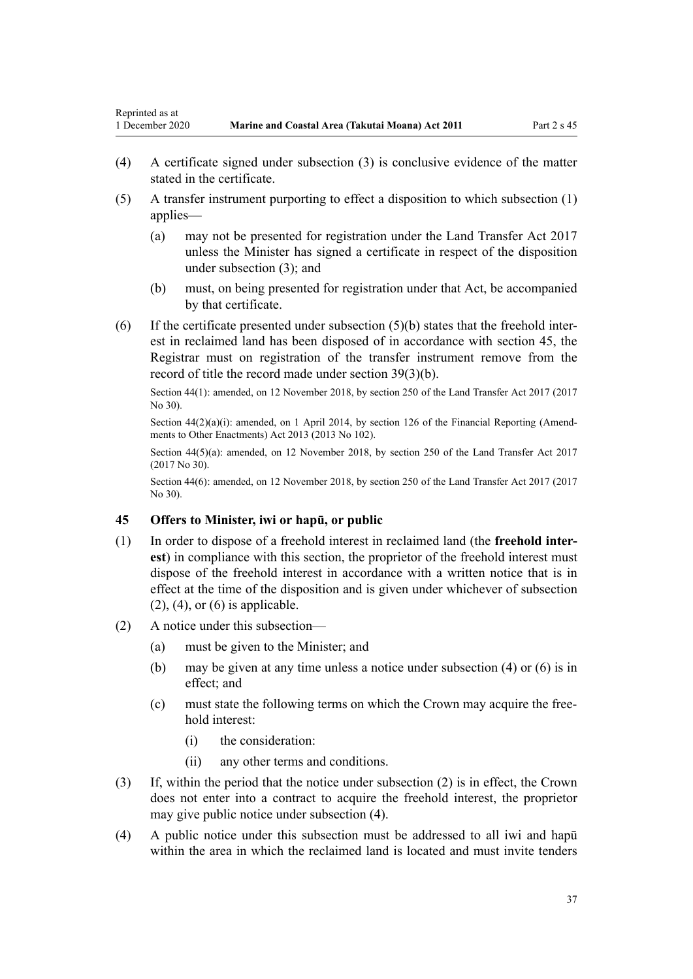- (4) A certificate signed under subsection (3) is conclusive evidence of the matter stated in the certificate.
- (5) A transfer instrument purporting to effect a disposition to which subsection (1) applies—
	- (a) may not be presented for registration under the [Land Transfer Act 2017](http://legislation.govt.nz/pdflink.aspx?id=DLM6731002) unless the Minister has signed a certificate in respect of the disposition under subsection (3); and
	- (b) must, on being presented for registration under that Act, be accompanied by that certificate.
- (6) If the certificate presented under subsection (5)(b) states that the freehold interest in reclaimed land has been disposed of in accordance with section 45, the Registrar must on registration of the transfer instrument remove from the record of title the record made under [section 39\(3\)\(b\)](#page-31-0).

Section 44(1): amended, on 12 November 2018, by [section 250](http://legislation.govt.nz/pdflink.aspx?id=DLM6731493) of the Land Transfer Act 2017 (2017 No 30).

Section  $44(2)(a)(i)$ : amended, on 1 April 2014, by [section 126](http://legislation.govt.nz/pdflink.aspx?id=DLM5740665) of the Financial Reporting (Amendments to Other Enactments) Act 2013 (2013 No 102).

Section 44(5)(a): amended, on 12 November 2018, by [section 250](http://legislation.govt.nz/pdflink.aspx?id=DLM6731493) of the Land Transfer Act 2017 (2017 No 30).

Section 44(6): amended, on 12 November 2018, by [section 250](http://legislation.govt.nz/pdflink.aspx?id=DLM6731493) of the Land Transfer Act 2017 (2017 No 30).

## **45 Offers to Minister, iwi or hapū, or public**

- (1) In order to dispose of a freehold interest in reclaimed land (the **freehold interest**) in compliance with this section, the proprietor of the freehold interest must dispose of the freehold interest in accordance with a written notice that is in effect at the time of the disposition and is given under whichever of subsection  $(2)$ ,  $(4)$ , or  $(6)$  is applicable.
- (2) A notice under this subsection—
	- (a) must be given to the Minister; and
	- (b) may be given at any time unless a notice under subsection (4) or (6) is in effect; and
	- (c) must state the following terms on which the Crown may acquire the freehold interest:
		- (i) the consideration:
		- (ii) any other terms and conditions.
- (3) If, within the period that the notice under subsection (2) is in effect, the Crown does not enter into a contract to acquire the freehold interest, the proprietor may give public notice under subsection (4).
- (4) A public notice under this subsection must be addressed to all iwi and hapū within the area in which the reclaimed land is located and must invite tenders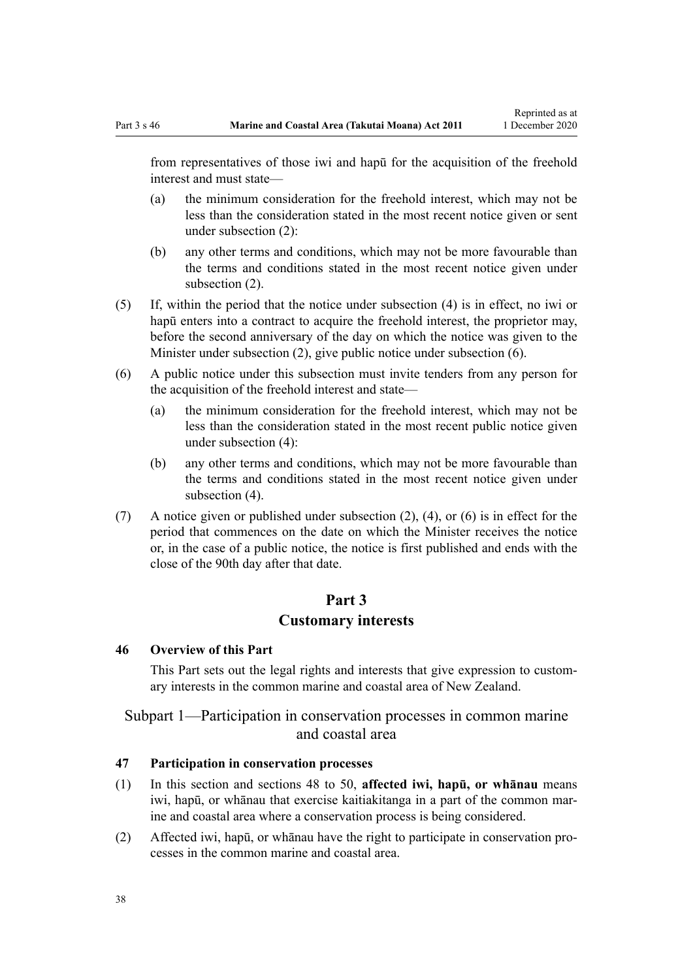<span id="page-37-0"></span>from representatives of those iwi and hapū for the acquisition of the freehold interest and must state—

- (a) the minimum consideration for the freehold interest, which may not be less than the consideration stated in the most recent notice given or sent under subsection (2):
- (b) any other terms and conditions, which may not be more favourable than the terms and conditions stated in the most recent notice given under subsection (2).
- (5) If, within the period that the notice under subsection (4) is in effect, no iwi or hapū enters into a contract to acquire the freehold interest, the proprietor may, before the second anniversary of the day on which the notice was given to the Minister under subsection (2), give public notice under subsection (6).
- (6) A public notice under this subsection must invite tenders from any person for the acquisition of the freehold interest and state—
	- (a) the minimum consideration for the freehold interest, which may not be less than the consideration stated in the most recent public notice given under subsection (4):
	- (b) any other terms and conditions, which may not be more favourable than the terms and conditions stated in the most recent notice given under subsection (4).
- (7) A notice given or published under subsection (2), (4), or (6) is in effect for the period that commences on the date on which the Minister receives the notice or, in the case of a public notice, the notice is first published and ends with the close of the 90th day after that date.

# **Part 3**

## **Customary interests**

#### **46 Overview of this Part**

This Part sets out the legal rights and interests that give expression to customary interests in the common marine and coastal area of New Zealand.

# Subpart 1—Participation in conservation processes in common marine and coastal area

#### **47 Participation in conservation processes**

- (1) In this section and [sections 48 to 50,](#page-38-0) **affected iwi, hapū, or whānau** means iwi, hapū, or whānau that exercise kaitiakitanga in a part of the common marine and coastal area where a conservation process is being considered.
- (2) Affected iwi, hapū, or whānau have the right to participate in conservation processes in the common marine and coastal area.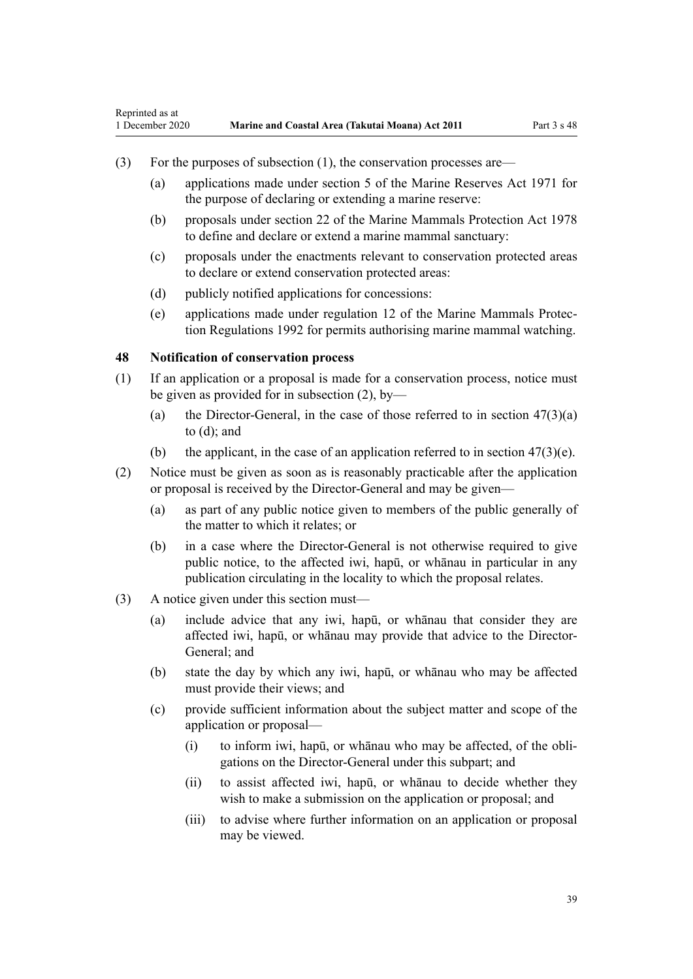- <span id="page-38-0"></span>(3) For the purposes of subsection (1), the conservation processes are—
	- (a) applications made under [section 5](http://legislation.govt.nz/pdflink.aspx?id=DLM398113) of the Marine Reserves Act 1971 for the purpose of declaring or extending a marine reserve:
	- (b) proposals under [section 22](http://legislation.govt.nz/pdflink.aspx?id=DLM25372) of the Marine Mammals Protection Act 1978 to define and declare or extend a marine mammal sanctuary:
	- (c) proposals under the enactments relevant to conservation protected areas to declare or extend conservation protected areas:
	- (d) publicly notified applications for concessions:
	- (e) applications made under [regulation 12](http://legislation.govt.nz/pdflink.aspx?id=DLM168830) of the Marine Mammals Protection Regulations 1992 for permits authorising marine mammal watching.

### **48 Notification of conservation process**

- (1) If an application or a proposal is made for a conservation process, notice must be given as provided for in subsection (2), by—
	- (a) the Director-General, in the case of those referred to in section  $47(3)(a)$ [to \(d\)](#page-37-0); and
	- (b) the applicant, in the case of an application referred to in section  $47(3)(e)$ .
- (2) Notice must be given as soon as is reasonably practicable after the application or proposal is received by the Director-General and may be given—
	- (a) as part of any public notice given to members of the public generally of the matter to which it relates; or
	- (b) in a case where the Director-General is not otherwise required to give public notice, to the affected iwi, hapū, or whānau in particular in any publication circulating in the locality to which the proposal relates.
- (3) A notice given under this section must—
	- (a) include advice that any iwi, hapū, or whānau that consider they are affected iwi, hapū, or whānau may provide that advice to the Director-General; and
	- (b) state the day by which any iwi, hapū, or whānau who may be affected must provide their views; and
	- (c) provide sufficient information about the subject matter and scope of the application or proposal—
		- (i) to inform iwi, hapū, or whānau who may be affected, of the obligations on the Director-General under this subpart; and
		- (ii) to assist affected iwi, hapū, or whānau to decide whether they wish to make a submission on the application or proposal; and
		- (iii) to advise where further information on an application or proposal may be viewed.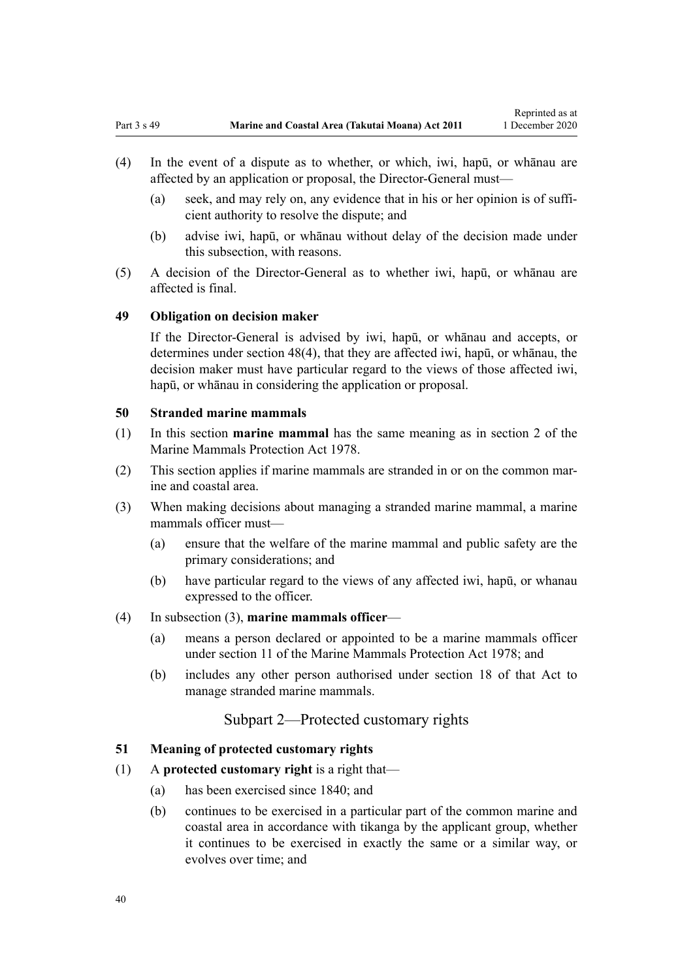- <span id="page-39-0"></span>(4) In the event of a dispute as to whether, or which, iwi, hapū, or whānau are affected by an application or proposal, the Director-General must—
	- (a) seek, and may rely on, any evidence that in his or her opinion is of sufficient authority to resolve the dispute; and
	- (b) advise iwi, hapū, or whānau without delay of the decision made under this subsection, with reasons.
- (5) A decision of the Director-General as to whether iwi, hapū, or whānau are affected is final.

### **49 Obligation on decision maker**

If the Director-General is advised by iwi, hapū, or whānau and accepts, or determines under [section 48\(4\),](#page-38-0) that they are affected iwi, hapū, or whānau, the decision maker must have particular regard to the views of those affected iwi, hapū, or whānau in considering the application or proposal.

# **50 Stranded marine mammals**

- (1) In this section **marine mammal** has the same meaning as in [section 2](http://legislation.govt.nz/pdflink.aspx?id=DLM25116) of the Marine Mammals Protection Act 1978.
- (2) This section applies if marine mammals are stranded in or on the common marine and coastal area.
- (3) When making decisions about managing a stranded marine mammal, a marine mammals officer must—
	- (a) ensure that the welfare of the marine mammal and public safety are the primary considerations; and
	- (b) have particular regard to the views of any affected iwi, hapū, or whanau expressed to the officer.

## (4) In subsection (3), **marine mammals officer**—

- (a) means a person declared or appointed to be a marine mammals officer under [section 11](http://legislation.govt.nz/pdflink.aspx?id=DLM25336) of the Marine Mammals Protection Act 1978; and
- (b) includes any other person authorised under [section 18](http://legislation.govt.nz/pdflink.aspx?id=DLM25362) of that Act to manage stranded marine mammals.

## Subpart 2—Protected customary rights

#### **51 Meaning of protected customary rights**

### (1) A **protected customary right** is a right that—

- (a) has been exercised since 1840; and
- (b) continues to be exercised in a particular part of the common marine and coastal area in accordance with tikanga by the applicant group, whether it continues to be exercised in exactly the same or a similar way, or evolves over time; and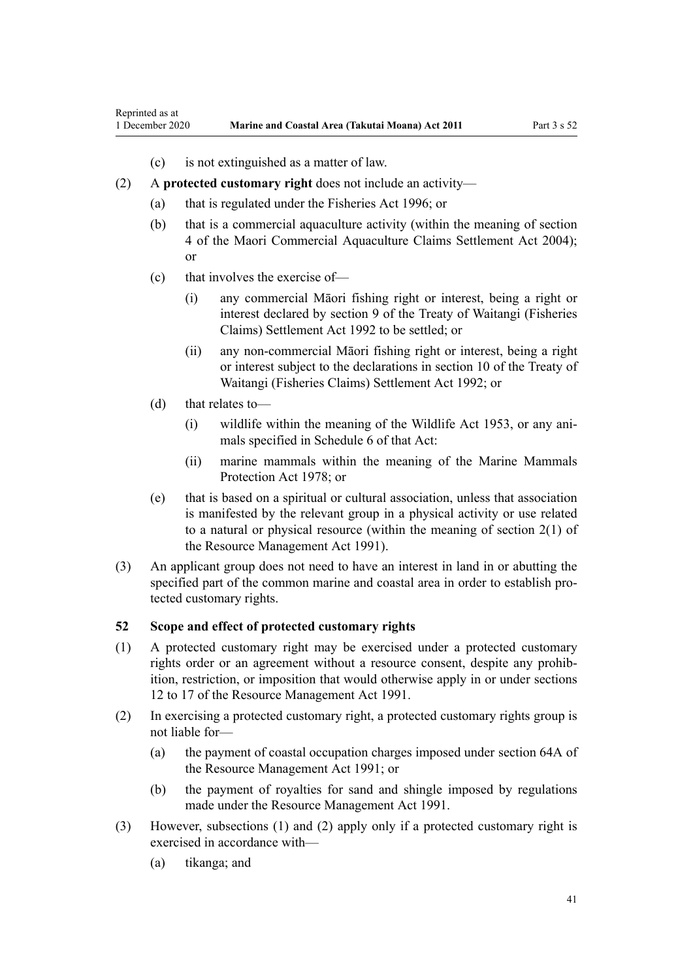- (c) is not extinguished as a matter of law.
- <span id="page-40-0"></span>(2) A **protected customary right** does not include an activity—
	- (a) that is regulated under the [Fisheries Act 1996](http://legislation.govt.nz/pdflink.aspx?id=DLM394191); or
	- (b) that is a commercial aquaculture activity (within the meaning of [section](http://legislation.govt.nz/pdflink.aspx?id=DLM324356) [4](http://legislation.govt.nz/pdflink.aspx?id=DLM324356) of the Maori Commercial Aquaculture Claims Settlement Act 2004); or
	- (c) that involves the exercise of—
		- (i) any commercial Māori fishing right or interest, being a right or interest declared by [section 9](http://legislation.govt.nz/pdflink.aspx?id=DLM281460) of the Treaty of Waitangi (Fisheries Claims) Settlement Act 1992 to be settled; or
		- (ii) any non-commercial Māori fishing right or interest, being a right or interest subject to the declarations in [section 10](http://legislation.govt.nz/pdflink.aspx?id=DLM281461) of the Treaty of Waitangi (Fisheries Claims) Settlement Act 1992; or
	- (d) that relates to—
		- (i) wildlife within the meaning of the [Wildlife Act 1953](http://legislation.govt.nz/pdflink.aspx?id=DLM276813), or any animals specified in [Schedule 6](http://legislation.govt.nz/pdflink.aspx?id=DLM278592) of that Act:
		- (ii) marine mammals within the meaning of the [Marine Mammals](http://legislation.govt.nz/pdflink.aspx?id=DLM25110) [Protection Act 1978;](http://legislation.govt.nz/pdflink.aspx?id=DLM25110) or
	- (e) that is based on a spiritual or cultural association, unless that association is manifested by the relevant group in a physical activity or use related to a natural or physical resource (within the meaning of [section 2\(1\)](http://legislation.govt.nz/pdflink.aspx?id=DLM230272) of the Resource Management Act 1991).
- (3) An applicant group does not need to have an interest in land in or abutting the specified part of the common marine and coastal area in order to establish protected customary rights.

# **52 Scope and effect of protected customary rights**

- (1) A protected customary right may be exercised under a protected customary rights order or an agreement without a resource consent, despite any prohibition, restriction, or imposition that would otherwise apply in or under [sections](http://legislation.govt.nz/pdflink.aspx?id=DLM231949) [12 to 17](http://legislation.govt.nz/pdflink.aspx?id=DLM231949) of the Resource Management Act 1991.
- (2) In exercising a protected customary right, a protected customary rights group is not liable for—
	- (a) the payment of coastal occupation charges imposed under [section 64A](http://legislation.govt.nz/pdflink.aspx?id=DLM233610) of the Resource Management Act 1991; or
	- (b) the payment of royalties for sand and shingle imposed by regulations made under the [Resource Management Act 1991](http://legislation.govt.nz/pdflink.aspx?id=DLM230264).
- (3) However, subsections (1) and (2) apply only if a protected customary right is exercised in accordance with—
	- (a) tikanga; and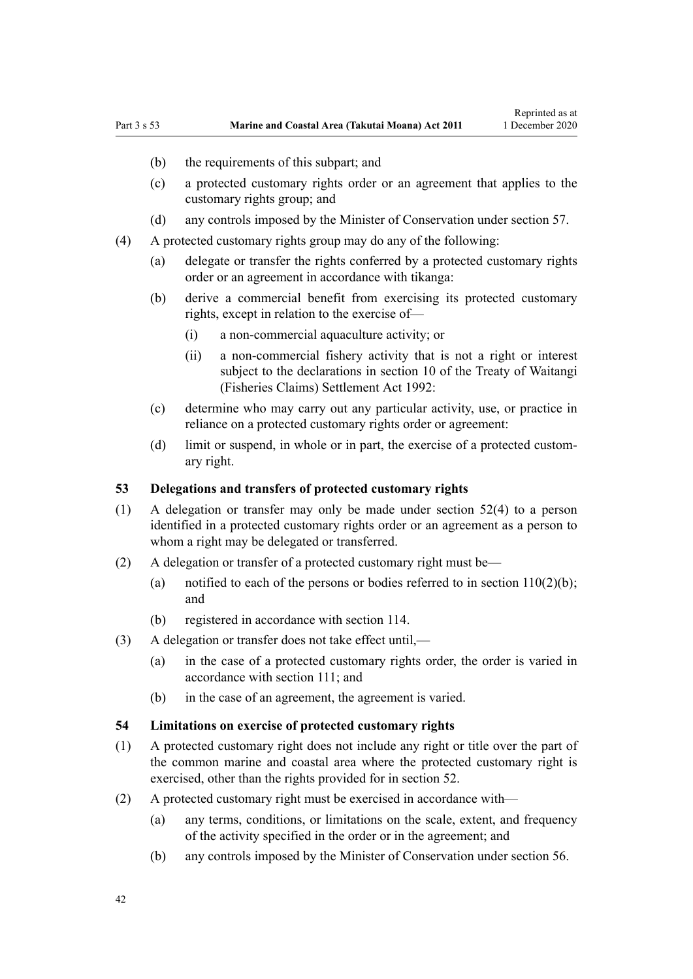- (b) the requirements of this subpart; and
- (c) a protected customary rights order or an agreement that applies to the customary rights group; and
- (d) any controls imposed by the Minister of Conservation under [section 57](#page-43-0).
- (4) A protected customary rights group may do any of the following:
	- (a) delegate or transfer the rights conferred by a protected customary rights order or an agreement in accordance with tikanga:
	- (b) derive a commercial benefit from exercising its protected customary rights, except in relation to the exercise of—
		- (i) a non-commercial aquaculture activity; or
		- (ii) a non-commercial fishery activity that is not a right or interest subject to the declarations in [section 10](http://legislation.govt.nz/pdflink.aspx?id=DLM281461) of the Treaty of Waitangi (Fisheries Claims) Settlement Act 1992:
	- (c) determine who may carry out any particular activity, use, or practice in reliance on a protected customary rights order or agreement:
	- (d) limit or suspend, in whole or in part, the exercise of a protected customary right.

### **53 Delegations and transfers of protected customary rights**

- (1) A delegation or transfer may only be made under [section 52\(4\)](#page-40-0) to a person identified in a protected customary rights order or an agreement as a person to whom a right may be delegated or transferred.
- (2) A delegation or transfer of a protected customary right must be—
	- (a) notified to each of the persons or bodies referred to in section  $110(2)(b)$ ; and
	- (b) registered in accordance with [section 114](#page-77-0).
- (3) A delegation or transfer does not take effect until,—
	- (a) in the case of a protected customary rights order, the order is varied in accordance with [section 111;](#page-75-0) and
	- (b) in the case of an agreement, the agreement is varied.

## **54 Limitations on exercise of protected customary rights**

- (1) A protected customary right does not include any right or title over the part of the common marine and coastal area where the protected customary right is exercised, other than the rights provided for in [section 52](#page-40-0).
- (2) A protected customary right must be exercised in accordance with—
	- (a) any terms, conditions, or limitations on the scale, extent, and frequency of the activity specified in the order or in the agreement; and
	- (b) any controls imposed by the Minister of Conservation under [section 56](#page-43-0).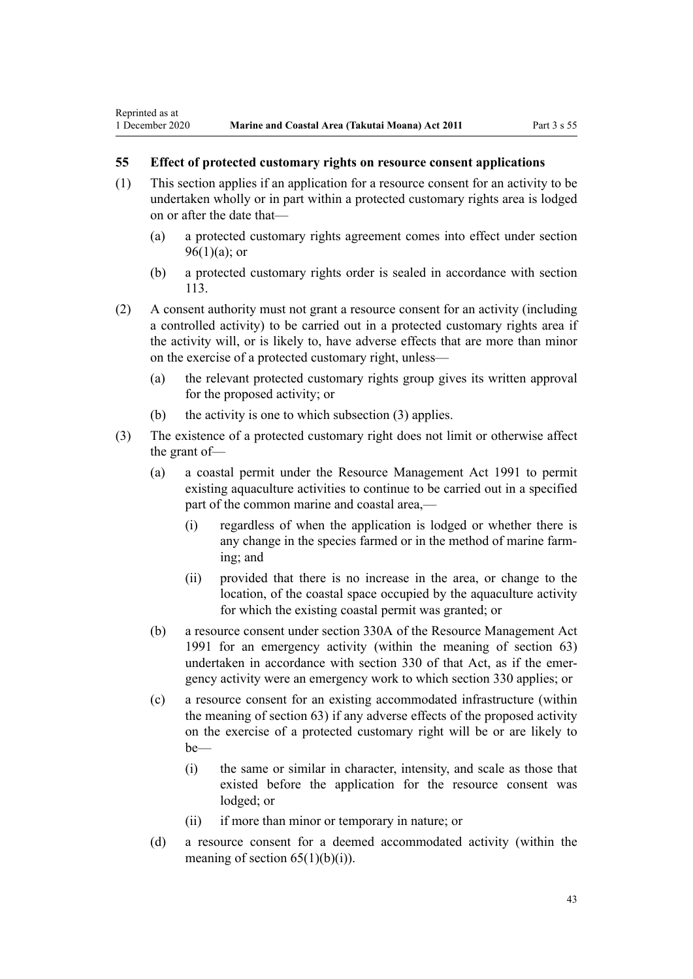Reprinted as at

# **55 Effect of protected customary rights on resource consent applications**

- (1) This section applies if an application for a resource consent for an activity to be undertaken wholly or in part within a protected customary rights area is lodged on or after the date that—
	- (a) a protected customary rights agreement comes into effect under [section](#page-69-0)  $96(1)(a)$ ; or
	- (b) a protected customary rights order is sealed in accordance with [section](#page-77-0) [113](#page-77-0).
- (2) A consent authority must not grant a resource consent for an activity (including a controlled activity) to be carried out in a protected customary rights area if the activity will, or is likely to, have adverse effects that are more than minor on the exercise of a protected customary right, unless—
	- (a) the relevant protected customary rights group gives its written approval for the proposed activity; or
	- (b) the activity is one to which subsection (3) applies.
- (3) The existence of a protected customary right does not limit or otherwise affect the grant of—
	- (a) a coastal permit under the [Resource Management Act 1991](http://legislation.govt.nz/pdflink.aspx?id=DLM230264) to permit existing aquaculture activities to continue to be carried out in a specified part of the common marine and coastal area,—
		- (i) regardless of when the application is lodged or whether there is any change in the species farmed or in the method of marine farming; and
		- (ii) provided that there is no increase in the area, or change to the location, of the coastal space occupied by the aquaculture activity for which the existing coastal permit was granted; or
	- (b) a resource consent under [section 330A](http://legislation.govt.nz/pdflink.aspx?id=DLM239008) of the Resource Management Act 1991 for an emergency activity (within the meaning of [section 63](#page-48-0)) undertaken in accordance with [section 330](http://legislation.govt.nz/pdflink.aspx?id=DLM239003) of that Act, as if the emergency activity were an emergency work to which section 330 applies; or
	- (c) a resource consent for an existing accommodated infrastructure (within the meaning of [section 63\)](#page-48-0) if any adverse effects of the proposed activity on the exercise of a protected customary right will be or are likely to be—
		- (i) the same or similar in character, intensity, and scale as those that existed before the application for the resource consent was lodged; or
		- (ii) if more than minor or temporary in nature; or
	- (d) a resource consent for a deemed accommodated activity (within the meaning of section  $65(1)(b)(i)$ .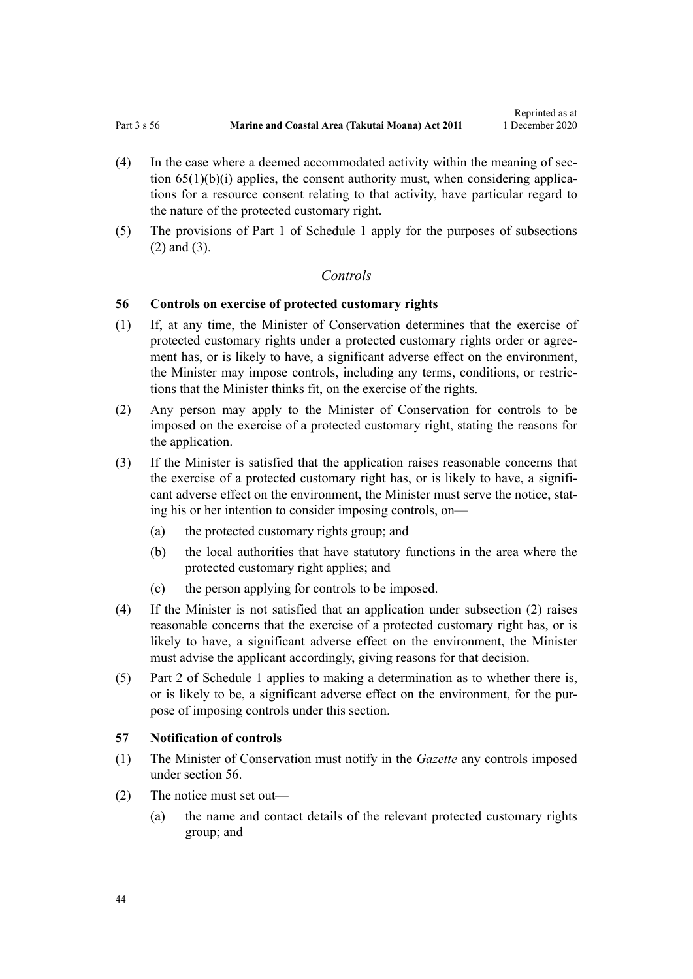- <span id="page-43-0"></span>(4) In the case where a deemed accommodated activity within the meaning of [sec](#page-51-0)tion  $65(1)(b)(i)$  applies, the consent authority must, when considering applications for a resource consent relating to that activity, have particular regard to the nature of the protected customary right.
- (5) The provisions of [Part 1](#page-84-0) of Schedule 1 apply for the purposes of subsections (2) and (3).

## *Controls*

## **56 Controls on exercise of protected customary rights**

- (1) If, at any time, the Minister of Conservation determines that the exercise of protected customary rights under a protected customary rights order or agreement has, or is likely to have, a significant adverse effect on the environment, the Minister may impose controls, including any terms, conditions, or restrictions that the Minister thinks fit, on the exercise of the rights.
- (2) Any person may apply to the Minister of Conservation for controls to be imposed on the exercise of a protected customary right, stating the reasons for the application.
- (3) If the Minister is satisfied that the application raises reasonable concerns that the exercise of a protected customary right has, or is likely to have, a significant adverse effect on the environment, the Minister must serve the notice, stating his or her intention to consider imposing controls, on—
	- (a) the protected customary rights group; and
	- (b) the local authorities that have statutory functions in the area where the protected customary right applies; and
	- (c) the person applying for controls to be imposed.
- (4) If the Minister is not satisfied that an application under subsection (2) raises reasonable concerns that the exercise of a protected customary right has, or is likely to have, a significant adverse effect on the environment, the Minister must advise the applicant accordingly, giving reasons for that decision.
- (5) [Part 2](#page-86-0) of Schedule 1 applies to making a determination as to whether there is, or is likely to be, a significant adverse effect on the environment, for the purpose of imposing controls under this section.

### **57 Notification of controls**

- (1) The Minister of Conservation must notify in the *Gazette* any controls imposed under section 56.
- (2) The notice must set out—
	- (a) the name and contact details of the relevant protected customary rights group; and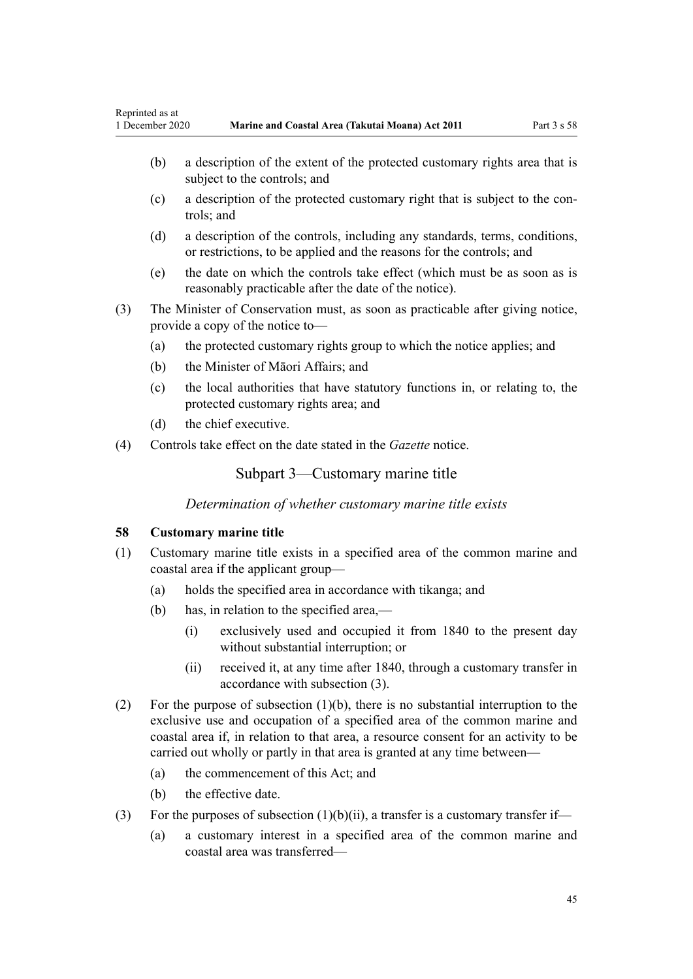- <span id="page-44-0"></span>(b) a description of the extent of the protected customary rights area that is subject to the controls; and
- (c) a description of the protected customary right that is subject to the controls; and
- (d) a description of the controls, including any standards, terms, conditions, or restrictions, to be applied and the reasons for the controls; and
- (e) the date on which the controls take effect (which must be as soon as is reasonably practicable after the date of the notice).
- (3) The Minister of Conservation must, as soon as practicable after giving notice, provide a copy of the notice to—
	- (a) the protected customary rights group to which the notice applies; and
	- (b) the Minister of Māori Affairs; and
	- (c) the local authorities that have statutory functions in, or relating to, the protected customary rights area; and
	- (d) the chief executive.
- (4) Controls take effect on the date stated in the *Gazette* notice.

# Subpart 3—Customary marine title

*Determination of whether customary marine title exists*

## **58 Customary marine title**

- (1) Customary marine title exists in a specified area of the common marine and coastal area if the applicant group—
	- (a) holds the specified area in accordance with tikanga; and
	- (b) has, in relation to the specified area,—
		- (i) exclusively used and occupied it from 1840 to the present day without substantial interruption; or
		- (ii) received it, at any time after 1840, through a customary transfer in accordance with subsection (3).
- (2) For the purpose of subsection (1)(b), there is no substantial interruption to the exclusive use and occupation of a specified area of the common marine and coastal area if, in relation to that area, a resource consent for an activity to be carried out wholly or partly in that area is granted at any time between—
	- (a) the commencement of this Act; and
	- (b) the effective date.
- (3) For the purposes of subsection  $(1)(b)(ii)$ , a transfer is a customary transfer if—
	- (a) a customary interest in a specified area of the common marine and coastal area was transferred—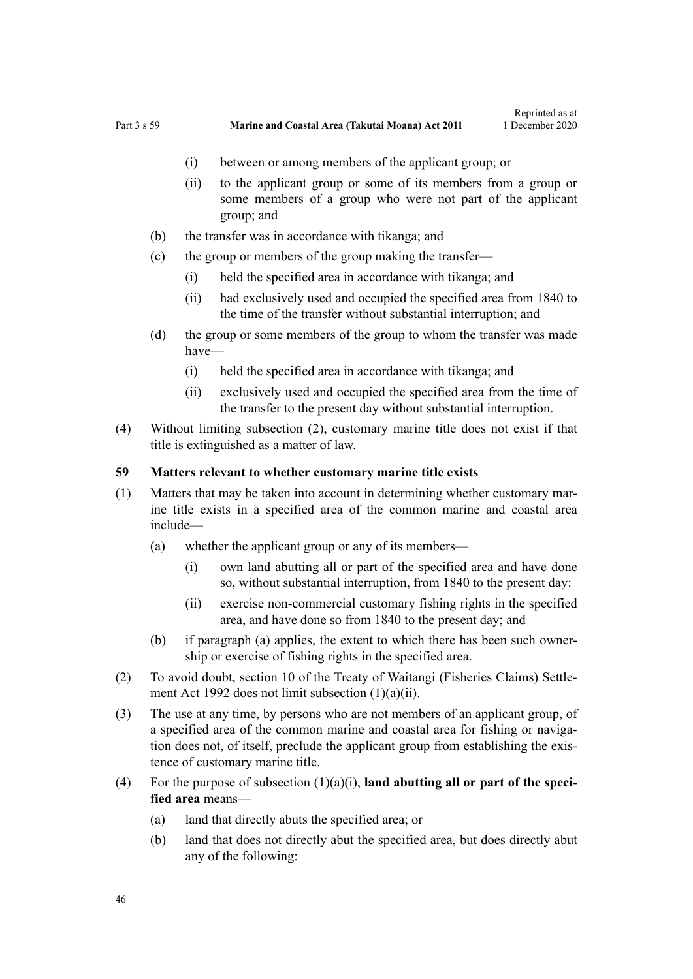- (i) between or among members of the applicant group; or
- (ii) to the applicant group or some of its members from a group or some members of a group who were not part of the applicant group; and
- (b) the transfer was in accordance with tikanga; and
- (c) the group or members of the group making the transfer—
	- (i) held the specified area in accordance with tikanga; and
	- (ii) had exclusively used and occupied the specified area from 1840 to the time of the transfer without substantial interruption; and
- (d) the group or some members of the group to whom the transfer was made have—
	- (i) held the specified area in accordance with tikanga; and
	- (ii) exclusively used and occupied the specified area from the time of the transfer to the present day without substantial interruption.
- (4) Without limiting subsection (2), customary marine title does not exist if that title is extinguished as a matter of law.

### **59 Matters relevant to whether customary marine title exists**

- (1) Matters that may be taken into account in determining whether customary marine title exists in a specified area of the common marine and coastal area include—
	- (a) whether the applicant group or any of its members—
		- (i) own land abutting all or part of the specified area and have done so, without substantial interruption, from 1840 to the present day:
		- (ii) exercise non-commercial customary fishing rights in the specified area, and have done so from 1840 to the present day; and
	- (b) if paragraph (a) applies, the extent to which there has been such ownership or exercise of fishing rights in the specified area.
- (2) To avoid doubt, [section 10](http://legislation.govt.nz/pdflink.aspx?id=DLM281461) of the Treaty of Waitangi (Fisheries Claims) Settlement Act 1992 does not limit subsection (1)(a)(ii).
- (3) The use at any time, by persons who are not members of an applicant group, of a specified area of the common marine and coastal area for fishing or navigation does not, of itself, preclude the applicant group from establishing the existence of customary marine title.
- (4) For the purpose of subsection  $(1)(a)(i)$ , **land abutting all or part of the specified area** means—
	- (a) land that directly abuts the specified area; or
	- (b) land that does not directly abut the specified area, but does directly abut any of the following: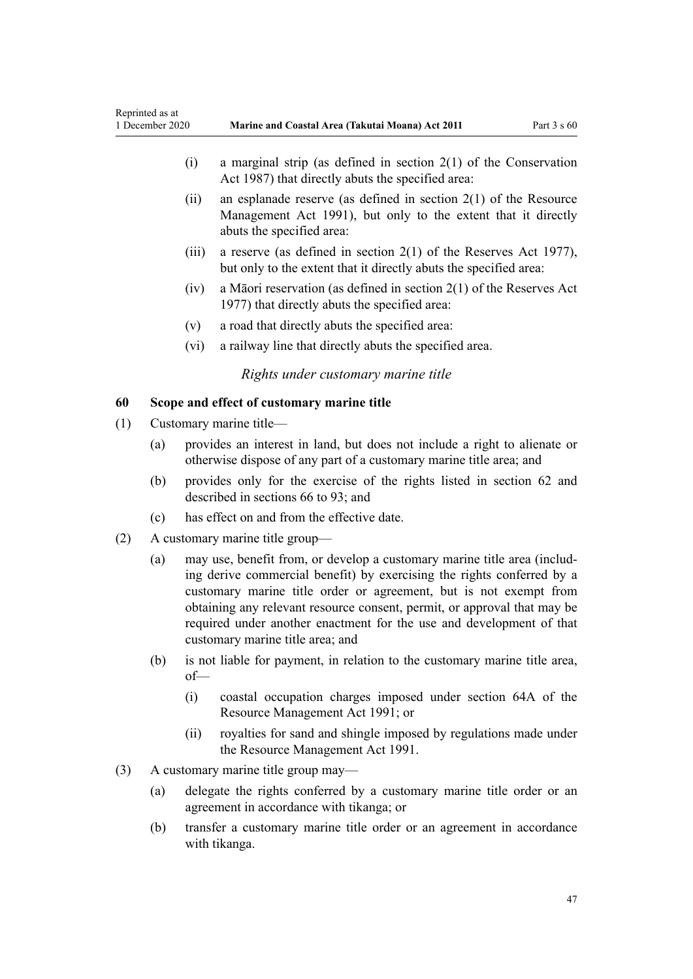<span id="page-46-0"></span>

| Reprinted as at<br>1 December 2020  |                                            |                                                                                                                                                                                                                                                                                                                                                                                                                 | Marine and Coastal Area (Takutai Moana) Act 2011                                                                                                                 | Part $3 s 60$ |  |
|-------------------------------------|--------------------------------------------|-----------------------------------------------------------------------------------------------------------------------------------------------------------------------------------------------------------------------------------------------------------------------------------------------------------------------------------------------------------------------------------------------------------------|------------------------------------------------------------------------------------------------------------------------------------------------------------------|---------------|--|
|                                     |                                            | (i)                                                                                                                                                                                                                                                                                                                                                                                                             | a marginal strip (as defined in section $2(1)$ of the Conservation<br>Act 1987) that directly abuts the specified area:                                          |               |  |
|                                     |                                            | (ii)                                                                                                                                                                                                                                                                                                                                                                                                            | an esplanade reserve (as defined in section $2(1)$ of the Resource<br>Management Act 1991), but only to the extent that it directly<br>abuts the specified area: |               |  |
|                                     |                                            | (iii)                                                                                                                                                                                                                                                                                                                                                                                                           | a reserve (as defined in section $2(1)$ of the Reserves Act 1977),<br>but only to the extent that it directly abuts the specified area:                          |               |  |
|                                     |                                            | (iv)                                                                                                                                                                                                                                                                                                                                                                                                            | a Māori reservation (as defined in section $2(1)$ of the Reserves Act<br>1977) that directly abuts the specified area:                                           |               |  |
|                                     |                                            | (v)                                                                                                                                                                                                                                                                                                                                                                                                             | a road that directly abuts the specified area:                                                                                                                   |               |  |
|                                     |                                            | (vi)                                                                                                                                                                                                                                                                                                                                                                                                            | a railway line that directly abuts the specified area.                                                                                                           |               |  |
| Rights under customary marine title |                                            |                                                                                                                                                                                                                                                                                                                                                                                                                 |                                                                                                                                                                  |               |  |
| 60                                  | Scope and effect of customary marine title |                                                                                                                                                                                                                                                                                                                                                                                                                 |                                                                                                                                                                  |               |  |
| (1)                                 | Customary marine title-                    |                                                                                                                                                                                                                                                                                                                                                                                                                 |                                                                                                                                                                  |               |  |
|                                     | (a)                                        | provides an interest in land, but does not include a right to alienate or<br>otherwise dispose of any part of a customary marine title area; and                                                                                                                                                                                                                                                                |                                                                                                                                                                  |               |  |
|                                     | (b)                                        | provides only for the exercise of the rights listed in section 62 and<br>described in sections 66 to 93; and                                                                                                                                                                                                                                                                                                    |                                                                                                                                                                  |               |  |
|                                     | (c)                                        | has effect on and from the effective date.                                                                                                                                                                                                                                                                                                                                                                      |                                                                                                                                                                  |               |  |
| (2)                                 | A customary marine title group—            |                                                                                                                                                                                                                                                                                                                                                                                                                 |                                                                                                                                                                  |               |  |
|                                     | (a)                                        | may use, benefit from, or develop a customary marine title area (includ-<br>ing derive commercial benefit) by exercising the rights conferred by a<br>customary marine title order or agreement, but is not exempt from<br>obtaining any relevant resource consent, permit, or approval that may be<br>required under another enactment for the use and development of that<br>customary marine title area; and |                                                                                                                                                                  |               |  |
|                                     | (b)                                        | $of$ —                                                                                                                                                                                                                                                                                                                                                                                                          | is not liable for payment, in relation to the customary marine title area,                                                                                       |               |  |
|                                     |                                            | (i)                                                                                                                                                                                                                                                                                                                                                                                                             | coastal occupation charges imposed under section 64A of the<br>Resource Management Act 1991; or                                                                  |               |  |
|                                     |                                            | (ii)                                                                                                                                                                                                                                                                                                                                                                                                            | royalties for sand and shingle imposed by regulations made under<br>the Resource Management Act 1991.                                                            |               |  |
| (3)                                 | A customary marine title group may-        |                                                                                                                                                                                                                                                                                                                                                                                                                 |                                                                                                                                                                  |               |  |
|                                     | (a)                                        | delegate the rights conferred by a customary marine title order or an<br>agreement in accordance with tikanga; or                                                                                                                                                                                                                                                                                               |                                                                                                                                                                  |               |  |
|                                     | (b)                                        |                                                                                                                                                                                                                                                                                                                                                                                                                 | transfer a customary marine title order or an agreement in accordance<br>with tikanga.                                                                           |               |  |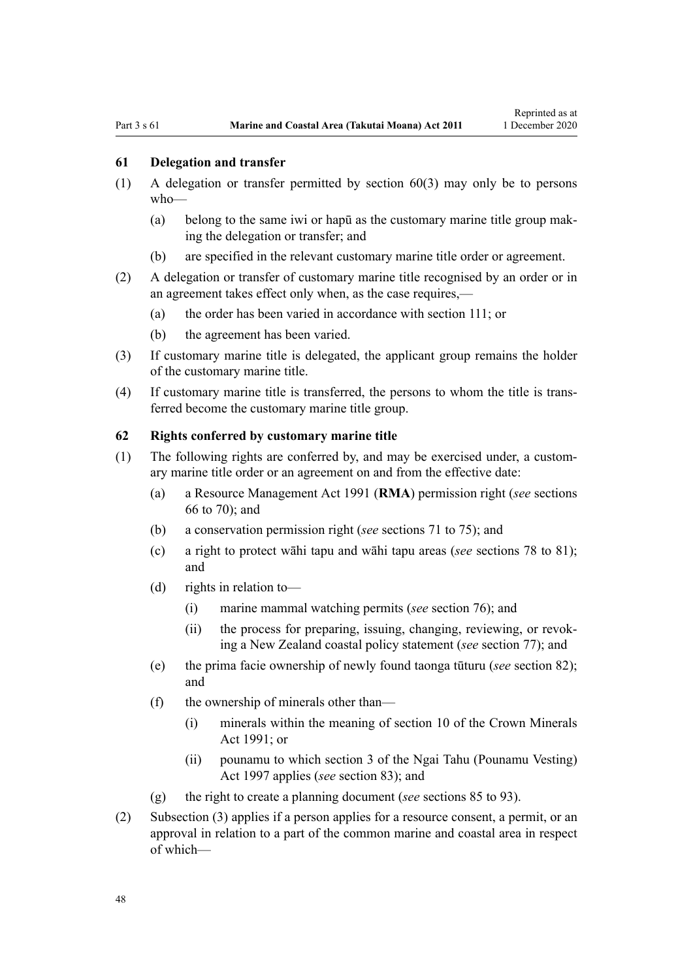### <span id="page-47-0"></span>**61 Delegation and transfer**

- (1) A delegation or transfer permitted by [section 60\(3\)](#page-46-0) may only be to persons who—
	- (a) belong to the same iwi or hapū as the customary marine title group making the delegation or transfer; and
	- (b) are specified in the relevant customary marine title order or agreement.
- (2) A delegation or transfer of customary marine title recognised by an order or in an agreement takes effect only when, as the case requires,—
	- (a) the order has been varied in accordance with [section 111](#page-75-0); or
	- (b) the agreement has been varied.
- (3) If customary marine title is delegated, the applicant group remains the holder of the customary marine title.
- (4) If customary marine title is transferred, the persons to whom the title is transferred become the customary marine title group.

### **62 Rights conferred by customary marine title**

- (1) The following rights are conferred by, and may be exercised under, a customary marine title order or an agreement on and from the effective date:
	- (a) a [Resource Management Act 1991](http://legislation.govt.nz/pdflink.aspx?id=DLM230264) (**RMA**) permission right (*see* [sections](#page-52-0) [66 to 70\)](#page-52-0); and
	- (b) a conservation permission right (*see* [sections 71 to 75\)](#page-55-0); and
	- (c) a right to protect wāhi tapu and wāhi tapu areas (*see* [sections 78 to 81](#page-59-0)); and
	- (d) rights in relation to—
		- (i) marine mammal watching permits (*see* [section 76\)](#page-58-0); and
		- (ii) the process for preparing, issuing, changing, reviewing, or revoking a New Zealand coastal policy statement (*see* [section 77\)](#page-59-0); and
	- (e) the prima facie ownership of newly found taonga tūturu (*see* [section 82](#page-62-0)); and
	- (f) the ownership of minerals other than—
		- (i) minerals within the meaning of [section 10](http://legislation.govt.nz/pdflink.aspx?id=DLM246310) of the Crown Minerals Act 1991; or
		- (ii) pounamu to which [section 3](http://legislation.govt.nz/pdflink.aspx?id=DLM413605) of the Ngai Tahu (Pounamu Vesting) Act 1997 applies (*see* [section 83](#page-63-0)); and
	- (g) the right to create a planning document (*see* [sections 85 to 93](#page-64-0)).
- (2) Subsection (3) applies if a person applies for a resource consent, a permit, or an approval in relation to a part of the common marine and coastal area in respect of which—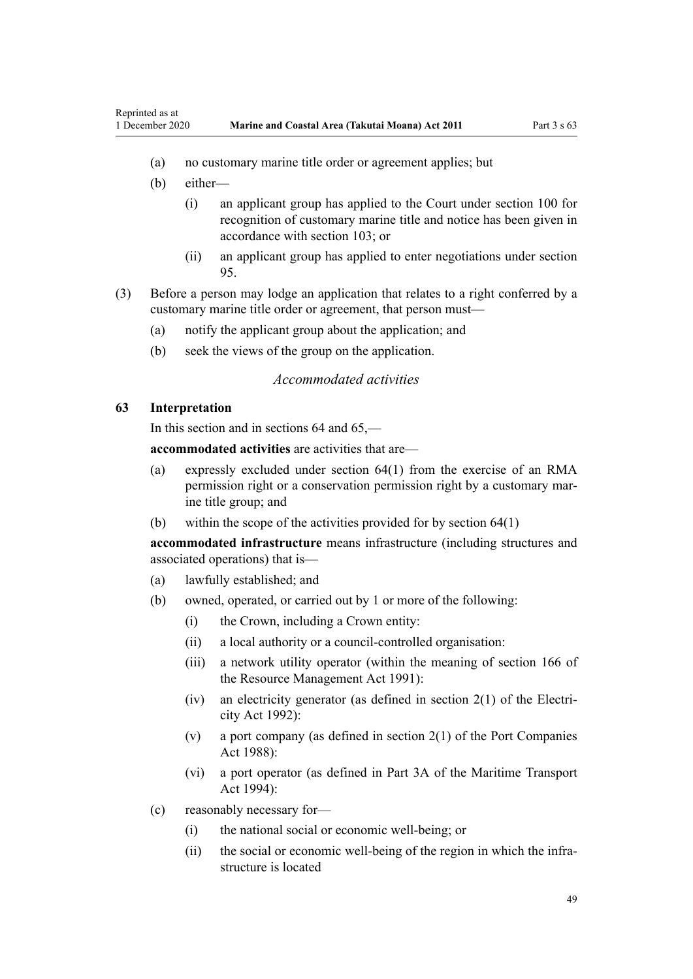- (a) no customary marine title order or agreement applies; but
- (b) either—

<span id="page-48-0"></span>Reprinted as at

- (i) an applicant group has applied to the Court under [section 100](#page-71-0) for recognition of customary marine title and notice has been given in accordance with [section 103;](#page-72-0) or
- (ii) an applicant group has applied to enter negotiations under [section](#page-69-0) [95.](#page-69-0)
- (3) Before a person may lodge an application that relates to a right conferred by a customary marine title order or agreement, that person must—
	- (a) notify the applicant group about the application; and
	- (b) seek the views of the group on the application.

# *Accommodated activities*

### **63 Interpretation**

In this section and in [sections 64](#page-50-0) and [65](#page-51-0),—

**accommodated activities** are activities that are—

- (a) expressly excluded under [section 64\(1\)](#page-50-0) from the exercise of an RMA permission right or a conservation permission right by a customary marine title group; and
- (b) within the scope of the activities provided for by [section 64\(1\)](#page-50-0)

**accommodated infrastructure** means infrastructure (including structures and associated operations) that is—

- (a) lawfully established; and
- (b) owned, operated, or carried out by 1 or more of the following:
	- (i) the Crown, including a Crown entity:
	- (ii) a local authority or a council-controlled organisation:
	- (iii) a network utility operator (within the meaning of [section 166](http://legislation.govt.nz/pdflink.aspx?id=DLM236206) of the Resource Management Act 1991):
	- (iv) an electricity generator (as defined in [section 2\(1\)](http://legislation.govt.nz/pdflink.aspx?id=DLM281866) of the Electricity Act 1992):
	- (v) a port company (as defined in [section 2\(1\)](http://legislation.govt.nz/pdflink.aspx?id=DLM131688) of the Port Companies Act 1988):
	- (vi) a port operator (as defined in [Part 3A](http://legislation.govt.nz/pdflink.aspx?id=DLM5689750) of the Maritime Transport Act 1994):
- (c) reasonably necessary for—
	- (i) the national social or economic well-being; or
	- (ii) the social or economic well-being of the region in which the infrastructure is located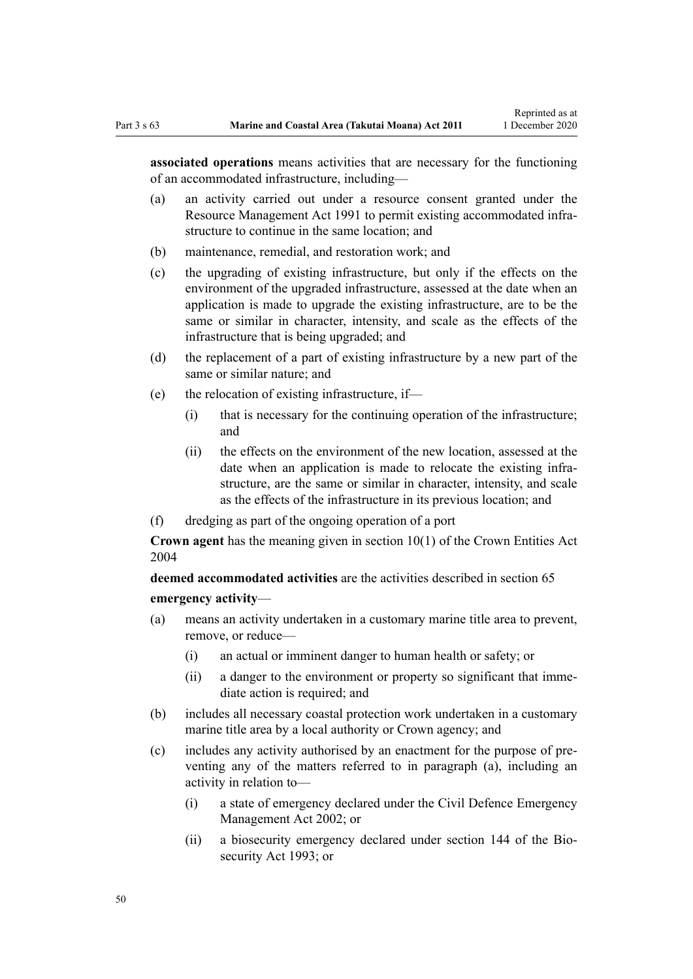**associated operations** means activities that are necessary for the functioning of an accommodated infrastructure, including—

- (a) an activity carried out under a resource consent granted under the [Resource Management Act 1991](http://legislation.govt.nz/pdflink.aspx?id=DLM230264) to permit existing accommodated infrastructure to continue in the same location; and
- (b) maintenance, remedial, and restoration work; and
- (c) the upgrading of existing infrastructure, but only if the effects on the environment of the upgraded infrastructure, assessed at the date when an application is made to upgrade the existing infrastructure, are to be the same or similar in character, intensity, and scale as the effects of the infrastructure that is being upgraded; and
- (d) the replacement of a part of existing infrastructure by a new part of the same or similar nature; and
- (e) the relocation of existing infrastructure, if—
	- (i) that is necessary for the continuing operation of the infrastructure; and
	- (ii) the effects on the environment of the new location, assessed at the date when an application is made to relocate the existing infrastructure, are the same or similar in character, intensity, and scale as the effects of the infrastructure in its previous location; and
- (f) dredging as part of the ongoing operation of a port

**Crown agent** has the meaning given in [section 10\(1\)](http://legislation.govt.nz/pdflink.aspx?id=DLM329649) of the Crown Entities Act 2004

**deemed accommodated activities** are the activities described in [section 65](#page-51-0) **emergency activity**—

- (a) means an activity undertaken in a customary marine title area to prevent, remove, or reduce—
	- (i) an actual or imminent danger to human health or safety; or
	- (ii) a danger to the environment or property so significant that immediate action is required; and
- (b) includes all necessary coastal protection work undertaken in a customary marine title area by a local authority or Crown agency; and
- (c) includes any activity authorised by an enactment for the purpose of preventing any of the matters referred to in paragraph (a), including an activity in relation to—
	- (i) a state of emergency declared under the [Civil Defence Emergency](http://legislation.govt.nz/pdflink.aspx?id=DLM149788) [Management Act 2002;](http://legislation.govt.nz/pdflink.aspx?id=DLM149788) or
	- (ii) a biosecurity emergency declared under [section 144](http://legislation.govt.nz/pdflink.aspx?id=DLM316395) of the Biosecurity Act 1993; or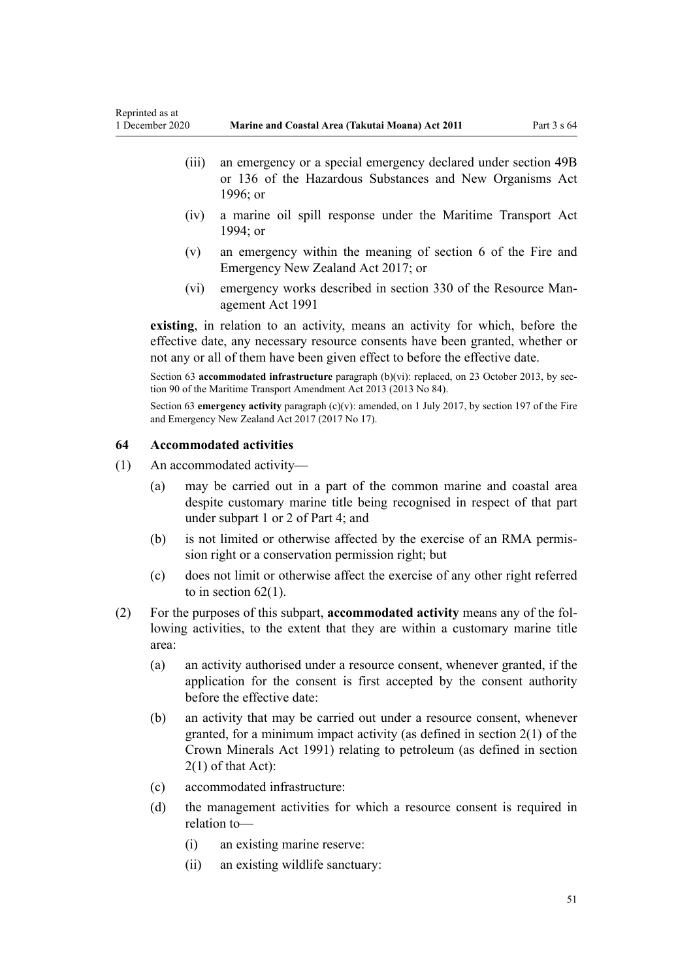- <span id="page-50-0"></span>(iii) an emergency or a special emergency declared under [section 49B](http://legislation.govt.nz/pdflink.aspx?id=DLM384019) or [136](http://legislation.govt.nz/pdflink.aspx?id=DLM384998) of the Hazardous Substances and New Organisms Act 1996; or
- (iv) a marine oil spill response under the [Maritime Transport Act](http://legislation.govt.nz/pdflink.aspx?id=DLM334659) [1994](http://legislation.govt.nz/pdflink.aspx?id=DLM334659); or
- (v) an emergency within the meaning of [section 6](http://legislation.govt.nz/pdflink.aspx?id=DLM6678613) of the Fire and Emergency New Zealand Act 2017; or
- (vi) emergency works described in [section 330](http://legislation.govt.nz/pdflink.aspx?id=DLM239003) of the Resource Management Act 1991

**existing**, in relation to an activity, means an activity for which, before the effective date, any necessary resource consents have been granted, whether or not any or all of them have been given effect to before the effective date.

Section 63 **accommodated infrastructure** paragraph (b)(vi): replaced, on 23 October 2013, by [sec](http://legislation.govt.nz/pdflink.aspx?id=DLM4698973)[tion 90](http://legislation.govt.nz/pdflink.aspx?id=DLM4698973) of the Maritime Transport Amendment Act 2013 (2013 No 84).

Section 63 **emergency activity** paragraph (c)(v): amended, on 1 July 2017, by [section 197](http://legislation.govt.nz/pdflink.aspx?id=DLM6678752) of the Fire and Emergency New Zealand Act 2017 (2017 No 17).

## **64 Accommodated activities**

- (1) An accommodated activity—
	- (a) may be carried out in a part of the common marine and coastal area despite customary marine title being recognised in respect of that part under [subpart 1](#page-69-0) or [2](#page-70-0) of Part 4; and
	- (b) is not limited or otherwise affected by the exercise of an RMA permission right or a conservation permission right; but
	- (c) does not limit or otherwise affect the exercise of any other right referred to in section  $62(1)$ .
- (2) For the purposes of this subpart, **accommodated activity** means any of the following activities, to the extent that they are within a customary marine title area:
	- (a) an activity authorised under a resource consent, whenever granted, if the application for the consent is first accepted by the consent authority before the effective date:
	- (b) an activity that may be carried out under a resource consent, whenever granted, for a minimum impact activity (as defined in [section 2\(1\)](http://legislation.govt.nz/pdflink.aspx?id=DLM242543) of the Crown Minerals Act 1991) relating to petroleum (as defined in section 2(1) of that Act):
	- (c) accommodated infrastructure:
	- (d) the management activities for which a resource consent is required in relation to—
		- (i) an existing marine reserve:
		- (ii) an existing wildlife sanctuary: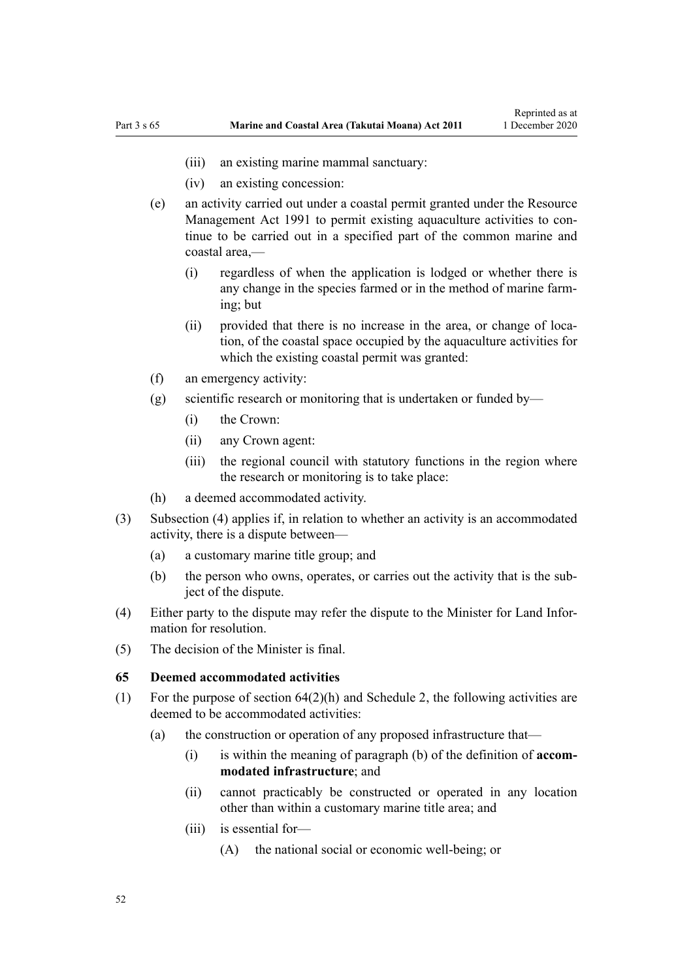- <span id="page-51-0"></span>(iii) an existing marine mammal sanctuary:
- (iv) an existing concession:
- (e) an activity carried out under a coastal permit granted under the [Resource](http://legislation.govt.nz/pdflink.aspx?id=DLM230264) [Management Act 1991](http://legislation.govt.nz/pdflink.aspx?id=DLM230264) to permit existing aquaculture activities to continue to be carried out in a specified part of the common marine and coastal area,—
	- (i) regardless of when the application is lodged or whether there is any change in the species farmed or in the method of marine farming; but
	- (ii) provided that there is no increase in the area, or change of location, of the coastal space occupied by the aquaculture activities for which the existing coastal permit was granted:
- (f) an emergency activity:
- (g) scientific research or monitoring that is undertaken or funded by—
	- (i) the Crown:
	- (ii) any Crown agent:
	- (iii) the regional council with statutory functions in the region where the research or monitoring is to take place:
- (h) a deemed accommodated activity.
- (3) Subsection (4) applies if, in relation to whether an activity is an accommodated activity, there is a dispute between—
	- (a) a customary marine title group; and
	- (b) the person who owns, operates, or carries out the activity that is the subject of the dispute.
- (4) Either party to the dispute may refer the dispute to the Minister for Land Information for resolution.
- (5) The decision of the Minister is final.

#### **65 Deemed accommodated activities**

- (1) For the purpose of [section 64\(2\)\(h\)](#page-50-0) and [Schedule 2](#page-92-0), the following activities are deemed to be accommodated activities:
	- (a) the construction or operation of any proposed infrastructure that—
		- (i) is within the meaning of paragraph (b) of the definition of **accommodated infrastructure**; and
		- (ii) cannot practicably be constructed or operated in any location other than within a customary marine title area; and
		- (iii) is essential for—
			- (A) the national social or economic well-being; or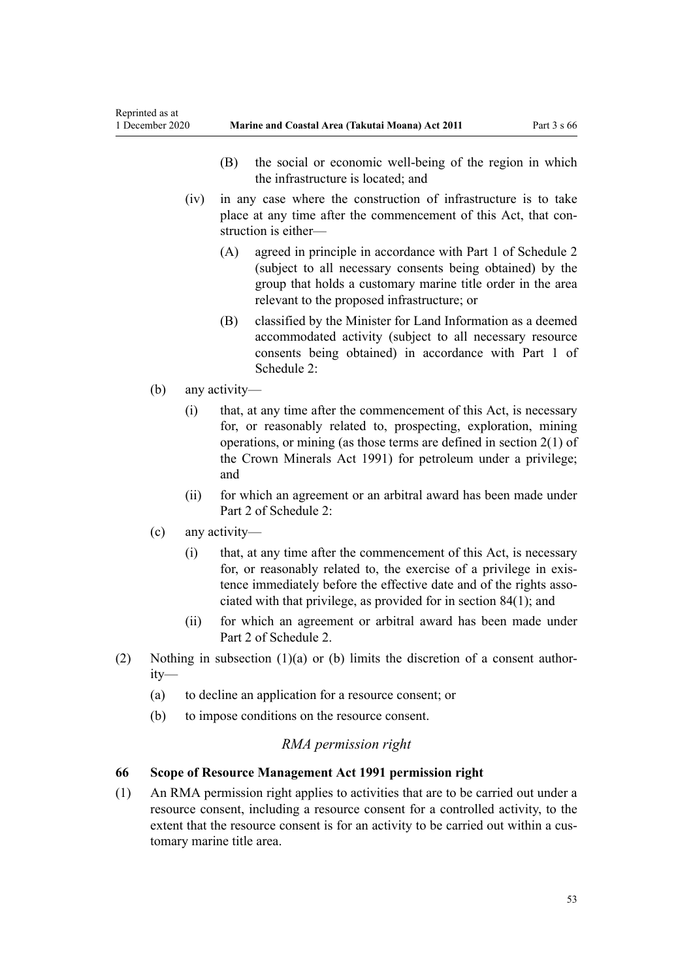- (B) the social or economic well-being of the region in which the infrastructure is located; and
- <span id="page-52-0"></span>(iv) in any case where the construction of infrastructure is to take place at any time after the commencement of this Act, that construction is either—
	- (A) agreed in principle in accordance with [Part 1](#page-92-0) of Schedule 2 (subject to all necessary consents being obtained) by the group that holds a customary marine title order in the area relevant to the proposed infrastructure; or
	- (B) classified by the Minister for Land Information as a deemed accommodated activity (subject to all necessary resource consents being obtained) in accordance with [Part 1](#page-92-0) of Schedule 2:
- (b) any activity—
	- (i) that, at any time after the commencement of this Act, is necessary for, or reasonably related to, prospecting, exploration, mining operations, or mining (as those terms are defined in [section 2\(1\)](http://legislation.govt.nz/pdflink.aspx?id=DLM242543) of the Crown Minerals Act 1991) for petroleum under a privilege; and
	- (ii) for which an agreement or an arbitral award has been made under [Part 2](#page-95-0) of Schedule 2:
- (c) any activity—
	- (i) that, at any time after the commencement of this Act, is necessary for, or reasonably related to, the exercise of a privilege in existence immediately before the effective date and of the rights associated with that privilege, as provided for in [section 84\(1\)](#page-63-0); and
	- (ii) for which an agreement or arbitral award has been made under [Part 2](#page-95-0) of Schedule 2.
- (2) Nothing in subsection  $(1)(a)$  or (b) limits the discretion of a consent authority—
	- (a) to decline an application for a resource consent; or
	- (b) to impose conditions on the resource consent.

# *RMA permission right*

# **66 Scope of Resource Management Act 1991 permission right**

(1) An RMA permission right applies to activities that are to be carried out under a resource consent, including a resource consent for a controlled activity, to the extent that the resource consent is for an activity to be carried out within a customary marine title area.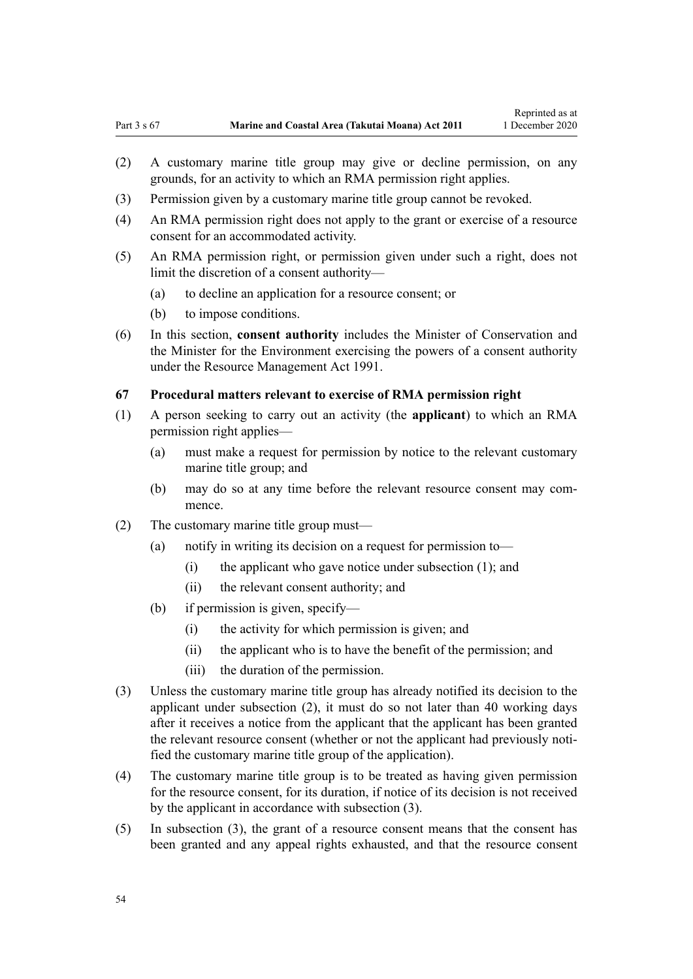- <span id="page-53-0"></span>(2) A customary marine title group may give or decline permission, on any grounds, for an activity to which an RMA permission right applies.
- (3) Permission given by a customary marine title group cannot be revoked.
- (4) An RMA permission right does not apply to the grant or exercise of a resource consent for an accommodated activity.
- (5) An RMA permission right, or permission given under such a right, does not limit the discretion of a consent authority—
	- (a) to decline an application for a resource consent; or
	- (b) to impose conditions.
- (6) In this section, **consent authority** includes the Minister of Conservation and the Minister for the Environment exercising the powers of a consent authority under the [Resource Management Act 1991](http://legislation.govt.nz/pdflink.aspx?id=DLM230264).

### **67 Procedural matters relevant to exercise of RMA permission right**

- (1) A person seeking to carry out an activity (the **applicant**) to which an RMA permission right applies—
	- (a) must make a request for permission by notice to the relevant customary marine title group; and
	- (b) may do so at any time before the relevant resource consent may commence.
- (2) The customary marine title group must—
	- (a) notify in writing its decision on a request for permission to—
		- (i) the applicant who gave notice under subsection (1); and
		- (ii) the relevant consent authority; and
	- (b) if permission is given, specify—
		- (i) the activity for which permission is given; and
		- (ii) the applicant who is to have the benefit of the permission; and
		- (iii) the duration of the permission.
- (3) Unless the customary marine title group has already notified its decision to the applicant under subsection (2), it must do so not later than 40 working days after it receives a notice from the applicant that the applicant has been granted the relevant resource consent (whether or not the applicant had previously notified the customary marine title group of the application).
- (4) The customary marine title group is to be treated as having given permission for the resource consent, for its duration, if notice of its decision is not received by the applicant in accordance with subsection (3).
- (5) In subsection (3), the grant of a resource consent means that the consent has been granted and any appeal rights exhausted, and that the resource consent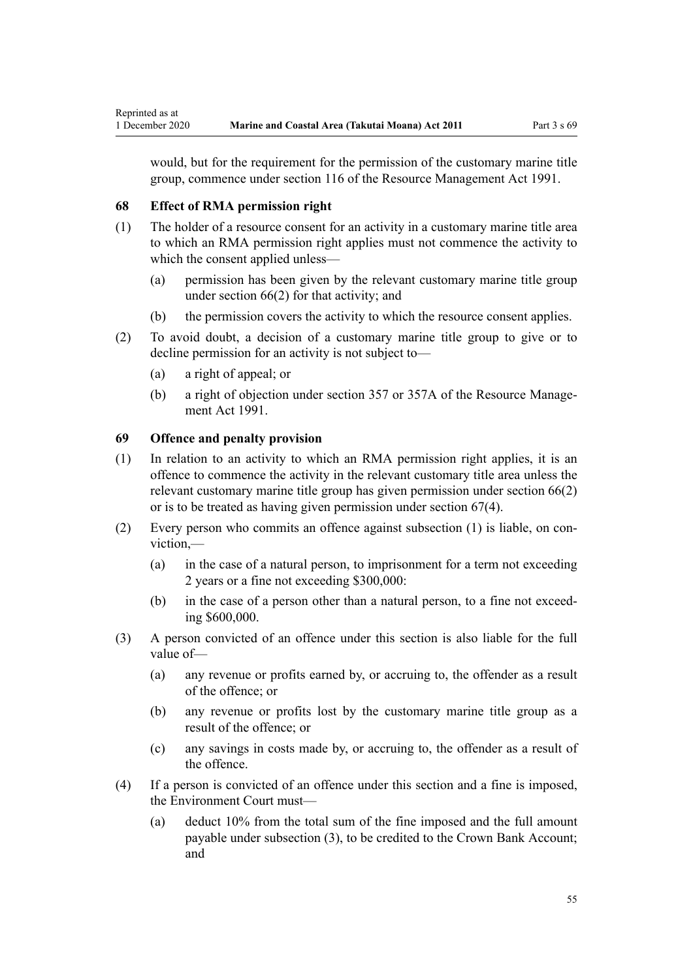would, but for the requirement for the permission of the customary marine title group, commence under [section 116](http://legislation.govt.nz/pdflink.aspx?id=DLM234865) of the Resource Management Act 1991.

# **68 Effect of RMA permission right**

- (1) The holder of a resource consent for an activity in a customary marine title area to which an RMA permission right applies must not commence the activity to which the consent applied unless—
	- (a) permission has been given by the relevant customary marine title group under [section 66\(2\)](#page-52-0) for that activity; and
	- (b) the permission covers the activity to which the resource consent applies.
- (2) To avoid doubt, a decision of a customary marine title group to give or to decline permission for an activity is not subject to—
	- (a) a right of appeal; or
	- (b) a right of objection under [section 357](http://legislation.govt.nz/pdflink.aspx?id=DLM239342) or [357A](http://legislation.govt.nz/pdflink.aspx?id=DLM239356) of the Resource Management Act 1991.

# **69 Offence and penalty provision**

- (1) In relation to an activity to which an RMA permission right applies, it is an offence to commence the activity in the relevant customary title area unless the relevant customary marine title group has given permission under [section 66\(2\)](#page-52-0) or is to be treated as having given permission under [section 67\(4\).](#page-53-0)
- (2) Every person who commits an offence against subsection (1) is liable, on conviction,—
	- (a) in the case of a natural person, to imprisonment for a term not exceeding 2 years or a fine not exceeding \$300,000:
	- (b) in the case of a person other than a natural person, to a fine not exceeding \$600,000.
- (3) A person convicted of an offence under this section is also liable for the full value of—
	- (a) any revenue or profits earned by, or accruing to, the offender as a result of the offence; or
	- (b) any revenue or profits lost by the customary marine title group as a result of the offence; or
	- (c) any savings in costs made by, or accruing to, the offender as a result of the offence.
- (4) If a person is convicted of an offence under this section and a fine is imposed, the Environment Court must—
	- (a) deduct 10% from the total sum of the fine imposed and the full amount payable under subsection (3), to be credited to the Crown Bank Account; and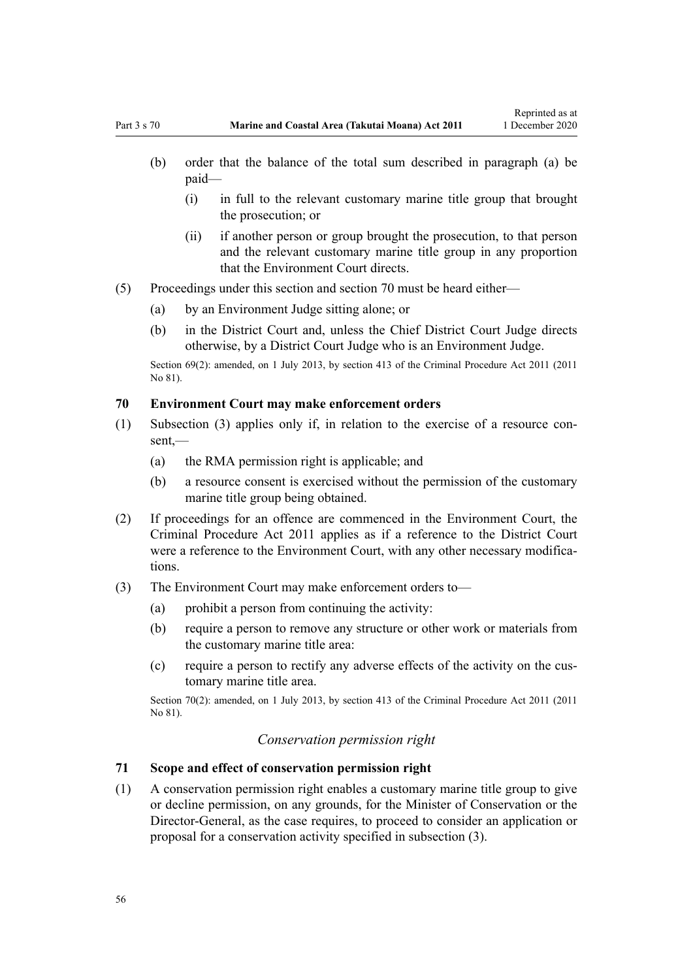- <span id="page-55-0"></span>(i) in full to the relevant customary marine title group that brought the prosecution; or
- (ii) if another person or group brought the prosecution, to that person and the relevant customary marine title group in any proportion that the Environment Court directs.
- (5) Proceedings under this section and section 70 must be heard either—
	- (a) by an Environment Judge sitting alone; or
	- (b) in the District Court and, unless the Chief District Court Judge directs otherwise, by a District Court Judge who is an Environment Judge.

Section 69(2): amended, on 1 July 2013, by [section 413](http://legislation.govt.nz/pdflink.aspx?id=DLM3360714) of the Criminal Procedure Act 2011 (2011) No 81).

### **70 Environment Court may make enforcement orders**

- (1) Subsection (3) applies only if, in relation to the exercise of a resource consent,—
	- (a) the RMA permission right is applicable; and
	- (b) a resource consent is exercised without the permission of the customary marine title group being obtained.
- (2) If proceedings for an offence are commenced in the Environment Court, the [Criminal Procedure Act 2011](http://legislation.govt.nz/pdflink.aspx?id=DLM3359902) applies as if a reference to the District Court were a reference to the Environment Court, with any other necessary modifications.
- (3) The Environment Court may make enforcement orders to—
	- $(a)$  prohibit a person from continuing the activity:
	- (b) require a person to remove any structure or other work or materials from the customary marine title area:
	- (c) require a person to rectify any adverse effects of the activity on the customary marine title area.

Section 70(2): amended, on 1 July 2013, by [section 413](http://legislation.govt.nz/pdflink.aspx?id=DLM3360714) of the Criminal Procedure Act 2011 (2011 No 81).

## *Conservation permission right*

### **71 Scope and effect of conservation permission right**

(1) A conservation permission right enables a customary marine title group to give or decline permission, on any grounds, for the Minister of Conservation or the Director-General, as the case requires, to proceed to consider an application or proposal for a conservation activity specified in subsection (3).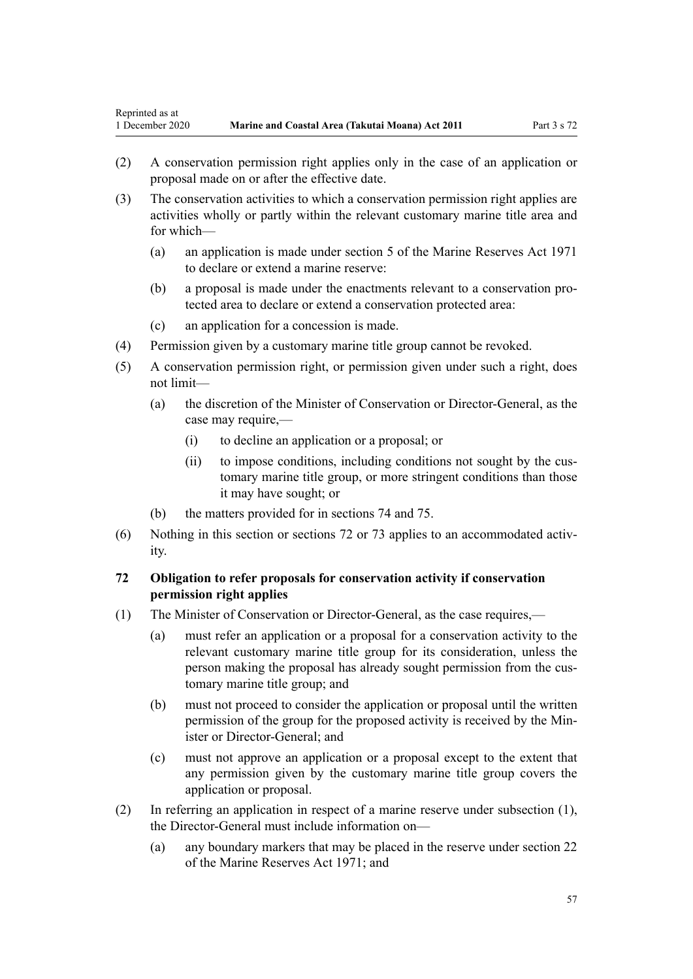- <span id="page-56-0"></span>(2) A conservation permission right applies only in the case of an application or proposal made on or after the effective date.
- (3) The conservation activities to which a conservation permission right applies are activities wholly or partly within the relevant customary marine title area and for which—
	- (a) an application is made under [section 5](http://legislation.govt.nz/pdflink.aspx?id=DLM398113) of the Marine Reserves Act 1971 to declare or extend a marine reserve:
	- (b) a proposal is made under the enactments relevant to a conservation protected area to declare or extend a conservation protected area:
	- (c) an application for a concession is made.
- (4) Permission given by a customary marine title group cannot be revoked.
- (5) A conservation permission right, or permission given under such a right, does not limit—
	- (a) the discretion of the Minister of Conservation or Director-General, as the case may require,—
		- (i) to decline an application or a proposal; or
		- (ii) to impose conditions, including conditions not sought by the customary marine title group, or more stringent conditions than those it may have sought; or
	- (b) the matters provided for in [sections 74](#page-57-0) and [75.](#page-57-0)
- (6) Nothing in this section or sections 72 or [73](#page-57-0) applies to an accommodated activity.

# **72 Obligation to refer proposals for conservation activity if conservation permission right applies**

- (1) The Minister of Conservation or Director-General, as the case requires,—
	- (a) must refer an application or a proposal for a conservation activity to the relevant customary marine title group for its consideration, unless the person making the proposal has already sought permission from the customary marine title group; and
	- (b) must not proceed to consider the application or proposal until the written permission of the group for the proposed activity is received by the Minister or Director-General; and
	- (c) must not approve an application or a proposal except to the extent that any permission given by the customary marine title group covers the application or proposal.
- (2) In referring an application in respect of a marine reserve under subsection (1), the Director-General must include information on—
	- (a) any boundary markers that may be placed in the reserve under [section 22](http://legislation.govt.nz/pdflink.aspx?id=DLM398410) of the Marine Reserves Act 1971; and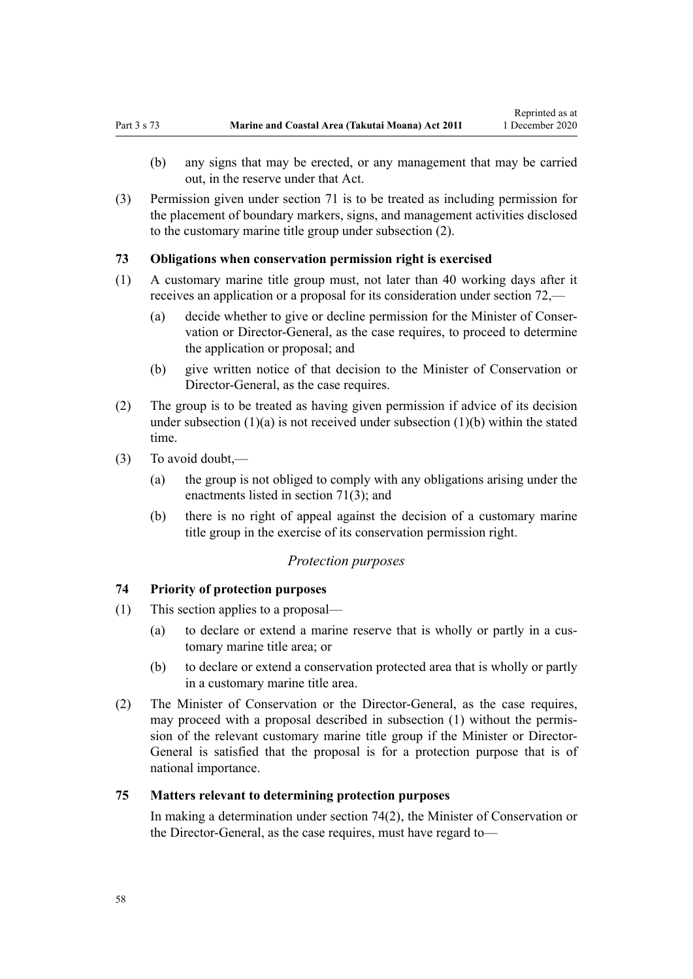<span id="page-57-0"></span>(3) Permission given under [section 71](#page-55-0) is to be treated as including permission for the placement of boundary markers, signs, and management activities disclosed to the customary marine title group under subsection (2).

## **73 Obligations when conservation permission right is exercised**

- (1) A customary marine title group must, not later than 40 working days after it receives an application or a proposal for its consideration under [section 72](#page-56-0),—
	- (a) decide whether to give or decline permission for the Minister of Conservation or Director-General, as the case requires, to proceed to determine the application or proposal; and
	- (b) give written notice of that decision to the Minister of Conservation or Director-General, as the case requires.
- (2) The group is to be treated as having given permission if advice of its decision under subsection  $(1)(a)$  is not received under subsection  $(1)(b)$  within the stated time.
- (3) To avoid doubt,—
	- (a) the group is not obliged to comply with any obligations arising under the enactments listed in [section 71\(3\);](#page-55-0) and
	- (b) there is no right of appeal against the decision of a customary marine title group in the exercise of its conservation permission right.

### *Protection purposes*

## **74 Priority of protection purposes**

- (1) This section applies to a proposal—
	- (a) to declare or extend a marine reserve that is wholly or partly in a customary marine title area; or
	- (b) to declare or extend a conservation protected area that is wholly or partly in a customary marine title area.
- (2) The Minister of Conservation or the Director-General, as the case requires, may proceed with a proposal described in subsection (1) without the permission of the relevant customary marine title group if the Minister or Director-General is satisfied that the proposal is for a protection purpose that is of national importance.

## **75 Matters relevant to determining protection purposes**

In making a determination under section 74(2), the Minister of Conservation or the Director-General, as the case requires, must have regard to—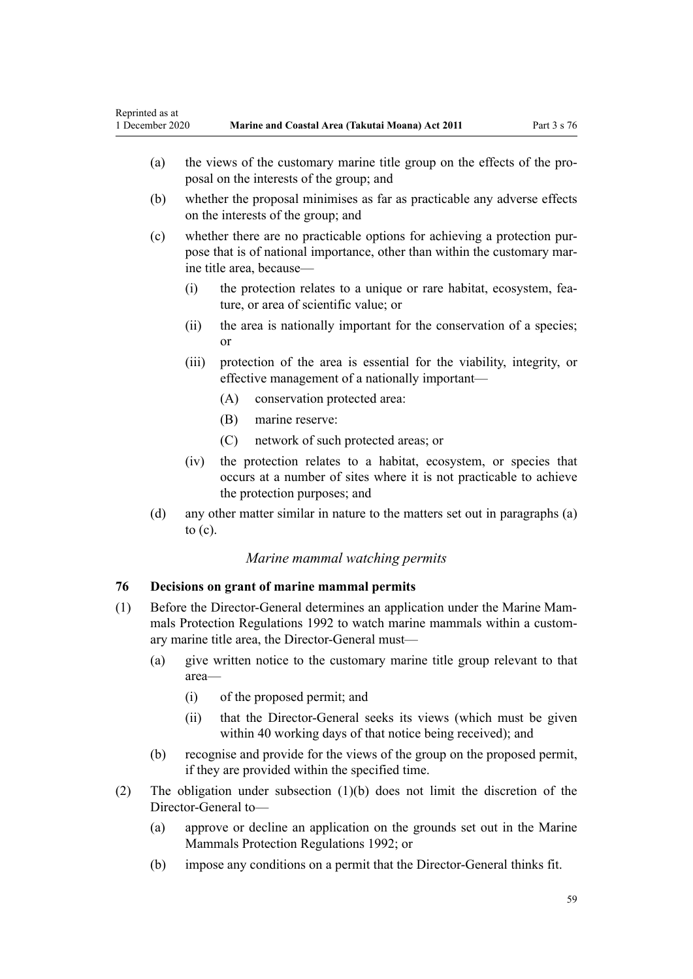- <span id="page-58-0"></span>(a) the views of the customary marine title group on the effects of the proposal on the interests of the group; and
- (b) whether the proposal minimises as far as practicable any adverse effects on the interests of the group; and
- (c) whether there are no practicable options for achieving a protection purpose that is of national importance, other than within the customary marine title area, because—
	- (i) the protection relates to a unique or rare habitat, ecosystem, feature, or area of scientific value; or
	- (ii) the area is nationally important for the conservation of a species; or
	- (iii) protection of the area is essential for the viability, integrity, or effective management of a nationally important—
		- (A) conservation protected area:
		- (B) marine reserve:
		- (C) network of such protected areas; or
	- (iv) the protection relates to a habitat, ecosystem, or species that occurs at a number of sites where it is not practicable to achieve the protection purposes; and
- (d) any other matter similar in nature to the matters set out in paragraphs (a) to (c).

## *Marine mammal watching permits*

# **76 Decisions on grant of marine mammal permits**

- (1) Before the Director-General determines an application under the [Marine Mam](http://legislation.govt.nz/pdflink.aspx?id=DLM168285)[mals Protection Regulations 1992](http://legislation.govt.nz/pdflink.aspx?id=DLM168285) to watch marine mammals within a customary marine title area, the Director-General must—
	- (a) give written notice to the customary marine title group relevant to that area—
		- (i) of the proposed permit; and
		- (ii) that the Director-General seeks its views (which must be given within 40 working days of that notice being received); and
	- (b) recognise and provide for the views of the group on the proposed permit, if they are provided within the specified time.
- (2) The obligation under subsection (1)(b) does not limit the discretion of the Director-General to—
	- (a) approve or decline an application on the grounds set out in the [Marine](http://legislation.govt.nz/pdflink.aspx?id=DLM168285) [Mammals Protection Regulations 1992](http://legislation.govt.nz/pdflink.aspx?id=DLM168285); or
	- (b) impose any conditions on a permit that the Director-General thinks fit.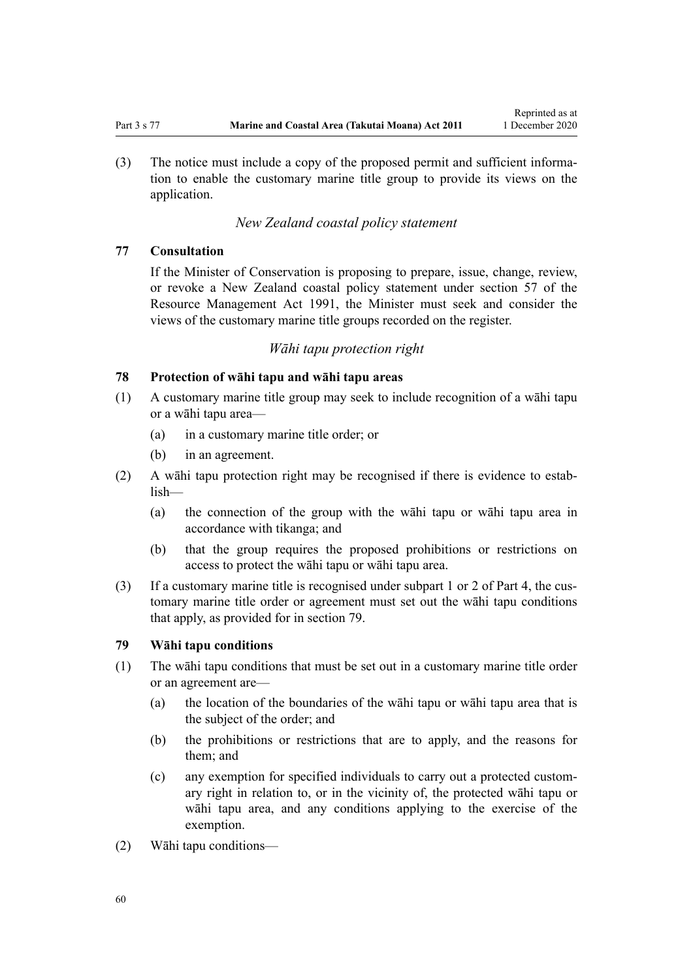<span id="page-59-0"></span>(3) The notice must include a copy of the proposed permit and sufficient information to enable the customary marine title group to provide its views on the application.

# *New Zealand coastal policy statement*

## **77 Consultation**

If the Minister of Conservation is proposing to prepare, issue, change, review, or revoke a New Zealand coastal policy statement under [section 57](http://legislation.govt.nz/pdflink.aspx?id=DLM233379) of the Resource Management Act 1991, the Minister must seek and consider the views of the customary marine title groups recorded on the register.

### *Wāhi tapu protection right*

## **78 Protection of wāhi tapu and wāhi tapu areas**

- (1) A customary marine title group may seek to include recognition of a wāhi tapu or a wāhi tapu area—
	- (a) in a customary marine title order; or
	- (b) in an agreement.
- (2) A wāhi tapu protection right may be recognised if there is evidence to establish—
	- (a) the connection of the group with the wāhi tapu or wāhi tapu area in accordance with tikanga; and
	- (b) that the group requires the proposed prohibitions or restrictions on access to protect the wāhi tapu or wāhi tapu area.
- (3) If a customary marine title is recognised under [subpart 1](#page-69-0) or [2](#page-70-0) of Part 4, the customary marine title order or agreement must set out the wāhi tapu conditions that apply, as provided for in section 79.

## **79 Wāhi tapu conditions**

- (1) The wāhi tapu conditions that must be set out in a customary marine title order or an agreement are—
	- (a) the location of the boundaries of the wāhi tapu or wāhi tapu area that is the subject of the order; and
	- (b) the prohibitions or restrictions that are to apply, and the reasons for them; and
	- (c) any exemption for specified individuals to carry out a protected customary right in relation to, or in the vicinity of, the protected wāhi tapu or wāhi tapu area, and any conditions applying to the exercise of the exemption.
- (2) Wāhi tapu conditions—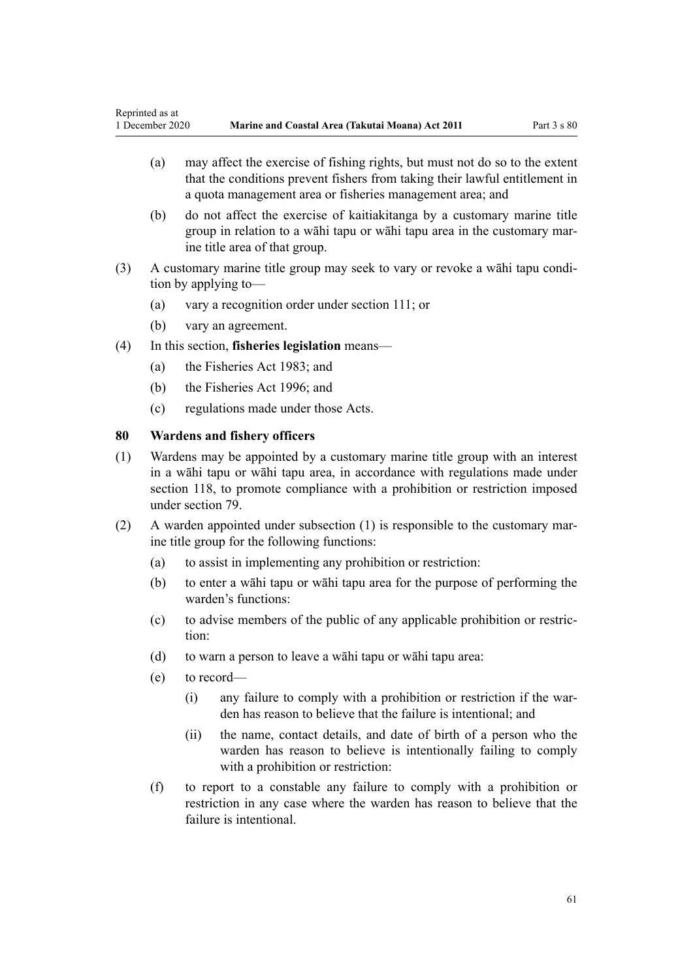- (a) may affect the exercise of fishing rights, but must not do so to the extent that the conditions prevent fishers from taking their lawful entitlement in a quota management area or fisheries management area; and
- (b) do not affect the exercise of kaitiakitanga by a customary marine title group in relation to a wāhi tapu or wāhi tapu area in the customary marine title area of that group.
- (3) A customary marine title group may seek to vary or revoke a wāhi tapu condition by applying to—
	- (a) vary a recognition order under [section 111;](#page-75-0) or
	- (b) vary an agreement.
- (4) In this section, **fisheries legislation** means—
	- (a) the [Fisheries Act 1983](http://legislation.govt.nz/pdflink.aspx?id=DLM66581); and
	- (b) the [Fisheries Act 1996](http://legislation.govt.nz/pdflink.aspx?id=DLM394191); and
	- (c) regulations made under those Acts.

### **80 Wardens and fishery officers**

- (1) Wardens may be appointed by a customary marine title group with an interest in a wāhi tapu or wāhi tapu area, in accordance with regulations made under [section 118,](#page-78-0) to promote compliance with a prohibition or restriction imposed under [section 79](#page-59-0).
- (2) A warden appointed under subsection (1) is responsible to the customary marine title group for the following functions:
	- (a) to assist in implementing any prohibition or restriction:
	- (b) to enter a wāhi tapu or wāhi tapu area for the purpose of performing the warden's functions:
	- (c) to advise members of the public of any applicable prohibition or restriction:
	- (d) to warn a person to leave a wāhi tapu or wāhi tapu area:
	- (e) to record—
		- (i) any failure to comply with a prohibition or restriction if the warden has reason to believe that the failure is intentional; and
		- (ii) the name, contact details, and date of birth of a person who the warden has reason to believe is intentionally failing to comply with a prohibition or restriction:
	- (f) to report to a constable any failure to comply with a prohibition or restriction in any case where the warden has reason to believe that the failure is intentional.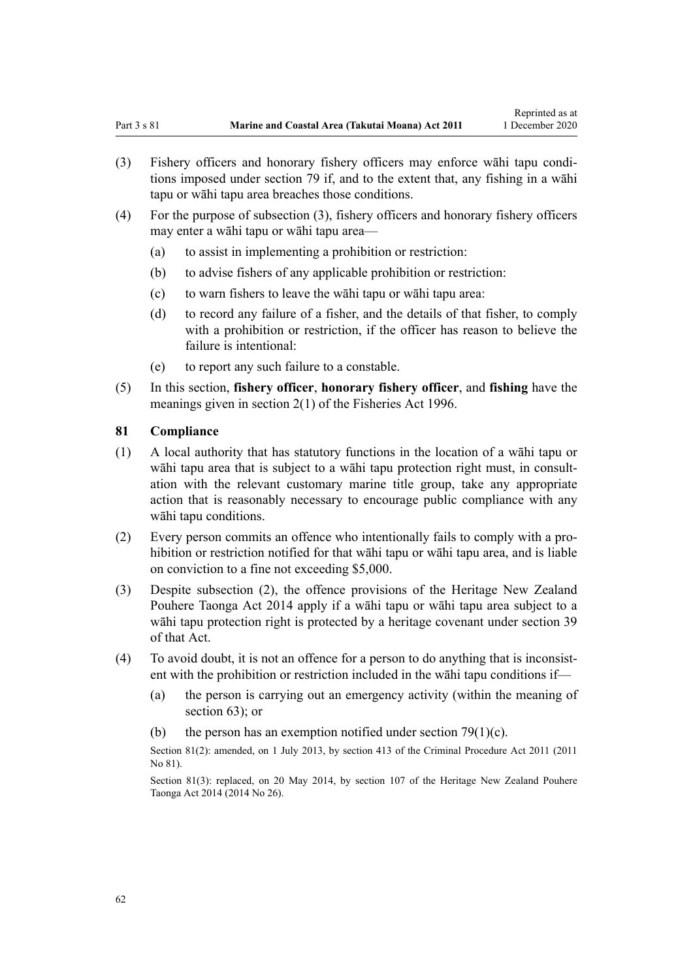- (3) Fishery officers and honorary fishery officers may enforce wāhi tapu conditions imposed under [section 79](#page-59-0) if, and to the extent that, any fishing in a wāhi tapu or wāhi tapu area breaches those conditions.
- (4) For the purpose of subsection (3), fishery officers and honorary fishery officers may enter a wāhi tapu or wāhi tapu area—
	- (a) to assist in implementing a prohibition or restriction:
	- (b) to advise fishers of any applicable prohibition or restriction:
	- (c) to warn fishers to leave the wāhi tapu or wāhi tapu area:
	- (d) to record any failure of a fisher, and the details of that fisher, to comply with a prohibition or restriction, if the officer has reason to believe the failure is intentional:
	- (e) to report any such failure to a constable.
- (5) In this section, **fishery officer**, **honorary fishery officer**, and **fishing** have the meanings given in [section 2\(1\)](http://legislation.govt.nz/pdflink.aspx?id=DLM394199) of the Fisheries Act 1996.

### **81 Compliance**

- (1) A local authority that has statutory functions in the location of a wāhi tapu or wāhi tapu area that is subject to a wāhi tapu protection right must, in consultation with the relevant customary marine title group, take any appropriate action that is reasonably necessary to encourage public compliance with any wāhi tapu conditions.
- (2) Every person commits an offence who intentionally fails to comply with a prohibition or restriction notified for that wāhi tapu or wāhi tapu area, and is liable on conviction to a fine not exceeding \$5,000.
- (3) Despite subsection (2), the offence provisions of the [Heritage New Zealand](http://legislation.govt.nz/pdflink.aspx?id=DLM4005402) [Pouhere Taonga Act 2014](http://legislation.govt.nz/pdflink.aspx?id=DLM4005402) apply if a wāhi tapu or wāhi tapu area subject to a wāhi tapu protection right is protected by a heritage covenant under [section 39](http://legislation.govt.nz/pdflink.aspx?id=DLM4005548) of that Act.
- (4) To avoid doubt, it is not an offence for a person to do anything that is inconsistent with the prohibition or restriction included in the wāhi tapu conditions if—
	- (a) the person is carrying out an emergency activity (within the meaning of [section 63](#page-48-0)); or
	- (b) the person has an exemption notified under section  $79(1)(c)$ .

Section 81(2): amended, on 1 July 2013, by [section 413](http://legislation.govt.nz/pdflink.aspx?id=DLM3360714) of the Criminal Procedure Act 2011 (2011) No 81).

Section 81(3): replaced, on 20 May 2014, by [section 107](http://legislation.govt.nz/pdflink.aspx?id=DLM4005646) of the Heritage New Zealand Pouhere Taonga Act 2014 (2014 No 26).

62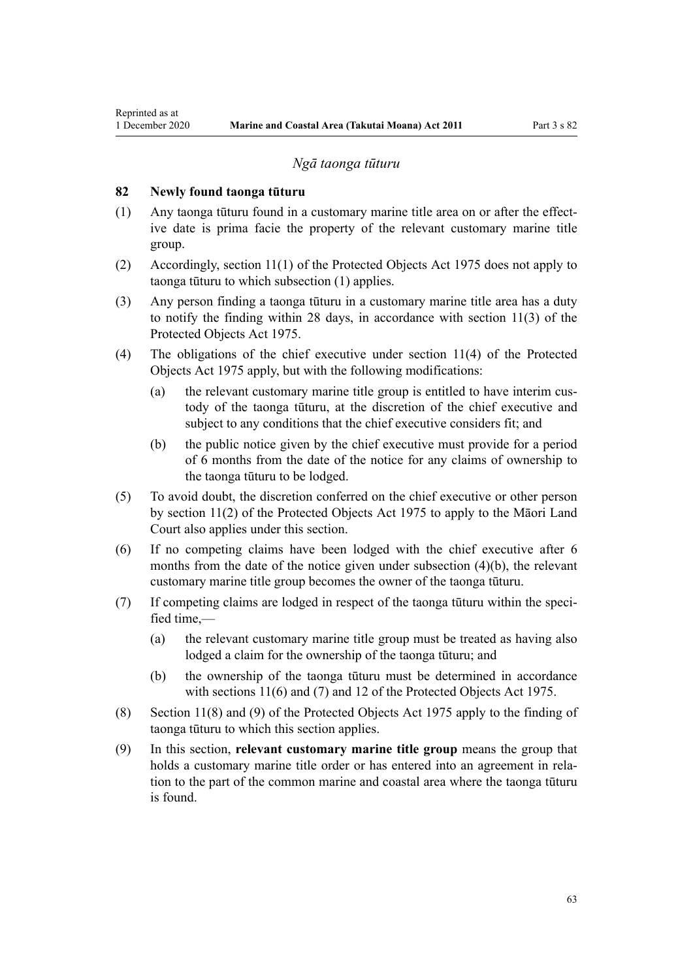#### *Ngā taonga tūturu*

### **82 Newly found taonga tūturu**

<span id="page-62-0"></span>Reprinted as at

- (1) Any taonga tūturu found in a customary marine title area on or after the effective date is prima facie the property of the relevant customary marine title group.
- (2) Accordingly, [section 11\(1\)](http://legislation.govt.nz/pdflink.aspx?id=DLM432422) of the Protected Objects Act 1975 does not apply to taonga tūturu to which subsection (1) applies.
- (3) Any person finding a taonga tūturu in a customary marine title area has a duty to notify the finding within 28 days, in accordance with [section 11\(3\)](http://legislation.govt.nz/pdflink.aspx?id=DLM432422) of the Protected Objects Act 1975.
- (4) The obligations of the chief executive under [section 11\(4\)](http://legislation.govt.nz/pdflink.aspx?id=DLM432422) of the Protected Objects Act 1975 apply, but with the following modifications:
	- (a) the relevant customary marine title group is entitled to have interim custody of the taonga tūturu, at the discretion of the chief executive and subject to any conditions that the chief executive considers fit; and
	- (b) the public notice given by the chief executive must provide for a period of 6 months from the date of the notice for any claims of ownership to the taonga tūturu to be lodged.
- (5) To avoid doubt, the discretion conferred on the chief executive or other person by [section 11\(2\)](http://legislation.govt.nz/pdflink.aspx?id=DLM432422) of the Protected Objects Act 1975 to apply to the Māori Land Court also applies under this section.
- (6) If no competing claims have been lodged with the chief executive after 6 months from the date of the notice given under subsection (4)(b), the relevant customary marine title group becomes the owner of the taonga tūturu.
- (7) If competing claims are lodged in respect of the taonga tūturu within the specified time $-$ 
	- (a) the relevant customary marine title group must be treated as having also lodged a claim for the ownership of the taonga tūturu; and
	- (b) the ownership of the taonga tūturu must be determined in accordance with [sections 11\(6\) and \(7\)](http://legislation.govt.nz/pdflink.aspx?id=DLM432422) and [12](http://legislation.govt.nz/pdflink.aspx?id=DLM432435) of the Protected Objects Act 1975.
- (8) [Section 11\(8\) and \(9\)](http://legislation.govt.nz/pdflink.aspx?id=DLM432422) of the Protected Objects Act 1975 apply to the finding of taonga tūturu to which this section applies.
- (9) In this section, **relevant customary marine title group** means the group that holds a customary marine title order or has entered into an agreement in relation to the part of the common marine and coastal area where the taonga tūturu is found.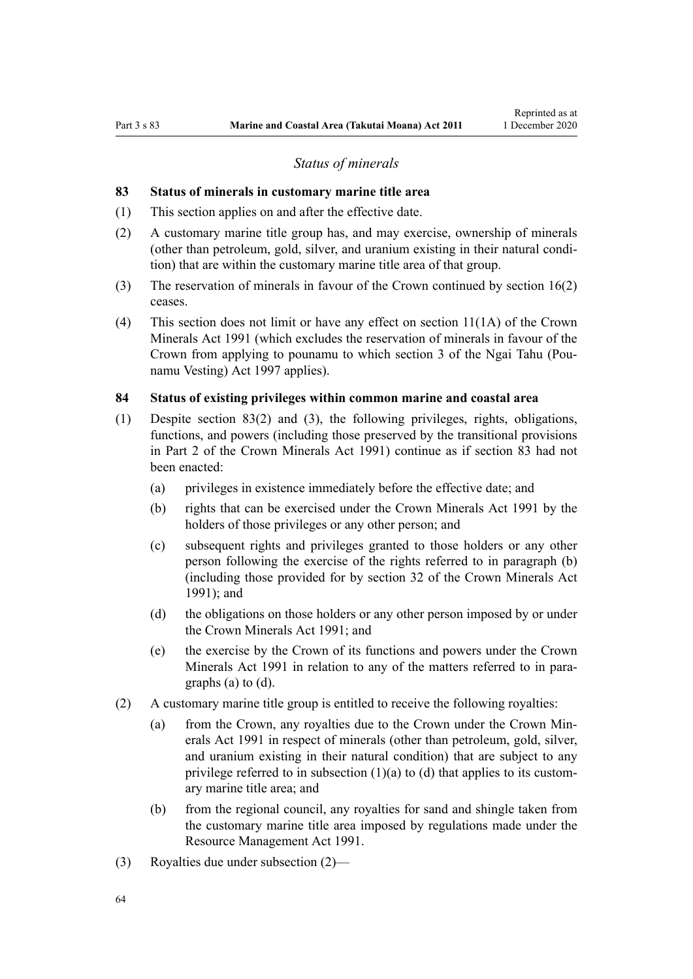### *Status of minerals*

### <span id="page-63-0"></span>**83 Status of minerals in customary marine title area**

- (1) This section applies on and after the effective date.
- (2) A customary marine title group has, and may exercise, ownership of minerals (other than petroleum, gold, silver, and uranium existing in their natural condition) that are within the customary marine title area of that group.
- (3) The reservation of minerals in favour of the Crown continued by [section 16\(2\)](#page-19-0) ceases.
- (4) This section does not limit or have any effect on [section 11\(1A\)](http://legislation.govt.nz/pdflink.aspx?id=DLM246311) of the Crown Minerals Act 1991 (which excludes the reservation of minerals in favour of the Crown from applying to pounamu to which [section 3](http://legislation.govt.nz/pdflink.aspx?id=DLM413605) of the Ngai Tahu (Pounamu Vesting) Act 1997 applies).

#### **84 Status of existing privileges within common marine and coastal area**

- (1) Despite section 83(2) and (3), the following privileges, rights, obligations, functions, and powers (including those preserved by the transitional provisions in [Part 2](http://legislation.govt.nz/pdflink.aspx?id=DLM247305) of the Crown Minerals Act 1991) continue as if section 83 had not been enacted:
	- (a) privileges in existence immediately before the effective date; and
	- (b) rights that can be exercised under the [Crown Minerals Act 1991](http://legislation.govt.nz/pdflink.aspx?id=DLM242535) by the holders of those privileges or any other person; and
	- (c) subsequent rights and privileges granted to those holders or any other person following the exercise of the rights referred to in paragraph (b) (including those provided for by [section 32](http://legislation.govt.nz/pdflink.aspx?id=DLM246341) of the Crown Minerals Act 1991); and
	- (d) the obligations on those holders or any other person imposed by or under the [Crown Minerals Act 1991;](http://legislation.govt.nz/pdflink.aspx?id=DLM242535) and
	- (e) the exercise by the Crown of its functions and powers under the [Crown](http://legislation.govt.nz/pdflink.aspx?id=DLM242535) [Minerals Act 1991](http://legislation.govt.nz/pdflink.aspx?id=DLM242535) in relation to any of the matters referred to in paragraphs (a) to (d).
- (2) A customary marine title group is entitled to receive the following royalties:
	- (a) from the Crown, any royalties due to the Crown under the [Crown Min](http://legislation.govt.nz/pdflink.aspx?id=DLM242535)[erals Act 1991](http://legislation.govt.nz/pdflink.aspx?id=DLM242535) in respect of minerals (other than petroleum, gold, silver, and uranium existing in their natural condition) that are subject to any privilege referred to in subsection  $(1)(a)$  to  $(d)$  that applies to its customary marine title area; and
	- (b) from the regional council, any royalties for sand and shingle taken from the customary marine title area imposed by regulations made under the [Resource Management Act 1991](http://legislation.govt.nz/pdflink.aspx?id=DLM230264).
- (3) Royalties due under subsection (2)—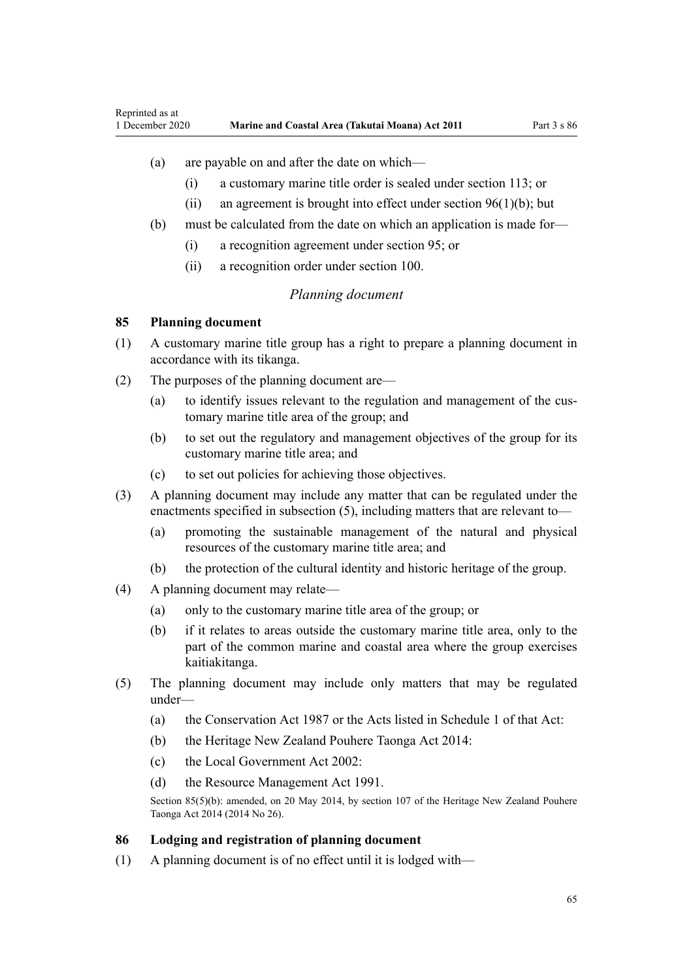## <span id="page-64-0"></span>(a) are payable on and after the date on which—

- (i) a customary marine title order is sealed under [section 113](#page-77-0); or
- (ii) an agreement is brought into effect under section  $96(1)(b)$ ; but
- (b) must be calculated from the date on which an application is made for—
	- (i) a recognition agreement under [section 95](#page-69-0); or
	- (ii) a recognition order under [section 100](#page-71-0).

## *Planning document*

#### **85 Planning document**

- (1) A customary marine title group has a right to prepare a planning document in accordance with its tikanga.
- (2) The purposes of the planning document are—
	- (a) to identify issues relevant to the regulation and management of the customary marine title area of the group; and
	- (b) to set out the regulatory and management objectives of the group for its customary marine title area; and
	- (c) to set out policies for achieving those objectives.
- (3) A planning document may include any matter that can be regulated under the enactments specified in subsection (5), including matters that are relevant to—
	- (a) promoting the sustainable management of the natural and physical resources of the customary marine title area; and
	- (b) the protection of the cultural identity and historic heritage of the group.
- (4) A planning document may relate—
	- (a) only to the customary marine title area of the group; or
	- (b) if it relates to areas outside the customary marine title area, only to the part of the common marine and coastal area where the group exercises kaitiakitanga.
- (5) The planning document may include only matters that may be regulated under—
	- (a) the [Conservation Act 1987](http://legislation.govt.nz/pdflink.aspx?id=DLM103609) or the Acts listed in [Schedule 1](http://legislation.govt.nz/pdflink.aspx?id=DLM107200) of that Act:
	- (b) the [Heritage New Zealand Pouhere Taonga Act 2014:](http://legislation.govt.nz/pdflink.aspx?id=DLM4005402)
	- (c) the [Local Government Act 2002](http://legislation.govt.nz/pdflink.aspx?id=DLM170872):
	- (d) the [Resource Management Act 1991](http://legislation.govt.nz/pdflink.aspx?id=DLM230264).

Section 85(5)(b): amended, on 20 May 2014, by [section 107](http://legislation.govt.nz/pdflink.aspx?id=DLM4005646) of the Heritage New Zealand Pouhere Taonga Act 2014 (2014 No 26).

### **86 Lodging and registration of planning document**

(1) A planning document is of no effect until it is lodged with—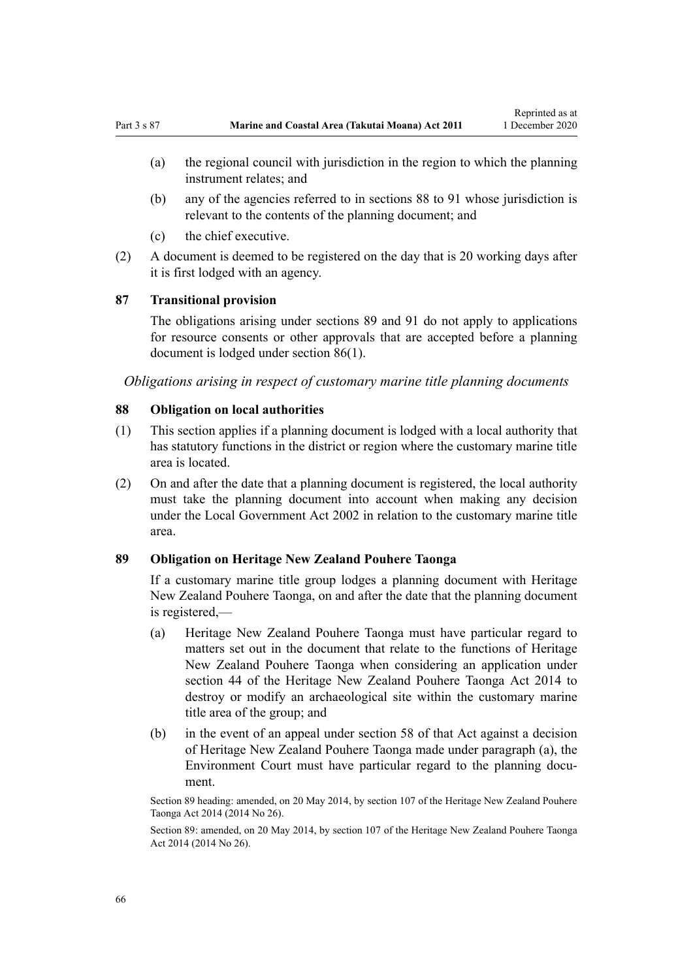- (a) the regional council with jurisdiction in the region to which the planning instrument relates; and
- (b) any of the agencies referred to in sections 88 to 91 whose jurisdiction is relevant to the contents of the planning document; and
- (c) the chief executive.
- (2) A document is deemed to be registered on the day that is 20 working days after it is first lodged with an agency.

## **87 Transitional provision**

The obligations arising under sections 89 and [91](#page-66-0) do not apply to applications for resource consents or other approvals that are accepted before a planning document is lodged under [section 86\(1\).](#page-64-0)

*Obligations arising in respect of customary marine title planning documents*

### **88 Obligation on local authorities**

- (1) This section applies if a planning document is lodged with a local authority that has statutory functions in the district or region where the customary marine title area is located.
- (2) On and after the date that a planning document is registered, the local authority must take the planning document into account when making any decision under the [Local Government Act 2002](http://legislation.govt.nz/pdflink.aspx?id=DLM170872) in relation to the customary marine title area.

### **89 Obligation on Heritage New Zealand Pouhere Taonga**

If a customary marine title group lodges a planning document with Heritage New Zealand Pouhere Taonga, on and after the date that the planning document is registered,—

- (a) Heritage New Zealand Pouhere Taonga must have particular regard to matters set out in the document that relate to the functions of Heritage New Zealand Pouhere Taonga when considering an application under [section 44](http://legislation.govt.nz/pdflink.aspx?id=DLM4005562) of the Heritage New Zealand Pouhere Taonga Act 2014 to destroy or modify an archaeological site within the customary marine title area of the group; and
- (b) in the event of an appeal under [section 58](http://legislation.govt.nz/pdflink.aspx?id=DLM4005583) of that Act against a decision of Heritage New Zealand Pouhere Taonga made under paragraph (a), the Environment Court must have particular regard to the planning document.

Section 89 heading: amended, on 20 May 2014, by [section 107](http://legislation.govt.nz/pdflink.aspx?id=DLM4005646) of the Heritage New Zealand Pouhere Taonga Act 2014 (2014 No 26).

Section 89: amended, on 20 May 2014, by [section 107](http://legislation.govt.nz/pdflink.aspx?id=DLM4005646) of the Heritage New Zealand Pouhere Taonga Act 2014 (2014 No 26).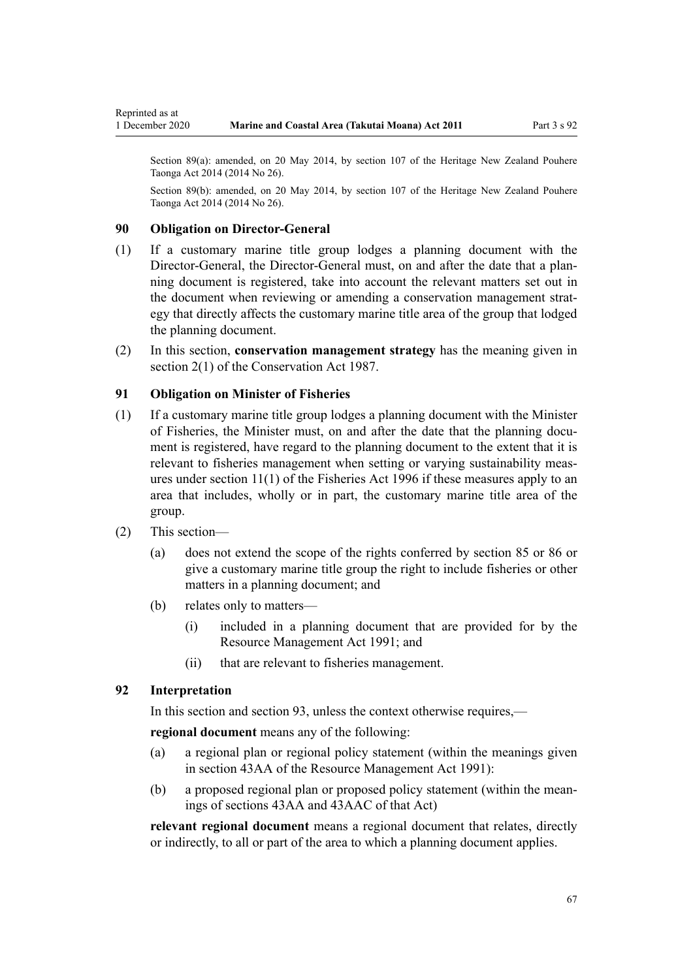<span id="page-66-0"></span>Section 89(a): amended, on 20 May 2014, by [section 107](http://legislation.govt.nz/pdflink.aspx?id=DLM4005646) of the Heritage New Zealand Pouhere Taonga Act 2014 (2014 No 26).

Section 89(b): amended, on 20 May 2014, by [section 107](http://legislation.govt.nz/pdflink.aspx?id=DLM4005646) of the Heritage New Zealand Pouhere Taonga Act 2014 (2014 No 26).

## **90 Obligation on Director-General**

- (1) If a customary marine title group lodges a planning document with the Director-General, the Director-General must, on and after the date that a planning document is registered, take into account the relevant matters set out in the document when reviewing or amending a conservation management strategy that directly affects the customary marine title area of the group that lodged the planning document.
- (2) In this section, **conservation management strategy** has the meaning given in [section 2\(1\)](http://legislation.govt.nz/pdflink.aspx?id=DLM103616) of the Conservation Act 1987.

# **91 Obligation on Minister of Fisheries**

- (1) If a customary marine title group lodges a planning document with the Minister of Fisheries, the Minister must, on and after the date that the planning document is registered, have regard to the planning document to the extent that it is relevant to fisheries management when setting or varying sustainability measures under [section 11\(1\)](http://legislation.govt.nz/pdflink.aspx?id=DLM395397) of the Fisheries Act 1996 if these measures apply to an area that includes, wholly or in part, the customary marine title area of the group.
- (2) This section—
	- (a) does not extend the scope of the rights conferred by [section 85](#page-64-0) or [86](#page-64-0) or give a customary marine title group the right to include fisheries or other matters in a planning document; and
	- (b) relates only to matters—
		- (i) included in a planning document that are provided for by the [Resource Management Act 1991](http://legislation.govt.nz/pdflink.aspx?id=DLM230264); and
		- (ii) that are relevant to fisheries management.

## **92 Interpretation**

In this section and [section 93](#page-67-0), unless the context otherwise requires,—

**regional document** means any of the following:

- (a) a regional plan or regional policy statement (within the meanings given in [section 43AA](http://legislation.govt.nz/pdflink.aspx?id=DLM2412743) of the Resource Management Act 1991):
- (b) a proposed regional plan or proposed policy statement (within the meanings of [sections 43AA](http://legislation.govt.nz/pdflink.aspx?id=DLM2412743) and [43AAC](http://legislation.govt.nz/pdflink.aspx?id=DLM2412769) of that Act)

**relevant regional document** means a regional document that relates, directly or indirectly, to all or part of the area to which a planning document applies.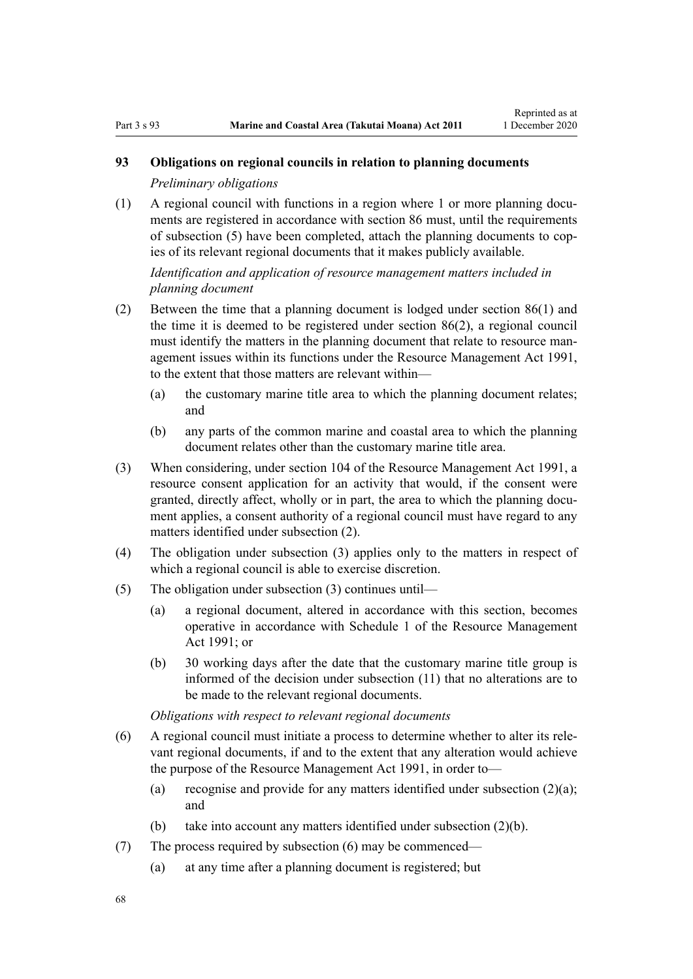# <span id="page-67-0"></span>**93 Obligations on regional councils in relation to planning documents**

*Preliminary obligations*

(1) A regional council with functions in a region where 1 or more planning documents are registered in accordance with [section 86](#page-64-0) must, until the requirements of subsection (5) have been completed, attach the planning documents to copies of its relevant regional documents that it makes publicly available.

# *Identification and application of resource management matters included in planning document*

- (2) Between the time that a planning document is lodged under [section 86\(1\)](#page-64-0) and the time it is deemed to be registered under section 86(2), a regional council must identify the matters in the planning document that relate to resource management issues within its functions under the [Resource Management Act 1991](http://legislation.govt.nz/pdflink.aspx?id=DLM230264), to the extent that those matters are relevant within—
	- (a) the customary marine title area to which the planning document relates; and
	- (b) any parts of the common marine and coastal area to which the planning document relates other than the customary marine title area.
- (3) When considering, under [section 104](http://legislation.govt.nz/pdflink.aspx?id=DLM234355) of the Resource Management Act 1991, a resource consent application for an activity that would, if the consent were granted, directly affect, wholly or in part, the area to which the planning document applies, a consent authority of a regional council must have regard to any matters identified under subsection (2).
- (4) The obligation under subsection (3) applies only to the matters in respect of which a regional council is able to exercise discretion.
- (5) The obligation under subsection (3) continues until—
	- (a) a regional document, altered in accordance with this section, becomes operative in accordance with [Schedule 1](http://legislation.govt.nz/pdflink.aspx?id=DLM240686) of the Resource Management Act 1991; or
	- (b) 30 working days after the date that the customary marine title group is informed of the decision under subsection (11) that no alterations are to be made to the relevant regional documents.

*Obligations with respect to relevant regional documents*

- (6) A regional council must initiate a process to determine whether to alter its relevant regional documents, if and to the extent that any alteration would achieve the purpose of the [Resource Management Act 1991,](http://legislation.govt.nz/pdflink.aspx?id=DLM230264) in order to—
	- (a) recognise and provide for any matters identified under subsection  $(2)(a)$ ; and
	- (b) take into account any matters identified under subsection (2)(b).
- (7) The process required by subsection (6) may be commenced—
	- (a) at any time after a planning document is registered; but

68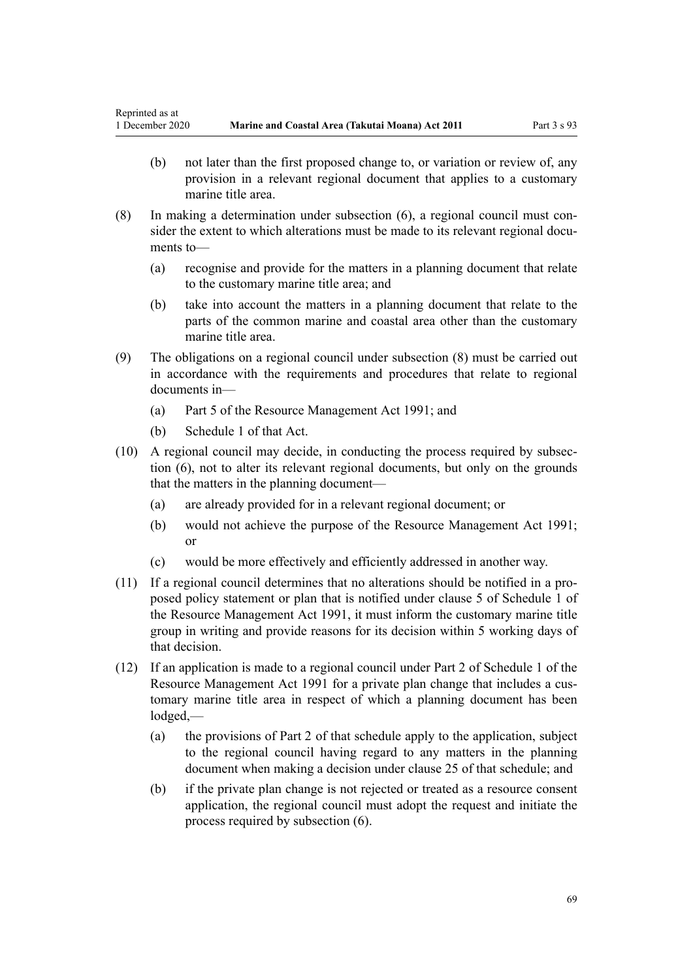- (b) not later than the first proposed change to, or variation or review of, any provision in a relevant regional document that applies to a customary marine title area.
- (8) In making a determination under subsection (6), a regional council must consider the extent to which alterations must be made to its relevant regional documents to—
	- (a) recognise and provide for the matters in a planning document that relate to the customary marine title area; and
	- (b) take into account the matters in a planning document that relate to the parts of the common marine and coastal area other than the customary marine title area.
- (9) The obligations on a regional council under subsection (8) must be carried out in accordance with the requirements and procedures that relate to regional documents in—
	- (a) [Part 5](http://legislation.govt.nz/pdflink.aspx?id=DLM233301) of the Resource Management Act 1991; and
	- (b) [Schedule 1](http://legislation.govt.nz/pdflink.aspx?id=DLM240686) of that Act.
- (10) A regional council may decide, in conducting the process required by subsection (6), not to alter its relevant regional documents, but only on the grounds that the matters in the planning document—
	- (a) are already provided for in a relevant regional document; or
	- (b) would not achieve the purpose of the [Resource Management Act 1991;](http://legislation.govt.nz/pdflink.aspx?id=DLM230264) or
	- (c) would be more effectively and efficiently addressed in another way.
- (11) If a regional council determines that no alterations should be notified in a proposed policy statement or plan that is notified under [clause 5](http://legislation.govt.nz/pdflink.aspx?id=DLM241213) of Schedule 1 of the Resource Management Act 1991, it must inform the customary marine title group in writing and provide reasons for its decision within 5 working days of that decision.
- (12) If an application is made to a regional council under [Part 2](http://legislation.govt.nz/pdflink.aspx?id=DLM241513) of Schedule 1 of the Resource Management Act 1991 for a private plan change that includes a customary marine title area in respect of which a planning document has been lodged,—
	- (a) the provisions of [Part 2](http://legislation.govt.nz/pdflink.aspx?id=DLM241513) of that schedule apply to the application, subject to the regional council having regard to any matters in the planning document when making a decision under [clause 25](http://legislation.govt.nz/pdflink.aspx?id=DLM241526) of that schedule; and
	- (b) if the private plan change is not rejected or treated as a resource consent application, the regional council must adopt the request and initiate the process required by subsection (6).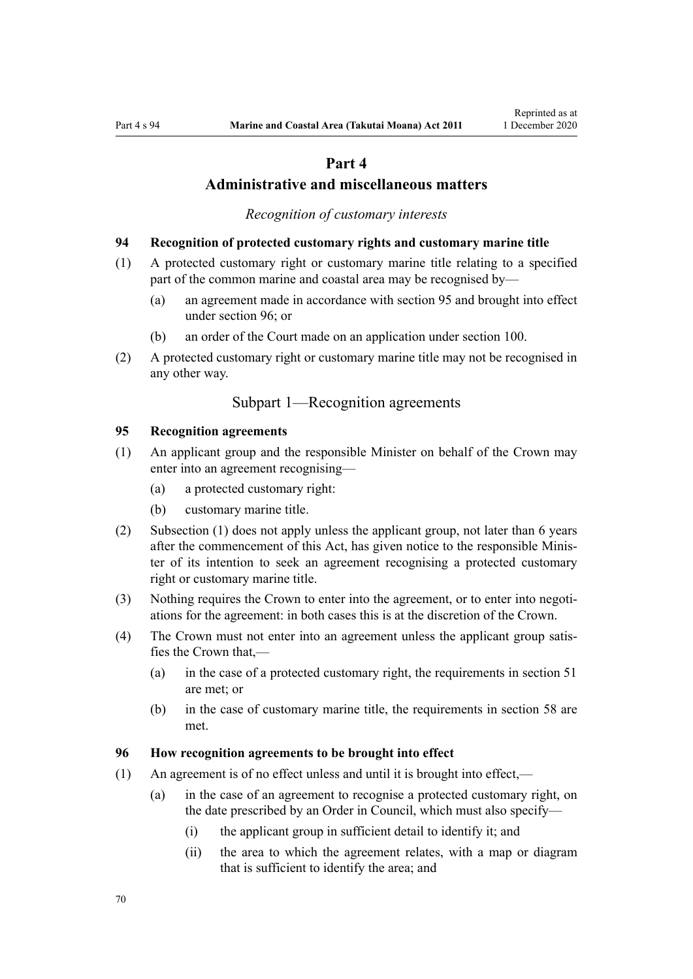# **Part 4**

# **Administrative and miscellaneous matters**

*Recognition of customary interests*

### <span id="page-69-0"></span>**94 Recognition of protected customary rights and customary marine title**

- (1) A protected customary right or customary marine title relating to a specified part of the common marine and coastal area may be recognised by—
	- (a) an agreement made in accordance with section 95 and brought into effect under section 96; or
	- (b) an order of the Court made on an application under [section 100](#page-71-0).
- (2) A protected customary right or customary marine title may not be recognised in any other way.

# Subpart 1—Recognition agreements

### **95 Recognition agreements**

- (1) An applicant group and the responsible Minister on behalf of the Crown may enter into an agreement recognising—
	- (a) a protected customary right:
	- (b) customary marine title.
- (2) Subsection (1) does not apply unless the applicant group, not later than 6 years after the commencement of this Act, has given notice to the responsible Minister of its intention to seek an agreement recognising a protected customary right or customary marine title.
- (3) Nothing requires the Crown to enter into the agreement, or to enter into negotiations for the agreement: in both cases this is at the discretion of the Crown.
- (4) The Crown must not enter into an agreement unless the applicant group satisfies the Crown that,—
	- (a) in the case of a protected customary right, the requirements in [section 51](#page-39-0) are met; or
	- (b) in the case of customary marine title, the requirements in [section 58](#page-44-0) are met.

### **96 How recognition agreements to be brought into effect**

- (1) An agreement is of no effect unless and until it is brought into effect,—
	- (a) in the case of an agreement to recognise a protected customary right, on the date prescribed by an Order in Council, which must also specify—
		- (i) the applicant group in sufficient detail to identify it; and
		- (ii) the area to which the agreement relates, with a map or diagram that is sufficient to identify the area; and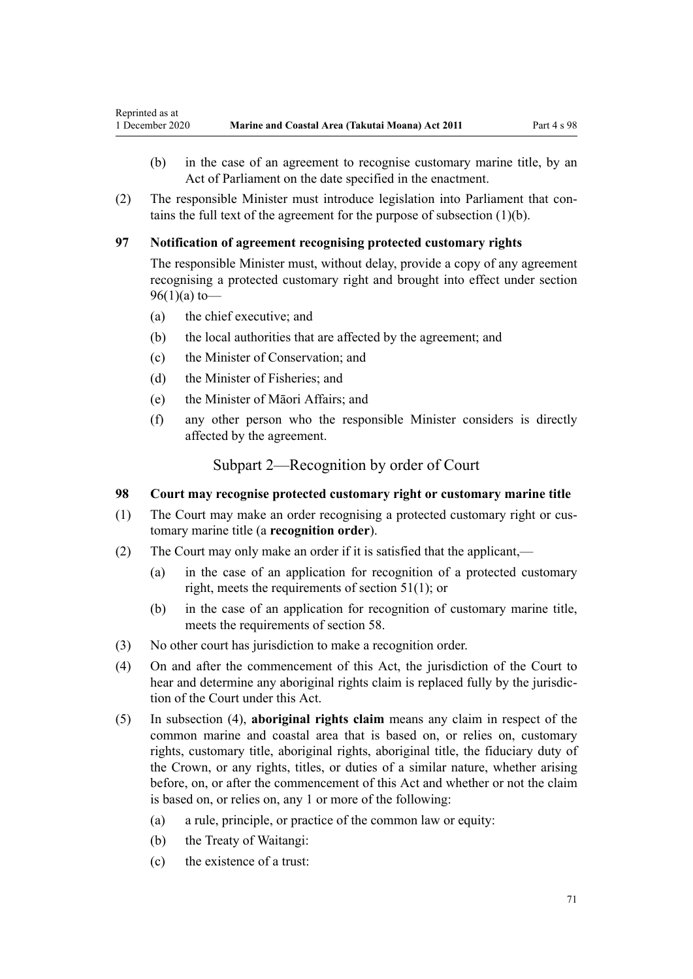- <span id="page-70-0"></span>(b) in the case of an agreement to recognise customary marine title, by an Act of Parliament on the date specified in the enactment.
- (2) The responsible Minister must introduce legislation into Parliament that contains the full text of the agreement for the purpose of subsection (1)(b).

# **97 Notification of agreement recognising protected customary rights**

The responsible Minister must, without delay, provide a copy of any agreement recognising a protected customary right and brought into effect under [section](#page-69-0) [96\(1\)\(a\)](#page-69-0) to-

- (a) the chief executive; and
- (b) the local authorities that are affected by the agreement; and
- (c) the Minister of Conservation; and
- (d) the Minister of Fisheries; and
- (e) the Minister of Māori Affairs; and
- (f) any other person who the responsible Minister considers is directly affected by the agreement.

Subpart 2—Recognition by order of Court

## **98 Court may recognise protected customary right or customary marine title**

- (1) The Court may make an order recognising a protected customary right or customary marine title (a **recognition order**).
- (2) The Court may only make an order if it is satisfied that the applicant,—
	- (a) in the case of an application for recognition of a protected customary right, meets the requirements of [section 51\(1\)](#page-39-0); or
	- (b) in the case of an application for recognition of customary marine title, meets the requirements of [section 58](#page-44-0).
- (3) No other court has jurisdiction to make a recognition order.
- (4) On and after the commencement of this Act, the jurisdiction of the Court to hear and determine any aboriginal rights claim is replaced fully by the jurisdiction of the Court under this Act.
- (5) In subsection (4), **aboriginal rights claim** means any claim in respect of the common marine and coastal area that is based on, or relies on, customary rights, customary title, aboriginal rights, aboriginal title, the fiduciary duty of the Crown, or any rights, titles, or duties of a similar nature, whether arising before, on, or after the commencement of this Act and whether or not the claim is based on, or relies on, any 1 or more of the following:
	- (a) a rule, principle, or practice of the common law or equity:
	- (b) the Treaty of Waitangi:
	- (c) the existence of a trust: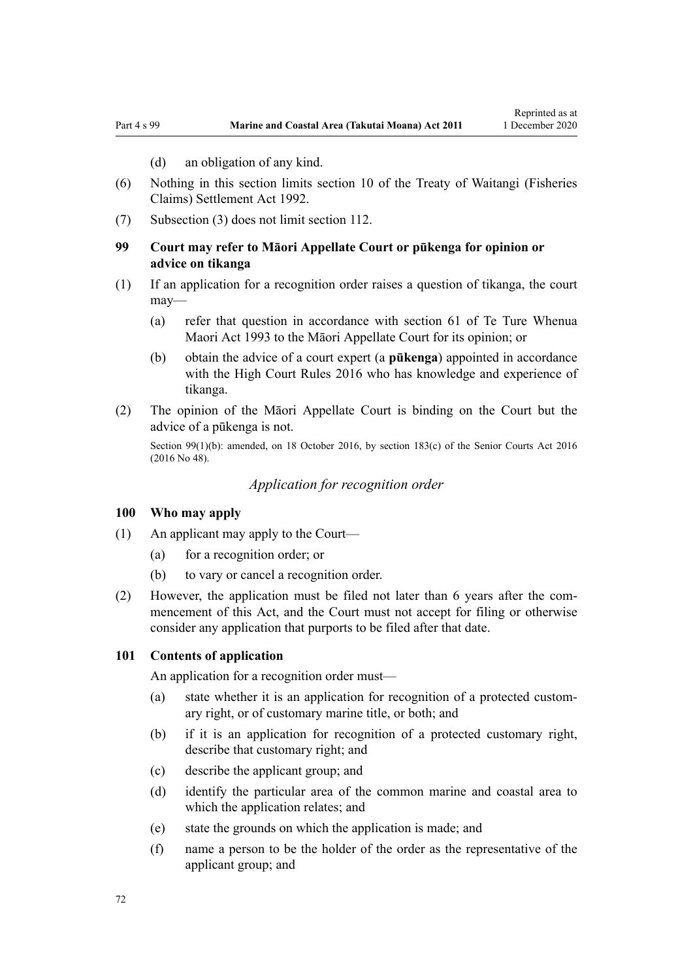(d) an obligation of any kind.

- <span id="page-71-0"></span>(6) Nothing in this section limits [section 10](http://legislation.govt.nz/pdflink.aspx?id=DLM281461) of the Treaty of Waitangi (Fisheries Claims) Settlement Act 1992.
- (7) Subsection (3) does not limit [section 112](#page-76-0).

## **99 Court may refer to Māori Appellate Court or pūkenga for opinion or advice on tikanga**

- (1) If an application for a recognition order raises a question of tikanga, the court may—
	- (a) refer that question in accordance with [section 61](http://legislation.govt.nz/pdflink.aspx?id=DLM290946) of Te Ture Whenua Maori Act 1993 to the Māori Appellate Court for its opinion; or
	- (b) obtain the advice of a court expert (a **pūkenga**) appointed in accordance with the [High Court Rules 2016](http://legislation.govt.nz/pdflink.aspx?id=DLM6959800) who has knowledge and experience of tikanga.
- (2) The opinion of the Māori Appellate Court is binding on the Court but the advice of a pūkenga is not.

Section 99(1)(b): amended, on 18 October 2016, by [section 183\(c\)](http://legislation.govt.nz/pdflink.aspx?id=DLM5759564) of the Senior Courts Act 2016 (2016 No 48).

*Application for recognition order*

#### **100 Who may apply**

- (1) An applicant may apply to the Court—
	- (a) for a recognition order; or
	- (b) to vary or cancel a recognition order.
- (2) However, the application must be filed not later than 6 years after the commencement of this Act, and the Court must not accept for filing or otherwise consider any application that purports to be filed after that date.

### **101 Contents of application**

An application for a recognition order must—

- (a) state whether it is an application for recognition of a protected customary right, or of customary marine title, or both; and
- (b) if it is an application for recognition of a protected customary right, describe that customary right; and
- (c) describe the applicant group; and
- (d) identify the particular area of the common marine and coastal area to which the application relates; and
- (e) state the grounds on which the application is made; and
- (f) name a person to be the holder of the order as the representative of the applicant group; and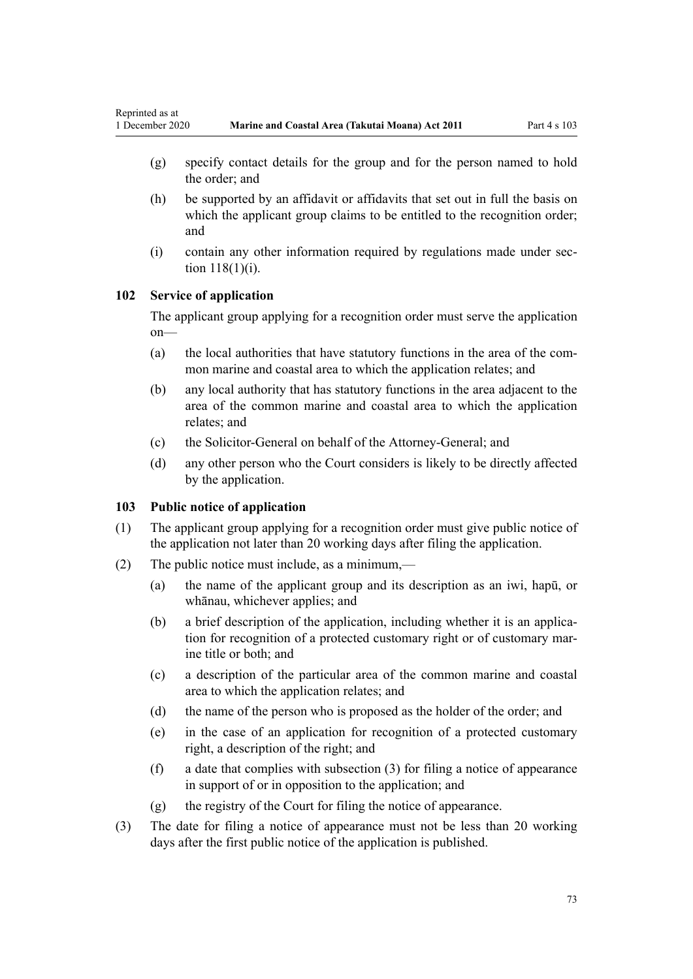- (g) specify contact details for the group and for the person named to hold the order; and
- (h) be supported by an affidavit or affidavits that set out in full the basis on which the applicant group claims to be entitled to the recognition order; and
- (i) contain any other information required by regulations made under [sec](#page-78-0)[tion 118\(1\)\(i\)](#page-78-0).

## **102 Service of application**

The applicant group applying for a recognition order must serve the application on—

- (a) the local authorities that have statutory functions in the area of the common marine and coastal area to which the application relates; and
- (b) any local authority that has statutory functions in the area adjacent to the area of the common marine and coastal area to which the application relates; and
- (c) the Solicitor-General on behalf of the Attorney-General; and
- (d) any other person who the Court considers is likely to be directly affected by the application.

## **103 Public notice of application**

- (1) The applicant group applying for a recognition order must give public notice of the application not later than 20 working days after filing the application.
- (2) The public notice must include, as a minimum,—
	- (a) the name of the applicant group and its description as an iwi, hapū, or whānau, whichever applies; and
	- (b) a brief description of the application, including whether it is an application for recognition of a protected customary right or of customary marine title or both; and
	- (c) a description of the particular area of the common marine and coastal area to which the application relates; and
	- (d) the name of the person who is proposed as the holder of the order; and
	- (e) in the case of an application for recognition of a protected customary right, a description of the right; and
	- (f) a date that complies with subsection (3) for filing a notice of appearance in support of or in opposition to the application; and
	- (g) the registry of the Court for filing the notice of appearance.
- (3) The date for filing a notice of appearance must not be less than 20 working days after the first public notice of the application is published.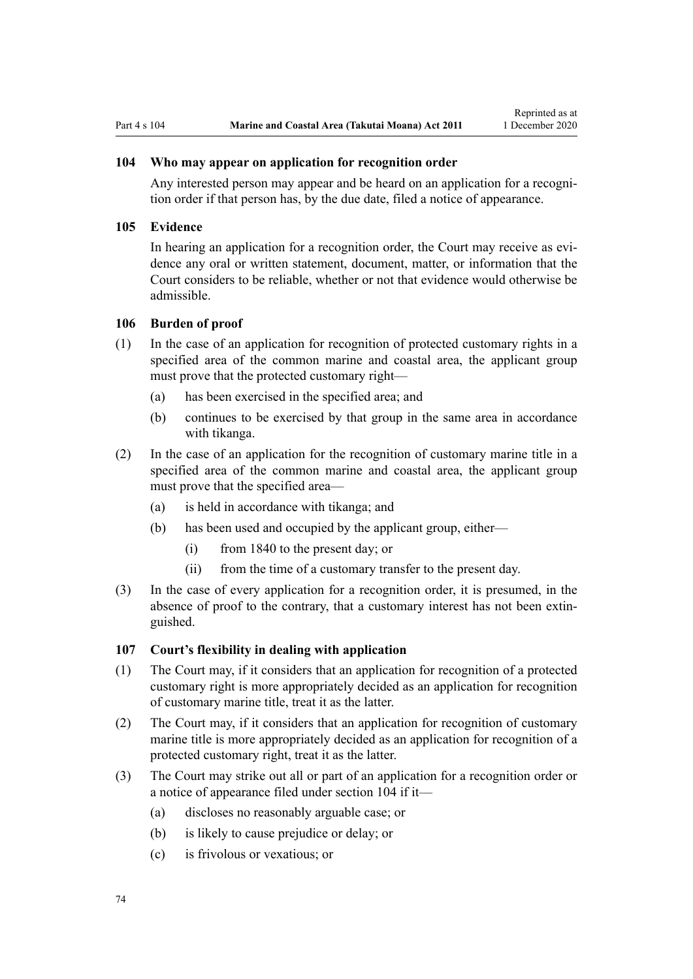## **104 Who may appear on application for recognition order**

Any interested person may appear and be heard on an application for a recognition order if that person has, by the due date, filed a notice of appearance.

#### **105 Evidence**

In hearing an application for a recognition order, the Court may receive as evidence any oral or written statement, document, matter, or information that the Court considers to be reliable, whether or not that evidence would otherwise be admissible.

#### **106 Burden of proof**

- (1) In the case of an application for recognition of protected customary rights in a specified area of the common marine and coastal area, the applicant group must prove that the protected customary right—
	- (a) has been exercised in the specified area; and
	- (b) continues to be exercised by that group in the same area in accordance with tikanga.
- (2) In the case of an application for the recognition of customary marine title in a specified area of the common marine and coastal area, the applicant group must prove that the specified area—
	- (a) is held in accordance with tikanga; and
	- (b) has been used and occupied by the applicant group, either—
		- (i) from 1840 to the present day; or
		- (ii) from the time of a customary transfer to the present day.
- (3) In the case of every application for a recognition order, it is presumed, in the absence of proof to the contrary, that a customary interest has not been extinguished.

## **107 Court's flexibility in dealing with application**

- (1) The Court may, if it considers that an application for recognition of a protected customary right is more appropriately decided as an application for recognition of customary marine title, treat it as the latter.
- (2) The Court may, if it considers that an application for recognition of customary marine title is more appropriately decided as an application for recognition of a protected customary right, treat it as the latter.
- (3) The Court may strike out all or part of an application for a recognition order or a notice of appearance filed under section 104 if it—
	- (a) discloses no reasonably arguable case; or
	- (b) is likely to cause prejudice or delay; or
	- (c) is frivolous or vexatious; or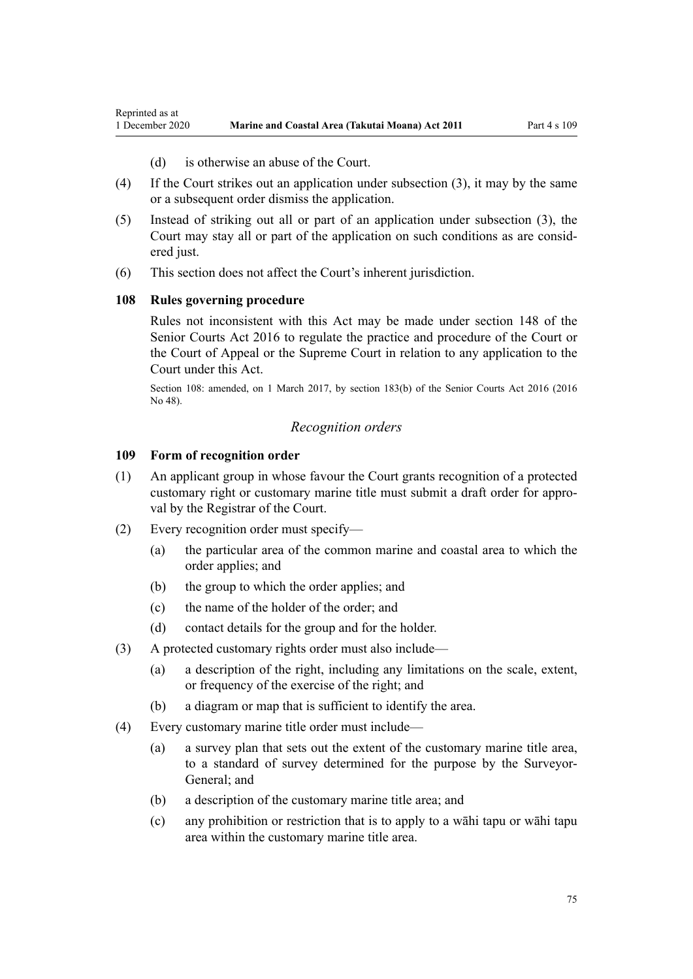(d) is otherwise an abuse of the Court.

- (4) If the Court strikes out an application under subsection (3), it may by the same or a subsequent order dismiss the application.
- (5) Instead of striking out all or part of an application under subsection (3), the Court may stay all or part of the application on such conditions as are considered just.
- (6) This section does not affect the Court's inherent jurisdiction.

## **108 Rules governing procedure**

<span id="page-74-0"></span>Reprinted as at

Rules not inconsistent with this Act may be made under [section 148](http://legislation.govt.nz/pdflink.aspx?id=DLM5759504) of the Senior Courts Act 2016 to regulate the practice and procedure of the Court or the Court of Appeal or the Supreme Court in relation to any application to the Court under this Act.

Section 108: amended, on 1 March 2017, by [section 183\(b\)](http://legislation.govt.nz/pdflink.aspx?id=DLM5759564) of the Senior Courts Act 2016 (2016 No 48).

#### *Recognition orders*

#### **109 Form of recognition order**

- (1) An applicant group in whose favour the Court grants recognition of a protected customary right or customary marine title must submit a draft order for approval by the Registrar of the Court.
- (2) Every recognition order must specify—
	- (a) the particular area of the common marine and coastal area to which the order applies; and
	- (b) the group to which the order applies; and
	- (c) the name of the holder of the order; and
	- (d) contact details for the group and for the holder.
- (3) A protected customary rights order must also include—
	- (a) a description of the right, including any limitations on the scale, extent, or frequency of the exercise of the right; and
	- (b) a diagram or map that is sufficient to identify the area.
- (4) Every customary marine title order must include—
	- (a) a survey plan that sets out the extent of the customary marine title area, to a standard of survey determined for the purpose by the Surveyor-General; and
	- (b) a description of the customary marine title area; and
	- (c) any prohibition or restriction that is to apply to a wāhi tapu or wāhi tapu area within the customary marine title area.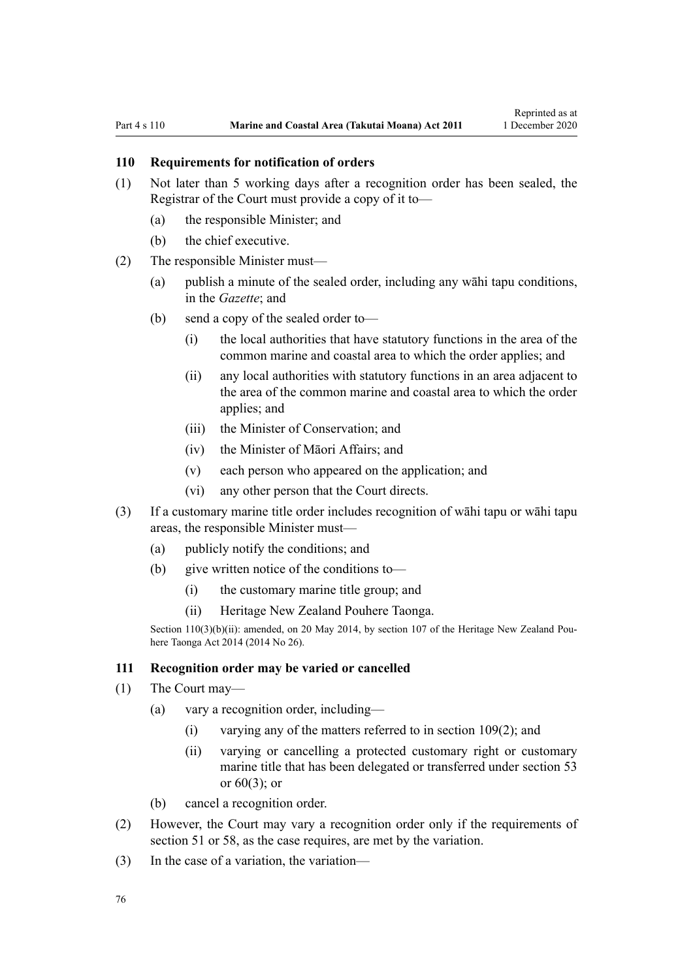## <span id="page-75-0"></span>**110 Requirements for notification of orders**

- (1) Not later than 5 working days after a recognition order has been sealed, the Registrar of the Court must provide a copy of it to—
	- (a) the responsible Minister; and
	- (b) the chief executive.
- (2) The responsible Minister must—
	- (a) publish a minute of the sealed order, including any wāhi tapu conditions, in the *Gazette*; and
	- (b) send a copy of the sealed order to—
		- (i) the local authorities that have statutory functions in the area of the common marine and coastal area to which the order applies; and
		- (ii) any local authorities with statutory functions in an area adjacent to the area of the common marine and coastal area to which the order applies; and
		- (iii) the Minister of Conservation; and
		- (iv) the Minister of Māori Affairs; and
		- (v) each person who appeared on the application; and
		- (vi) any other person that the Court directs.
- (3) If a customary marine title order includes recognition of wāhi tapu or wāhi tapu areas, the responsible Minister must—
	- (a) publicly notify the conditions; and
	- (b) give written notice of the conditions to—
		- (i) the customary marine title group; and
		- (ii) Heritage New Zealand Pouhere Taonga.

Section 110(3)(b)(ii): amended, on 20 May 2014, by [section 107](http://legislation.govt.nz/pdflink.aspx?id=DLM4005646) of the Heritage New Zealand Pouhere Taonga Act 2014 (2014 No 26).

#### **111 Recognition order may be varied or cancelled**

- (1) The Court may—
	- (a) vary a recognition order, including—
		- (i) varying any of the matters referred to in [section 109\(2\);](#page-74-0) and
		- (ii) varying or cancelling a protected customary right or customary marine title that has been delegated or transferred under [section 53](#page-41-0) or [60\(3\);](#page-46-0) or
	- (b) cancel a recognition order.
- (2) However, the Court may vary a recognition order only if the requirements of [section 51](#page-39-0) or [58,](#page-44-0) as the case requires, are met by the variation.
- (3) In the case of a variation, the variation—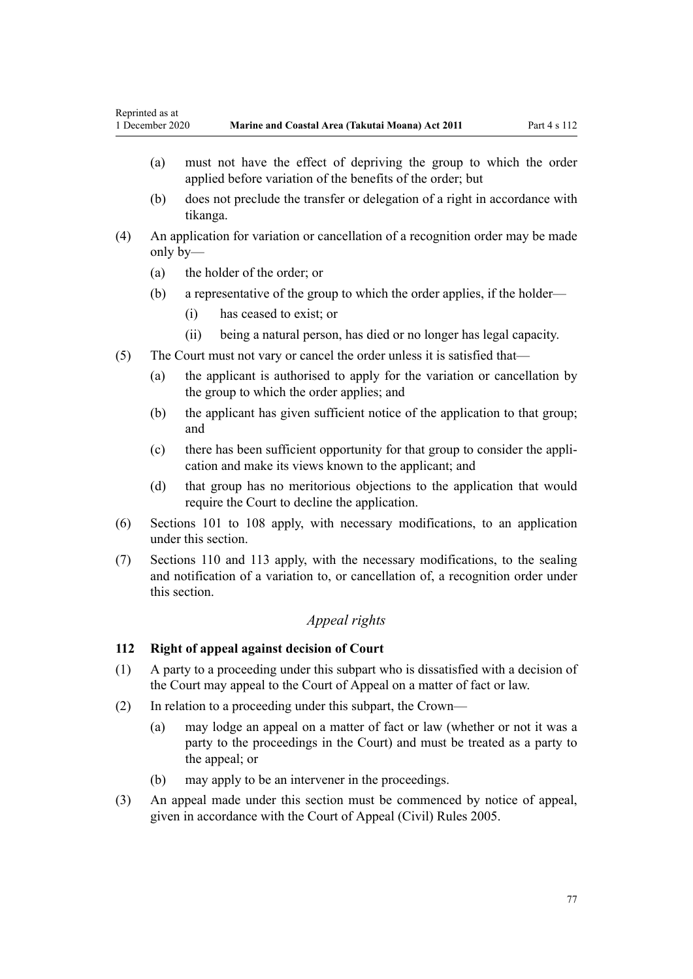- (a) must not have the effect of depriving the group to which the order applied before variation of the benefits of the order; but
- (b) does not preclude the transfer or delegation of a right in accordance with tikanga.
- (4) An application for variation or cancellation of a recognition order may be made only by—
	- (a) the holder of the order; or
	- (b) a representative of the group to which the order applies, if the holder—
		- (i) has ceased to exist; or
		- (ii) being a natural person, has died or no longer has legal capacity.
- (5) The Court must not vary or cancel the order unless it is satisfied that—
	- (a) the applicant is authorised to apply for the variation or cancellation by the group to which the order applies; and
	- (b) the applicant has given sufficient notice of the application to that group; and
	- (c) there has been sufficient opportunity for that group to consider the application and make its views known to the applicant; and
	- (d) that group has no meritorious objections to the application that would require the Court to decline the application.
- (6) [Sections 101 to 108](#page-71-0) apply, with necessary modifications, to an application under this section.
- (7) [Sections 110](#page-75-0) and [113](#page-77-0) apply, with the necessary modifications, to the sealing and notification of a variation to, or cancellation of, a recognition order under this section.

## *Appeal rights*

## **112 Right of appeal against decision of Court**

- (1) A party to a proceeding under this subpart who is dissatisfied with a decision of the Court may appeal to the Court of Appeal on a matter of fact or law.
- (2) In relation to a proceeding under this subpart, the Crown—
	- (a) may lodge an appeal on a matter of fact or law (whether or not it was a party to the proceedings in the Court) and must be treated as a party to the appeal; or
	- (b) may apply to be an intervener in the proceedings.
- (3) An appeal made under this section must be commenced by notice of appeal, given in accordance with the [Court of Appeal \(Civil\) Rules 2005](http://legislation.govt.nz/pdflink.aspx?id=DLM319745).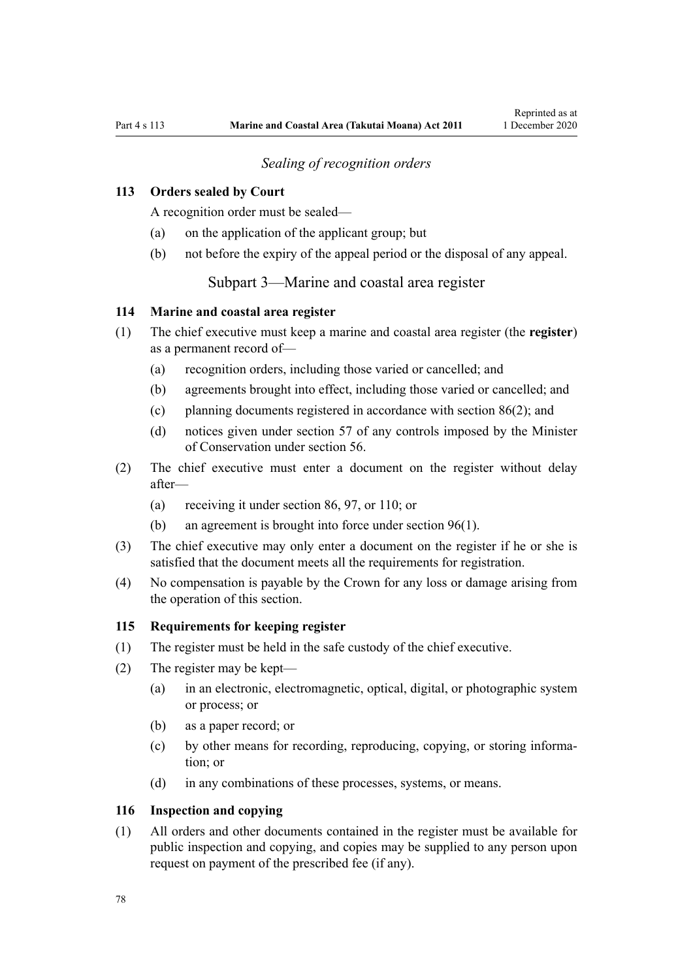## *Sealing of recognition orders*

## <span id="page-77-0"></span>**113 Orders sealed by Court**

A recognition order must be sealed—

- (a) on the application of the applicant group; but
- (b) not before the expiry of the appeal period or the disposal of any appeal.

Subpart 3—Marine and coastal area register

### **114 Marine and coastal area register**

- (1) The chief executive must keep a marine and coastal area register (the **register**) as a permanent record of—
	- (a) recognition orders, including those varied or cancelled; and
	- (b) agreements brought into effect, including those varied or cancelled; and
	- (c) planning documents registered in accordance with [section 86\(2\)](#page-64-0); and
	- (d) notices given under [section 57](#page-43-0) of any controls imposed by the Minister of Conservation under [section 56.](#page-43-0)
- (2) The chief executive must enter a document on the register without delay after—
	- (a) receiving it under [section 86](#page-64-0), [97](#page-70-0), or [110](#page-75-0); or
	- (b) an agreement is brought into force under [section 96\(1\).](#page-69-0)
- (3) The chief executive may only enter a document on the register if he or she is satisfied that the document meets all the requirements for registration.
- (4) No compensation is payable by the Crown for any loss or damage arising from the operation of this section.

#### **115 Requirements for keeping register**

- (1) The register must be held in the safe custody of the chief executive.
- (2) The register may be kept—
	- (a) in an electronic, electromagnetic, optical, digital, or photographic system or process; or
	- (b) as a paper record; or
	- (c) by other means for recording, reproducing, copying, or storing information; or
	- (d) in any combinations of these processes, systems, or means.

### **116 Inspection and copying**

(1) All orders and other documents contained in the register must be available for public inspection and copying, and copies may be supplied to any person upon request on payment of the prescribed fee (if any).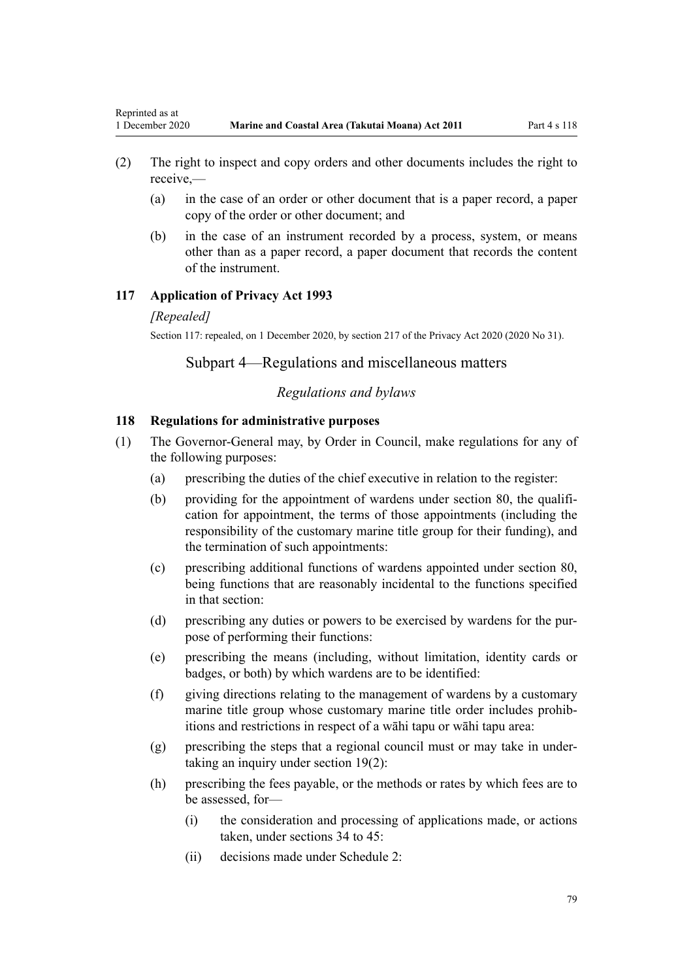- (2) The right to inspect and copy orders and other documents includes the right to receive,—
	- (a) in the case of an order or other document that is a paper record, a paper copy of the order or other document; and
	- (b) in the case of an instrument recorded by a process, system, or means other than as a paper record, a paper document that records the content of the instrument.

#### **117 Application of Privacy Act 1993**

#### *[Repealed]*

<span id="page-78-0"></span>Reprinted as at

Section 117: repealed, on 1 December 2020, by [section 217](http://legislation.govt.nz/pdflink.aspx?id=LMS23706) of the Privacy Act 2020 (2020 No 31).

## Subpart 4—Regulations and miscellaneous matters

## *Regulations and bylaws*

#### **118 Regulations for administrative purposes**

- (1) The Governor-General may, by Order in Council, make regulations for any of the following purposes:
	- (a) prescribing the duties of the chief executive in relation to the register:
	- (b) providing for the appointment of wardens under [section 80,](#page-60-0) the qualification for appointment, the terms of those appointments (including the responsibility of the customary marine title group for their funding), and the termination of such appointments:
	- (c) prescribing additional functions of wardens appointed under [section 80](#page-60-0), being functions that are reasonably incidental to the functions specified in that section:
	- (d) prescribing any duties or powers to be exercised by wardens for the purpose of performing their functions:
	- (e) prescribing the means (including, without limitation, identity cards or badges, or both) by which wardens are to be identified:
	- (f) giving directions relating to the management of wardens by a customary marine title group whose customary marine title order includes prohibitions and restrictions in respect of a wāhi tapu or wāhi tapu area:
	- (g) prescribing the steps that a regional council must or may take in undertaking an inquiry under [section 19\(2\)](#page-20-0):
	- (h) prescribing the fees payable, or the methods or rates by which fees are to be assessed, for—
		- (i) the consideration and processing of applications made, or actions taken, under sections  $34$  to  $45$ .
		- (ii) decisions made under [Schedule 2:](#page-92-0)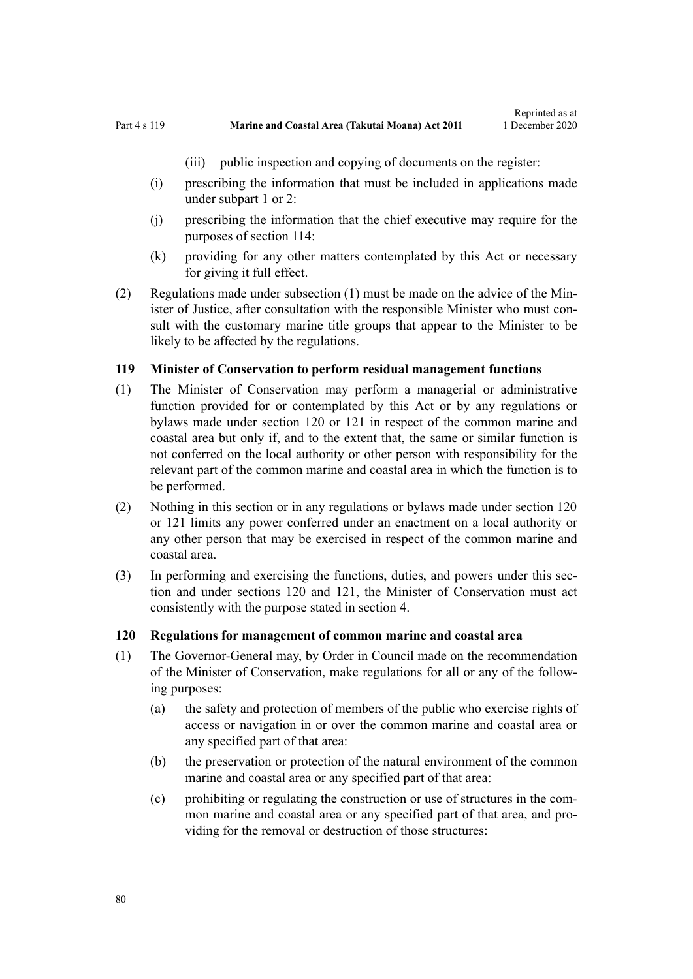(iii) public inspection and copying of documents on the register:

- <span id="page-79-0"></span>(i) prescribing the information that must be included in applications made under [subpart 1](#page-69-0) or [2:](#page-70-0)
- (j) prescribing the information that the chief executive may require for the purposes of [section 114:](#page-77-0)
- (k) providing for any other matters contemplated by this Act or necessary for giving it full effect.
- (2) Regulations made under subsection (1) must be made on the advice of the Minister of Justice, after consultation with the responsible Minister who must consult with the customary marine title groups that appear to the Minister to be likely to be affected by the regulations.

## **119 Minister of Conservation to perform residual management functions**

- (1) The Minister of Conservation may perform a managerial or administrative function provided for or contemplated by this Act or by any regulations or bylaws made under section 120 or [121](#page-80-0) in respect of the common marine and coastal area but only if, and to the extent that, the same or similar function is not conferred on the local authority or other person with responsibility for the relevant part of the common marine and coastal area in which the function is to be performed.
- (2) Nothing in this section or in any regulations or bylaws made under section 120 or [121](#page-80-0) limits any power conferred under an enactment on a local authority or any other person that may be exercised in respect of the common marine and coastal area.
- (3) In performing and exercising the functions, duties, and powers under this section and under sections 120 and [121,](#page-80-0) the Minister of Conservation must act consistently with the purpose stated in [section 4](#page-8-0).

#### **120 Regulations for management of common marine and coastal area**

- (1) The Governor-General may, by Order in Council made on the recommendation of the Minister of Conservation, make regulations for all or any of the following purposes:
	- (a) the safety and protection of members of the public who exercise rights of access or navigation in or over the common marine and coastal area or any specified part of that area:
	- (b) the preservation or protection of the natural environment of the common marine and coastal area or any specified part of that area:
	- (c) prohibiting or regulating the construction or use of structures in the common marine and coastal area or any specified part of that area, and providing for the removal or destruction of those structures: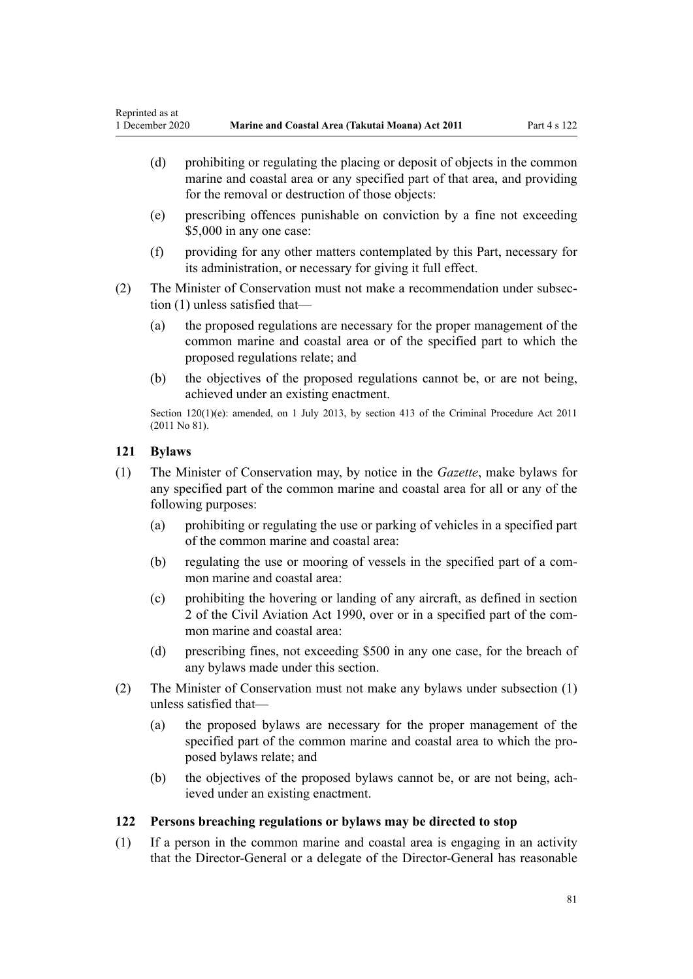- <span id="page-80-0"></span>(d) prohibiting or regulating the placing or deposit of objects in the common marine and coastal area or any specified part of that area, and providing for the removal or destruction of those objects:
- (e) prescribing offences punishable on conviction by a fine not exceeding \$5,000 in any one case:
- (f) providing for any other matters contemplated by this Part, necessary for its administration, or necessary for giving it full effect.
- (2) The Minister of Conservation must not make a recommendation under subsection (1) unless satisfied that—
	- (a) the proposed regulations are necessary for the proper management of the common marine and coastal area or of the specified part to which the proposed regulations relate; and
	- (b) the objectives of the proposed regulations cannot be, or are not being, achieved under an existing enactment.

Section 120(1)(e): amended, on 1 July 2013, by [section 413](http://legislation.govt.nz/pdflink.aspx?id=DLM3360714) of the Criminal Procedure Act 2011 (2011 No 81).

## **121 Bylaws**

- (1) The Minister of Conservation may, by notice in the *Gazette*, make bylaws for any specified part of the common marine and coastal area for all or any of the following purposes:
	- (a) prohibiting or regulating the use or parking of vehicles in a specified part of the common marine and coastal area:
	- (b) regulating the use or mooring of vessels in the specified part of a common marine and coastal area:
	- (c) prohibiting the hovering or landing of any aircraft, as defined in [section](http://legislation.govt.nz/pdflink.aspx?id=DLM214692) [2](http://legislation.govt.nz/pdflink.aspx?id=DLM214692) of the Civil Aviation Act 1990, over or in a specified part of the common marine and coastal area:
	- (d) prescribing fines, not exceeding \$500 in any one case, for the breach of any bylaws made under this section.
- (2) The Minister of Conservation must not make any bylaws under subsection (1) unless satisfied that—
	- (a) the proposed bylaws are necessary for the proper management of the specified part of the common marine and coastal area to which the proposed bylaws relate; and
	- (b) the objectives of the proposed bylaws cannot be, or are not being, achieved under an existing enactment.

## **122 Persons breaching regulations or bylaws may be directed to stop**

(1) If a person in the common marine and coastal area is engaging in an activity that the Director-General or a delegate of the Director-General has reasonable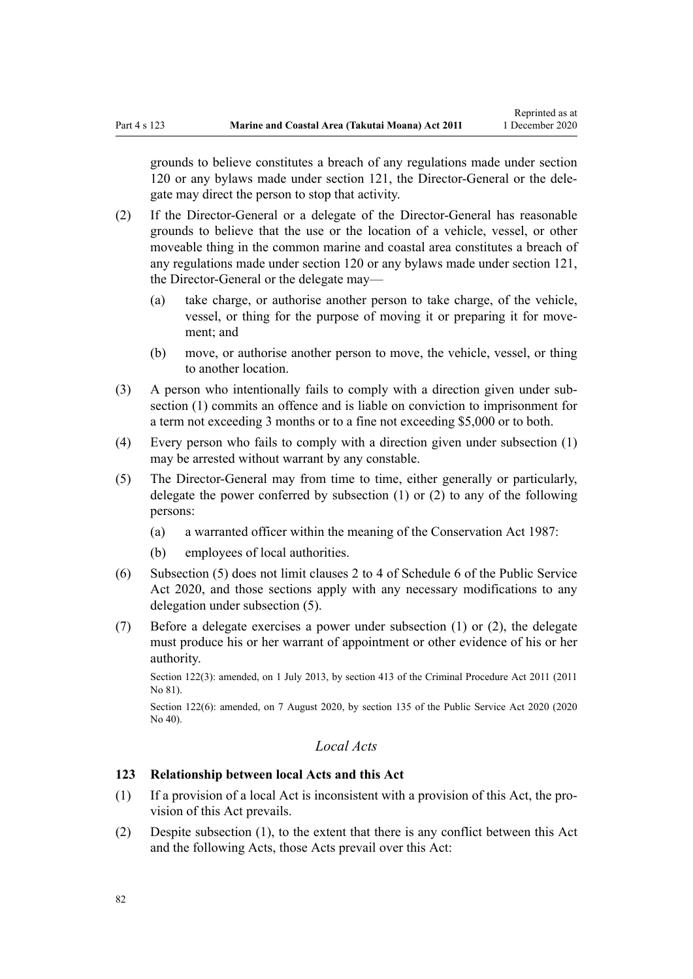grounds to believe constitutes a breach of any regulations made under [section](#page-79-0) [120](#page-79-0) or any bylaws made under [section 121](#page-80-0), the Director-General or the delegate may direct the person to stop that activity.

- (2) If the Director-General or a delegate of the Director-General has reasonable grounds to believe that the use or the location of a vehicle, vessel, or other moveable thing in the common marine and coastal area constitutes a breach of any regulations made under [section 120](#page-79-0) or any bylaws made under [section 121](#page-80-0), the Director-General or the delegate may—
	- (a) take charge, or authorise another person to take charge, of the vehicle, vessel, or thing for the purpose of moving it or preparing it for movement; and
	- (b) move, or authorise another person to move, the vehicle, vessel, or thing to another location.
- (3) A person who intentionally fails to comply with a direction given under subsection (1) commits an offence and is liable on conviction to imprisonment for a term not exceeding 3 months or to a fine not exceeding \$5,000 or to both.
- (4) Every person who fails to comply with a direction given under subsection (1) may be arrested without warrant by any constable.
- (5) The Director-General may from time to time, either generally or particularly, delegate the power conferred by subsection (1) or (2) to any of the following persons:
	- (a) a warranted officer within the meaning of the [Conservation Act 1987](http://legislation.govt.nz/pdflink.aspx?id=DLM103609):
	- (b) employees of local authorities.
- (6) Subsection (5) does not limit [clauses 2 to 4](http://legislation.govt.nz/pdflink.aspx?id=LMS356992) of Schedule 6 of the Public Service Act 2020, and those sections apply with any necessary modifications to any delegation under subsection (5).
- (7) Before a delegate exercises a power under subsection (1) or (2), the delegate must produce his or her warrant of appointment or other evidence of his or her authority.

Section 122(3): amended, on 1 July 2013, by [section 413](http://legislation.govt.nz/pdflink.aspx?id=DLM3360714) of the Criminal Procedure Act 2011 (2011 No 81).

Section 122(6): amended, on 7 August 2020, by [section 135](http://legislation.govt.nz/pdflink.aspx?id=LMS176959) of the Public Service Act 2020 (2020 No 40).

## *Local Acts*

## **123 Relationship between local Acts and this Act**

- (1) If a provision of a local Act is inconsistent with a provision of this Act, the provision of this Act prevails.
- (2) Despite subsection (1), to the extent that there is any conflict between this Act and the following Acts, those Acts prevail over this Act: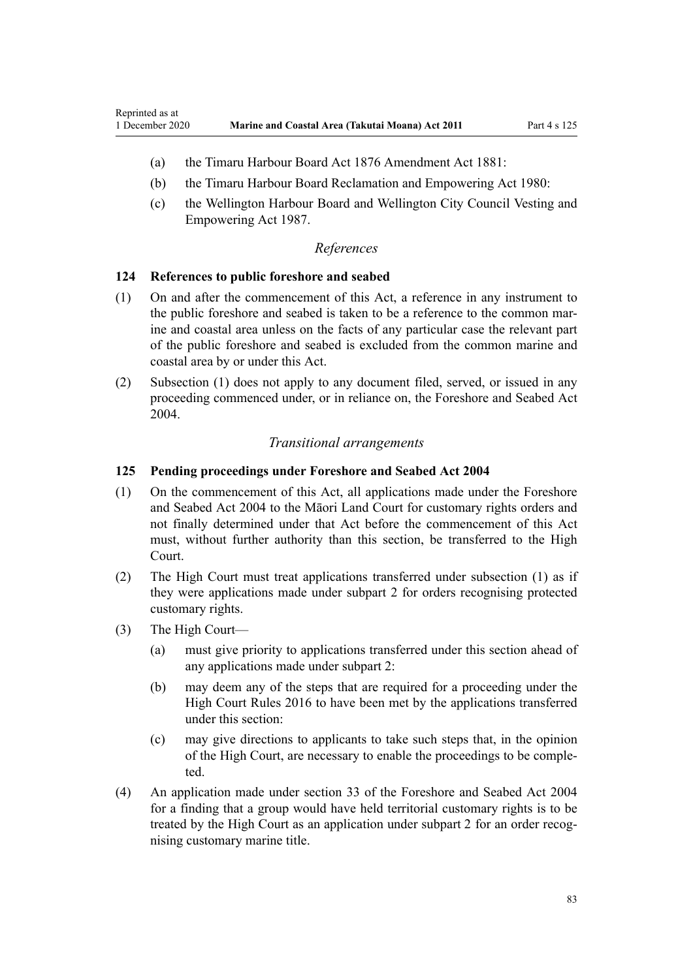- (a) the [Timaru Harbour Board Act 1876 Amendment Act 1881](http://legislation.govt.nz/pdflink.aspx?id=DLM15371):
- (b) the [Timaru Harbour Board Reclamation and Empowering Act 1980:](http://legislation.govt.nz/pdflink.aspx?id=DLM74774)
- (c) the [Wellington Harbour Board and Wellington City Council Vesting and](http://legislation.govt.nz/pdflink.aspx?id=DLM78106) [Empowering Act 1987.](http://legislation.govt.nz/pdflink.aspx?id=DLM78106)

#### *References*

#### **124 References to public foreshore and seabed**

- (1) On and after the commencement of this Act, a reference in any instrument to the public foreshore and seabed is taken to be a reference to the common marine and coastal area unless on the facts of any particular case the relevant part of the public foreshore and seabed is excluded from the common marine and coastal area by or under this Act.
- (2) Subsection (1) does not apply to any document filed, served, or issued in any proceeding commenced under, or in reliance on, the [Foreshore and Seabed Act](http://legislation.govt.nz/pdflink.aspx?id=DLM319838) [2004](http://legislation.govt.nz/pdflink.aspx?id=DLM319838).

### *Transitional arrangements*

## **125 Pending proceedings under Foreshore and Seabed Act 2004**

- (1) On the commencement of this Act, all applications made under the [Foreshore](http://legislation.govt.nz/pdflink.aspx?id=DLM319838) [and Seabed Act 2004](http://legislation.govt.nz/pdflink.aspx?id=DLM319838) to the Māori Land Court for customary rights orders and not finally determined under that Act before the commencement of this Act must, without further authority than this section, be transferred to the High Court.
- (2) The High Court must treat applications transferred under subsection (1) as if they were applications made under [subpart 2](#page-70-0) for orders recognising protected customary rights.
- (3) The High Court—

Reprinted as at

- (a) must give priority to applications transferred under this section ahead of any applications made under [subpart 2](#page-70-0):
- (b) may deem any of the steps that are required for a proceeding under the [High Court Rules 2016](http://legislation.govt.nz/pdflink.aspx?id=DLM6959800) to have been met by the applications transferred under this section:
- (c) may give directions to applicants to take such steps that, in the opinion of the High Court, are necessary to enable the proceedings to be completed.
- (4) An application made under [section 33](http://legislation.govt.nz/pdflink.aspx?id=DLM320263) of the Foreshore and Seabed Act 2004 for a finding that a group would have held territorial customary rights is to be treated by the High Court as an application under [subpart 2](#page-70-0) for an order recognising customary marine title.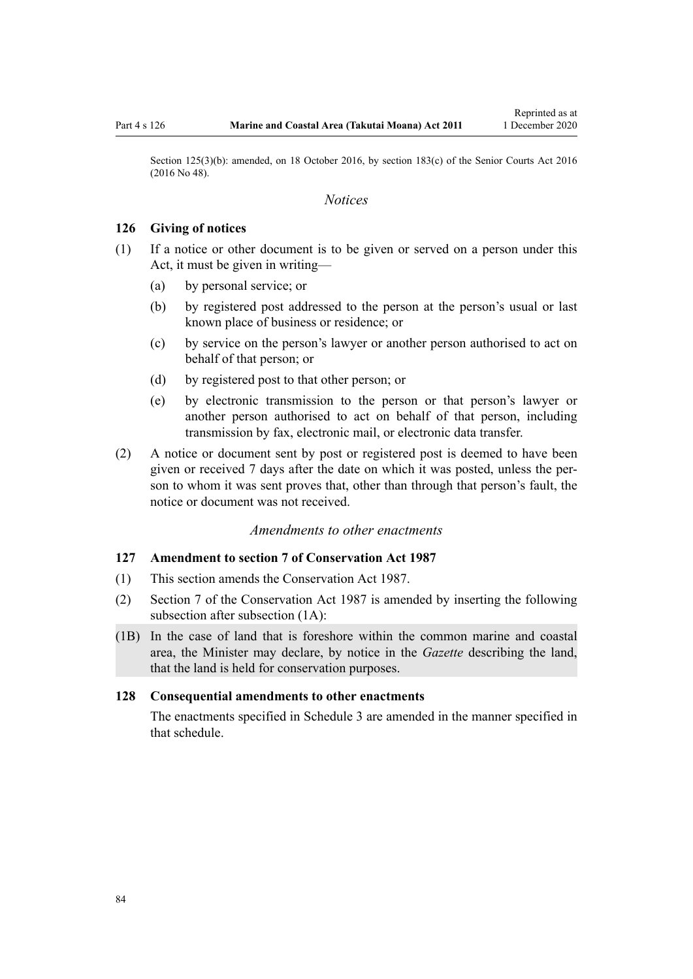<span id="page-83-0"></span>Section 125(3)(b): amended, on 18 October 2016, by [section 183\(c\)](http://legislation.govt.nz/pdflink.aspx?id=DLM5759564) of the Senior Courts Act 2016 (2016 No 48).

#### *Notices*

#### **126 Giving of notices**

- (1) If a notice or other document is to be given or served on a person under this Act, it must be given in writing—
	- (a) by personal service; or
	- (b) by registered post addressed to the person at the person's usual or last known place of business or residence; or
	- (c) by service on the person's lawyer or another person authorised to act on behalf of that person; or
	- (d) by registered post to that other person; or
	- (e) by electronic transmission to the person or that person's lawyer or another person authorised to act on behalf of that person, including transmission by fax, electronic mail, or electronic data transfer.
- (2) A notice or document sent by post or registered post is deemed to have been given or received 7 days after the date on which it was posted, unless the person to whom it was sent proves that, other than through that person's fault, the notice or document was not received.

## *Amendments to other enactments*

#### **127 Amendment to section 7 of Conservation Act 1987**

- (1) This section amends the [Conservation Act 1987.](http://legislation.govt.nz/pdflink.aspx?id=DLM103609)
- (2) [Section 7](http://legislation.govt.nz/pdflink.aspx?id=DLM104251) of the Conservation Act 1987 is amended by inserting the following subsection after subsection (1A):
- (1B) In the case of land that is foreshore within the common marine and coastal area, the Minister may declare, by notice in the *Gazette* describing the land, that the land is held for conservation purposes.

#### **128 Consequential amendments to other enactments**

The enactments specified in [Schedule 3 a](#page-98-0)re amended in the manner specified in that schedule.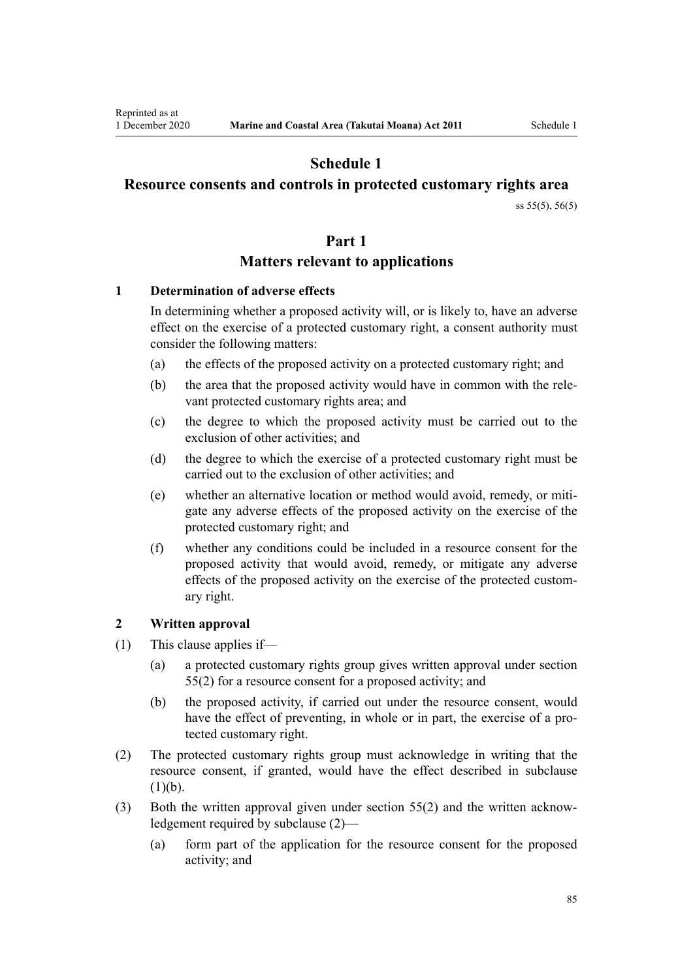# **Schedule 1**

## <span id="page-84-0"></span>**Resource consents and controls in protected customary rights area**

[ss 55\(5\)](#page-42-0), [56\(5\)](#page-43-0)

## **Part 1**

## **Matters relevant to applications**

## **1 Determination of adverse effects**

In determining whether a proposed activity will, or is likely to, have an adverse effect on the exercise of a protected customary right, a consent authority must consider the following matters:

- (a) the effects of the proposed activity on a protected customary right; and
- (b) the area that the proposed activity would have in common with the relevant protected customary rights area; and
- (c) the degree to which the proposed activity must be carried out to the exclusion of other activities; and
- (d) the degree to which the exercise of a protected customary right must be carried out to the exclusion of other activities; and
- (e) whether an alternative location or method would avoid, remedy, or mitigate any adverse effects of the proposed activity on the exercise of the protected customary right; and
- (f) whether any conditions could be included in a resource consent for the proposed activity that would avoid, remedy, or mitigate any adverse effects of the proposed activity on the exercise of the protected customary right.

## **2 Written approval**

- (1) This clause applies if—
	- (a) a protected customary rights group gives written approval under [section](#page-42-0) [55\(2\)](#page-42-0) for a resource consent for a proposed activity; and
	- (b) the proposed activity, if carried out under the resource consent, would have the effect of preventing, in whole or in part, the exercise of a protected customary right.
- (2) The protected customary rights group must acknowledge in writing that the resource consent, if granted, would have the effect described in subclause  $(1)(b)$ .
- (3) Both the written approval given under [section 55\(2\)](#page-42-0) and the written acknowledgement required by subclause (2)—
	- (a) form part of the application for the resource consent for the proposed activity; and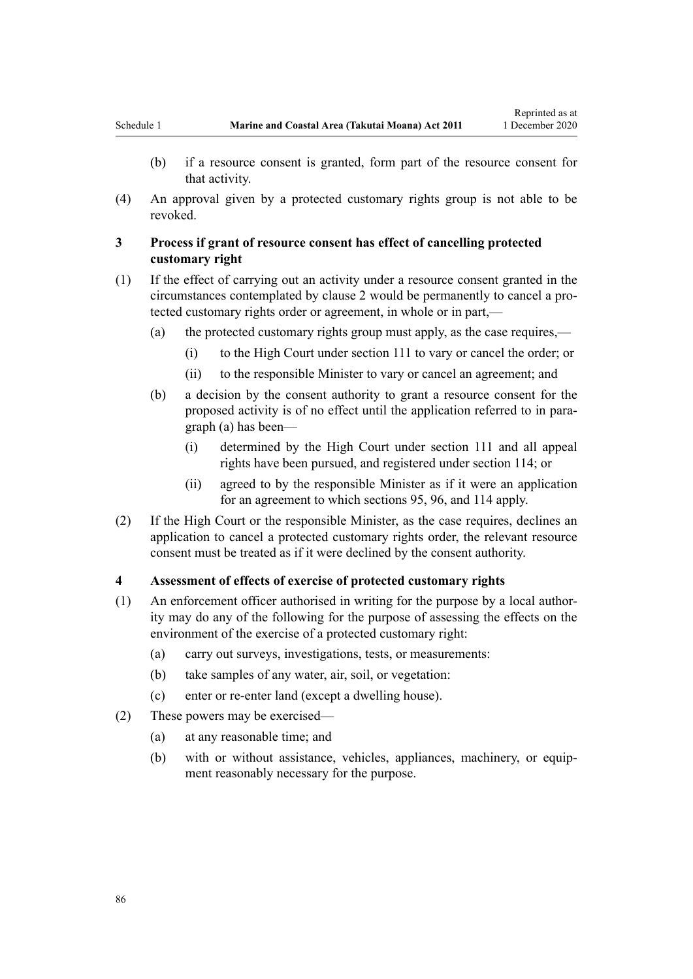- (b) if a resource consent is granted, form part of the resource consent for that activity.
- (4) An approval given by a protected customary rights group is not able to be revoked.

## **3 Process if grant of resource consent has effect of cancelling protected customary right**

- (1) If the effect of carrying out an activity under a resource consent granted in the circumstances contemplated by [clause 2](#page-84-0) would be permanently to cancel a protected customary rights order or agreement, in whole or in part,—
	- (a) the protected customary rights group must apply, as the case requires,—
		- (i) to the High Court under [section 111](#page-75-0) to vary or cancel the order; or
		- (ii) to the responsible Minister to vary or cancel an agreement; and
	- (b) a decision by the consent authority to grant a resource consent for the proposed activity is of no effect until the application referred to in paragraph (a) has been—
		- (i) determined by the High Court under [section 111](#page-75-0) and all appeal rights have been pursued, and registered under [section 114;](#page-77-0) or
		- (ii) agreed to by the responsible Minister as if it were an application for an agreement to which [sections 95](#page-69-0), [96](#page-69-0), and [114](#page-77-0) apply.
- (2) If the High Court or the responsible Minister, as the case requires, declines an application to cancel a protected customary rights order, the relevant resource consent must be treated as if it were declined by the consent authority.

## **4 Assessment of effects of exercise of protected customary rights**

- (1) An enforcement officer authorised in writing for the purpose by a local authority may do any of the following for the purpose of assessing the effects on the environment of the exercise of a protected customary right:
	- (a) carry out surveys, investigations, tests, or measurements:
	- (b) take samples of any water, air, soil, or vegetation:
	- (c) enter or re-enter land (except a dwelling house).
- (2) These powers may be exercised—
	- (a) at any reasonable time; and
	- (b) with or without assistance, vehicles, appliances, machinery, or equipment reasonably necessary for the purpose.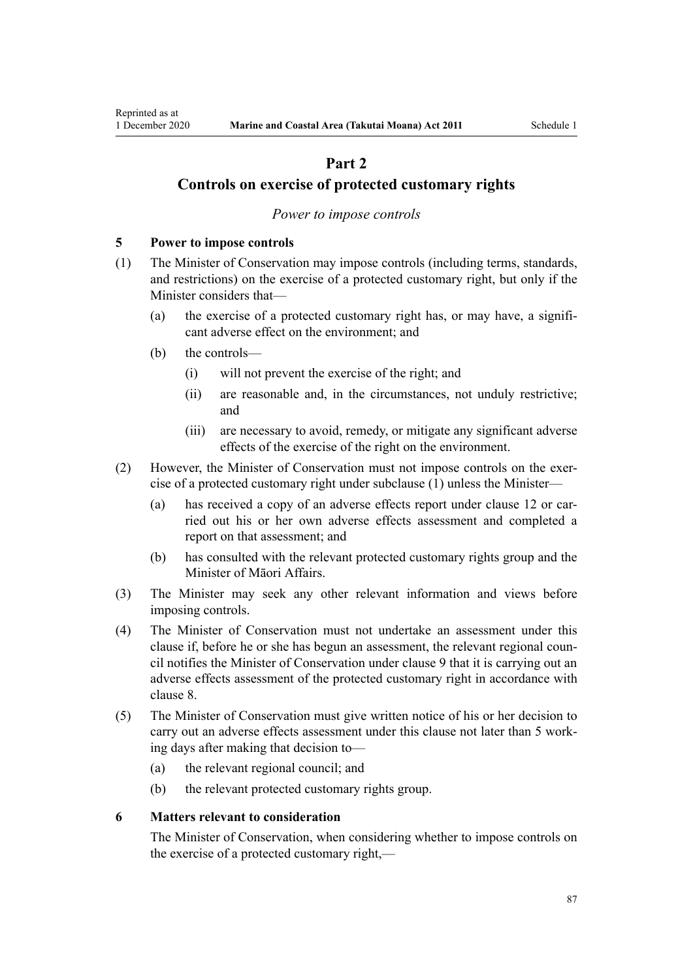## **Part 2**

## <span id="page-86-0"></span>**Controls on exercise of protected customary rights**

## *Power to impose controls*

## **5 Power to impose controls**

- (1) The Minister of Conservation may impose controls (including terms, standards, and restrictions) on the exercise of a protected customary right, but only if the Minister considers that—
	- (a) the exercise of a protected customary right has, or may have, a significant adverse effect on the environment; and
	- (b) the controls—
		- (i) will not prevent the exercise of the right; and
		- (ii) are reasonable and, in the circumstances, not unduly restrictive; and
		- (iii) are necessary to avoid, remedy, or mitigate any significant adverse effects of the exercise of the right on the environment.
- (2) However, the Minister of Conservation must not impose controls on the exercise of a protected customary right under subclause (1) unless the Minister—
	- (a) has received a copy of an adverse effects report under [clause 12](#page-90-0) or carried out his or her own adverse effects assessment and completed a report on that assessment; and
	- (b) has consulted with the relevant protected customary rights group and the Minister of Māori Affairs.
- (3) The Minister may seek any other relevant information and views before imposing controls.
- (4) The Minister of Conservation must not undertake an assessment under this clause if, before he or she has begun an assessment, the relevant regional council notifies the Minister of Conservation under [clause 9](#page-88-0) that it is carrying out an adverse effects assessment of the protected customary right in accordance with [clause 8.](#page-87-0)
- (5) The Minister of Conservation must give written notice of his or her decision to carry out an adverse effects assessment under this clause not later than 5 working days after making that decision to—
	- (a) the relevant regional council; and
	- (b) the relevant protected customary rights group.

#### **6 Matters relevant to consideration**

The Minister of Conservation, when considering whether to impose controls on the exercise of a protected customary right,—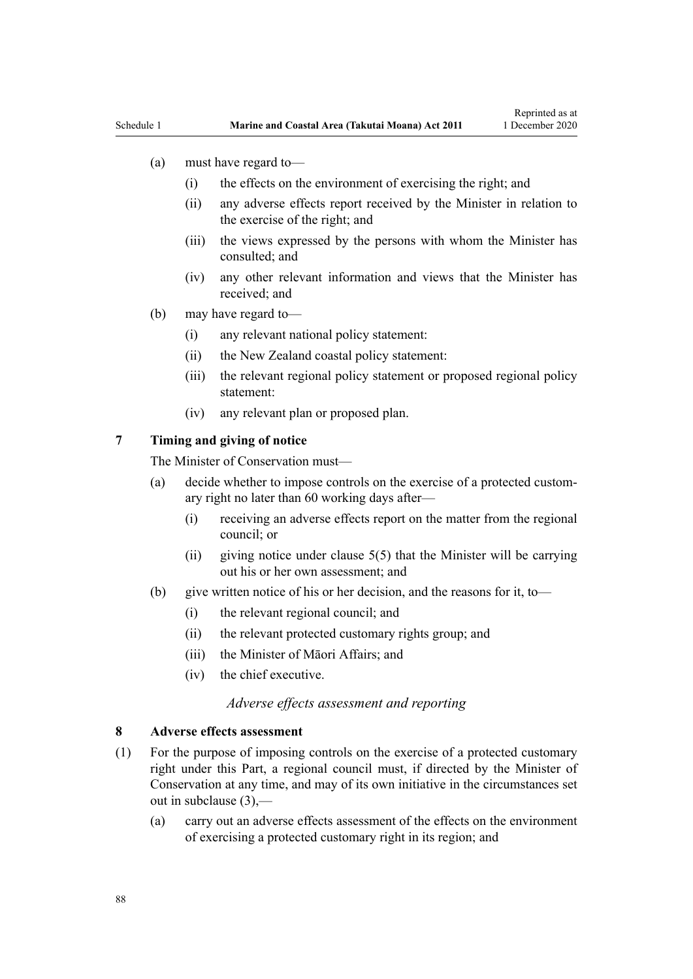- <span id="page-87-0"></span>(a) must have regard to—
	- (i) the effects on the environment of exercising the right; and
	- (ii) any adverse effects report received by the Minister in relation to the exercise of the right; and
	- (iii) the views expressed by the persons with whom the Minister has consulted; and
	- (iv) any other relevant information and views that the Minister has received; and
- (b) may have regard to—
	- (i) any relevant national policy statement:
	- (ii) the New Zealand coastal policy statement:
	- (iii) the relevant regional policy statement or proposed regional policy statement:
	- (iv) any relevant plan or proposed plan.

## **7 Timing and giving of notice**

The Minister of Conservation must—

- (a) decide whether to impose controls on the exercise of a protected customary right no later than 60 working days after—
	- (i) receiving an adverse effects report on the matter from the regional council; or
	- (ii) giving notice under clause  $5(5)$  that the Minister will be carrying out his or her own assessment; and
- (b) give written notice of his or her decision, and the reasons for it, to—
	- (i) the relevant regional council; and
	- (ii) the relevant protected customary rights group; and
	- (iii) the Minister of Māori Affairs; and
	- (iv) the chief executive.

## *Adverse effects assessment and reporting*

#### **8 Adverse effects assessment**

- (1) For the purpose of imposing controls on the exercise of a protected customary right under this Part, a regional council must, if directed by the Minister of Conservation at any time, and may of its own initiative in the circumstances set out in subclause (3),—
	- (a) carry out an adverse effects assessment of the effects on the environment of exercising a protected customary right in its region; and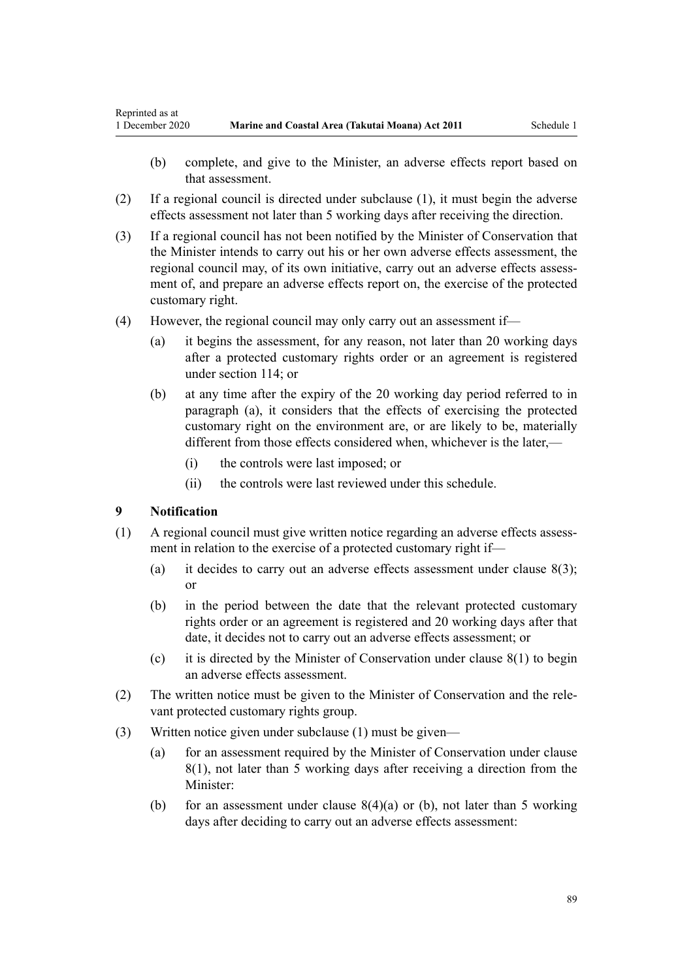- <span id="page-88-0"></span>(b) complete, and give to the Minister, an adverse effects report based on that assessment.
- (2) If a regional council is directed under subclause (1), it must begin the adverse effects assessment not later than 5 working days after receiving the direction.
- (3) If a regional council has not been notified by the Minister of Conservation that the Minister intends to carry out his or her own adverse effects assessment, the regional council may, of its own initiative, carry out an adverse effects assessment of, and prepare an adverse effects report on, the exercise of the protected customary right.
- (4) However, the regional council may only carry out an assessment if—
	- (a) it begins the assessment, for any reason, not later than 20 working days after a protected customary rights order or an agreement is registered under [section 114;](#page-77-0) or
	- (b) at any time after the expiry of the 20 working day period referred to in paragraph (a), it considers that the effects of exercising the protected customary right on the environment are, or are likely to be, materially different from those effects considered when, whichever is the later,—
		- (i) the controls were last imposed; or
		- (ii) the controls were last reviewed under this schedule.

## **9 Notification**

- (1) A regional council must give written notice regarding an adverse effects assessment in relation to the exercise of a protected customary right if—
	- (a) it decides to carry out an adverse effects assessment under clause  $8(3)$ ; or
	- (b) in the period between the date that the relevant protected customary rights order or an agreement is registered and 20 working days after that date, it decides not to carry out an adverse effects assessment; or
	- (c) it is directed by the Minister of Conservation under [clause 8\(1\)](#page-87-0) to begin an adverse effects assessment.
- (2) The written notice must be given to the Minister of Conservation and the relevant protected customary rights group.
- (3) Written notice given under subclause (1) must be given—
	- (a) for an assessment required by the Minister of Conservation under [clause](#page-87-0) [8\(1\)](#page-87-0), not later than 5 working days after receiving a direction from the Minister:
	- (b) for an assessment under clause  $8(4)(a)$  or (b), not later than 5 working days after deciding to carry out an adverse effects assessment: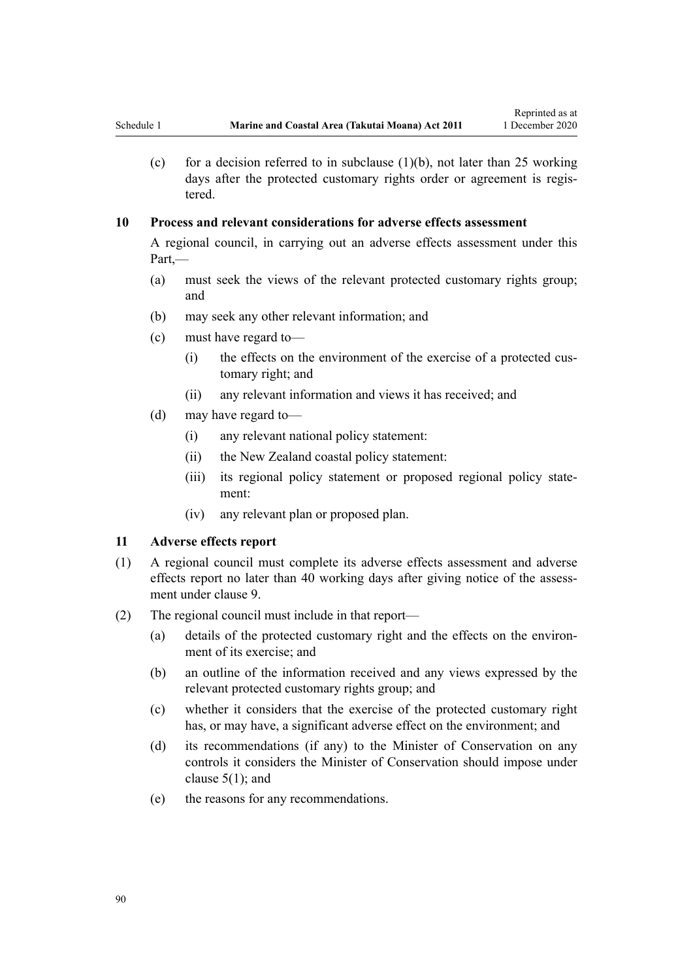(c) for a decision referred to in subclause  $(1)(b)$ , not later than 25 working days after the protected customary rights order or agreement is registered.

## **10 Process and relevant considerations for adverse effects assessment**

A regional council, in carrying out an adverse effects assessment under this Part,—

- (a) must seek the views of the relevant protected customary rights group; and
- (b) may seek any other relevant information; and
- (c) must have regard to—
	- (i) the effects on the environment of the exercise of a protected customary right; and
	- (ii) any relevant information and views it has received; and
- (d) may have regard to—
	- (i) any relevant national policy statement:
	- (ii) the New Zealand coastal policy statement:
	- (iii) its regional policy statement or proposed regional policy statement:
	- (iv) any relevant plan or proposed plan.

#### **11 Adverse effects report**

- (1) A regional council must complete its adverse effects assessment and adverse effects report no later than 40 working days after giving notice of the assessment under [clause 9](#page-88-0).
- (2) The regional council must include in that report—
	- (a) details of the protected customary right and the effects on the environment of its exercise; and
	- (b) an outline of the information received and any views expressed by the relevant protected customary rights group; and
	- (c) whether it considers that the exercise of the protected customary right has, or may have, a significant adverse effect on the environment; and
	- (d) its recommendations (if any) to the Minister of Conservation on any controls it considers the Minister of Conservation should impose under clause  $5(1)$ ; and
	- (e) the reasons for any recommendations.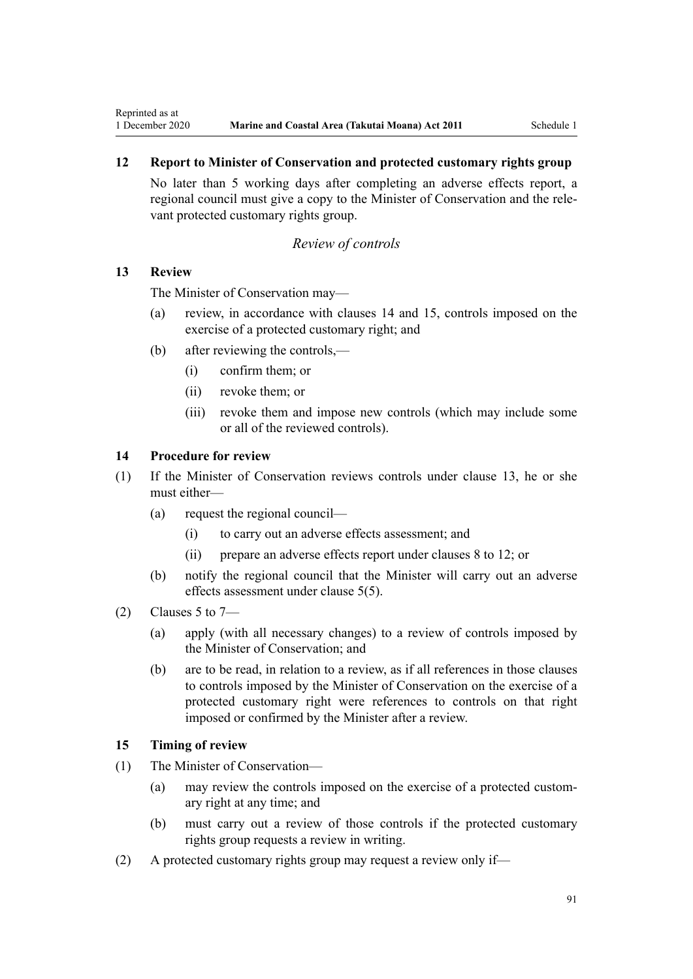## **12 Report to Minister of Conservation and protected customary rights group**

No later than 5 working days after completing an adverse effects report, a regional council must give a copy to the Minister of Conservation and the relevant protected customary rights group.

#### *Review of controls*

## **13 Review**

<span id="page-90-0"></span>Reprinted as at

The Minister of Conservation may—

- (a) review, in accordance with clauses 14 and 15, controls imposed on the exercise of a protected customary right; and
- (b) after reviewing the controls,—
	- (i) confirm them; or
	- (ii) revoke them; or
	- (iii) revoke them and impose new controls (which may include some or all of the reviewed controls).

## **14 Procedure for review**

- (1) If the Minister of Conservation reviews controls under clause 13, he or she must either—
	- (a) request the regional council—
		- (i) to carry out an adverse effects assessment; and
		- (ii) prepare an adverse effects report under [clauses 8 to 12](#page-87-0); or
	- (b) notify the regional council that the Minister will carry out an adverse effects assessment under [clause 5\(5\)](#page-86-0).
- (2) Clauses 5 to  $7-$ 
	- (a) apply (with all necessary changes) to a review of controls imposed by the Minister of Conservation; and
	- (b) are to be read, in relation to a review, as if all references in those clauses to controls imposed by the Minister of Conservation on the exercise of a protected customary right were references to controls on that right imposed or confirmed by the Minister after a review.

#### **15 Timing of review**

- (1) The Minister of Conservation—
	- (a) may review the controls imposed on the exercise of a protected customary right at any time; and
	- (b) must carry out a review of those controls if the protected customary rights group requests a review in writing.
- (2) A protected customary rights group may request a review only if—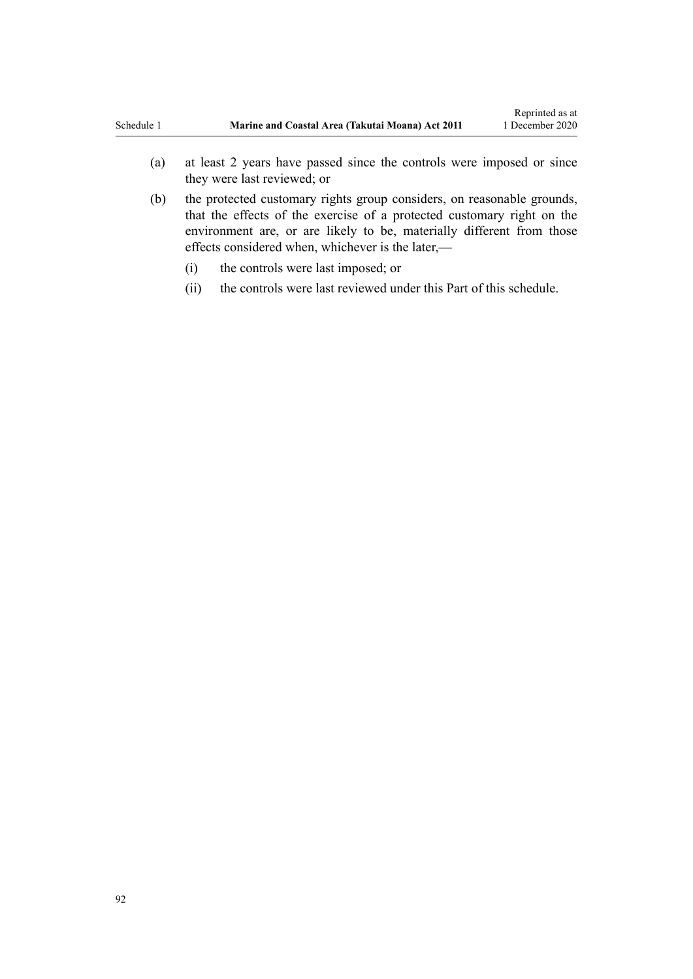- (a) at least 2 years have passed since the controls were imposed or since they were last reviewed; or
- (b) the protected customary rights group considers, on reasonable grounds, that the effects of the exercise of a protected customary right on the environment are, or are likely to be, materially different from those effects considered when, whichever is the later,—
	- (i) the controls were last imposed; or
	- (ii) the controls were last reviewed under this Part of this schedule.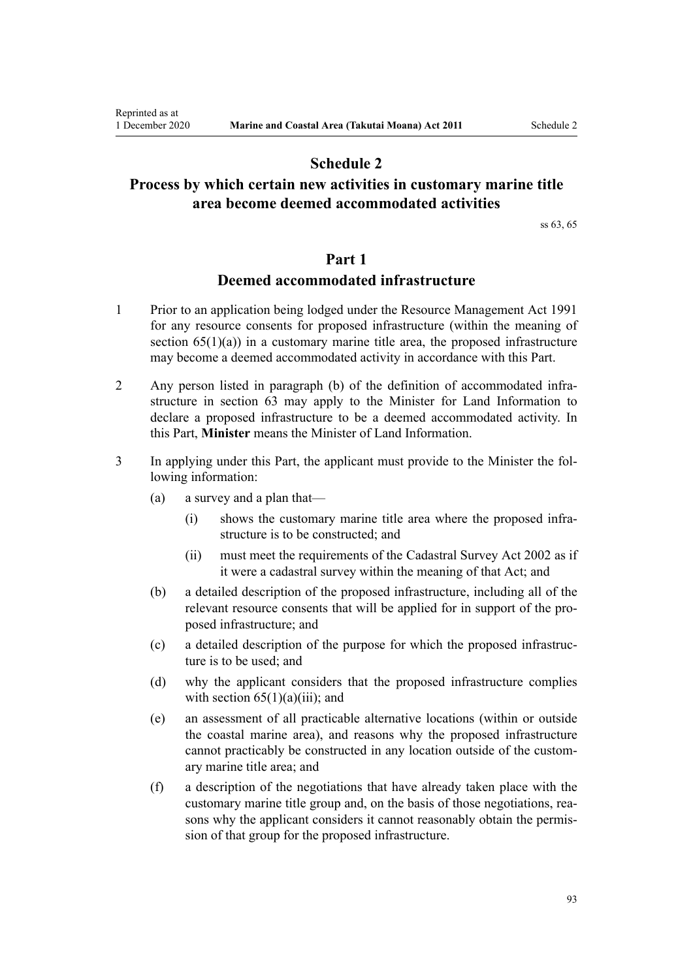## **Schedule 2**

# <span id="page-92-0"></span>**Process by which certain new activities in customary marine title area become deemed accommodated activities**

[ss 63,](#page-48-0) [65](#page-51-0)

## **Part 1**

## **Deemed accommodated infrastructure**

- 1 Prior to an application being lodged under the [Resource Management Act 1991](http://legislation.govt.nz/pdflink.aspx?id=DLM230264) for any resource consents for proposed infrastructure (within the meaning of section  $65(1)(a)$  in a customary marine title area, the proposed infrastructure may become a deemed accommodated activity in accordance with this Part.
- 2 Any person listed in paragraph (b) of the definition of accommodated infrastructure in [section 63](#page-48-0) may apply to the Minister for Land Information to declare a proposed infrastructure to be a deemed accommodated activity. In this Part, **Minister** means the Minister of Land Information.
- 3 In applying under this Part, the applicant must provide to the Minister the following information:
	- (a) a survey and a plan that—
		- (i) shows the customary marine title area where the proposed infrastructure is to be constructed; and
		- (ii) must meet the requirements of the [Cadastral Survey Act 2002](http://legislation.govt.nz/pdflink.aspx?id=DLM141994) as if it were a cadastral survey within the meaning of that Act; and
	- (b) a detailed description of the proposed infrastructure, including all of the relevant resource consents that will be applied for in support of the proposed infrastructure; and
	- (c) a detailed description of the purpose for which the proposed infrastructure is to be used; and
	- (d) why the applicant considers that the proposed infrastructure complies with section  $65(1)(a)(iii)$ ; and
	- (e) an assessment of all practicable alternative locations (within or outside the coastal marine area), and reasons why the proposed infrastructure cannot practicably be constructed in any location outside of the customary marine title area; and
	- (f) a description of the negotiations that have already taken place with the customary marine title group and, on the basis of those negotiations, reasons why the applicant considers it cannot reasonably obtain the permission of that group for the proposed infrastructure.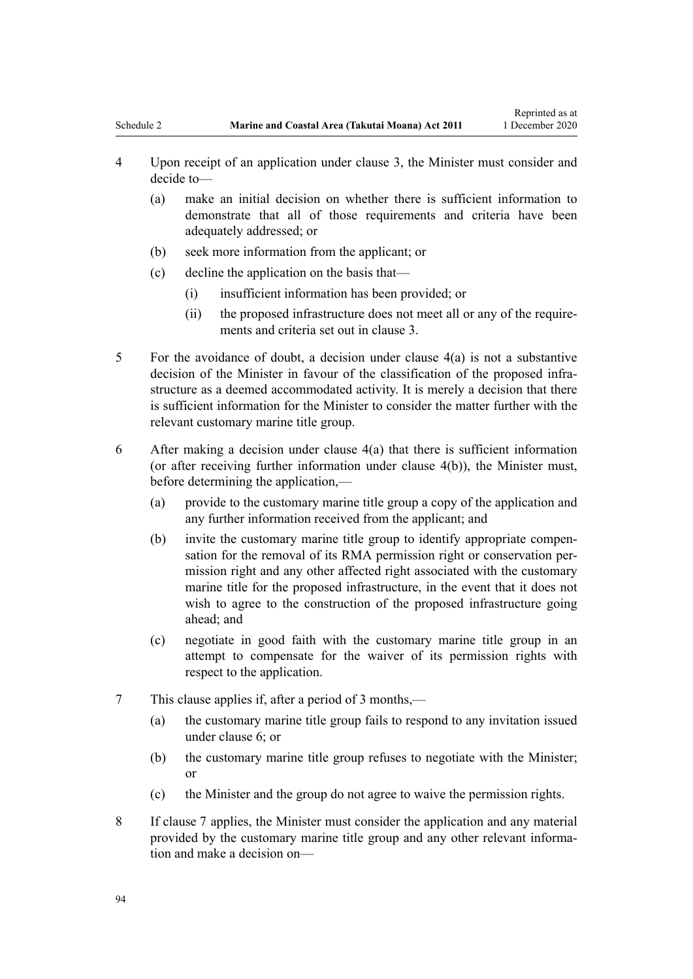- <span id="page-93-0"></span>4 Upon receipt of an application under [clause 3,](#page-92-0) the Minister must consider and decide to—
	- (a) make an initial decision on whether there is sufficient information to demonstrate that all of those requirements and criteria have been adequately addressed; or
	- (b) seek more information from the applicant; or
	- (c) decline the application on the basis that—
		- (i) insufficient information has been provided; or
		- (ii) the proposed infrastructure does not meet all or any of the requirements and criteria set out in [clause 3.](#page-92-0)
- 5 For the avoidance of doubt, a decision under clause 4(a) is not a substantive decision of the Minister in favour of the classification of the proposed infrastructure as a deemed accommodated activity. It is merely a decision that there is sufficient information for the Minister to consider the matter further with the relevant customary marine title group.
- 6 After making a decision under clause 4(a) that there is sufficient information (or after receiving further information under clause 4(b)), the Minister must, before determining the application,—
	- (a) provide to the customary marine title group a copy of the application and any further information received from the applicant; and
	- (b) invite the customary marine title group to identify appropriate compensation for the removal of its RMA permission right or conservation permission right and any other affected right associated with the customary marine title for the proposed infrastructure, in the event that it does not wish to agree to the construction of the proposed infrastructure going ahead; and
	- (c) negotiate in good faith with the customary marine title group in an attempt to compensate for the waiver of its permission rights with respect to the application.
- 7 This clause applies if, after a period of 3 months,—
	- (a) the customary marine title group fails to respond to any invitation issued under clause 6; or
	- (b) the customary marine title group refuses to negotiate with the Minister; or
	- (c) the Minister and the group do not agree to waive the permission rights.
- 8 If clause 7 applies, the Minister must consider the application and any material provided by the customary marine title group and any other relevant information and make a decision on—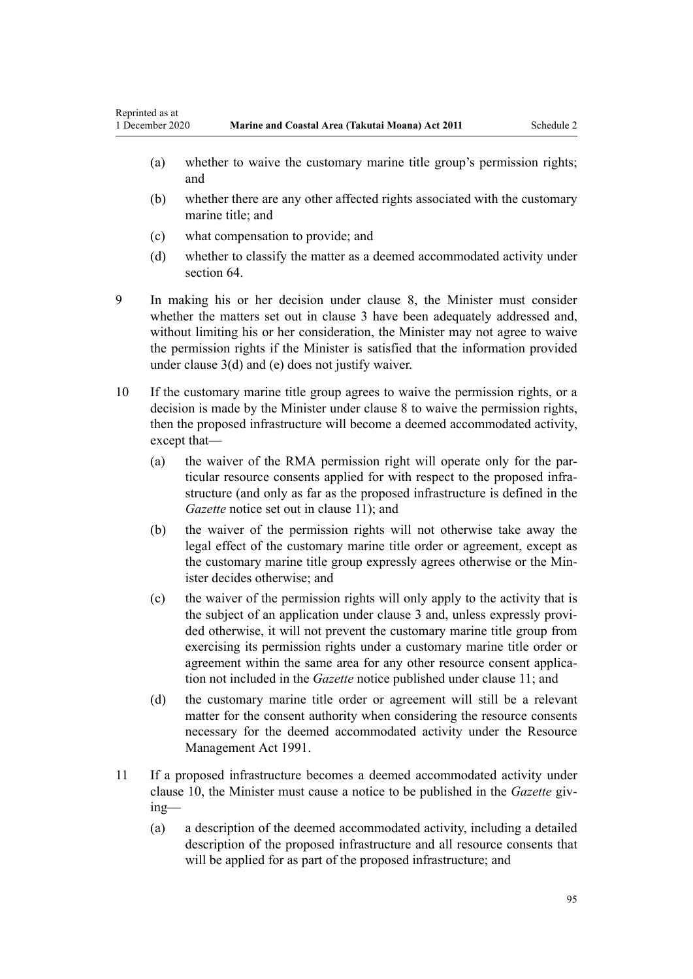- (a) whether to waive the customary marine title group's permission rights; and
- (b) whether there are any other affected rights associated with the customary marine title; and
- (c) what compensation to provide; and
- (d) whether to classify the matter as a deemed accommodated activity under [section 64](#page-50-0).
- 9 In making his or her decision under [clause 8,](#page-93-0) the Minister must consider whether the matters set out in [clause 3](#page-92-0) have been adequately addressed and, without limiting his or her consideration, the Minister may not agree to waive the permission rights if the Minister is satisfied that the information provided under [clause 3\(d\) and \(e\)](#page-92-0) does not justify waiver.
- 10 If the customary marine title group agrees to waive the permission rights, or a decision is made by the Minister under [clause 8](#page-93-0) to waive the permission rights, then the proposed infrastructure will become a deemed accommodated activity, except that—
	- (a) the waiver of the RMA permission right will operate only for the particular resource consents applied for with respect to the proposed infrastructure (and only as far as the proposed infrastructure is defined in the *Gazette* notice set out in clause 11); and
	- (b) the waiver of the permission rights will not otherwise take away the legal effect of the customary marine title order or agreement, except as the customary marine title group expressly agrees otherwise or the Minister decides otherwise; and
	- (c) the waiver of the permission rights will only apply to the activity that is the subject of an application under [clause 3](#page-92-0) and, unless expressly provided otherwise, it will not prevent the customary marine title group from exercising its permission rights under a customary marine title order or agreement within the same area for any other resource consent application not included in the *Gazette* notice published under clause 11; and
	- (d) the customary marine title order or agreement will still be a relevant matter for the consent authority when considering the resource consents necessary for the deemed accommodated activity under the [Resource](http://legislation.govt.nz/pdflink.aspx?id=DLM230264) [Management Act 1991.](http://legislation.govt.nz/pdflink.aspx?id=DLM230264)
- 11 If a proposed infrastructure becomes a deemed accommodated activity under clause 10, the Minister must cause a notice to be published in the *Gazette* giving—
	- (a) a description of the deemed accommodated activity, including a detailed description of the proposed infrastructure and all resource consents that will be applied for as part of the proposed infrastructure; and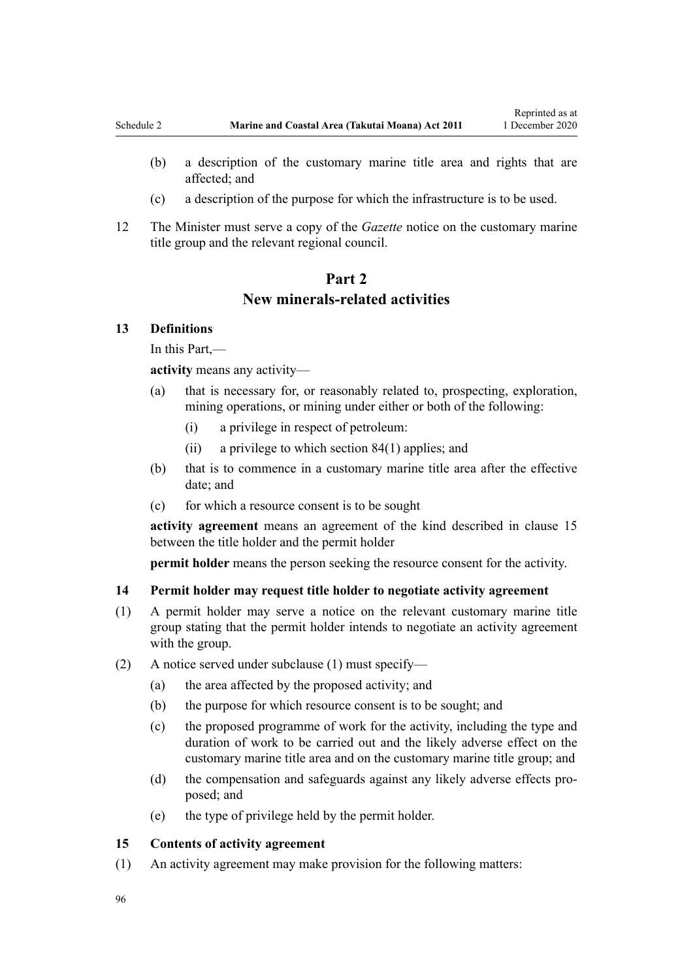- <span id="page-95-0"></span>(c) a description of the purpose for which the infrastructure is to be used.
- 12 The Minister must serve a copy of the *Gazette* notice on the customary marine title group and the relevant regional council.

## **Part 2 New minerals-related activities**

## **13 Definitions**

In this Part,—

**activity** means any activity—

- (a) that is necessary for, or reasonably related to, prospecting, exploration, mining operations, or mining under either or both of the following:
	- (i) a privilege in respect of petroleum:
	- (ii) a privilege to which [section 84\(1\)](#page-63-0) applies; and
- (b) that is to commence in a customary marine title area after the effective date; and
- (c) for which a resource consent is to be sought

**activity agreement** means an agreement of the kind described in clause 15 between the title holder and the permit holder

**permit holder** means the person seeking the resource consent for the activity.

## **14 Permit holder may request title holder to negotiate activity agreement**

- (1) A permit holder may serve a notice on the relevant customary marine title group stating that the permit holder intends to negotiate an activity agreement with the group.
- (2) A notice served under subclause (1) must specify—
	- (a) the area affected by the proposed activity; and
	- (b) the purpose for which resource consent is to be sought; and
	- (c) the proposed programme of work for the activity, including the type and duration of work to be carried out and the likely adverse effect on the customary marine title area and on the customary marine title group; and
	- (d) the compensation and safeguards against any likely adverse effects proposed; and
	- (e) the type of privilege held by the permit holder.

## **15 Contents of activity agreement**

(1) An activity agreement may make provision for the following matters: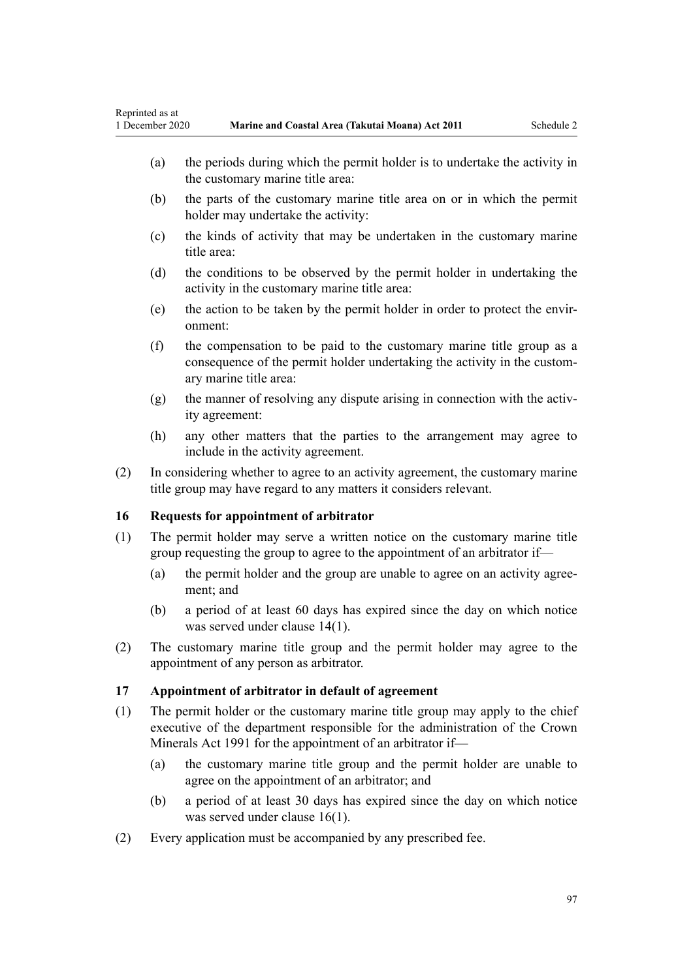- <span id="page-96-0"></span>(a) the periods during which the permit holder is to undertake the activity in the customary marine title area:
- (b) the parts of the customary marine title area on or in which the permit holder may undertake the activity:
- (c) the kinds of activity that may be undertaken in the customary marine title area:
- (d) the conditions to be observed by the permit holder in undertaking the activity in the customary marine title area:
- (e) the action to be taken by the permit holder in order to protect the environment:
- (f) the compensation to be paid to the customary marine title group as a consequence of the permit holder undertaking the activity in the customary marine title area:
- (g) the manner of resolving any dispute arising in connection with the activity agreement:
- (h) any other matters that the parties to the arrangement may agree to include in the activity agreement.
- (2) In considering whether to agree to an activity agreement, the customary marine title group may have regard to any matters it considers relevant.

## **16 Requests for appointment of arbitrator**

- (1) The permit holder may serve a written notice on the customary marine title group requesting the group to agree to the appointment of an arbitrator if—
	- (a) the permit holder and the group are unable to agree on an activity agreement; and
	- (b) a period of at least 60 days has expired since the day on which notice was served under [clause 14\(1\)](#page-95-0).
- (2) The customary marine title group and the permit holder may agree to the appointment of any person as arbitrator.

## **17 Appointment of arbitrator in default of agreement**

- (1) The permit holder or the customary marine title group may apply to the chief executive of the department responsible for the administration of the [Crown](http://legislation.govt.nz/pdflink.aspx?id=DLM242535) [Minerals Act 1991](http://legislation.govt.nz/pdflink.aspx?id=DLM242535) for the appointment of an arbitrator if—
	- (a) the customary marine title group and the permit holder are unable to agree on the appointment of an arbitrator; and
	- (b) a period of at least 30 days has expired since the day on which notice was served under clause 16(1).
- (2) Every application must be accompanied by any prescribed fee.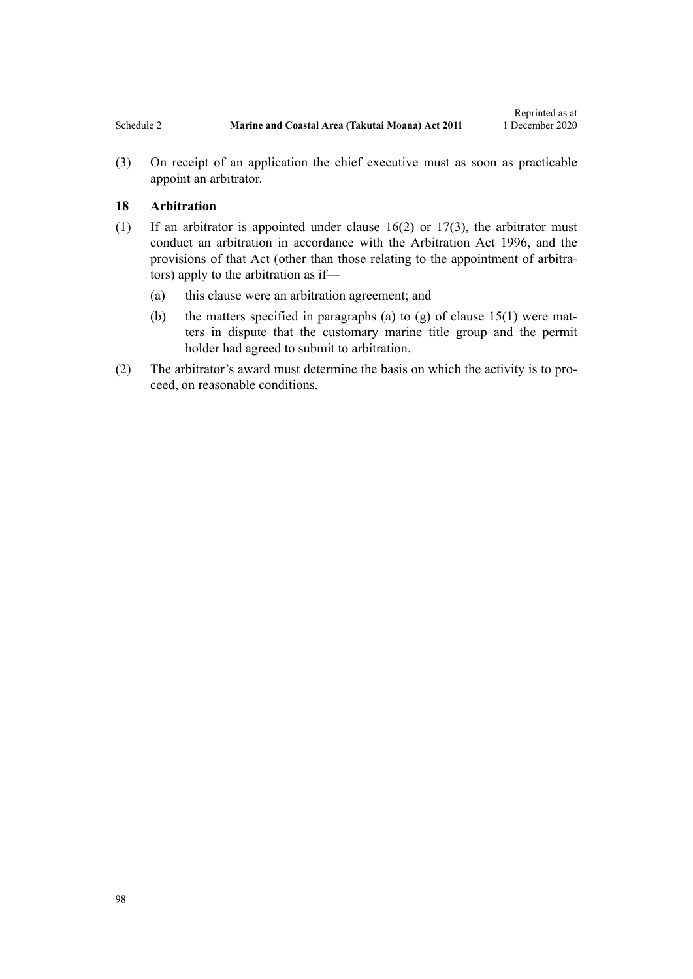(3) On receipt of an application the chief executive must as soon as practicable appoint an arbitrator.

#### **18 Arbitration**

- (1) If an arbitrator is appointed under [clause 16\(2\)](#page-96-0) or [17\(3\),](#page-96-0) the arbitrator must conduct an arbitration in accordance with the [Arbitration Act 1996](http://legislation.govt.nz/pdflink.aspx?id=DLM403276), and the provisions of that Act (other than those relating to the appointment of arbitrators) apply to the arbitration as if—
	- (a) this clause were an arbitration agreement; and
	- (b) the matters specified in paragraphs (a) to (g) of clause  $15(1)$  were matters in dispute that the customary marine title group and the permit holder had agreed to submit to arbitration.
- (2) The arbitrator's award must determine the basis on which the activity is to proceed, on reasonable conditions.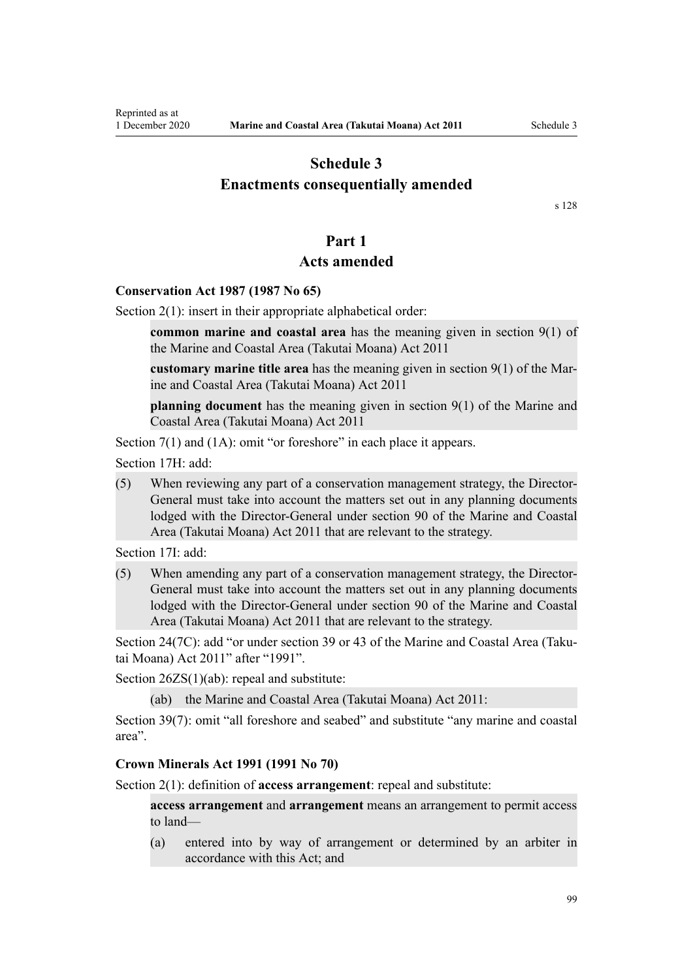## <span id="page-98-0"></span>**Schedule 3 Enactments consequentially amended**

[s 128](#page-83-0)

## **Part 1**

## **Acts amended**

#### **Conservation Act 1987 (1987 No 65)**

[Section 2\(1\):](http://legislation.govt.nz/pdflink.aspx?id=DLM103616) insert in their appropriate alphabetical order:

**common marine and coastal area** has the meaning given in section 9(1) of the Marine and Coastal Area (Takutai Moana) Act 2011

**customary marine title area** has the meaning given in section 9(1) of the Marine and Coastal Area (Takutai Moana) Act 2011

**planning document** has the meaning given in section 9(1) of the Marine and Coastal Area (Takutai Moana) Act 2011

[Section 7\(1\) and \(1A\):](http://legislation.govt.nz/pdflink.aspx?id=DLM104251) omit "or foreshore" in each place it appears.

[Section 17H](http://legislation.govt.nz/pdflink.aspx?id=DLM104613): add:

(5) When reviewing any part of a conservation management strategy, the Director-General must take into account the matters set out in any planning documents lodged with the Director-General under section 90 of the Marine and Coastal Area (Takutai Moana) Act 2011 that are relevant to the strategy.

[Section 17I:](http://legislation.govt.nz/pdflink.aspx?id=DLM104615) add:

(5) When amending any part of a conservation management strategy, the Director-General must take into account the matters set out in any planning documents lodged with the Director-General under section 90 of the Marine and Coastal Area (Takutai Moana) Act 2011 that are relevant to the strategy.

[Section 24\(7C\)](http://legislation.govt.nz/pdflink.aspx?id=DLM104699): add "or under section 39 or 43 of the Marine and Coastal Area (Takutai Moana) Act 2011" after "1991".

[Section 26ZS\(1\)\(ab\)](http://legislation.govt.nz/pdflink.aspx?id=DLM106043): repeal and substitute:

(ab) the Marine and Coastal Area (Takutai Moana) Act 2011:

[Section 39\(7\):](http://legislation.govt.nz/pdflink.aspx?id=DLM106641) omit "all foreshore and seabed" and substitute "any marine and coastal area".

#### **Crown Minerals Act 1991 (1991 No 70)**

[Section 2\(1\):](http://legislation.govt.nz/pdflink.aspx?id=DLM242543) definition of **access arrangement**: repeal and substitute:

**access arrangement** and **arrangement** means an arrangement to permit access to land—

(a) entered into by way of arrangement or determined by an arbiter in accordance with this Act; and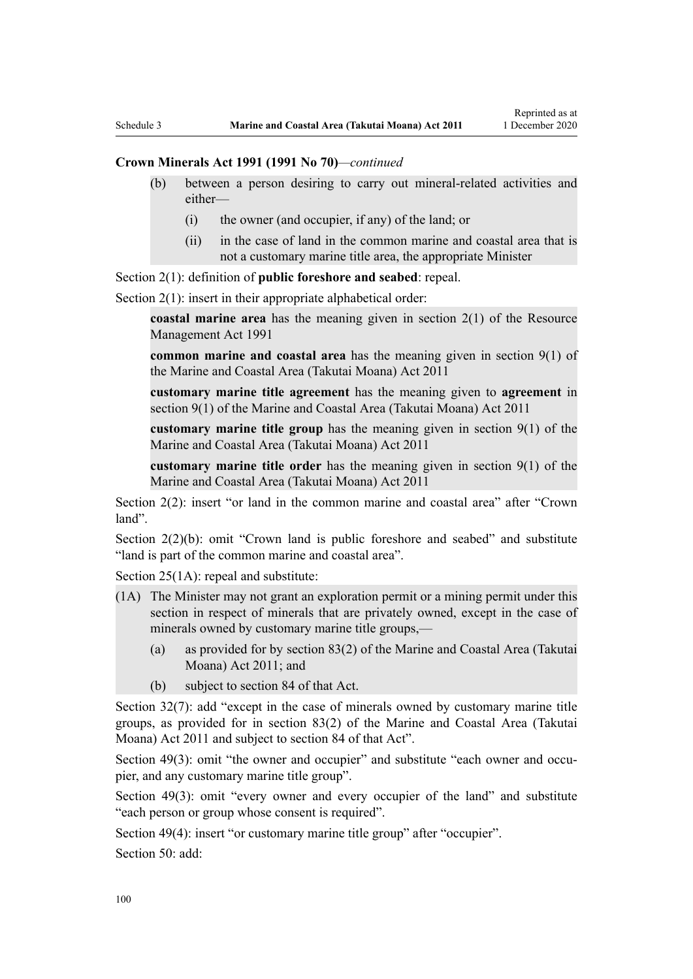#### **Crown Minerals Act 1991 (1991 No 70)***—continued*

- (b) between a person desiring to carry out mineral-related activities and either—
	- (i) the owner (and occupier, if any) of the land; or
	- (ii) in the case of land in the common marine and coastal area that is not a customary marine title area, the appropriate Minister

[Section 2\(1\):](http://legislation.govt.nz/pdflink.aspx?id=DLM242543) definition of **public foreshore and seabed**: repeal.

[Section 2\(1\):](http://legislation.govt.nz/pdflink.aspx?id=DLM242543) insert in their appropriate alphabetical order:

**coastal marine area** has the meaning given in section 2(1) of the Resource Management Act 1991

**common marine and coastal area** has the meaning given in section 9(1) of the Marine and Coastal Area (Takutai Moana) Act 2011

**customary marine title agreement** has the meaning given to **agreement** in section 9(1) of the Marine and Coastal Area (Takutai Moana) Act 2011

**customary marine title group** has the meaning given in section 9(1) of the Marine and Coastal Area (Takutai Moana) Act 2011

**customary marine title order** has the meaning given in section 9(1) of the Marine and Coastal Area (Takutai Moana) Act 2011

[Section 2\(2\)](http://legislation.govt.nz/pdflink.aspx?id=DLM242543): insert "or land in the common marine and coastal area" after "Crown land".

[Section 2\(2\)\(b\)](http://legislation.govt.nz/pdflink.aspx?id=DLM242543): omit "Crown land is public foreshore and seabed" and substitute "land is part of the common marine and coastal area".

[Section 25\(1A\):](http://legislation.govt.nz/pdflink.aspx?id=DLM246328) repeal and substitute:

- (1A) The Minister may not grant an exploration permit or a mining permit under this section in respect of minerals that are privately owned, except in the case of minerals owned by customary marine title groups,—
	- (a) as provided for by section 83(2) of the Marine and Coastal Area (Takutai Moana) Act 2011; and
	- (b) subject to section 84 of that Act.

[Section 32\(7\):](http://legislation.govt.nz/pdflink.aspx?id=DLM246341) add "except in the case of minerals owned by customary marine title groups, as provided for in section 83(2) of the Marine and Coastal Area (Takutai Moana) Act 2011 and subject to section 84 of that Act".

[Section 49\(3\)](http://legislation.govt.nz/pdflink.aspx?id=DLM246396): omit "the owner and occupier" and substitute "each owner and occupier, and any customary marine title group".

[Section 49\(3\):](http://legislation.govt.nz/pdflink.aspx?id=DLM246396) omit "every owner and every occupier of the land" and substitute "each person or group whose consent is required".

[Section 49\(4\)](http://legislation.govt.nz/pdflink.aspx?id=DLM246396): insert "or customary marine title group" after "occupier".

[Section 50](http://legislation.govt.nz/pdflink.aspx?id=DLM246397): add: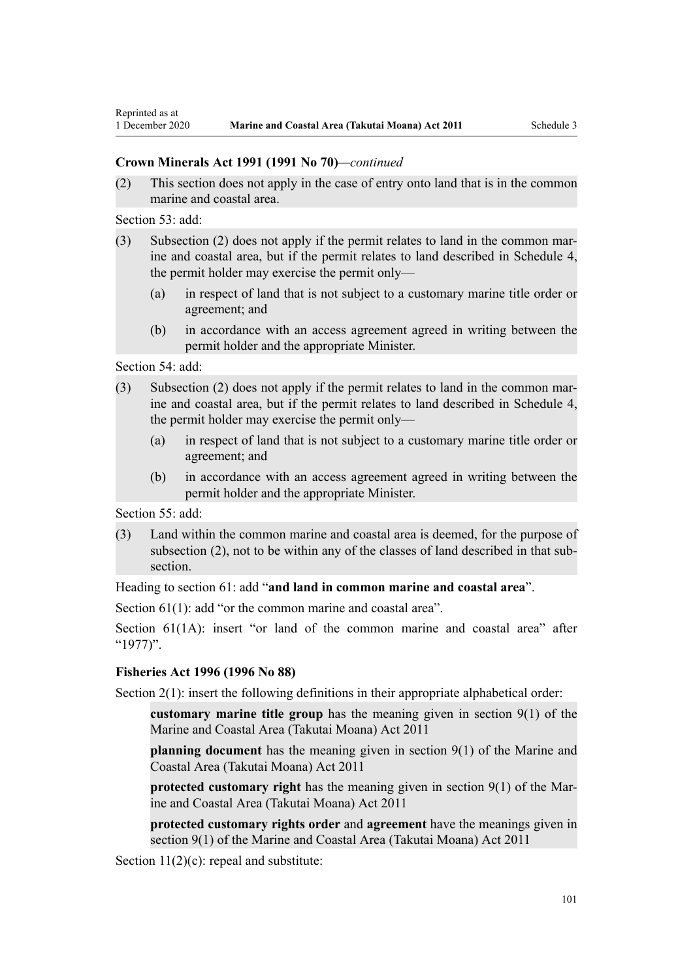## **Crown Minerals Act 1991 (1991 No 70)***—continued*

(2) This section does not apply in the case of entry onto land that is in the common marine and coastal area.

[Section 53](http://legislation.govt.nz/pdflink.aspx?id=DLM246703): add:

- (3) Subsection (2) does not apply if the permit relates to land in the common marine and coastal area, but if the permit relates to land described in Schedule 4, the permit holder may exercise the permit only—
	- (a) in respect of land that is not subject to a customary marine title order or agreement; and
	- (b) in accordance with an access agreement agreed in writing between the permit holder and the appropriate Minister.

[Section 54](http://legislation.govt.nz/pdflink.aspx?id=DLM246704): add:

- (3) Subsection (2) does not apply if the permit relates to land in the common marine and coastal area, but if the permit relates to land described in Schedule 4, the permit holder may exercise the permit only—
	- (a) in respect of land that is not subject to a customary marine title order or agreement; and
	- (b) in accordance with an access agreement agreed in writing between the permit holder and the appropriate Minister.

[Section 55](http://legislation.govt.nz/pdflink.aspx?id=DLM246706): add:

(3) Land within the common marine and coastal area is deemed, for the purpose of subsection (2), not to be within any of the classes of land described in that subsection.

Heading to [section 61:](http://legislation.govt.nz/pdflink.aspx?id=DLM246714) add "**and land in common marine and coastal area**".

[Section 61\(1\)](http://legislation.govt.nz/pdflink.aspx?id=DLM246714): add "or the common marine and coastal area".

[Section 61\(1A\)](http://legislation.govt.nz/pdflink.aspx?id=DLM246714): insert "or land of the common marine and coastal area" after "1977)".

## **Fisheries Act 1996 (1996 No 88)**

[Section 2\(1\):](http://legislation.govt.nz/pdflink.aspx?id=DLM394199) insert the following definitions in their appropriate alphabetical order:

**customary marine title group** has the meaning given in section 9(1) of the Marine and Coastal Area (Takutai Moana) Act 2011

**planning document** has the meaning given in section 9(1) of the Marine and Coastal Area (Takutai Moana) Act 2011

**protected customary right** has the meaning given in section 9(1) of the Marine and Coastal Area (Takutai Moana) Act 2011

**protected customary rights order** and **agreement** have the meanings given in section 9(1) of the Marine and Coastal Area (Takutai Moana) Act 2011

[Section 11\(2\)\(c\):](http://legislation.govt.nz/pdflink.aspx?id=DLM395397) repeal and substitute: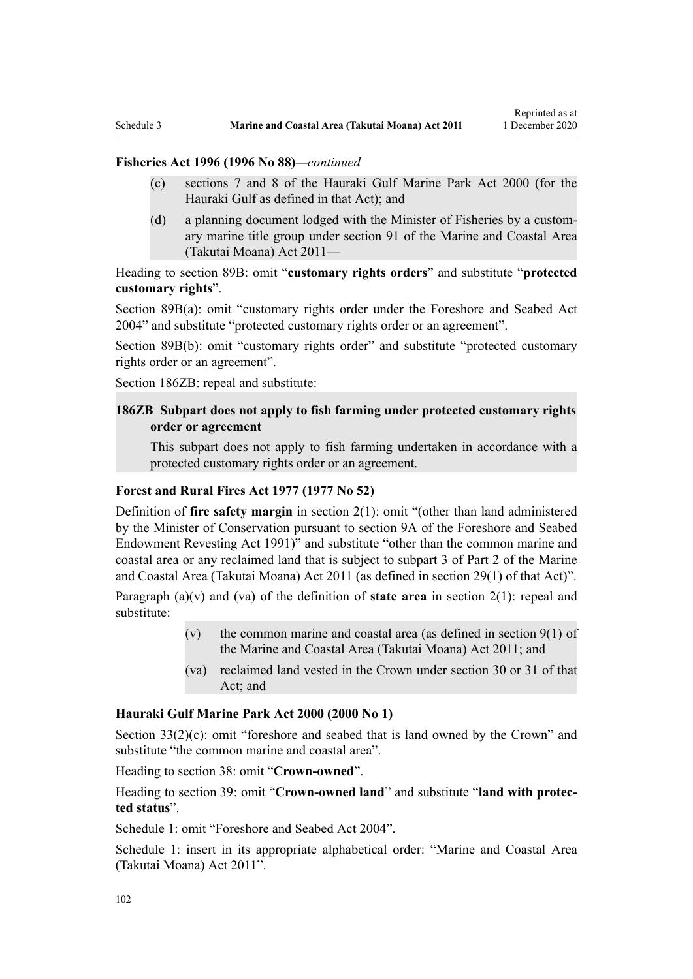## **Fisheries Act 1996 (1996 No 88)***—continued*

- (c) sections 7 and 8 of the Hauraki Gulf Marine Park Act 2000 (for the Hauraki Gulf as defined in that Act); and
- (d) a planning document lodged with the Minister of Fisheries by a customary marine title group under section 91 of the Marine and Coastal Area (Takutai Moana) Act 2011—

Heading to [section 89B](http://legislation.govt.nz/pdflink.aspx?id=DLM396920): omit "**customary rights orders**" and substitute "**protected customary rights**".

[Section 89B\(a\)](http://legislation.govt.nz/pdflink.aspx?id=DLM396920): omit "customary rights order under the Foreshore and Seabed Act 2004" and substitute "protected customary rights order or an agreement".

[Section 89B\(b\):](http://legislation.govt.nz/pdflink.aspx?id=DLM396920) omit "customary rights order" and substitute "protected customary rights order or an agreement".

[Section 186ZB:](http://legislation.govt.nz/pdflink.aspx?id=DLM398342) repeal and substitute:

## **186ZB Subpart does not apply to fish farming under protected customary rights order or agreement**

This subpart does not apply to fish farming undertaken in accordance with a protected customary rights order or an agreement.

## **Forest and Rural Fires Act 1977 (1977 No 52)**

Definition of **fire safety margin** in [section 2\(1\):](http://legislation.govt.nz/pdflink.aspx?id=DLM442952) omit "(other than land administered by the Minister of Conservation pursuant to section 9A of the Foreshore and Seabed Endowment Revesting Act 1991)" and substitute "other than the common marine and coastal area or any reclaimed land that is subject to subpart 3 of Part 2 of the Marine and Coastal Area (Takutai Moana) Act 2011 (as defined in section 29(1) of that Act)".

Paragraph (a)(v) and (va) of the definition of **state area** in [section 2\(1\):](http://legislation.govt.nz/pdflink.aspx?id=DLM442952) repeal and substitute:

- (v) the common marine and coastal area (as defined in section  $9(1)$  of the Marine and Coastal Area (Takutai Moana) Act 2011; and
- (va) reclaimed land vested in the Crown under section 30 or 31 of that Act; and

#### **Hauraki Gulf Marine Park Act 2000 (2000 No 1)**

[Section 33\(2\)\(c\)](http://legislation.govt.nz/pdflink.aspx?id=DLM53174): omit "foreshore and seabed that is land owned by the Crown" and substitute "the common marine and coastal area".

Heading to [section 38:](http://legislation.govt.nz/pdflink.aspx?id=DLM53180) omit "**Crown-owned**".

Heading to [section 39:](http://legislation.govt.nz/pdflink.aspx?id=DLM53181) omit "**Crown-owned land**" and substitute "**land with protected status**".

[Schedule 1:](http://legislation.govt.nz/pdflink.aspx?id=DLM53199) omit "Foreshore and Seabed Act 2004".

[Schedule 1:](http://legislation.govt.nz/pdflink.aspx?id=DLM53199) insert in its appropriate alphabetical order: "Marine and Coastal Area (Takutai Moana) Act 2011".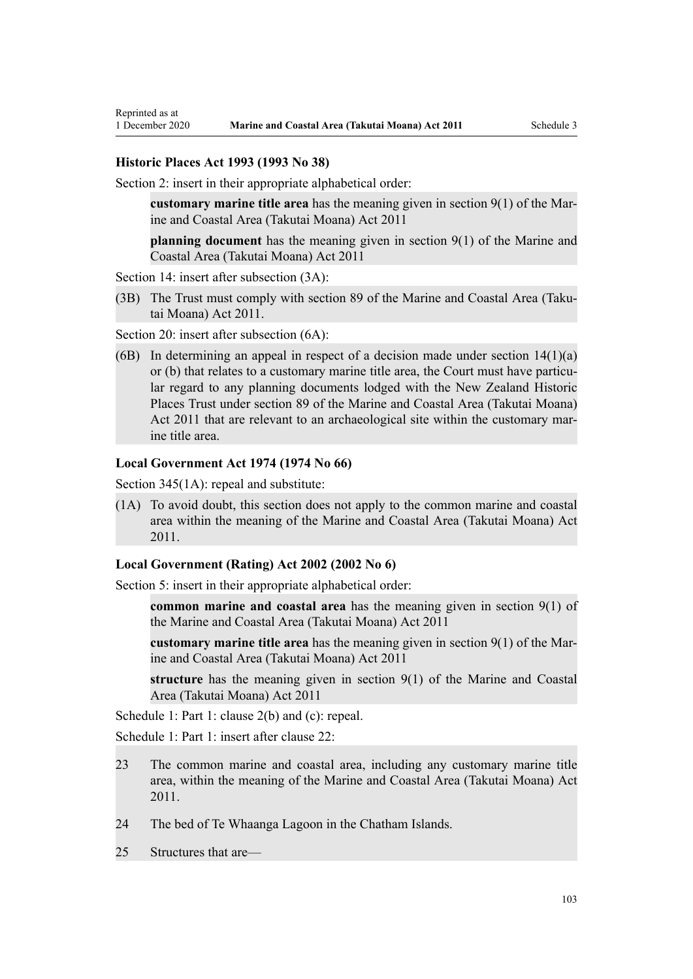# **Historic Places Act 1993 (1993 No 38)**

Reprinted as at

[Section 2](http://legislation.govt.nz/pdflink.aspx?id=DLM300516): insert in their appropriate alphabetical order:

**customary marine title area** has the meaning given in section 9(1) of the Marine and Coastal Area (Takutai Moana) Act 2011

**planning document** has the meaning given in section 9(1) of the Marine and Coastal Area (Takutai Moana) Act 2011

[Section 14](http://legislation.govt.nz/pdflink.aspx?id=DLM300610): insert after subsection  $(3A)$ :

(3B) The Trust must comply with section 89 of the Marine and Coastal Area (Takutai Moana) Act 2011.

[Section 20](http://legislation.govt.nz/pdflink.aspx?id=DLM300622): insert after subsection  $(6A)$ :

(6B) In determining an appeal in respect of a decision made under section  $14(1)(a)$ or (b) that relates to a customary marine title area, the Court must have particular regard to any planning documents lodged with the New Zealand Historic Places Trust under section 89 of the Marine and Coastal Area (Takutai Moana) Act 2011 that are relevant to an archaeological site within the customary marine title area.

#### **Local Government Act 1974 (1974 No 66)**

[Section 345\(1A\):](http://legislation.govt.nz/pdflink.aspx?id=DLM420626) repeal and substitute:

(1A) To avoid doubt, this section does not apply to the common marine and coastal area within the meaning of the Marine and Coastal Area (Takutai Moana) Act 2011.

#### **Local Government (Rating) Act 2002 (2002 No 6)**

[Section 5](http://legislation.govt.nz/pdflink.aspx?id=DLM132004): insert in their appropriate alphabetical order:

**common marine and coastal area** has the meaning given in section 9(1) of the Marine and Coastal Area (Takutai Moana) Act 2011

**customary marine title area** has the meaning given in section 9(1) of the Marine and Coastal Area (Takutai Moana) Act 2011

**structure** has the meaning given in section 9(1) of the Marine and Coastal Area (Takutai Moana) Act 2011

[Schedule 1:](http://legislation.govt.nz/pdflink.aspx?id=DLM133512) Part 1: clause 2(b) and (c): repeal.

[Schedule 1:](http://legislation.govt.nz/pdflink.aspx?id=DLM133512) Part 1: insert after clause 22:

- 23 The common marine and coastal area, including any customary marine title area, within the meaning of the Marine and Coastal Area (Takutai Moana) Act 2011.
- 24 The bed of Te Whaanga Lagoon in the Chatham Islands.
- 25 Structures that are—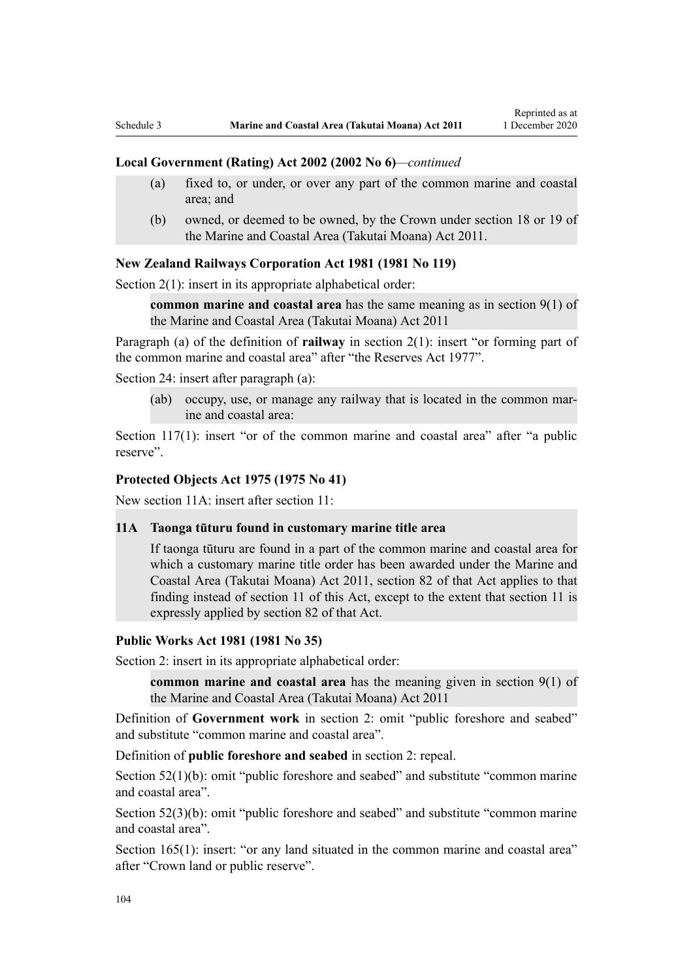#### **Local Government (Rating) Act 2002 (2002 No 6)***—continued*

- (a) fixed to, or under, or over any part of the common marine and coastal area; and
- (b) owned, or deemed to be owned, by the Crown under section 18 or 19 of the Marine and Coastal Area (Takutai Moana) Act 2011.

#### **New Zealand Railways Corporation Act 1981 (1981 No 119)**

[Section 2\(1\):](http://legislation.govt.nz/pdflink.aspx?id=DLM57011) insert in its appropriate alphabetical order:

**common marine and coastal area** has the same meaning as in section 9(1) of the Marine and Coastal Area (Takutai Moana) Act 2011

Paragraph (a) of the definition of **railway** in section 2(1): insert "or forming part of the common marine and coastal area" after "the Reserves Act 1977".

[Section 24](http://legislation.govt.nz/pdflink.aspx?id=DLM57642): insert after paragraph (a):

(ab) occupy, use, or manage any railway that is located in the common marine and coastal area:

[Section 117\(1\):](http://legislation.govt.nz/pdflink.aspx?id=DLM58268) insert "or of the common marine and coastal area" after "a public reserve".

#### **Protected Objects Act 1975 (1975 No 41)**

New section 11A: insert after [section 11:](http://legislation.govt.nz/pdflink.aspx?id=DLM432422)

#### **11A Taonga tūturu found in customary marine title area**

If taonga tūturu are found in a part of the common marine and coastal area for which a customary marine title order has been awarded under the Marine and Coastal Area (Takutai Moana) Act 2011, section 82 of that Act applies to that finding instead of section 11 of this Act, except to the extent that section 11 is expressly applied by section 82 of that Act.

#### **Public Works Act 1981 (1981 No 35)**

[Section 2](http://legislation.govt.nz/pdflink.aspx?id=DLM45433): insert in its appropriate alphabetical order:

**common marine and coastal area** has the meaning given in section 9(1) of the Marine and Coastal Area (Takutai Moana) Act 2011

Definition of **Government work** in section 2: omit "public foreshore and seabed" and substitute "common marine and coastal area".

Definition of **public foreshore and seabed** in section 2: repeal.

[Section 52\(1\)\(b\)](http://legislation.govt.nz/pdflink.aspx?id=DLM46307): omit "public foreshore and seabed" and substitute "common marine" and coastal area".

[Section 52\(3\)\(b\)](http://legislation.govt.nz/pdflink.aspx?id=DLM46307): omit "public foreshore and seabed" and substitute "common marine and coastal area".

[Section 165\(1\):](http://legislation.govt.nz/pdflink.aspx?id=DLM47750) insert: "or any land situated in the common marine and coastal area" after "Crown land or public reserve".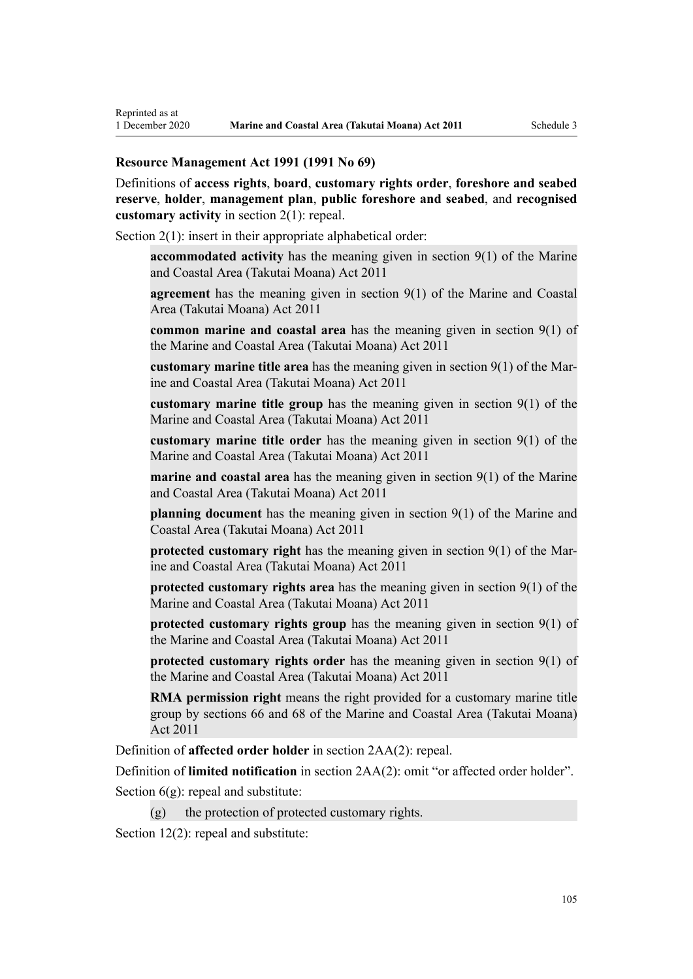#### **Resource Management Act 1991 (1991 No 69)**

Reprinted as at

Definitions of **access rights**, **board**, **customary rights order**, **foreshore and seabed reserve**, **holder**, **management plan**, **public foreshore and seabed**, and **recognised customary activity** in [section 2\(1\):](http://legislation.govt.nz/pdflink.aspx?id=DLM230272) repeal.

[Section 2\(1\):](http://legislation.govt.nz/pdflink.aspx?id=DLM230272) insert in their appropriate alphabetical order:

**accommodated activity** has the meaning given in section 9(1) of the Marine and Coastal Area (Takutai Moana) Act 2011

**agreement** has the meaning given in section 9(1) of the Marine and Coastal Area (Takutai Moana) Act 2011

**common marine and coastal area** has the meaning given in section 9(1) of the Marine and Coastal Area (Takutai Moana) Act 2011

**customary marine title area** has the meaning given in section 9(1) of the Marine and Coastal Area (Takutai Moana) Act 2011

**customary marine title group** has the meaning given in section 9(1) of the Marine and Coastal Area (Takutai Moana) Act 2011

**customary marine title order** has the meaning given in section 9(1) of the Marine and Coastal Area (Takutai Moana) Act 2011

**marine and coastal area** has the meaning given in section 9(1) of the Marine and Coastal Area (Takutai Moana) Act 2011

**planning document** has the meaning given in section 9(1) of the Marine and Coastal Area (Takutai Moana) Act 2011

**protected customary right** has the meaning given in section 9(1) of the Marine and Coastal Area (Takutai Moana) Act 2011

**protected customary rights area** has the meaning given in section 9(1) of the Marine and Coastal Area (Takutai Moana) Act 2011

**protected customary rights group** has the meaning given in section 9(1) of the Marine and Coastal Area (Takutai Moana) Act 2011

**protected customary rights order** has the meaning given in section 9(1) of the Marine and Coastal Area (Takutai Moana) Act 2011

**RMA permission right** means the right provided for a customary marine title group by sections 66 and 68 of the Marine and Coastal Area (Takutai Moana) Act 2011

Definition of **affected order holder** in [section 2AA\(2\):](http://legislation.govt.nz/pdflink.aspx?id=DLM2408220) repeal.

Definition of **limited notification** in [section 2AA\(2\)](http://legislation.govt.nz/pdflink.aspx?id=DLM2408220): omit "or affected order holder".

Section  $6(g)$ : repeal and substitute:

 $(g)$  the protection of protected customary rights.

[Section 12\(2\)](http://legislation.govt.nz/pdflink.aspx?id=DLM231949): repeal and substitute: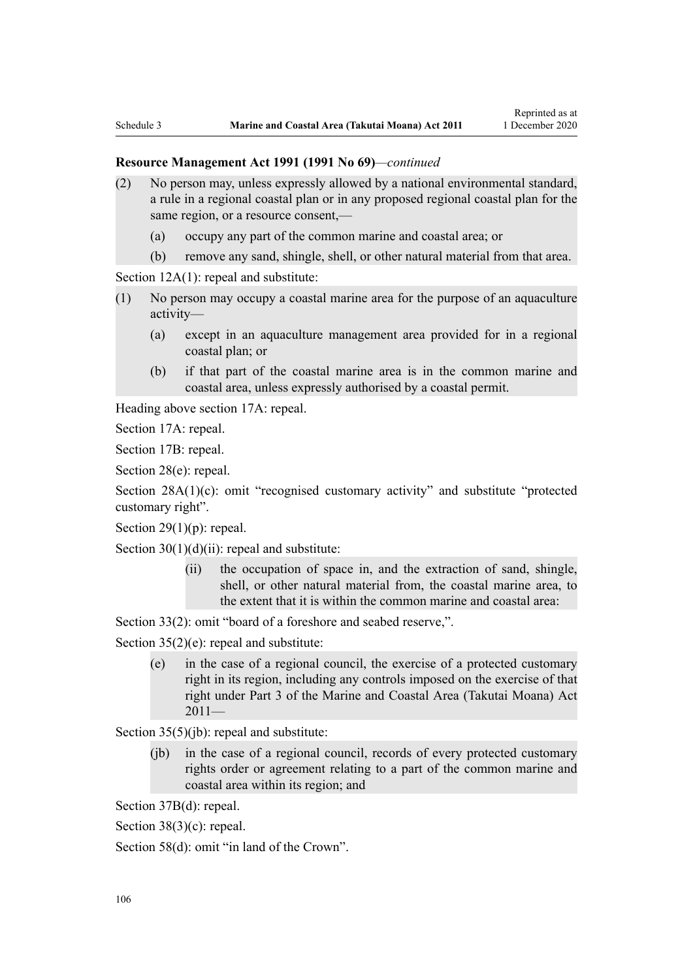#### **Resource Management Act 1991 (1991 No 69)***—continued*

- (2) No person may, unless expressly allowed by a national environmental standard, a rule in a regional coastal plan or in any proposed regional coastal plan for the same region, or a resource consent,—
	- (a) occupy any part of the common marine and coastal area; or
	- (b) remove any sand, shingle, shell, or other natural material from that area.

[Section 12A\(1\):](http://legislation.govt.nz/pdflink.aspx?id=DLM231965) repeal and substitute:

- (1) No person may occupy a coastal marine area for the purpose of an aquaculture activity—
	- (a) except in an aquaculture management area provided for in a regional coastal plan; or
	- (b) if that part of the coastal marine area is in the common marine and coastal area, unless expressly authorised by a coastal permit.

Heading above [section 17A:](http://legislation.govt.nz/pdflink.aspx?id=DLM232508) repeal.

[Section 17A](http://legislation.govt.nz/pdflink.aspx?id=DLM232508): repeal.

[Section 17B:](http://legislation.govt.nz/pdflink.aspx?id=DLM232510) repeal.

[Section 28\(e\):](http://legislation.govt.nz/pdflink.aspx?id=DLM232548) repeal.

[Section 28A\(1\)\(c\):](http://legislation.govt.nz/pdflink.aspx?id=DLM232552) omit "recognised customary activity" and substitute "protected customary right".

Section  $29(1)(p)$ : repeal.

Section  $30(1)(d)(ii)$ : repeal and substitute:

(ii) the occupation of space in, and the extraction of sand, shingle, shell, or other natural material from, the coastal marine area, to the extent that it is within the common marine and coastal area:

[Section 33\(2\)](http://legislation.govt.nz/pdflink.aspx?id=DLM232593): omit "board of a foreshore and seabed reserve,".

[Section 35\(2\)\(e\)](http://legislation.govt.nz/pdflink.aspx?id=DLM233009): repeal and substitute:

(e) in the case of a regional council, the exercise of a protected customary right in its region, including any controls imposed on the exercise of that right under Part 3 of the Marine and Coastal Area (Takutai Moana) Act  $2011-$ 

[Section 35\(5\)\(jb\)](http://legislation.govt.nz/pdflink.aspx?id=DLM233009): repeal and substitute:

(jb) in the case of a regional council, records of every protected customary rights order or agreement relating to a part of the common marine and coastal area within its region; and

[Section 37B\(d\)](http://legislation.govt.nz/pdflink.aspx?id=DLM233052): repeal.

[Section 38\(3\)\(c\)](http://legislation.govt.nz/pdflink.aspx?id=DLM233057): repeal.

[Section 58\(d\)](http://legislation.govt.nz/pdflink.aspx?id=DLM233381): omit "in land of the Crown".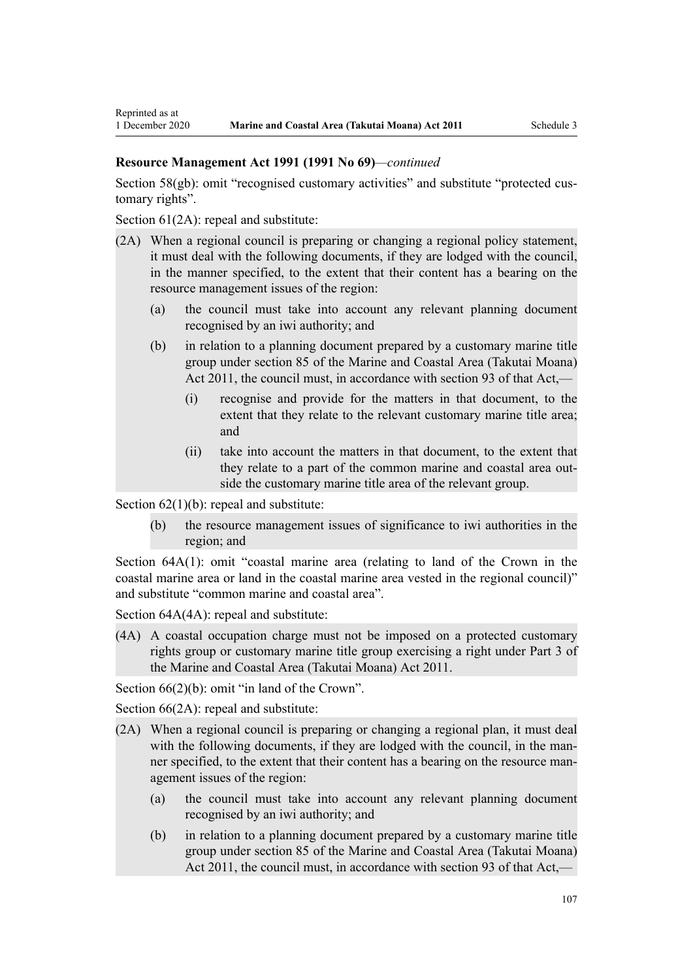#### **Resource Management Act 1991 (1991 No 69)***—continued*

[Section 58\(gb\):](http://legislation.govt.nz/pdflink.aspx?id=DLM233381) omit "recognised customary activities" and substitute "protected customary rights".

[Section 61\(2A\):](http://legislation.govt.nz/pdflink.aspx?id=DLM233389) repeal and substitute:

Reprinted as at

- (2A) When a regional council is preparing or changing a regional policy statement, it must deal with the following documents, if they are lodged with the council, in the manner specified, to the extent that their content has a bearing on the resource management issues of the region:
	- (a) the council must take into account any relevant planning document recognised by an iwi authority; and
	- (b) in relation to a planning document prepared by a customary marine title group under section 85 of the Marine and Coastal Area (Takutai Moana) Act 2011, the council must, in accordance with section 93 of that Act,—
		- (i) recognise and provide for the matters in that document, to the extent that they relate to the relevant customary marine title area; and
		- (ii) take into account the matters in that document, to the extent that they relate to a part of the common marine and coastal area outside the customary marine title area of the relevant group.

Section  $62(1)(b)$ : repeal and substitute:

(b) the resource management issues of significance to iwi authorities in the region; and

[Section 64A\(1\)](http://legislation.govt.nz/pdflink.aspx?id=DLM233610): omit "coastal marine area (relating to land of the Crown in the coastal marine area or land in the coastal marine area vested in the regional council)" and substitute "common marine and coastal area".

[Section 64A\(4A\)](http://legislation.govt.nz/pdflink.aspx?id=DLM233610): repeal and substitute:

(4A) A coastal occupation charge must not be imposed on a protected customary rights group or customary marine title group exercising a right under Part 3 of the Marine and Coastal Area (Takutai Moana) Act 2011.

[Section 66\(2\)\(b\):](http://legislation.govt.nz/pdflink.aspx?id=DLM233620) omit "in land of the Crown".

[Section 66\(2A\):](http://legislation.govt.nz/pdflink.aspx?id=DLM233620) repeal and substitute:

- (2A) When a regional council is preparing or changing a regional plan, it must deal with the following documents, if they are lodged with the council, in the manner specified, to the extent that their content has a bearing on the resource management issues of the region:
	- (a) the council must take into account any relevant planning document recognised by an iwi authority; and
	- (b) in relation to a planning document prepared by a customary marine title group under section 85 of the Marine and Coastal Area (Takutai Moana) Act 2011, the council must, in accordance with section 93 of that Act,—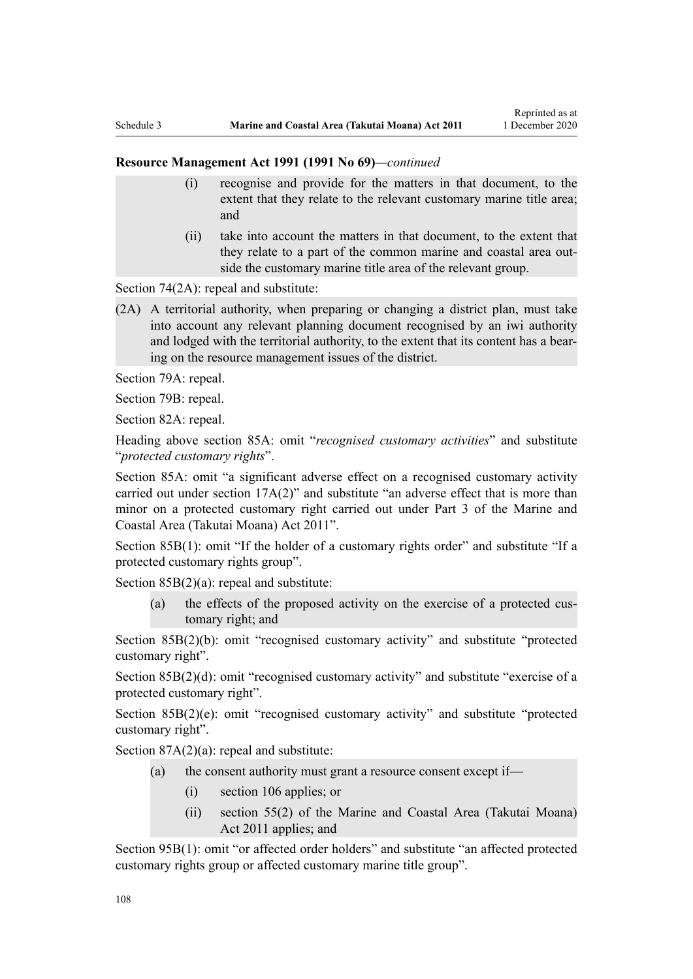#### **Resource Management Act 1991 (1991 No 69)***—continued*

- (i) recognise and provide for the matters in that document, to the extent that they relate to the relevant customary marine title area; and
- (ii) take into account the matters in that document, to the extent that they relate to a part of the common marine and coastal area outside the customary marine title area of the relevant group.

[Section 74\(2A\):](http://legislation.govt.nz/pdflink.aspx?id=DLM233671) repeal and substitute:

(2A) A territorial authority, when preparing or changing a district plan, must take into account any relevant planning document recognised by an iwi authority and lodged with the territorial authority, to the extent that its content has a bearing on the resource management issues of the district.

[Section 79A](http://legislation.govt.nz/pdflink.aspx?id=DLM233815): repeal.

[Section 79B:](http://legislation.govt.nz/pdflink.aspx?id=DLM233818) repeal.

[Section 82A](http://legislation.govt.nz/pdflink.aspx?id=DLM233827): repeal.

Heading above [section 85A](http://legislation.govt.nz/pdflink.aspx?id=DLM233840): omit "*recognised customary activities*" and substitute "*protected customary rights*".

[Section 85A](http://legislation.govt.nz/pdflink.aspx?id=DLM233840): omit "a significant adverse effect on a recognised customary activity carried out under section 17A(2)" and substitute "an adverse effect that is more than minor on a protected customary right carried out under Part 3 of the Marine and Coastal Area (Takutai Moana) Act 2011".

[Section 85B\(1\)](http://legislation.govt.nz/pdflink.aspx?id=DLM233842): omit "If the holder of a customary rights order" and substitute "If a protected customary rights group".

[Section 85B\(2\)\(a\):](http://legislation.govt.nz/pdflink.aspx?id=DLM233842) repeal and substitute:

(a) the effects of the proposed activity on the exercise of a protected customary right; and

[Section 85B\(2\)\(b\):](http://legislation.govt.nz/pdflink.aspx?id=DLM233842) omit "recognised customary activity" and substitute "protected customary right".

[Section 85B\(2\)\(d\):](http://legislation.govt.nz/pdflink.aspx?id=DLM233842) omit "recognised customary activity" and substitute "exercise of a protected customary right".

[Section 85B\(2\)\(e\)](http://legislation.govt.nz/pdflink.aspx?id=DLM233842): omit "recognised customary activity" and substitute "protected customary right".

Section  $87A(2)(a)$ : repeal and substitute:

- (a) the consent authority must grant a resource consent except if—
	- (i) section 106 applies; or
	- (ii) section 55(2) of the Marine and Coastal Area (Takutai Moana) Act 2011 applies; and

[Section 95B\(1\)](http://legislation.govt.nz/pdflink.aspx?id=DLM2416410): omit "or affected order holders" and substitute "an affected protected customary rights group or affected customary marine title group".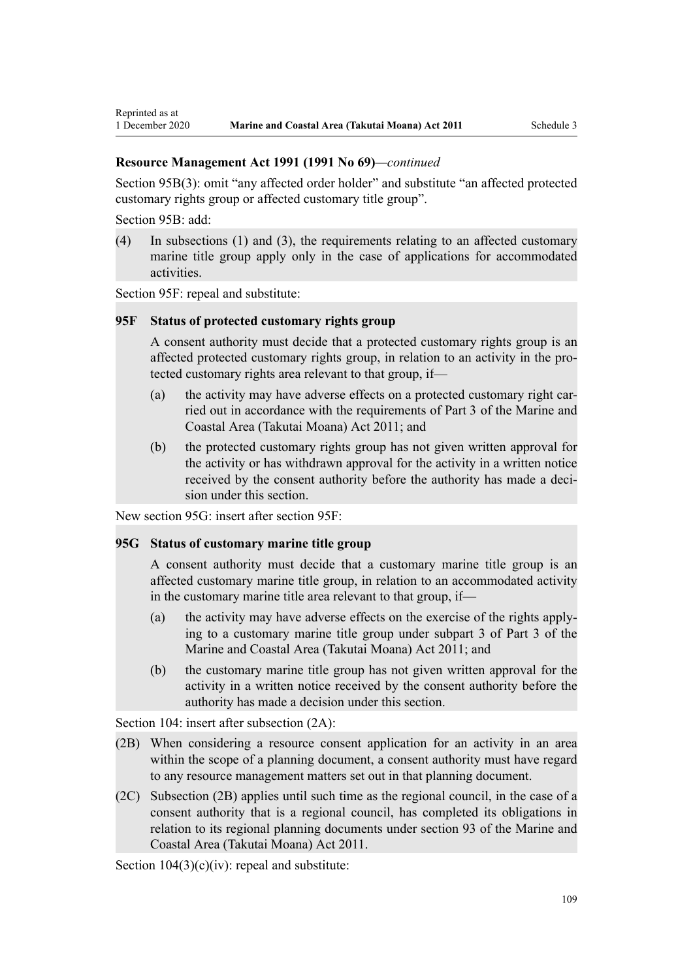[Section 95B\(3\)](http://legislation.govt.nz/pdflink.aspx?id=DLM2416410): omit "any affected order holder" and substitute "an affected protected customary rights group or affected customary title group".

[Section 95B:](http://legislation.govt.nz/pdflink.aspx?id=DLM2416410) add:

Reprinted as at

(4) In subsections (1) and (3), the requirements relating to an affected customary marine title group apply only in the case of applications for accommodated activities.

[Section 95F](http://legislation.govt.nz/pdflink.aspx?id=DLM2416414): repeal and substitute:

### **95F Status of protected customary rights group**

A consent authority must decide that a protected customary rights group is an affected protected customary rights group, in relation to an activity in the protected customary rights area relevant to that group, if—

- (a) the activity may have adverse effects on a protected customary right carried out in accordance with the requirements of Part 3 of the Marine and Coastal Area (Takutai Moana) Act 2011; and
- (b) the protected customary rights group has not given written approval for the activity or has withdrawn approval for the activity in a written notice received by the consent authority before the authority has made a decision under this section.

New section 95G: insert after [section 95F:](http://legislation.govt.nz/pdflink.aspx?id=DLM2416414)

### **95G Status of customary marine title group**

A consent authority must decide that a customary marine title group is an affected customary marine title group, in relation to an accommodated activity in the customary marine title area relevant to that group, if—

- (a) the activity may have adverse effects on the exercise of the rights applying to a customary marine title group under subpart 3 of Part 3 of the Marine and Coastal Area (Takutai Moana) Act 2011; and
- (b) the customary marine title group has not given written approval for the activity in a written notice received by the consent authority before the authority has made a decision under this section.

[Section 104:](http://legislation.govt.nz/pdflink.aspx?id=DLM234355) insert after subsection  $(2A)$ :

- (2B) When considering a resource consent application for an activity in an area within the scope of a planning document, a consent authority must have regard to any resource management matters set out in that planning document.
- (2C) Subsection (2B) applies until such time as the regional council, in the case of a consent authority that is a regional council, has completed its obligations in relation to its regional planning documents under section 93 of the Marine and Coastal Area (Takutai Moana) Act 2011.

Section  $104(3)(c)(iv)$ : repeal and substitute: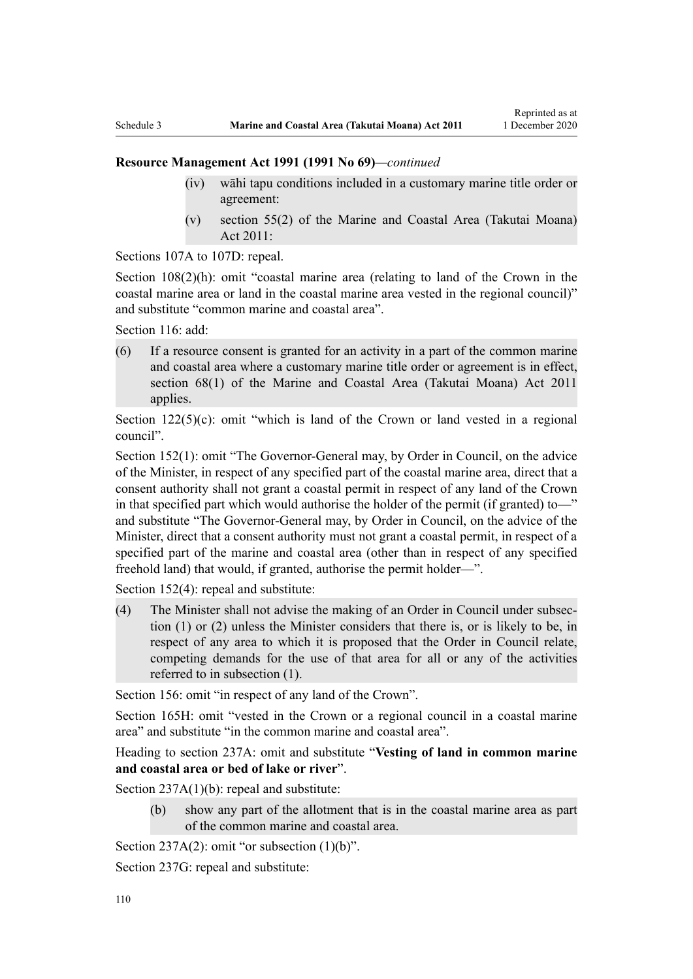- (iv) wāhi tapu conditions included in a customary marine title order or agreement:
- (v) section 55(2) of the Marine and Coastal Area (Takutai Moana) Act 2011:

[Sections 107A to 107D:](http://legislation.govt.nz/pdflink.aspx?id=DLM234801) repeal.

[Section 108\(2\)\(h\)](http://legislation.govt.nz/pdflink.aspx?id=DLM234810): omit "coastal marine area (relating to land of the Crown in the coastal marine area or land in the coastal marine area vested in the regional council)" and substitute "common marine and coastal area".

[Section 116](http://legislation.govt.nz/pdflink.aspx?id=DLM234865): add:

(6) If a resource consent is granted for an activity in a part of the common marine and coastal area where a customary marine title order or agreement is in effect, section 68(1) of the Marine and Coastal Area (Takutai Moana) Act 2011 applies.

Section  $122(5)(c)$ : omit "which is land of the Crown or land vested in a regional council".

[Section 152\(1\)](http://legislation.govt.nz/pdflink.aspx?id=DLM235468): omit "The Governor-General may, by Order in Council, on the advice of the Minister, in respect of any specified part of the coastal marine area, direct that a consent authority shall not grant a coastal permit in respect of any land of the Crown in that specified part which would authorise the holder of the permit (if granted) to—" and substitute "The Governor-General may, by Order in Council, on the advice of the Minister, direct that a consent authority must not grant a coastal permit, in respect of a specified part of the marine and coastal area (other than in respect of any specified freehold land) that would, if granted, authorise the permit holder—".

[Section 152\(4\)](http://legislation.govt.nz/pdflink.aspx?id=DLM235468): repeal and substitute:

(4) The Minister shall not advise the making of an Order in Council under subsection (1) or (2) unless the Minister considers that there is, or is likely to be, in respect of any area to which it is proposed that the Order in Council relate, competing demands for the use of that area for all or any of the activities referred to in subsection (1).

[Section 156:](http://legislation.govt.nz/pdflink.aspx?id=DLM235484) omit "in respect of any land of the Crown".

[Section 165H:](http://legislation.govt.nz/pdflink.aspx?id=DLM236036) omit "vested in the Crown or a regional council in a coastal marine area" and substitute "in the common marine and coastal area".

Heading to section 237A: omit and substitute "**Vesting of land in common marine and coastal area or bed of lake or river**".

[Section 237A\(1\)\(b\):](http://legislation.govt.nz/pdflink.aspx?id=DLM237276) repeal and substitute:

(b) show any part of the allotment that is in the coastal marine area as part of the common marine and coastal area.

Section  $237A(2)$ : omit "or subsection  $(1)(b)$ ".

[Section 237G](http://legislation.govt.nz/pdflink.aspx?id=DLM237291): repeal and substitute: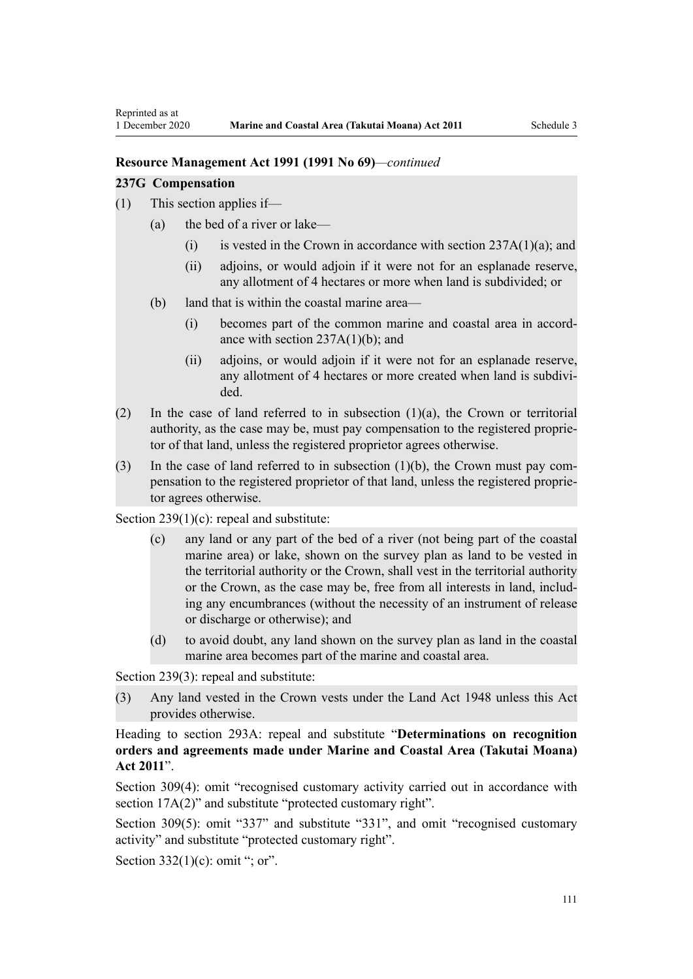#### **237G Compensation**

- (1) This section applies if—
	- (a) the bed of a river or lake—
		- (i) is vested in the Crown in accordance with section  $237A(1)(a)$ ; and
		- (ii) adjoins, or would adjoin if it were not for an esplanade reserve, any allotment of 4 hectares or more when land is subdivided; or
	- (b) land that is within the coastal marine area—
		- (i) becomes part of the common marine and coastal area in accordance with section  $237A(1)(b)$ ; and
		- (ii) adjoins, or would adjoin if it were not for an esplanade reserve, any allotment of 4 hectares or more created when land is subdivided.
- (2) In the case of land referred to in subsection (1)(a), the Crown or territorial authority, as the case may be, must pay compensation to the registered proprietor of that land, unless the registered proprietor agrees otherwise.
- (3) In the case of land referred to in subsection (1)(b), the Crown must pay compensation to the registered proprietor of that land, unless the registered proprietor agrees otherwise.

[Section 239\(1\)\(c\):](http://legislation.govt.nz/pdflink.aspx?id=DLM237600) repeal and substitute:

- (c) any land or any part of the bed of a river (not being part of the coastal marine area) or lake, shown on the survey plan as land to be vested in the territorial authority or the Crown, shall vest in the territorial authority or the Crown, as the case may be, free from all interests in land, including any encumbrances (without the necessity of an instrument of release or discharge or otherwise); and
- (d) to avoid doubt, any land shown on the survey plan as land in the coastal marine area becomes part of the marine and coastal area.

[Section 239\(3\)](http://legislation.govt.nz/pdflink.aspx?id=DLM237600): repeal and substitute:

(3) Any land vested in the Crown vests under the Land Act 1948 unless this Act provides otherwise.

Heading to [section 293A:](http://legislation.govt.nz/pdflink.aspx?id=DLM238254) repeal and substitute "**Determinations on recognition orders and agreements made under Marine and Coastal Area (Takutai Moana) Act 2011**".

[Section 309\(4\):](http://legislation.govt.nz/pdflink.aspx?id=DLM238505) omit "recognised customary activity carried out in accordance with section  $17A(2)$ " and substitute "protected customary right".

[Section 309\(5\)](http://legislation.govt.nz/pdflink.aspx?id=DLM238505): omit "337" and substitute "331", and omit "recognised customary activity" and substitute "protected customary right".

Section  $332(1)(c)$ : omit "; or".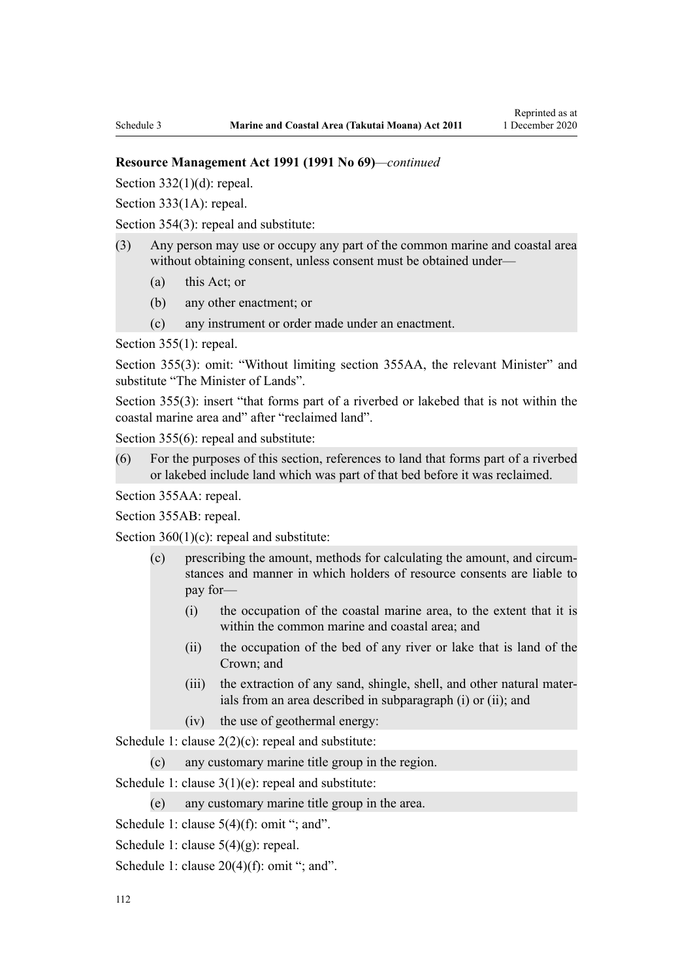Section  $332(1)(d)$ : repeal.

[Section 333\(1A\):](http://legislation.govt.nz/pdflink.aspx?id=DLM239027) repeal.

[Section 354\(3\)](http://legislation.govt.nz/pdflink.aspx?id=DLM239318): repeal and substitute:

- (3) Any person may use or occupy any part of the common marine and coastal area without obtaining consent, unless consent must be obtained under—
	- (a) this Act; or
	- (b) any other enactment; or
	- (c) any instrument or order made under an enactment.

[Section 355\(1\)](http://legislation.govt.nz/pdflink.aspx?id=DLM239322): repeal.

[Section 355\(3\):](http://legislation.govt.nz/pdflink.aspx?id=DLM239322) omit: "Without limiting section 355AA, the relevant Minister" and substitute "The Minister of Lands".

[Section 355\(3\)](http://legislation.govt.nz/pdflink.aspx?id=DLM239322): insert "that forms part of a riverbed or lakebed that is not within the coastal marine area and" after "reclaimed land".

[Section 355\(6\)](http://legislation.govt.nz/pdflink.aspx?id=DLM239322): repeal and substitute:

(6) For the purposes of this section, references to land that forms part of a riverbed or lakebed include land which was part of that bed before it was reclaimed.

[Section 355AA](http://legislation.govt.nz/pdflink.aspx?id=DLM239326): repeal.

[Section 355AB:](http://legislation.govt.nz/pdflink.aspx?id=DLM239328) repeal.

Section  $360(1)(c)$ : repeal and substitute:

- (c) prescribing the amount, methods for calculating the amount, and circumstances and manner in which holders of resource consents are liable to pay for—
	- (i) the occupation of the coastal marine area, to the extent that it is within the common marine and coastal area; and
	- (ii) the occupation of the bed of any river or lake that is land of the Crown; and
	- (iii) the extraction of any sand, shingle, shell, and other natural materials from an area described in subparagraph (i) or (ii); and
	- (iv) the use of geothermal energy:

[Schedule 1:](http://legislation.govt.nz/pdflink.aspx?id=DLM240686) clause  $2(2)(c)$ : repeal and substitute:

(c) any customary marine title group in the region.

[Schedule 1:](http://legislation.govt.nz/pdflink.aspx?id=DLM240686) clause 3(1)(e): repeal and substitute:

(e) any customary marine title group in the area.

[Schedule 1:](http://legislation.govt.nz/pdflink.aspx?id=DLM240686) clause  $5(4)(f)$ : omit "; and".

- [Schedule 1:](http://legislation.govt.nz/pdflink.aspx?id=DLM240686) clause 5(4)(g): repeal.
- [Schedule 1:](http://legislation.govt.nz/pdflink.aspx?id=DLM240686) clause  $20(4)(f)$ : omit "; and".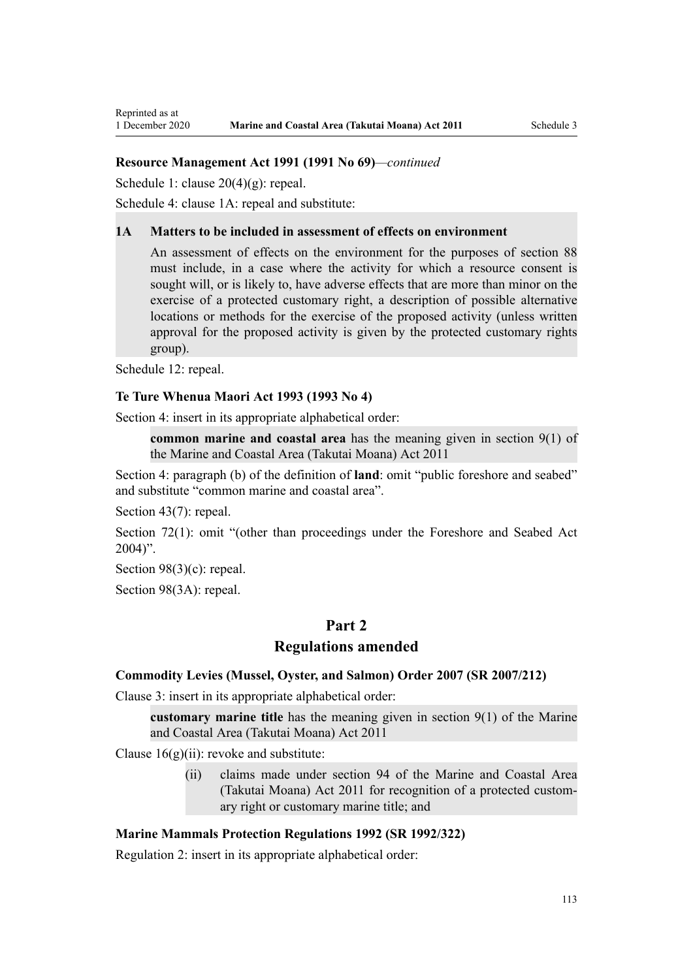[Schedule 1:](http://legislation.govt.nz/pdflink.aspx?id=DLM240686) clause 20(4)(g): repeal.

[Schedule 4:](http://legislation.govt.nz/pdflink.aspx?id=DLM242008) clause 1A: repeal and substitute:

#### **1A Matters to be included in assessment of effects on environment**

An assessment of effects on the environment for the purposes of section 88 must include, in a case where the activity for which a resource consent is sought will, or is likely to, have adverse effects that are more than minor on the exercise of a protected customary right, a description of possible alternative locations or methods for the exercise of the proposed activity (unless written approval for the proposed activity is given by the protected customary rights group).

[Schedule 12:](http://legislation.govt.nz/pdflink.aspx?id=DLM242515) repeal.

#### **Te Ture Whenua Maori Act 1993 (1993 No 4)**

[Section 4](http://legislation.govt.nz/pdflink.aspx?id=DLM289897): insert in its appropriate alphabetical order:

**common marine and coastal area** has the meaning given in section 9(1) of the Marine and Coastal Area (Takutai Moana) Act 2011

[Section 4:](http://legislation.govt.nz/pdflink.aspx?id=DLM289897) paragraph (b) of the definition of **land**: omit "public foreshore and seabed" and substitute "common marine and coastal area".

[Section 43\(7\)](http://legislation.govt.nz/pdflink.aspx?id=DLM290907): repeal.

[Section 72\(1\)](http://legislation.govt.nz/pdflink.aspx?id=DLM290961): omit "(other than proceedings under the Foreshore and Seabed Act  $2004$ ".

[Section 98\(3\)\(c\)](http://legislation.govt.nz/pdflink.aspx?id=DLM291203): repeal.

[Section 98\(3A\):](http://legislation.govt.nz/pdflink.aspx?id=DLM291203) repeal.

# **Part 2**

## **Regulations amended**

#### **Commodity Levies (Mussel, Oyster, and Salmon) Order 2007 (SR 2007/212)**

[Clause 3](http://legislation.govt.nz/pdflink.aspx?id=DLM443990): insert in its appropriate alphabetical order:

**customary marine title** has the meaning given in section 9(1) of the Marine and Coastal Area (Takutai Moana) Act 2011

Clause  $16(g)(ii)$ : revoke and substitute:

(ii) claims made under section 94 of the Marine and Coastal Area (Takutai Moana) Act 2011 for recognition of a protected customary right or customary marine title; and

### **Marine Mammals Protection Regulations 1992 (SR 1992/322)**

[Regulation 2](http://legislation.govt.nz/pdflink.aspx?id=DLM168290): insert in its appropriate alphabetical order: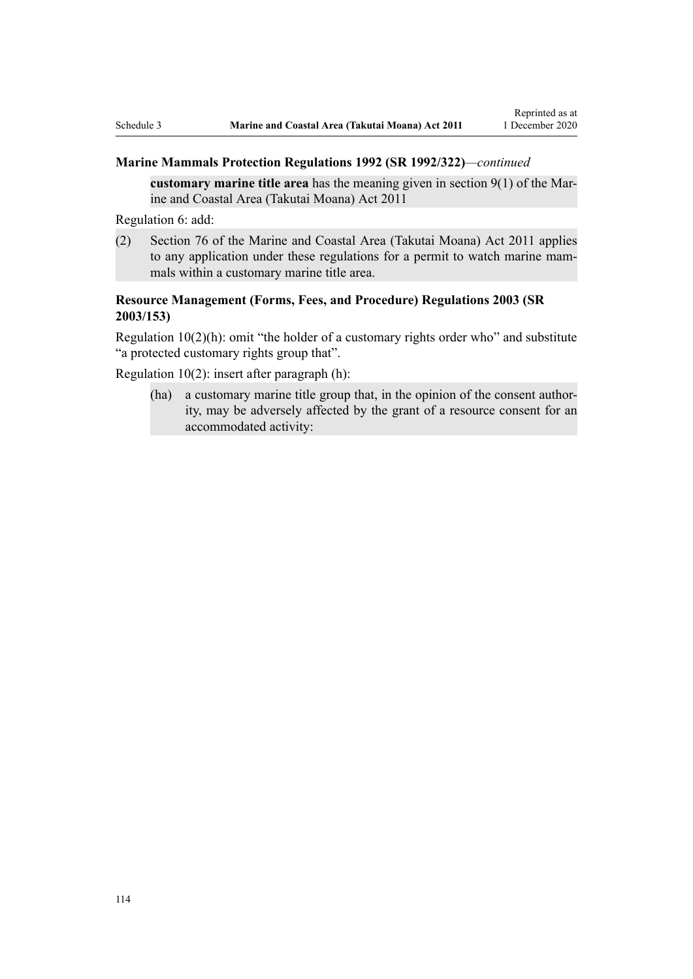## **Marine Mammals Protection Regulations 1992 (SR 1992/322)***—continued*

**customary marine title area** has the meaning given in section 9(1) of the Marine and Coastal Area (Takutai Moana) Act 2011

[Regulation 6](http://legislation.govt.nz/pdflink.aspx?id=DLM168824): add:

(2) Section 76 of the Marine and Coastal Area (Takutai Moana) Act 2011 applies to any application under these regulations for a permit to watch marine mammals within a customary marine title area.

# **Resource Management (Forms, Fees, and Procedure) Regulations 2003 (SR 2003/153)**

[Regulation 10\(2\)\(h\)](http://legislation.govt.nz/pdflink.aspx?id=DLM168828): omit "the holder of a customary rights order who" and substitute "a protected customary rights group that".

[Regulation 10\(2\)](http://legislation.govt.nz/pdflink.aspx?id=DLM168828): insert after paragraph (h):

(ha) a customary marine title group that, in the opinion of the consent authority, may be adversely affected by the grant of a resource consent for an accommodated activity: